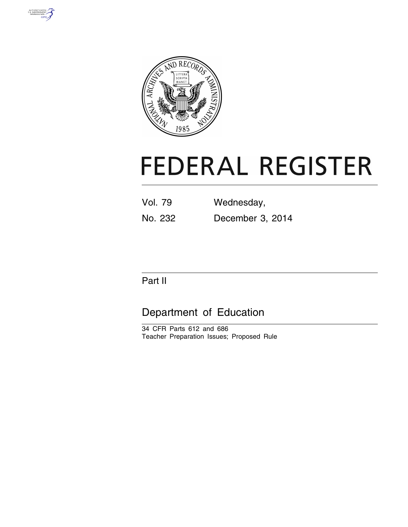



# **FEDERAL REGISTER**

| Vol. 79 | Wednesday,       |
|---------|------------------|
| No. 232 | December 3, 2014 |

# Part II

# Department of Education

34 CFR Parts 612 and 686 Teacher Preparation Issues; Proposed Rule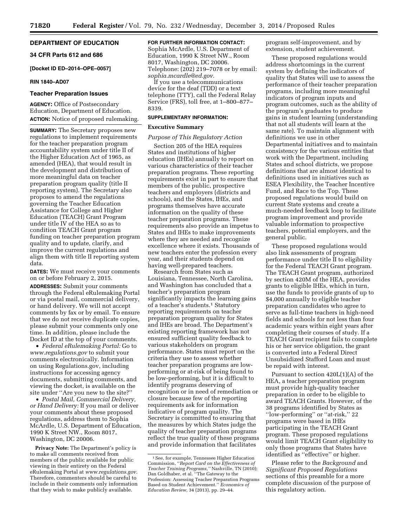# **DEPARTMENT OF EDUCATION**

# **34 CFR Parts 612 and 686**

**[Docket ID ED–2014–OPE–0057]** 

#### **RIN 1840–AD07**

#### **Teacher Preparation Issues**

**AGENCY:** Office of Postsecondary Education, Department of Education. **ACTION:** Notice of proposed rulemaking.

**SUMMARY:** The Secretary proposes new regulations to implement requirements for the teacher preparation program accountability system under title II of the Higher Education Act of 1965, as amended (HEA), that would result in the development and distribution of more meaningful data on teacher preparation program quality (title II reporting system). The Secretary also proposes to amend the regulations governing the Teacher Education Assistance for College and Higher Education (TEACH) Grant Program under title IV of the HEA so as to condition TEACH Grant program funding on teacher preparation program quality and to update, clarify, and improve the current regulations and align them with title II reporting system data.

**DATES:** We must receive your comments on or before February 2, 2015.

**ADDRESSES:** Submit your comments through the Federal eRulemaking Portal or via postal mail, commercial delivery, or hand delivery. We will not accept comments by fax or by email. To ensure that we do not receive duplicate copies, please submit your comments only one time. In addition, please include the Docket ID at the top of your comments.

• *Federal eRulemaking Portal:* Go to *[www.regulations.gov](http://www.regulations.gov)* to submit your comments electronically. Information on using Regulations.gov, including instructions for accessing agency documents, submitting comments, and viewing the docket, is available on the site under ''Are you new to the site?''

• *Postal Mail, Commercial Delivery, or Hand Delivery:* If you mail or deliver your comments about these proposed regulations, address them to Sophia McArdle, U.S. Department of Education, 1990 K Street NW., Room 8017, Washington, DC 20006.

**Privacy Note:** The Department's policy is to make all comments received from members of the public available for public viewing in their entirety on the Federal eRulemaking Portal at *[www.regulations.gov](http://www.regulations.gov)*. Therefore, commenters should be careful to include in their comments only information that they wish to make publicly available.

#### **FOR FURTHER INFORMATION CONTACT:**

Sophia McArdle, U.S. Department of Education, 1990 K Street NW., Room 8017, Washington, DC 20006. Telephone: (202) 219–7078 or by email: *[sophia.mcardle@ed.gov](mailto:sophia.mcardle@ed.gov)*.

If you use a telecommunications device for the deaf (TDD) or a text telephone (TTY), call the Federal Relay Service (FRS), toll free, at 1–800–877– 8339.

### **SUPPLEMENTARY INFORMATION:**

#### **Executive Summary**

# *Purpose of This Regulatory Action*

Section 205 of the HEA requires States and institutions of higher education (IHEs) annually to report on various characteristics of their teacher preparation programs. These reporting requirements exist in part to ensure that members of the public, prospective teachers and employers (districts and schools), and the States, IHEs, and programs themselves have accurate information on the quality of these teacher preparation programs. These requirements also provide an impetus to States and IHEs to make improvements where they are needed and recognize excellence where it exists. Thousands of new teachers enter the profession every year, and their students depend on having well-prepared teachers.

Research from States such as Louisiana, Tennessee, North Carolina, and Washington has concluded that a teacher's preparation program significantly impacts the learning gains of a teacher's students.<sup>1</sup> Statutory reporting requirements on teacher preparation program quality for States and IHEs are broad. The Department's existing reporting framework has not ensured sufficient quality feedback to various stakeholders on program performance. States must report on the criteria they use to assess whether teacher preparation programs are lowperforming or at-risk of being found to be low-performing, but it is difficult to identify programs deserving of recognition or in need of remediation or closure because few of the reporting requirements ask for information indicative of program quality. The Secretary is committed to ensuring that the measures by which States judge the quality of teacher preparation programs reflect the true quality of these programs and provide information that facilitates

program self-improvement, and by extension, student achievement.

These proposed regulations would address shortcomings in the current system by defining the indicators of quality that States will use to assess the performance of their teacher preparation programs, including more meaningful indicators of program inputs and program outcomes, such as the ability of the program's graduates to produce gains in student learning (understanding that not all students will learn at the same rate). To maintain alignment with definitions we use in other Departmental initiatives and to maintain consistency for the various entities that work with the Department, including States and school districts, we propose definitions that are almost identical to definitions used in initiatives such as ESEA Flexibility, the Teacher Incentive Fund, and Race to the Top. These proposed regulations would build on current State systems and create a much-needed feedback loop to facilitate program improvement and provide valuable information to prospective teachers, potential employers, and the general public.

These proposed regulations would also link assessments of program performance under title II to eligibility for the Federal TEACH Grant program. The TEACH Grant program, authorized by section 420M of the HEA, provides grants to eligible IHEs, which in turn, use the funds to provide grants of up to \$4,000 annually to eligible teacher preparation candidates who agree to serve as full-time teachers in high-need fields and schools for not less than four academic years within eight years after completing their courses of study. If a TEACH Grant recipient fails to complete his or her service obligation, the grant is converted into a Federal Direct Unsubsidized Stafford Loan and must be repaid with interest.

Pursuant to section 420L(1)(A) of the HEA, a teacher preparation program must provide high-quality teacher preparation in order to be eligible to award TEACH Grants. However, of the 38 programs identified by States as ''low-performing'' or ''at-risk,'' 22 programs were based in IHEs participating in the TEACH Grant program. These proposed regulations would limit TEACH Grant eligibility to only those programs that States have identified as ''effective'' or higher.

Please refer to the *Background* and *Significant Proposed Regulations*  sections of this preamble for a more complete discussion of the purpose of this regulatory action.

<sup>1</sup>See, for example, Tennessee Higher Education Commission, ''*Report Card on the Effectiveness of Teacher Training Programs,''* Nashville, TN (2010); Dan Goldhaber, et al. ''The Gateway to the Profession: Assessing Teacher Preparation Programs Based on Student Achievement.'' *Economics of Education Review,* 34 (2013), pp. 29–44.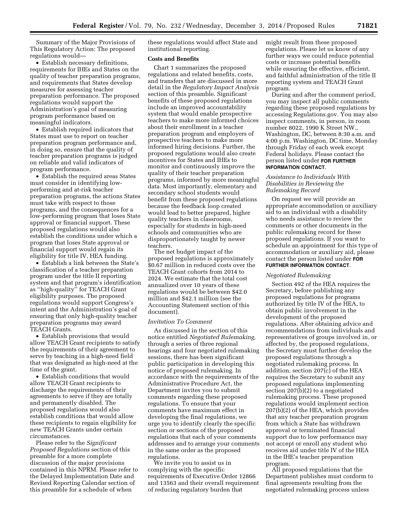Summary of the Major Provisions of This Regulatory Action: The proposed regulations would—

• Establish necessary definitions, requirements for IHEs and States on the quality of teacher preparation programs, and requirements that States develop measures for assessing teacher preparation performance. The proposed regulations would support the Administration's goal of measuring program performance based on meaningful indicators.

• Establish required indicators that States must use to report on teacher preparation program performance and, in doing so, ensure that the quality of teacher preparation programs is judged on reliable and valid indicators of program performance.

• Establish the required areas States must consider in identifying lowperforming and at-risk teacher preparation programs, the actions States must take with respect to those programs, and the consequences for a low-performing program that loses State approval or financial support. These proposed regulations would also establish the conditions under which a program that loses State approval or financial support would regain its eligibility for title IV, HEA funding.

• Establish a link between the State's classification of a teacher preparation program under the title II reporting system and that program's identification as ''high-quality'' for TEACH Grant eligibility purposes. The proposed regulations would support Congress's intent and the Administration's goal of ensuring that only high-quality teacher preparation programs may award TEACH Grants.

• Establish provisions that would allow TEACH Grant recipients to satisfy the requirements of their agreement to serve by teaching in a high-need field that was designated as high-need at the time of the grant.

• Establish conditions that would allow TEACH Grant recipients to discharge the requirements of their agreements to serve if they are totally and permanently disabled. The proposed regulations would also establish conditions that would allow these recipients to regain eligibility for new TEACH Grants under certain circumstances.

Please refer to the *Significant Proposed Regulations* section of this preamble for a more complete discussion of the major provisions contained in this NPRM. Please refer to the Delayed Implementation Date and Revised Reporting Calendar section of this preamble for a schedule of when

these regulations would affect State and institutional reporting.

# **Costs and Benefits**

Chart 1 summarizes the proposed regulations and related benefits, costs, and transfers that are discussed in more detail in the *Regulatory Impact Analysis*  section of this preamble. Significant benefits of these proposed regulations include an improved accountability system that would enable prospective teachers to make more informed choices about their enrollment in a teacher preparation program and employers of prospective teachers to make more informed hiring decisions. Further, the proposed regulations would also create incentives for States and IHEs to monitor and continuously improve the quality of their teacher preparation programs, informed by more meaningful data. Most importantly, elementary and secondary school students would benefit from these proposed regulations because the feedback loop created would lead to better prepared, higher quality teachers in classrooms, especially for students in high-need schools and communities who are disproportionately taught by newer teachers.

The net budget impact of the proposed regulations is approximately \$0.67 million in reduced costs over the TEACH Grant cohorts from 2014 to 2024. We estimate that the total cost annualized over 10 years of these regulations would be between \$42.0 million and \$42.1 million (see the Accounting Statement section of this document).

#### *Invitation To Comment*

As discussed in the section of this notice entitled *Negotiated Rulemaking,*  through a series of three regional hearings and four negotiated rulemaking sessions, there has been significant public participation in developing this notice of proposed rulemaking. In accordance with the requirements of the Administrative Procedure Act, the Department invites you to submit comments regarding these proposed regulations. To ensure that your comments have maximum effect in developing the final regulations, we urge you to identify clearly the specific section or sections of the proposed regulations that each of your comments addresses and to arrange your comments in the same order as the proposed regulations.

We invite you to assist us in complying with the specific requirements of Executive Order 12866 and 13563 and their overall requirement of reducing regulatory burden that

might result from these proposed regulations. Please let us know of any further ways we could reduce potential costs or increase potential benefits while ensuring the effective, efficient, and faithful administration of the title II reporting system and TEACH Grant program.

During and after the comment period, you may inspect all public comments regarding these proposed regulations by accessing Regulations.gov. You may also inspect comments, in person, in room number 8022, 1990 K Street NW., Washington, DC, between 8:30 a.m. and 4:00 p.m. Washington, DC time, Monday through Friday of each week except Federal holidays. Please contact the person listed under **FOR FURTHER INFORMATION CONTACT**.

#### *Assistance to Individuals With Disabilities in Reviewing the Rulemaking Record*

On request we will provide an appropriate accommodation or auxiliary aid to an individual with a disability who needs assistance to review the comments or other documents in the public rulemaking record for these proposed regulations. If you want to schedule an appointment for this type of accommodation or auxiliary aid, please contact the person listed under **FOR FURTHER INFORMATION CONTACT**.

#### *Negotiated Rulemaking*

Section 492 of the HEA requires the Secretary, before publishing any proposed regulations for programs authorized by title IV of the HEA, to obtain public involvement in the development of the proposed regulations. After obtaining advice and recommendations from individuals and representatives of groups involved in, or affected by, the proposed regulations, the Secretary must further develop the proposed regulations through a negotiated rulemaking process. In addition, section 207(c) of the HEA requires the Secretary to submit any proposed regulations implementing section 207(b)(2) to a negotiated rulemaking process. These proposed regulations would implement section 207(b)(2) of the HEA, which provides that any teacher preparation program from which a State has withdrawn approval or terminated financial support due to low performance may not accept or enroll any student who receives aid under title IV of the HEA in the IHE's teacher preparation program.

All proposed regulations that the Department publishes must conform to final agreements resulting from the negotiated rulemaking process unless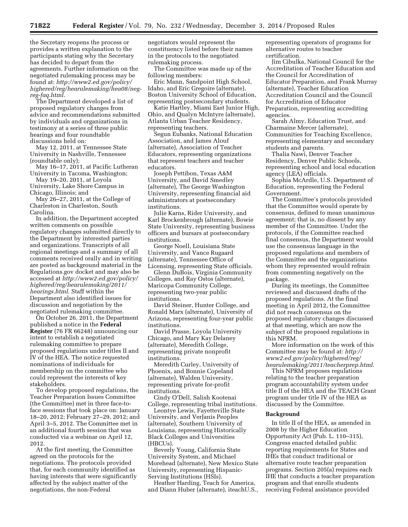the Secretary reopens the process or provides a written explanation to the participants stating why the Secretary has decided to depart from the agreements. Further information on the negotiated rulemaking process may be found at: *[http://www2.ed.gov/policy/](http://www2.ed.gov/policy/highered/reg/hearulemaking/hea08/neg-reg-faq.html) [highered/reg/hearulemaking/hea08/neg](http://www2.ed.gov/policy/highered/reg/hearulemaking/hea08/neg-reg-faq.html)[reg-faq.html](http://www2.ed.gov/policy/highered/reg/hearulemaking/hea08/neg-reg-faq.html)*.

The Department developed a list of proposed regulatory changes from advice and recommendations submitted by individuals and organizations in testimony at a series of three public hearings and four roundtable discussions held on:

May 12, 2011, at Tennessee State University in Nashville, Tennessee (roundtable only);

May 16–17, 2011, at Pacific Lutheran University in Tacoma, Washington;

May 19–20, 2011, at Loyola University, Lake Shore Campus in Chicago, Illinois; and

May 26–27, 2011, at the College of Charleston in Charleston, South Carolina.

In addition, the Department accepted written comments on possible regulatory changes submitted directly to the Department by interested parties and organizations. Transcripts of all regional meetings and a summary of all comments received orally and in writing are posted as background material in the Regulations.gov docket and may also be accessed at *[http://www2.ed.gov/policy/](http://www2.ed.gov/policy/highered/reg/hearulemaking/2011/hearings.html) [highered/reg/hearulemaking/2011/](http://www2.ed.gov/policy/highered/reg/hearulemaking/2011/hearings.html) [hearings.html](http://www2.ed.gov/policy/highered/reg/hearulemaking/2011/hearings.html)*. Staff within the Department also identified issues for discussion and negotiation by the negotiated rulemaking committee.

On October 26, 2011, the Department published a notice in the **Federal Register** (76 FR 66248) announcing our intent to establish a negotiated rulemaking committee to prepare proposed regulations under titles II and IV of the HEA. The notice requested nominations of individuals for membership on the committee who could represent the interests of key stakeholders.

To develop proposed regulations, the Teacher Preparation Issues Committee (the Committee) met in three face-toface sessions that took place on: January 18–20, 2012; February 27–29, 2012; and April 3–5, 2012. The Committee met in an additional fourth session that was conducted via a webinar on April 12, 2012.

At the first meeting, the Committee agreed on the protocols for the negotiations. The protocols provided that, for each community identified as having interests that were significantly affected by the subject matter of the negotiations, the non-Federal

negotiators would represent the constituency listed before their names in the protocols to the negotiated rulemaking process.

The Committee was made up of the following members:

Eric Mann, Sandpoint High School, Idaho, and Eric Gregoire (alternate), Boston University School of Education, representing postsecondary students.

Katie Hartley, Miami East Junior High, Ohio, and Qualyn McIntyre (alternate), Atlanta Urban Teacher Residency, representing teachers.

Segun Eubanks, National Education Association, and James Alouf (alternate), Association of Teacher Educators, representing organizations that represent teachers and teacher educators.

Joseph Pettibon, Texas A&M University, and David Smedley (alternate), The George Washington University, representing financial aid administrators at postsecondary institutions.

Julie Karns, Rider University, and Karl Brockenbrough (alternate), Bowie State University, representing business officers and bursars at postsecondary institutions.

George Noell, Louisiana State University, and Vance Rugaard (alternate), Tennessee Office of Licensing, representing State officials.

Glenn DuBois, Virginia Community Colleges, and Ray Ostos (alternate), Maricopa Community College, representing two-year public institutions.

David Steiner, Hunter College, and Ronald Marx (alternate), University of Arizona, representing four-year public institutions.

David Prasse, Loyola University Chicago, and Mary Kay Delaney (alternate), Meredith College, representing private nonprofit institutions.

Meredith Curley, University of Phoenix, and Bonnie Copeland (alternate), Walden University, representing private for-profit institutions.

Cindy O'Dell, Salish Kootenai College, representing tribal institutions.

Leontye Lewis, Fayetteville State University, and VerJanis Peoples (alternate), Southern University of Louisiana, representing Historically Black Colleges and Universities (HBCUs).

Beverly Young, California State University System, and Michael Morehead (alternate), New Mexico State University, representing Hispanic-Serving Institutions (HSIs).

Heather Harding, Teach for America, and Diann Huber (alternate), iteachU.S., representing operators of programs for alternative routes to teacher certification.

Jim Cibulka, National Council for the Accreditation of Teacher Education and the Council for Accreditation of Educator Preparation, and Frank Murray (alternate), Teacher Education Accreditation Council and the Council for Accreditation of Educator Preparation, representing accrediting agencies.

Sarah Almy, Education Trust, and Charmaine Mercer (alternate), Communities for Teaching Excellence, representing elementary and secondary students and parents.

Thalia Nawi, Denver Teacher Residency, Denver Public Schools, representing school and local education agency (LEA) officials.

Sophia McArdle, U.S. Department of Education, representing the Federal Government.

The Committee's protocols provided that the Committee would operate by consensus, defined to mean unanimous agreement; that is, no dissent by any member of the Committee. Under the protocols, if the Committee reached final consensus, the Department would use the consensus language in the proposed regulations and members of the Committee and the organizations whom they represented would refrain from commenting negatively on the package.

During its meetings, the Committee reviewed and discussed drafts of the proposed regulations. At the final meeting in April 2012, the Committee did not reach consensus on the proposed regulatory changes discussed at that meeting, which are now the subject of the proposed regulations in this NPRM.

More information on the work of this Committee may be found at: *[http://](http://www2.ed.gov/policy/highered/reg/hearulemaking/2011/teacherprep.html) [www2.ed.gov/policy/highered/reg/](http://www2.ed.gov/policy/highered/reg/hearulemaking/2011/teacherprep.html) [hearulemaking/2011/teacherprep.html](http://www2.ed.gov/policy/highered/reg/hearulemaking/2011/teacherprep.html)*.

This NPRM proposes regulations relating to the teacher preparation program accountability system under title II of the HEA and the TEACH Grant program under title IV of the HEA as discussed by the Committee.

#### **Background**

In title II of the HEA, as amended in 2008 by the Higher Education Opportunity Act (Pub. L. 110–315), Congress enacted detailed public reporting requirements for States and IHEs that conduct traditional or alternative route teacher preparation programs. Section 205(a) requires each IHE that conducts a teacher preparation program and that enrolls students receiving Federal assistance provided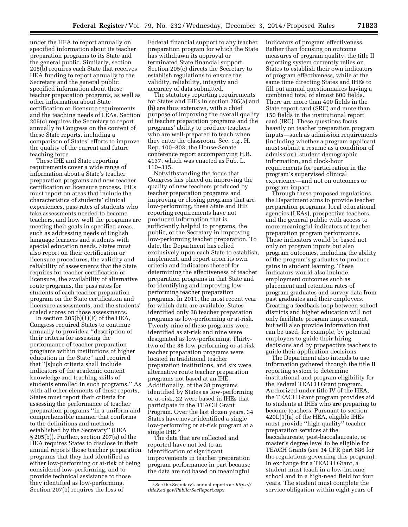under the HEA to report annually on specified information about its teacher preparation programs to its State and the general public. Similarly, section 205(b) requires each State that receives HEA funding to report annually to the Secretary and the general public specified information about those teacher preparation programs, as well as other information about State certification or licensure requirements and the teaching needs of LEAs. Section 205(c) requires the Secretary to report annually to Congress on the content of these State reports, including a comparison of States' efforts to improve the quality of the current and future

teaching force. These IHE and State reporting requirements cover a wide range of information about a State's teacher preparation programs and new teacher certification or licensure process. IHEs must report on areas that include the characteristics of students' clinical experiences, pass rates of students who take assessments needed to become teachers, and how well the programs are meeting their goals in specified areas, such as addressing needs of English language learners and students with special education needs. States must also report on their certification or licensure procedures, the validity and reliability of assessments that the State requires for teacher certification or licensure, the availability of alternative route programs, the pass rates for students of each teacher preparation program on the State certification and licensure assessments, and the students' scaled scores on those assessments.

In section  $205(b)(1)(F)$  of the HEA, Congress required States to continue annually to provide a ''description of their criteria for assessing the performance of teacher preparation programs within institutions of higher education in the State'' and required that ''[s]uch criteria shall include indicators of the academic content knowledge and teaching skills of students enrolled in such programs.'' As with all other elements of these reports, States must report their criteria for assessing the performance of teacher preparation programs ''in a uniform and comprehensible manner that conforms to the definitions and methods established by the Secretary'' (HEA § 205(b)). Further, section 207(a) of the HEA requires States to disclose in their annual reports those teacher preparation programs that they had identified as either low-performing or at-risk of being considered low-performing, and to provide technical assistance to those they identified as low-performing. Section 207(b) requires the loss of

Federal financial support to any teacher preparation program for which the State has withdrawn its approval or terminated State financial support. Section 205(c) directs the Secretary to establish regulations to ensure the validity, reliability, integrity and accuracy of data submitted.

The statutory reporting requirements for States and IHEs in section 205(a) and (b) are thus extensive, with a chief purpose of improving the overall quality of teacher preparation programs and the programs' ability to produce teachers who are well-prepared to teach when they enter the classroom. See, *e.g.,* H. Rep. 100–803, the House-Senate conference report accompanying H.R. 4137, which was enacted as Pub. L. 110–315.

Notwithstanding the focus that Congress has placed on improving the quality of new teachers produced by teacher preparation programs and improving or closing programs that are low-performing, these State and IHE reporting requirements have not produced information that is sufficiently helpful to programs, the public, or the Secretary in improving low-performing teacher preparation. To date, the Department has relied exclusively upon each State to establish, implement, and report upon its own criteria and indicators thereof for determining the effectiveness of teacher preparation programs in that State and for identifying and improving lowperforming teacher preparation programs. In 2011, the most recent year for which data are available, States identified only 38 teacher preparation programs as low-performing or at-risk. Twenty-nine of these programs were identified as at-risk and nine were designated as low-performing. Thirtytwo of the 38 low-performing or at-risk teacher preparation programs were located in traditional teacher preparation institutions, and six were alternative route teacher preparation programs not based at an IHE. Additionally, of the 38 programs identified by States as low-performing or at-risk, 22 were based in IHEs that participate in the TEACH Grant Program. Over the last dozen years, 34 States have never identified a single low-performing or at-risk program at a single IHE.2

The data that are collected and reported have not led to an identification of significant improvements in teacher preparation program performance in part because the data are not based on meaningful

indicators of program effectiveness. Rather than focusing on outcome measures of program quality, the title II reporting system currently relies on States to establish their own indicators of program effectiveness, while at the same time directing States and IHEs to fill out annual questionnaires having a combined total of almost 600 fields. There are more than 400 fields in the State report card (SRC) and more than 150 fields in the institutional report card (IRC). These questions focus heavily on teacher preparation program inputs—such as admission requirements (including whether a program applicant must submit a resume as a condition of admission), student demographic information, and clock-hour requirements for participation in the program's supervised clinical experience—and not on outcomes or program impact.

Through these proposed regulations, the Department aims to provide teacher preparation programs, local educational agencies (LEAs), prospective teachers, and the general public with access to more meaningful indicators of teacher preparation program performance. These indicators would be based not only on program inputs but also program outcomes, including the ability of the program's graduates to produce gains in student learning. These indicators would also include employment outcomes such as placement and retention rates of program graduates and survey data from past graduates and their employers. Creating a feedback loop between school districts and higher education will not only facilitate program improvement, but will also provide information that can be used, for example, by potential employers to guide their hiring decisions and by prospective teachers to guide their application decisions.

The Department also intends to use information gathered through the title II reporting system to determine institutional and program eligibility for the Federal TEACH Grant program. Authorized under title IV of the HEA, the TEACH Grant program provides aid to students at IHEs who are preparing to become teachers. Pursuant to section 420L(1)(a) of the HEA, eligible IHEs must provide ''high-quality'' teacher preparation services at the baccalaureate, post-baccalaureate, or master's degree level to be eligible for TEACH Grants (see 34 CFR part 686 for the regulations governing this program). In exchange for a TEACH Grant, a student must teach in a low-income school and in a high-need field for four years. The student must complete the service obligation within eight years of

<sup>2</sup>See the Secretary's annual reports at: *[https://](https://title2.ed.gov/Public/SecReport.aspx) [title2.ed.gov/Public/SecReport.aspx](https://title2.ed.gov/Public/SecReport.aspx)*.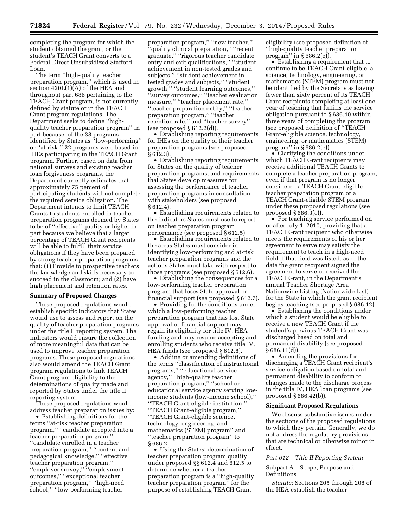completing the program for which the student obtained the grant, or the student's TEACH Grant converts to a Federal Direct Unsubsidized Stafford Loan.

The term ''high-quality teacher preparation program,'' which is used in section 420L(1)(A) of the HEA and throughout part 686 pertaining to the TEACH Grant program, is not currently defined by statute or in the TEACH Grant program regulations. The Department seeks to define ''highquality teacher preparation program'' in part because, of the 38 programs identified by States as ''low-performing'' or ''at-risk,'' 22 programs were based in IHEs participating in the TEACH Grant program. Further, based on data from national surveys and existing teacher loan forgiveness programs, the Department currently estimates that approximately 75 percent of participating students will not complete the required service obligation. The Department intends to limit TEACH Grants to students enrolled in teacher preparation programs deemed by States to be of ''effective'' quality or higher in part because we believe that a larger percentage of TEACH Grant recipients will be able to fulfill their service obligations if they have been prepared by strong teacher preparation programs that: (1) Provide to prospective teachers the knowledge and skills necessary to succeed in the classroom; and (2) have high placement and retention rates.

#### **Summary of Proposed Changes**

These proposed regulations would establish specific indicators that States would use to assess and report on the quality of teacher preparation programs under the title II reporting system. The indicators would ensure the collection of more meaningful data that can be used to improve teacher preparation programs. These proposed regulations also would amend the TEACH Grant program regulations to link TEACH Grant program eligibility to the determinations of quality made and reported by States under the title II reporting system.

These proposed regulations would address teacher preparation issues by:

• Establishing definitions for the terms ''at-risk teacher preparation program,'' ''candidate accepted into a teacher preparation program,'' ''candidate enrolled in a teacher preparation program,'' ''content and pedagogical knowledge,'' ''effective teacher preparation program,'' ''employer survey,'' ''employment outcomes,'' ''exceptional teacher preparation program,'' ''high-need school,'' ''low-performing teacher

preparation program,'' ''new teacher,'' 'quality clinical preparation," "recent graduate,'' ''rigorous teacher candidate entry and exit qualifications,'' ''student achievement in non-tested grades and subjects,'' ''student achievement in tested grades and subjects,'' ''student growth,'' ''student learning outcomes,'' 'survey outcomes," "teacher evaluation measure,'' ''teacher placement rate,'' ''teacher preparation entity,'' ''teacher preparation program,'' ''teacher retention rate,'' and ''teacher survey'' (see proposed  $§ 612.2(d)$ ).

• Establishing reporting requirements for IHEs on the quality of their teacher preparation programs (see proposed § 612.3).

• Establishing reporting requirements for States on the quality of teacher preparation programs, and requirements that States develop measures for assessing the performance of teacher preparation programs in consultation with stakeholders (see proposed § 612.4).

• Establishing requirements related to the indicators States must use to report on teacher preparation program performance (see proposed § 612.5).

• Establishing requirements related to the areas States must consider in identifying low-performing and at-risk teacher preparation programs and the actions States must take with respect to those programs (see proposed § 612.6).

• Establishing the consequences for a low-performing teacher preparation program that loses State approval or financial support (see proposed § 612.7).

• Providing for the conditions under which a low-performing teacher preparation program that has lost State approval or financial support may regain its eligibility for title IV, HEA funding and may resume accepting and enrolling students who receive title IV, HEA funds (see proposed § 612.8).

• Adding or amending definitions of the terms ''classification of instructional programs,'' ''educational service agency,'' ''high-quality teacher preparation program,'' ''school or educational service agency serving lowincome students (low-income school),'' ''TEACH Grant-eligible institution,'' ''TEACH Grant-eligible program,'' ''TEACH Grant-eligible science, technology, engineering, and mathematics (STEM) program'' and ''teacher preparation program'' to § 686.2.

• Using the States' determination of teacher preparation program quality under proposed §§ 612.4 and 612.5 to determine whether a teacher preparation program is a ''high-quality teacher preparation program'' for the purpose of establishing TEACH Grant

eligibility (see proposed definition of ''high-quality teacher preparation program" in  $\S 686.2(e)$ ).

• Establishing a requirement that to continue to be TEACH Grant-eligible, a science, technology, engineering, or mathematics (STEM) program must not be identified by the Secretary as having fewer than sixty percent of its TEACH Grant recipients completing at least one year of teaching that fulfills the service obligation pursuant to § 686.40 within three years of completing the program (see proposed definition of ''TEACH Grant-eligible science, technology, engineering, or mathematics (STEM) program'' in § 686.2(e)).

• Clarifying the conditions under which TEACH Grant recipients may receive additional TEACH Grants to complete a teacher preparation program, even if that program is no longer considered a TEACH Grant-eligible teacher preparation program or a TEACH Grant-eligible STEM program under these proposed regulations (see proposed § 686.3(c)).

• For teaching service performed on or after July 1, 2010, providing that a TEACH Grant recipient who otherwise meets the requirements of his or her agreement to serve may satisfy the requirement to teach in a high-need field if that field was listed, as of the date the grant recipient signed the agreement to serve or received the TEACH Grant, in the Department's annual Teacher Shortage Area Nationwide Listing (Nationwide List) for the State in which the grant recipient begins teaching (see proposed § 686.12).

• Establishing the conditions under which a student would be eligible to receive a new TEACH Grant if the student's previous TEACH Grant was discharged based on total and permanent disability (see proposed  $§ 686.11(d)$ 

• Amending the provisions for discharging a TEACH Grant recipient's service obligation based on total and permanent disability to conform to changes made to the discharge process in the title IV, HEA loan programs (see proposed § 686.42(b)).

#### **Significant Proposed Regulations**

We discuss substantive issues under the sections of the proposed regulations to which they pertain. Generally, we do not address the regulatory provisions that are technical or otherwise minor in effect.

#### *Part 612—Title II Reporting System*

#### Subpart A—Scope, Purpose and Definitions

*Statute:* Sections 205 through 208 of the HEA establish the teacher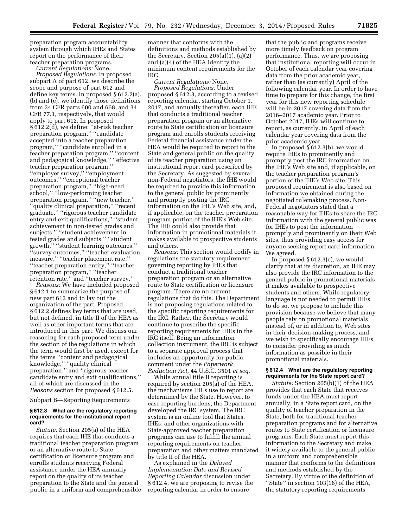preparation program accountability system through which IHEs and States report on the performance of their teacher preparation programs.

*Current Regulations:* None.

*Proposed Regulations:* In proposed subpart A of part 612, we describe the scope and purpose of part 612 and define key terms. In proposed § 612.2(a), (b) and (c), we identify those definitions from 34 CFR parts 600 and 668, and 34 CFR 77.1, respectively, that would apply to part 612. In proposed § 612.2(d), we define: ''at-risk teacher preparation program," "candidate accepted into a teacher preparation program,'' ''candidate enrolled in a teacher preparation program,'' ''content and pedagogical knowledge,'' ''effective teacher preparation program,'' ''employer survey,'' ''employment outcomes,'' ''exceptional teacher preparation program,'' ''high-need school,'' ''low-performing teacher preparation program,'' ''new teacher,'' ''quality clinical preparation,'' ''recent graduate,'' ''rigorous teacher candidate entry and exit qualifications,'' ''student achievement in non-tested grades and subjects,'' ''student achievement in tested grades and subjects,'' ''student growth,'' ''student learning outcomes,'' 'survey outcomes," "teacher evaluation measure,'' ''teacher placement rate,'' ''teacher preparation entity,'' ''teacher preparation program,'' ''teacher retention rate,'' and ''teacher survey.''

*Reasons:* We have included proposed § 612.1 to summarize the purpose of new part 612 and to lay out the organization of the part. Proposed § 612.2 defines key terms that are used, but not defined, in title II of the HEA as well as other important terms that are introduced in this part. We discuss our reasoning for each proposed term under the section of the regulations in which the term would first be used, except for the terms ''content and pedagogical knowledge,'' ''quality clinical preparation,'' and ''rigorous teacher candidate entry and exit qualifications,'' all of which are discussed in the *Reasons* section for proposed § 612.5.

Subpart B—Reporting Requirements

#### **§ 612.3 What are the regulatory reporting requirements for the institutional report card?**

*Statute:* Section 205(a) of the HEA requires that each IHE that conducts a traditional teacher preparation program or an alternative route to State certification or licensure program and enrolls students receiving Federal assistance under the HEA annually report on the quality of its teacher preparation to the State and the general public in a uniform and comprehensible

manner that conforms with the definitions and methods established by the Secretary. Section  $205(a)(1)$ ,  $(a)(2)$ and (a)(4) of the HEA identify the minimum content requirements for the IRC.

*Current Regulations:* None. *Proposed Regulations:* Under proposed § 612.3, according to a revised reporting calendar, starting October 1, 2017, and annually thereafter, each IHE that conducts a traditional teacher preparation program or an alternative route to State certification or licensure program and enrolls students receiving Federal financial assistance under the HEA would be required to report to the State and general public on the quality of its teacher preparation using an institutional report card prescribed by the Secretary. As suggested by several non-Federal negotiators, the IHE would be required to provide this information to the general public by prominently and promptly posting the IRC information on the IHE's Web site, and, if applicable, on the teacher preparation program portion of the IHE's Web site. The IHE could also provide that information in promotional materials it makes available to prospective students and others.

*Reasons:* This section would codify in regulations the statutory requirement governing reporting by IHEs that conduct a traditional teacher preparation program or an alternative route to State certification or licensure program. There are no current regulations that do this. The Department is not proposing regulations related to the specific reporting requirements for the IRC. Rather, the Secretary would continue to prescribe the specific reporting requirements for IHEs in the IRC itself. Being an information collection instrument, the IRC is subject to a separate approval process that includes an opportunity for public comment under the *Paperwork Reduction Act,* 44 U.S.C. 3501 *et seq.* 

While annual title II reporting is required by section 205(a) of the HEA, the mechanisms IHEs use to report are determined by the State. However, to ease reporting burdens, the Department developed the IRC system. The IRC system is an online tool that States, IHEs, and other organizations with State-approved teacher preparation programs can use to fulfill the annual reporting requirements on teacher preparation and other matters mandated by title II of the HEA.

As explained in the *Delayed Implementation Date and Revised Reporting Calendar* discussion under § 612.4, we are proposing to revise the reporting calendar in order to ensure

that the public and programs receive more timely feedback on program performance. Thus, we are proposing that institutional reporting will occur in October of each calendar year covering data from the prior academic year, rather than (as currently) April of the following calendar year. In order to have time to prepare for this change, the first year for this new reporting schedule will be in 2017 covering data from the 2016–2017 academic year. Prior to October 2017, IHEs will continue to report, as currently, in April of each calendar year covering data from the prior academic year.

In proposed § 612.3(b), we would require IHEs to prominently and promptly post the IRC information on the IHE's Web site and, if applicable, on the teacher preparation program's portion of the IHE's Web site. This proposed requirement is also based on information we obtained during the negotiated rulemaking process. Non-Federal negotiators stated that a reasonable way for IHEs to share the IRC information with the general public was for IHEs to post the information promptly and prominently on their Web sites, thus providing easy access for anyone seeking report card information. We agreed.

In proposed § 612.3(c), we would clarify that at its discretion, an IHE may also provide the IRC information to the general public in promotional materials it makes available to prospective students and others. While regulatory language is not needed to permit IHEs to do so, we propose to include this provision because we believe that many people rely on promotional materials instead of, or in addition to, Web sites in their decision-making process, and we wish to specifically encourage IHEs to consider providing as much information as possible in their promotional materials.

#### **§ 612.4 What are the regulatory reporting requirements for the State report card?**

*Statute:* Section 205(b)(1) of the HEA provides that each State that receives funds under the HEA must report annually, in a State report card, on the quality of teacher preparation in the State, both for traditional teacher preparation programs and for alternative routes to State certification or licensure programs. Each State must report this information to the Secretary and make it widely available to the general public in a uniform and comprehensible manner that conforms to the definitions and methods established by the Secretary. By virtue of the definition of ''State'' in section 103(16) of the HEA, the statutory reporting requirements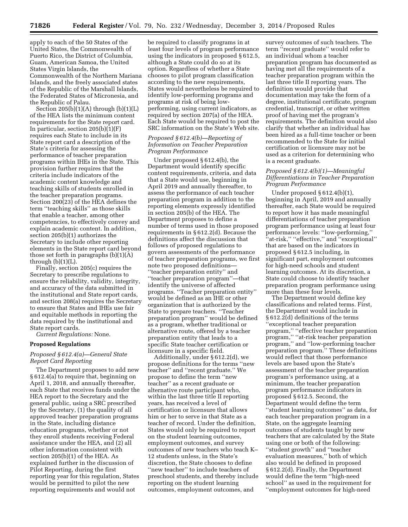apply to each of the 50 States of the United States, the Commonwealth of Puerto Rico, the District of Columbia, Guam, American Samoa, the United States Virgin Islands, the Commonwealth of the Northern Mariana Islands, and the freely associated states of the Republic of the Marshall Islands, the Federated States of Micronesia, and the Republic of Palau.

Section  $205(b)(1)(A)$  through  $(b)(1)(L)$ of the HEA lists the minimum content requirements for the State report card. In particular, section 205(b)(1)(F) requires each State to include in its State report card a description of the State's criteria for assessing the performance of teacher preparation programs within IHEs in the State. This provision further requires that the criteria include indicators of the academic content knowledge and teaching skills of students enrolled in the teacher preparation programs. Section 200(23) of the HEA defines the term ''teaching skills'' as those skills that enable a teacher, among other competencies, to effectively convey and explain academic content. In addition, section 205(b)(1) authorizes the Secretary to include other reporting elements in the State report card beyond those set forth in paragraphs (b)(1)(A) through  $(b)(1)(L)$ .

Finally, section 205(c) requires the Secretary to prescribe regulations to ensure the reliability, validity, integrity, and accuracy of the data submitted in the institutional and State report cards, and section 208(a) requires the Secretary to ensure that States and IHEs use fair and equitable methods in reporting the data required by the institutional and State report cards.

*Current Regulations:* None.

#### **Proposed Regulations**

### *Proposed § 612.4(a)—General State Report Card Reporting*

The Department proposes to add new § 612.4(a) to require that, beginning on April 1, 2018, and annually thereafter, each State that receives funds under the HEA report to the Secretary and the general public, using a SRC prescribed by the Secretary, (1) the quality of all approved teacher preparation programs in the State, including distance education programs, whether or not they enroll students receiving Federal assistance under the HEA, and (2) all other information consistent with section 205(b)(1) of the HEA. As explained further in the discussion of Pilot Reporting, during the first reporting year for this regulation, States would be permitted to pilot the new reporting requirements and would not

be required to classify programs in at least four levels of program performance using the indicators in proposed § 612.5, although a State could do so at its option. Regardless of whether a State chooses to pilot program classification according to the new requirements, States would nevertheless be required to identify low-performing programs and programs at risk of being lowperforming, using current indicators, as required by section 207(a) of the HEA. Each State would be required to post the SRC information on the State's Web site.

# *Proposed § 612.4(b)—Reporting of Information on Teacher Preparation Program Performance*

Under proposed § 612.4(b), the Department would identify specific content requirements, criteria, and data that a State would use, beginning in April 2019 and annually thereafter, to assess the performance of each teacher preparation program in addition to the reporting elements expressly identified in section 205(b) of the HEA. The Department proposes to define a number of terms used in those proposed requirements in § 612.2(d). Because the definitions affect the discussion that follows of proposed regulations to govern assessments of the performance of teacher preparation programs, we first note two proposed definitions— ''teacher preparation entity'' and ''teacher preparation program''—that identify the universe of affected programs. ''Teacher preparation entity'' would be defined as an IHE or other organization that is authorized by the State to prepare teachers. ''Teacher preparation program'' would be defined as a program, whether traditional or alternative route, offered by a teacher preparation entity that leads to a specific State teacher certification or licensure in a specific field.

Additionally, under § 612.2(d), we propose definitions for the terms ''new teacher'' and ''recent graduate.'' We propose to define the term ''new teacher'' as a recent graduate or alternative route participant who, within the last three title II reporting years, has received a level of certification or licensure that allows him or her to serve in that State as a teacher of record. Under the definition, States would only be required to report on the student learning outcomes, employment outcomes, and survey outcomes of new teachers who teach K– 12 students unless, in the State's discretion, the State chooses to define ''new teacher'' to include teachers of preschool students, and thereby include reporting on the student learning outcomes, employment outcomes, and

survey outcomes of such teachers. The term ''recent graduate'' would refer to an individual whom a teacher preparation program has documented as having met all the requirements of a teacher preparation program within the last three title II reporting years. The definition would provide that documentation may take the form of a degree, institutional certificate, program credential, transcript, or other written proof of having met the program's requirements. The definition would also clarify that whether an individual has been hired as a full-time teacher or been recommended to the State for initial certification or licensure may not be used as a criterion for determining who is a recent graduate.

# *Proposed § 612.4(b)(1)—Meaningful Differentiations in Teacher Preparation Program Performance*

Under proposed § 612.4(b)(1), beginning in April, 2019 and annually thereafter, each State would be required to report how it has made meaningful differentiations of teacher preparation program performance using at least four performance levels: ''low-performing,'' 'at-risk," "effective," and "exceptional" that are based on the indicators in proposed § 612.5 including, in significant part, employment outcomes for high-need schools and student learning outcomes. At its discretion, a State could choose to identify teacher preparation program performance using more than these four levels.

The Department would define key classifications and related terms. First, the Department would include in § 612.2(d) definitions of the terms ''exceptional teacher preparation program,'' ''effective teacher preparation program,'' ''at-risk teacher preparation program,'' and ''low-performing teacher preparation program.'' These definitions would reflect that those performance levels are based upon the State's assessment of the teacher preparation program's performance using, at a minimum, the teacher preparation program performance indicators in proposed § 612.5. Second, the Department would define the term ''student learning outcomes'' as data, for each teacher preparation program in a State, on the aggregate learning outcomes of students taught by new teachers that are calculated by the State using one or both of the following: ''student growth'' and ''teacher evaluation measures,'' both of which also would be defined in proposed § 612.2(d). Finally, the Department would define the term ''high-need school'' as used in the requirement for ''employment outcomes for high-need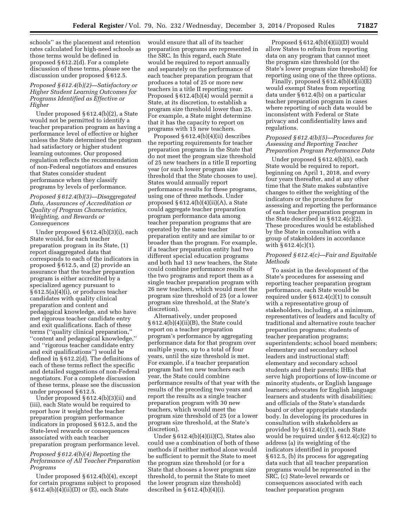schools'' as the placement and retention rates calculated for high-need schools as those terms would be defined in proposed § 612.2(d). For a complete discussion of these terms, please see the discussion under proposed § 612.5.

# *Proposed § 612.4(b)(2)—Satisfactory or Higher Student Learning Outcomes for Programs Identified as Effective or Higher*

Under proposed § 612.4(b)(2), a State would not be permitted to identify a teacher preparation program as having a performance level of effective or higher unless the State determined the program had satisfactory or higher student learning outcomes. Our proposed regulation reflects the recommendation of non-Federal negotiators and ensures that States consider student performance when they classify programs by levels of performance.

# *Proposed § 612.4(b)(3)—Disaggregated Data, Assurances of Accreditation or Quality of Program Characteristics, Weighting, and Rewards or Consequences*

Under proposed § 612.4(b)(3)(i), each State would, for each teacher preparation program in its State, (1) report disaggregated data that corresponds to each of the indicators in proposed § 612.5, and (2) provide an assurance that the teacher preparation program is either accredited by a specialized agency pursuant to § 612.5(a)(4)(i), or produces teacher candidates with quality clinical preparation and content and pedagogical knowledge, and who have met rigorous teacher candidate entry and exit qualifications. Each of these terms (''quality clinical preparation,'' ''content and pedagogical knowledge,'' and ''rigorous teacher candidate entry and exit qualifications'') would be defined in § 612.2(d). The definitions of each of these terms reflect the specific and detailed suggestions of non-Federal negotiators. For a complete discussion of these terms, please see the discussion under proposed § 612.5.

Under proposed § 612.4(b)(3)(ii) and (iii), each State would be required to report how it weighted the teacher preparation program performance indicators in proposed § 612.5, and the State-level rewards or consequences associated with each teacher preparation program performance level.

# *Proposed § 612.4(b)(4) Reporting the Performance of All Teacher Preparation Programs*

Under proposed § 612.4(b)(4), except for certain programs subject to proposed § 612.4(b)(4)(ii)(D) or (E), each State

would ensure that all of its teacher preparation programs are represented in the SRC. In this regard, each State would be required to report annually and separately on the performance of each teacher preparation program that produces a total of 25 or more new teachers in a title II reporting year. Proposed § 612.4(b)(4) would permit a State, at its discretion, to establish a program size threshold lower than 25. For example, a State might determine that it has the capacity to report on programs with 15 new teachers.

Proposed § 612.4(b)(4)(ii) describes the reporting requirements for teacher preparation programs in the State that do not meet the program size threshold of 25 new teachers in a title II reporting year (or such lower program size threshold that the State chooses to use). States would annually report performance results for these programs, using one of three methods. Under proposed  $\S 612.4(b)(4)(ii)(A)$ , a State could aggregate teacher preparation program performance data among teacher preparation programs that are operated by the same teacher preparation entity and are similar to or broader than the program. For example, if a teacher preparation entity had two different special education programs and both had 13 new teachers, the State could combine performance results of the two programs and report them as a single teacher preparation program with 26 new teachers, which would meet the program size threshold of 25 (or a lower program size threshold, at the State's discretion).

Alternatively, under proposed  $§ 612.4(b)(4)(ii)(B)$ , the State could report on a teacher preparation program's performance by aggregating performance data for that program over multiple years, up to a total of four years, until the size threshold is met. For example, if a teacher preparation program had ten new teachers each year, the State could combine performance results of that year with the results of the preceding two years and report the results as a single teacher preparation program with 30 new teachers, which would meet the program size threshold of 25 (or a lower program size threshold, at the State's discretion).

Under § 612.4(b)(4)(ii)(C), States also could use a combination of both of these methods if neither method alone would be sufficient to permit the State to meet the program size threshold (or for a State that chooses a lower program size threshold, to permit the State to meet the lower program size threshold) described in  $§ 612.4(b)(4)(i).$ 

Proposed  $§ 612.4(b)(4)(ii)(D)$  would allow States to refrain from reporting data on any program that cannot meet the program size threshold (or the State's lower program size threshold) for reporting using one of the three options.

Finally, proposed  $\S 612.4(b)(4)(ii)(E)$ would exempt States from reporting data under § 612.4(b) on a particular teacher preparation program in cases where reporting of such data would be inconsistent with Federal or State privacy and confidentiality laws and regulations.

#### *Proposed § 612.4(b)(5)—Procedures for Assessing and Reporting Teacher Preparation Program Performance Data*

Under proposed § 612.4(b)(5), each State would be required to report, beginning on April 1, 2018, and every four years thereafter, and at any other time that the State makes substantive changes to either the weighting of the indicators or the procedures for assessing and reporting the performance of each teacher preparation program in the State described in § 612.4(c)(2). These procedures would be established by the State in consultation with a group of stakeholders in accordance with  $\S 612.4(c)(1)$ .

#### *Proposed § 612.4(c)—Fair and Equitable Methods*

To assist in the development of the State's procedures for assessing and reporting teacher preparation program performance, each State would be required under § 612.4(c)(1) to consult with a representative group of stakeholders, including, at a minimum, representatives of leaders and faculty of traditional and alternative route teacher preparation programs; students of teacher preparation programs; superintendents; school board members; elementary and secondary school leaders and instructional staff; elementary and secondary school students and their parents; IHEs that serve high proportions of low-income or minority students, or English language learners; advocates for English language learners and students with disabilities; and officials of the State's standards board or other appropriate standards body. In developing its procedures in consultation with stakeholders as provided by § 612.4(c)(1), each State would be required under § 612.4(c)(2) to address (a) its weighting of the indicators identified in proposed § 612.5, (b) its process for aggregating data such that all teacher preparation programs would be represented in the SRC, (c) State-level rewards or consequences associated with each teacher preparation program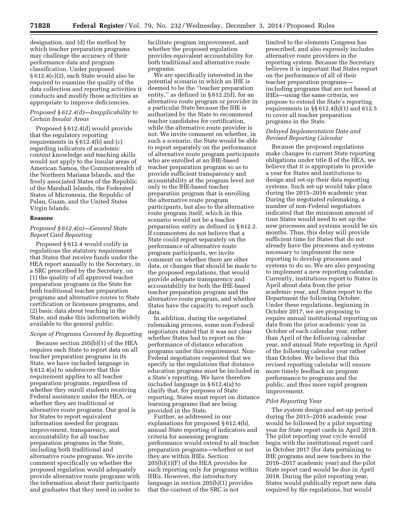designation, and (d) the method by which teacher preparation programs may challenge the accuracy of their performance data and program classification. Under proposed § 612.4(c)(2), each State would also be required to examine the quality of the data collection and reporting activities it conducts and modify those activities as appropriate to improve deficiencies.

# *Proposed § 612.4(d)—Inapplicability to Certain Insular Areas*

Proposed § 612.4(d) would provide that the regulatory reporting requirements in § 612.4(b) and (c) regarding indicators of academic content knowledge and teaching skills would not apply to the insular areas of American Samoa, the Commonwealth of the Northern Mariana Islands, and the freely associated States of the Republic of the Marshall Islands, the Federated States of Micronesia, the Republic of Palau, Guam, and the United States Virgin Islands.

#### **Reasons**

# *Proposed § 612.4(a)—General State Report Card Reporting*

Proposed § 612.4 would codify in regulations the statutory requirement that States that receive funds under the HEA report annually to the Secretary, in a SRC prescribed by the Secretary, on (1) the quality of all approved teacher preparation programs in the State for both traditional teacher preparation programs and alternative routes to State certification or licensure programs, and (2) basic data about teaching in the State, and make this information widely available to the general public.

# *Scope of Programs Covered by Reporting*

Because section 205(b)(1) of the HEA requires each State to report data on all teacher preparation programs in its State, we have included language in § 612.4(a) to underscore that this requirement applies to all teacher preparation programs, regardless of whether they enroll students receiving Federal assistance under the HEA, or whether they are traditional or alternative route programs. Our goal is for States to report equivalent information needed for program improvement, transparency, and accountability for all teacher preparation programs in the State, including both traditional and alternative route programs. We invite comment specifically on whether the proposed regulation would adequately provide alternative route programs with the information about their participants and graduates that they need in order to

facilitate program improvement, and whether the proposed regulation provides equivalent accountability for both traditional and alternative route programs.

We are specifically interested in the potential scenario in which an IHE is deemed to be the ''teacher preparation entity,'' as defined in § 612.2(d), for an alternative route program or provider in a particular State because the IHE is authorized by the State to recommend teacher candidates for certification, while the alternative route provider is not. We invite comment on whether, in such a scenario, the State would be able to report separately on the performance of alternative route program participants who are enrolled at an IHE-based teacher preparation program so as to provide sufficient transparency and accountability at the program level not only to the IHE-based teacher preparation program that is enrolling the alternative route program participants, but also to the alternative route program itself, which in this scenario would not be a teacher preparation entity as defined in § 612.2. If commenters do not believe that a State could report separately on the performance of alternative route program participants, we invite comment on whether there are other data, or changes that should be made to the proposed regulations, that would provide adequate transparency and accountability for both the IHE-based teacher preparation program and the alternative route program, and whether States have the capacity to report such data.

In addition, during the negotiated rulemaking process, some non-Federal negotiators stated that it was not clear whether States had to report on the performance of distance education programs under this requirement. Non-Federal negotiators requested that we specify in the regulations that distance education programs must be included in a State's reporting. We have therefore included language in § 612.4(a) to clarify that, for purposes of State reporting, States must report on distance learning programs that are being provided in the State.

Further, as addressed in our explanations for proposed § 612.4(b), annual State reporting of indicators and criteria for assessing program performance would extend to all teacher preparation programs—whether or not they are within IHEs. Section 205(b)(1)(F) of the HEA provides for such reporting only for programs within IHEs. However, the introductory language in section 205(b)(1) provides that the content of the SRC is not

limited to the elements Congress has prescribed, and also expressly includes alternative route providers in the reporting system. Because the Secretary believes it is important that States report on the performance of all of their teacher preparation programs including programs that are not based at IHEs—using the same criteria, we propose to extend the State's reporting requirements in §§ 612.4(b)(1) and 612.5 to cover all teacher preparation programs in the State.

# *Delayed Implementation Date and Revised Reporting Calendar*

Because the proposed regulations make changes to current State reporting obligations under title II of the HEA, we believe that it is appropriate to provide a year for States and institutions to design and set-up their data reporting systems. Such set-up would take place during the 2015–2016 academic year. During the negotiated rulemaking, a number of non-Federal negotiators indicated that the minimum amount of time States would need to set up the new processes and systems would be six months. Thus, this delay will provide sufficient time for States that do not already have the processes and systems necessary to implement the new reporting to develop processes and systems to do so. We are also proposing to implement a new reporting calendar. Currently, institutions report to States in April about data from the prior academic year, and States report to the Department the following October. Under these regulations, beginning in October 2017, we are proposing to require annual institutional reporting on data from the prior academic year in October of each calendar year, rather than April of the following calendar year, and annual State reporting in April of the following calendar year rather than October. We believe that this revised reporting calendar will ensure more timely feedback on program performance to programs and the public, and thus more rapid program improvement.

#### *Pilot Reporting Year*

The system design and set-up period during the 2015–2016 academic year would be followed by a pilot reporting year for State report cards in April 2018. The pilot reporting year cycle would begin with the institutional report card in October 2017 (for data pertaining to IHE programs and new teachers in the 2016–2017 academic year) and the pilot State report card would be due in April 2018. During the pilot reporting year, States would publically report new data required by the regulations, but would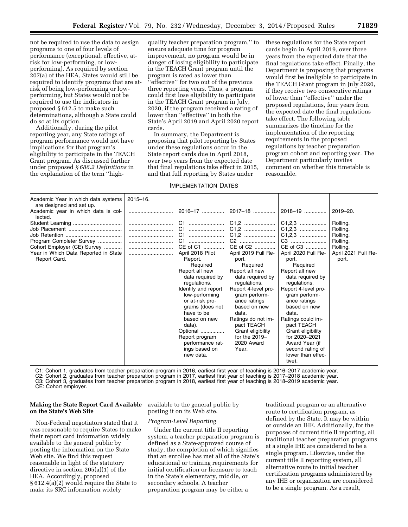not be required to use the data to assign programs to one of four levels of performance (exceptional, effective, atrisk for low-performing, or lowperforming). As required by section 207(a) of the HEA, States would still be required to identify programs that are atrisk of being low-performing or lowperforming, but States would not be required to use the indicators in proposed § 612.5 to make such determinations, although a State could do so at its option.

Additionally, during the pilot reporting year, any State ratings of program performance would not have implications for that program's eligibility to participate in the TEACH Grant program. As discussed further under proposed *§ 686.2 Definitions* in the explanation of the term ''highquality teacher preparation program,'' to ensure adequate time for program improvement, no program would be in danger of losing eligibility to participate in the TEACH Grant program until the program is rated as lower than ''effective'' for two out of the previous three reporting years. Thus, a program could first lose eligibility to participate in the TEACH Grant program in July, 2020, if the program received a rating of lower than ''effective'' in both the State's April 2019 and April 2020 report cards.

In summary, the Department is proposing that pilot reporting by States under these regulations occur in the State report cards due in April 2018, over two years from the expected date that final regulations take effect in 2015, and that full reporting by States under

these regulations for the State report cards begin in April 2019, over three years from the expected date that the final regulations take effect. Finally, the Department is proposing that programs would first be ineligible to participate in the TEACH Grant program in July 2020, if they receive two consecutive ratings of lower than ''effective'' under the proposed regulations, four years from the expected date the final regulations take effect. The following table summarizes the timeline for the implementation of the reporting requirements in the proposed regulations by teacher preparation program cohort and reporting year. The Department particularly invites comment on whether this timetable is reasonable.

# IMPLEMENTATION DATES

| Academic Year in which data systems<br>are designed and set up.<br>Academic year in which data is col-<br>lected.<br>Program Completer Survey<br>Cohort Employer (CE) Survey<br>Year in Which Data Reported in State<br>Report Card. | $2015 - 16$ .<br> | 2016–17<br>C1<br>C1<br>C <sub>1</sub><br>C <sub>1</sub><br>CE of C1<br>April 2018 Pilot<br>Report.<br>Required<br>Report all new<br>data required by<br>regulations.<br>Identify and report<br>low-performing<br>or at-risk pro-<br>grams (does not<br>have to be<br>based on new<br>data).<br>Optional<br>Report program<br>performance rat-<br>ings based on<br>new data. | 2017-18<br>C1,2<br>C1,2<br>C1,2<br>C2<br>CE of C2<br>April 2019 Full Re-<br>port.<br>Required<br>Report all new<br>data required by<br>regulations.<br>Report 4-level pro-<br>gram perform-<br>ance ratings<br>based on new<br>data.<br>Ratings do not im-<br>pact TEACH<br>Grant eligibility<br>for the $2019-$<br>2020 Award<br>Year. | 2018–19<br>C1,2,3<br>C1,2,3<br>C3<br>CE of C3<br>April 2020 Full Re-<br>port.<br>Required<br>Report all new<br>data required by<br>regulations.<br>Report 4-level pro-<br>gram perform-<br>ance ratings<br>based on new<br>data.<br>Ratings could im-<br>pact TEACH<br>Grant eligibility<br>for 2020-2021<br>Award Year (if<br>second rating of<br>lower than effec-<br>tive). | $2019 - 20.$<br>Rolling.<br>Rolling.<br>Rolling.<br>Rolling.<br>Rolling.<br>April 2021 Full Re-<br>port. |
|--------------------------------------------------------------------------------------------------------------------------------------------------------------------------------------------------------------------------------------|-------------------|-----------------------------------------------------------------------------------------------------------------------------------------------------------------------------------------------------------------------------------------------------------------------------------------------------------------------------------------------------------------------------|-----------------------------------------------------------------------------------------------------------------------------------------------------------------------------------------------------------------------------------------------------------------------------------------------------------------------------------------|--------------------------------------------------------------------------------------------------------------------------------------------------------------------------------------------------------------------------------------------------------------------------------------------------------------------------------------------------------------------------------|----------------------------------------------------------------------------------------------------------|
|--------------------------------------------------------------------------------------------------------------------------------------------------------------------------------------------------------------------------------------|-------------------|-----------------------------------------------------------------------------------------------------------------------------------------------------------------------------------------------------------------------------------------------------------------------------------------------------------------------------------------------------------------------------|-----------------------------------------------------------------------------------------------------------------------------------------------------------------------------------------------------------------------------------------------------------------------------------------------------------------------------------------|--------------------------------------------------------------------------------------------------------------------------------------------------------------------------------------------------------------------------------------------------------------------------------------------------------------------------------------------------------------------------------|----------------------------------------------------------------------------------------------------------|

C1: Cohort 1, graduates from teacher preparation program in 2016, earliest first year of teaching is 2016–2017 academic year.

C2: Cohort 2, graduates from teacher preparation program in 2017, earliest first year of teaching is 2017–2018 academic year.

C3: Cohort 3, graduates from teacher preparation program in 2018, earliest first year of teaching is 2018–2019 academic year. CE: Cohort employer.

# **Making the State Report Card Available**  available to the general public by **on the State's Web Site**

Non-Federal negotiators stated that it was reasonable to require States to make their report card information widely available to the general public by posting the information on the State Web site. We find this request reasonable in light of the statutory directive in section 205(a)(1) of the HEA. Accordingly, proposed § 612.4(a)(2) would require the State to make its SRC information widely

posting it on its Web site.

# *Program-Level Reporting*

Under the current title II reporting system, a teacher preparation program is defined as a State-approved course of study, the completion of which signifies that an enrollee has met all of the State's educational or training requirements for initial certification or licensure to teach in the State's elementary, middle, or secondary schools. A teacher preparation program may be either a

traditional program or an alternative route to certification program, as defined by the State. It may be within or outside an IHE. Additionally, for the purposes of current title II reporting, all traditional teacher preparation programs at a single IHE are considered to be a single program. Likewise, under the current title II reporting system, all alternative route to initial teacher certification programs administered by any IHE or organization are considered to be a single program. As a result,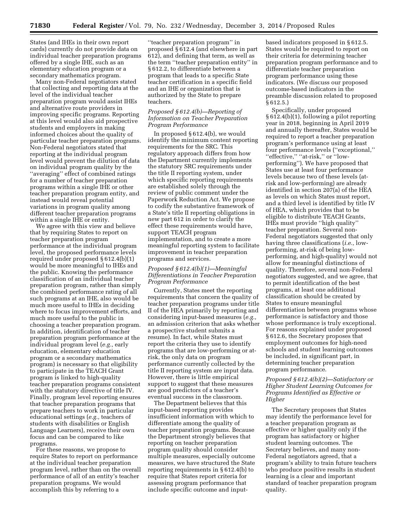States (and IHEs in their own report cards) currently do not provide data on individual teacher preparation programs offered by a single IHE, such as an elementary education program or a secondary mathematics program.

Many non-Federal negotiators stated that collecting and reporting data at the level of the individual teacher preparation program would assist IHEs and alternative route providers in improving specific programs. Reporting at this level would also aid prospective students and employers in making informed choices about the quality of particular teacher preparation programs. Non-Federal negotiators stated that reporting at the individual program level would prevent the dilution of data on individual program quality by the ''averaging'' effect of combined ratings for a number of teacher preparation programs within a single IHE or other teacher preparation program entity, and instead would reveal potential variations in program quality among different teacher preparation programs within a single IHE or entity.

We agree with this view and believe that by requiring States to report on teacher preparation program performance at the individual program level, the proposed performance levels required under proposed § 612.4(b)(1) would be more meaningful to IHEs and the public. Knowing the performance classification of an individual teacher preparation program, rather than simply the combined performance rating of all such programs at an IHE, also would be much more useful to IHEs in deciding where to focus improvement efforts, and much more useful to the public in choosing a teacher preparation program. In addition, identification of teacher preparation program performance at the individual program level (*e.g.,* early education, elementary education program or a secondary mathematics program) is necessary so that eligibility to participate in the TEACH Grant program is linked to high-quality teacher preparation programs consistent with the statutory directive of title IV. Finally, program level reporting ensures that teacher preparation programs that prepare teachers to work in particular educational settings (*e.g.,* teachers of students with disabilities or English Language Learners), receive their own focus and can be compared to like programs.

For these reasons, we propose to require States to report on performance at the individual teacher preparation program level, rather than on the overall performance of all of an entity's teacher preparation programs. We would accomplish this by referring to a

''teacher preparation program'' in proposed § 612.4 (and elsewhere in part 612), and defining that term, as well as the term ''teacher preparation entity'' in § 612.2, to differentiate between a program that leads to a specific State teacher certification in a specific field and an IHE or organization that is authorized by the State to prepare teachers.

#### *Proposed § 612.4(b)—Reporting of Information on Teacher Preparation Program Performance*

In proposed § 612.4(b), we would identify the minimum content reporting requirements for the SRC. This regulatory approach differs from how the Department currently implements the statutory SRC requirements under the title II reporting system, under which specific reporting requirements are established solely through the review of public comment under the Paperwork Reduction Act. We propose to codify the substantive framework of a State's title II reporting obligations in new part 612 in order to clarify the effect these requirements would have, support TEACH program implementation, and to create a more meaningful reporting system to facilitate improvement in teacher preparation programs and services.

# *Proposed § 612.4(b)(1)—Meaningful Differentiations in Teacher Preparation Program Performance*

Currently, States meet the reporting requirements that concern the quality of teacher preparation programs under title II of the HEA primarily by reporting and considering input-based measures (*e.g.,*  an admission criterion that asks whether a prospective student submits a resume). In fact, while States must report the criteria they use to identify programs that are low-performing or atrisk, the only data on program performance currently collected by the title II reporting system are input data. However, there is little empirical support to suggest that these measures are good predictors of a teacher's eventual success in the classroom.

The Department believes that this input-based reporting provides insufficient information with which to differentiate among the quality of teacher preparation programs. Because the Department strongly believes that reporting on teacher preparation program quality should consider multiple measures, especially outcome measures, we have structured the State reporting requirements in § 612.4(b) to require that States report criteria for assessing program performance that include specific outcome and inputbased indicators proposed in § 612.5. States would be required to report on their criteria for determining teacher preparation program performance and to differentiate teacher preparation program performance using these indicators. (We discuss our proposed outcome-based indicators in the preamble discussion related to proposed § 612.5.)

Specifically, under proposed § 612.4(b)(1), following a pilot reporting year in 2018, beginning in April 2019 and annually thereafter, States would be required to report a teacher preparation program's performance using at least four performance levels (''exceptional,'' ''effective,'' ''at-risk,'' or ''lowperforming''). We have proposed that States use at least four performance levels because two of these levels (atrisk and low-performing) are already identified in section 207(a) of the HEA as levels on which States must report, and a third level is identified by title IV of HEA, which provides that to be eligible to distribute TEACH Grants, IHEs must provide ''high quality'' teacher preparation. Several non-Federal negotiators suggested that only having three classifications (*i.e.,* lowperforming, at-risk of being lowperforming, and high-quality) would not allow for meaningful distinctions of quality. Therefore, several non-Federal negotiators suggested, and we agree, that to permit identification of the best programs, at least one additional classification should be created by States to ensure meaningful differentiation between programs whose performance is satisfactory and those whose performance is truly exceptional. For reasons explained under proposed § 612.6, the Secretary proposes that employment outcomes for high-need schools and student learning outcomes be included, in significant part, in determining teacher preparation program performance.

# *Proposed § 612.4(b)(2)—Satisfactory or Higher Student Learning Outcomes for Programs Identified as Effective or Higher*

The Secretary proposes that States may identify the performance level for a teacher preparation program as effective or higher quality only if the program has satisfactory or higher student learning outcomes. The Secretary believes, and many non-Federal negotiators agreed, that a program's ability to train future teachers who produce positive results in student learning is a clear and important standard of teacher preparation program quality.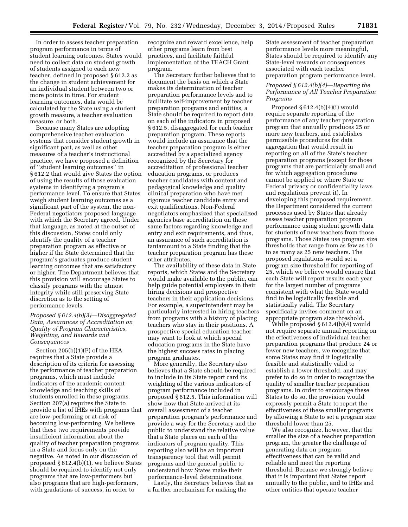In order to assess teacher preparation program performance in terms of student learning outcomes, States would need to collect data on student growth of students assigned to each new teacher, defined in proposed § 612.2 as the change in student achievement for an individual student between two or more points in time. For student learning outcomes, data would be calculated by the State using a student growth measure, a teacher evaluation measure, or both.

Because many States are adopting comprehensive teacher evaluation systems that consider student growth in significant part, as well as other measures of a teacher's instructional practice, we have proposed a definition of ''student learning outcomes'' in § 612.2 that would give States the option of using the results of those evaluation systems in identifying a program's performance level. To ensure that States weigh student learning outcomes as a significant part of the system, the non-Federal negotiators proposed language with which the Secretary agreed. Under that language, as noted at the outset of this discussion, States could only identify the quality of a teacher preparation program as effective or higher if the State determined that the program's graduates produce student learning outcomes that are satisfactory or higher. The Department believes that this provision will encourage States to classify programs with the utmost integrity while still preserving State discretion as to the setting of performance levels.

# *Proposed § 612.4(b)(3)—Disaggregated Data, Assurances of Accreditation on Quality of Program Characteristics, Weighting, and Rewards and Consequences*

Section 205(b)(1)(F) of the HEA requires that a State provide a description of its criteria for assessing the performance of teacher preparation programs, which must include indicators of the academic content knowledge and teaching skills of students enrolled in these programs. Section 207(a) requires the State to provide a list of IHEs with programs that are low-performing or at-risk of becoming low-performing. We believe that these two requirements provide insufficient information about the quality of teacher preparation programs in a State and focus only on the negative. As noted in our discussion of proposed § 612.4(b)(1), we believe States should be required to identify not only programs that are low-performers but also programs that are high-performers, with gradations of success, in order to

recognize and reward excellence, help other programs learn from best practices, and facilitate faithful implementation of the TEACH Grant program.

The Secretary further believes that to document the basis on which a State makes its determination of teacher preparation performance levels and to facilitate self-improvement by teacher preparation programs and entities, a State should be required to report data on each of the indicators in proposed § 612.5, disaggregated for each teacher preparation program. These reports would include an assurance that the teacher preparation program is either accredited by a specialized agency recognized by the Secretary for accreditation of professional teacher education programs, or produces teacher candidates with content and pedagogical knowledge and quality clinical preparation who have met rigorous teacher candidate entry and exit qualifications. Non-Federal negotiators emphasized that specialized agencies base accreditation on these same factors regarding knowledge and entry and exit requirements, and thus, an assurance of such accreditation is tantamount to a State finding that the teacher preparation program has these other attributes.

The availability of these data in State reports, which States and the Secretary would make available to the public, can help guide potential employers in their hiring decisions and prospective teachers in their application decisions. For example, a superintendent may be particularly interested in hiring teachers from programs with a history of placing teachers who stay in their positions. A prospective special education teacher may want to look at which special education programs in the State have the highest success rates in placing program graduates.

More generally, the Secretary also believes that a State should be required to include in its State report card its weighting of the various indicators of program performance included in proposed § 612.5. This information will show how that State arrived at its overall assessment of a teacher preparation program's performance and provide a way for the Secretary and the public to understand the relative value that a State places on each of the indicators of program quality. This reporting also will be an important transparency tool that will permit programs and the general public to understand how States make their performance-level determinations.

Lastly, the Secretary believes that as a further mechanism for making the

State assessment of teacher preparation performance levels more meaningful, States should be required to identify any State-level rewards or consequences associated with each teacher preparation program performance level.

# *Proposed § 612.4(b)(4)—Reporting the Performance of All Teacher Preparation Programs*

Proposed § 612.4(b)(4)(i) would require separate reporting of the performance of any teacher preparation program that annually produces 25 or more new teachers, and establishes permissible procedures for data aggregation that would result in reporting on all of the State's teacher preparation programs (except for those programs that are particularly small and for which aggregation procedures cannot be applied or where State or Federal privacy or confidentiality laws and regulations prevent it). In developing this proposed requirement, the Department considered the current processes used by States that already assess teacher preparation program performance using student growth data for students of new teachers from those programs. Those States use program size thresholds that range from as few as 10 to as many as 25 new teachers. The proposed regulations would set a program size threshold for reporting of 25, which we believe would ensure that each State will report results each year for the largest number of programs consistent with what the State would find to be logistically feasible and statistically valid. The Secretary specifically invites comment on an appropriate program size threshold.

While proposed § 612.4(b)(4) would not require separate annual reporting on the effectiveness of individual teacher preparation programs that produce 24 or fewer new teachers, we recognize that some States may find it logistically feasible and statistically valid to establish a lower threshold, and may prefer to do so in order to recognize the quality of smaller teacher preparation programs. In order to encourage these States to do so, the provision would expressly permit a State to report the effectiveness of these smaller programs by allowing a State to set a program size threshold lower than 25.

We also recognize, however, that the smaller the size of a teacher preparation program, the greater the challenge of generating data on program effectiveness that can be valid and reliable and meet the reporting threshold. Because we strongly believe that it is important that States report annually to the public, and to IHEs and other entities that operate teacher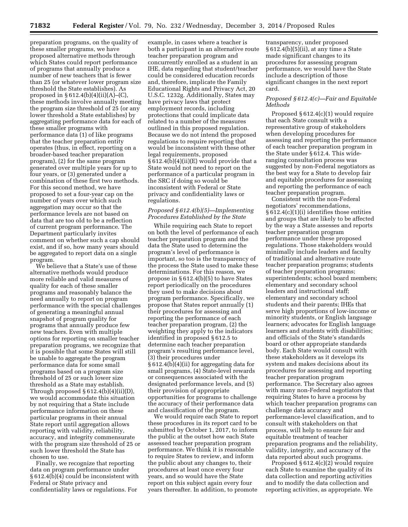preparation programs, on the quality of these smaller programs, we have proposed alternative methods through which States could report performance of programs that annually produce a number of new teachers that is fewer than 25 (or whatever lower program size threshold the State establishes). As proposed in  $§ 612.4(b)(4)(ii)(A)–(C),$ these methods involve annually meeting the program size threshold of 25 (or any lower threshold a State establishes) by aggregating performance data for each of these smaller programs with performance data (1) of like programs that the teacher preparation entity operates (thus, in effect, reporting on a broader-based teacher preparation program), (2) for the same program generated over multiple years for up to four years, or (3) generated under a combination of these first two methods. For this second method, we have proposed to set a four-year cap on the number of years over which such aggregation may occur so that the performance levels are not based on data that are too old to be a reflection of current program performance. The Department particularly invites comment on whether such a cap should exist, and if so, how many years should be aggregated to report data on a single program.

We believe that a State's use of these alternative methods would produce more reliable and valid measures of quality for each of these smaller programs and reasonably balance the need annually to report on program performance with the special challenges of generating a meaningful annual snapshot of program quality for programs that annually produce few new teachers. Even with multiple options for reporting on smaller teacher preparation programs, we recognize that it is possible that some States will still be unable to aggregate the program performance data for some small programs based on a program size threshold of 25 or such lower size threshold as a State may establish. Through proposed  $\S 612.4(b)(4)(ii)(D)$ , we would accommodate this situation by not requiring that a State include performance information on these particular programs in their annual State report until aggregation allows reporting with validity, reliability, accuracy, and integrity commensurate with the program size threshold of 25 or such lower threshold the State has chosen to use.

Finally, we recognize that reporting data on program performance under § 612.4(b)(4) could be inconsistent with Federal or State privacy and confidentiality laws or regulations. For

example, in cases where a teacher is both a participant in an alternative route teacher preparation program and concurrently enrolled as a student in an IHE, data regarding that student/teacher could be considered education records and, therefore, implicate the Family Educational Rights and Privacy Act, 20 U.S.C. 1232g. Additionally, States may have privacy laws that protect employment records, including protections that could implicate data related to a number of the measures outlined in this proposed regulation. Because we do not intend the proposed regulations to require reporting that would be inconsistent with these other legal requirements, proposed § 612.4(b)(4)(ii)(E) would provide that a State would not need to report on the performance of a particular program in the SRC if doing so would be inconsistent with Federal or State privacy and confidentiality laws or regulations.

#### *Proposed § 612.4(b)(5)—Implementing Procedures Established by the State*

While requiring each State to report on both the level of performance of each teacher preparation program and the data the State used to determine the program's level of performance is important, so too is the transparency of the process the State used to make these determinations. For this reason, we propose in § 612.4(b)(5) to have States report periodically on the procedures they used to make decisions about program performance. Specifically, we propose that States report annually (1) their procedures for assessing and reporting the performance of each teacher preparation program, (2) the weighting they apply to the indicators identified in proposed § 612.5 to determine each teacher preparation program's resulting performance level, (3) their procedures under § 612.4(b)(4)(ii) for aggregating data for small programs, (4) State-level rewards or consequences associated with the designated performance levels, and (5) their provision of appropriate opportunities for programs to challenge the accuracy of their performance data and classification of the program.

We would require each State to report these procedures in its report card to be submitted by October 1, 2017, to inform the public at the outset how each State assessed teacher preparation program performance. We think it is reasonable to require States to review, and inform the public about any changes to, their procedures at least once every four years, and so would have the State report on this subject again every four years thereafter. In addition, to promote

transparency, under proposed § 612.4(b)(5)(ii), at any time a State made significant changes to its procedures for assessing program performance, we would have the State include a description of those significant changes in the next report card.

# *Proposed § 612.4(c)—Fair and Equitable Methods*

Proposed § 612.4(c)(1) would require that each State consult with a representative group of stakeholders when developing procedures for assessing and reporting the performance of each teacher preparation program in the State under § 612.4. This wideranging consultation process was suggested by non-Federal negotiators as the best way for a State to develop fair and equitable procedures for assessing and reporting the performance of each teacher preparation program.

Consistent with the non-Federal negotiators' recommendations, § 612.4(c)(1)(i) identifies those entities and groups that are likely to be affected by the way a State assesses and reports teacher preparation program performance under these proposed regulations. Those stakeholders would minimally include leaders and faculty of traditional and alternative route teacher preparation programs; students of teacher preparation programs; superintendents; school board members; elementary and secondary school leaders and instructional staff; elementary and secondary school students and their parents; IHEs that serve high proportions of low-income or minority students, or English language learners; advocates for English language learners and students with disabilities; and officials of the State's standards board or other appropriate standards body. Each State would consult with these stakeholders as it develops its system and makes decisions about its procedures for assessing and reporting teacher preparation program performance. The Secretary also agrees with many non-Federal negotiators that requiring States to have a process by which teacher preparation programs can challenge data accuracy and performance-level classification, and to consult with stakeholders on that process, will help to ensure fair and equitable treatment of teacher preparation programs and the reliability, validity, integrity, and accuracy of the data reported about such programs.

Proposed § 612.4(c)(2) would require each State to examine the quality of its data collection and reporting activities and to modify the data collection and reporting activities, as appropriate. We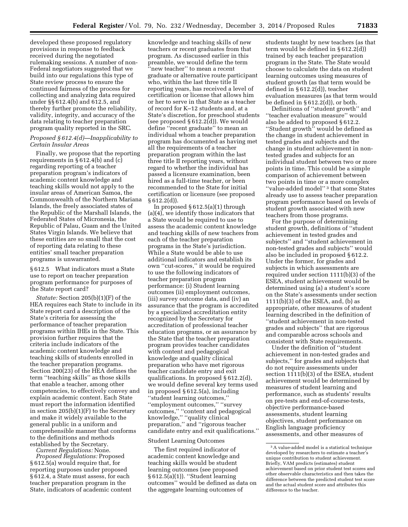developed these proposed regulatory provisions in response to feedback received during the negotiated rulemaking sessions. A number of non-Federal negotiators suggested that we build into our regulations this type of State review process to ensure the continued fairness of the process for collecting and analyzing data required under §§ 612.4(b) and 612.5, and thereby further promote the reliability, validity, integrity, and accuracy of the data relating to teacher preparation program quality reported in the SRC.

# *Proposed § 612.4(d)—Inapplicability to Certain Insular Areas*

Finally, we propose that the reporting requirements in  $\S$  612.4(b) and (c) regarding reporting of a teacher preparation program's indicators of academic content knowledge and teaching skills would not apply to the insular areas of American Samoa, the Commonwealth of the Northern Mariana Islands, the freely associated states of the Republic of the Marshall Islands, the Federated States of Micronesia, the Republic of Palau, Guam and the United States Virgin Islands. We believe that these entities are so small that the cost of reporting data relating to these entities' small teacher preparation programs is unwarranted.

§ 612.5 What indicators must a State use to report on teacher preparation program performance for purposes of the State report card?

*Statute:* Section 205(b)(1)(F) of the HEA requires each State to include in its State report card a description of the State's criteria for assessing the performance of teacher preparation programs within IHEs in the State. This provision further requires that the criteria include indicators of the academic content knowledge and teaching skills of students enrolled in the teacher preparation programs. Section 200(23) of the HEA defines the term ''teaching skills'' as those skills that enable a teacher, among other competencies, to effectively convey and explain academic content. Each State must report the information identified in section 205(b)(1)(F) to the Secretary and make it widely available to the general public in a uniform and comprehensible manner that conforms to the definitions and methods established by the Secretary.

*Current Regulations:* None. *Proposed Regulations:* Proposed § 612.5(a) would require that, for reporting purposes under proposed § 612.4, a State must assess, for each teacher preparation program in the State, indicators of academic content

knowledge and teaching skills of new teachers or recent graduates from that program. As discussed earlier in this preamble, we would define the term ''new teacher'' to mean a recent graduate or alternative route participant who, within the last three title II reporting years, has received a level of certification or license that allows him or her to serve in that State as a teacher of record for K–12 students and, at a State's discretion, for preschool students (see proposed § 612.2(d)). We would define ''recent graduate'' to mean an individual whom a teacher preparation program has documented as having met all the requirements of a teacher preparation program within the last three title II reporting years, without regard to whether the individual has passed a licensure examination, been hired as a full-time teacher, or been recommended to the State for initial certification or licensure (see proposed § 612.2(d)).

In proposed § 612.5(a)(1) through (a)(4), we identify those indicators that a State would be required to use to assess the academic content knowledge and teaching skills of new teachers from each of the teacher preparation programs in the State's jurisdiction. While a State would be able to use additional indicators and establish its own ''cut-scores,'' it would be required to use the following indicators of teacher preparation program performance: (i) Student learning outcomes (ii) employment outcomes, (iii) survey outcome data, and (iv) an assurance that the program is accredited by a specialized accreditation entity recognized by the Secretary for accreditation of professional teacher education programs, or an assurance by the State that the teacher preparation program provides teacher candidates with content and pedagogical knowledge and quality clinical preparation who have met rigorous teacher candidate entry and exit qualifications. In proposed § 612.2(d), we would define several key terms used in proposed § 612.5(a), including ''student learning outcomes,'' ''employment outcomes,'' ''survey outcomes,'' ''content and pedagogical knowledge,'' ''quality clinical preparation,'' and ''rigorous teacher candidate entry and exit qualifications.''

#### Student Learning Outcomes

The first required indicator of academic content knowledge and teaching skills would be student learning outcomes (see proposed § 612.5(a)(1)). ''Student learning outcomes'' would be defined as data on the aggregate learning outcomes of

students taught by new teachers (as that term would be defined in § 612.2(d)) trained by each teacher preparation program in the State. The State would choose to calculate the data on student learning outcomes using measures of student growth (as that term would be defined in § 612.2(d)), teacher evaluation measures (as that term would be defined in  $\S 612.2(d)$ , or both.

Definitions of ''student growth'' and ''teacher evaluation measure'' would also be added to proposed § 612.2. ''Student growth'' would be defined as the change in student achievement in tested grades and subjects and the change in student achievement in nontested grades and subjects for an individual student between two or more points in time. This could be a simple comparison of achievement between two points in time or a more complex ''value-added model'' 3 that some States already use to assess teacher preparation program performance based on levels of student growth associated with new teachers from those programs.

For the purpose of determining student growth, definitions of ''student achievement in tested grades and subjects'' and ''student achievement in non-tested grades and subjects'' would also be included in proposed § 612.2. Under the former, for grades and subjects in which assessments are required under section 1111(b)(3) of the ESEA, student achievement would be determined using (a) a student's score on the State's assessments under section 1111(b)(3) of the ESEA, and, (b) as appropriate, other measures of student learning described in the definition of ''student achievement in non-tested grades and subjects'' that are rigorous and comparable across schools and consistent with State requirements.

Under the definition of ''student achievement in non-tested grades and subjects,'' for grades and subjects that do not require assessments under section 1111(b)(3) of the ESEA, student achievement would be determined by measures of student learning and performance, such as students' results on pre-tests and end-of-course-tests, objective performance-based assessments, student learning objectives, student performance on English language proficiency assessments, and other measures of

<sup>3</sup>A value-added model is a statistical technique developed by researchers to estimate a teacher's unique contribution to student achievement. Briefly, VAM predicts (estimates) student achievement based on prior student test scores and other observable characteristics and then takes the difference between the predicted student test score and the actual student score and attributes this difference to the teacher.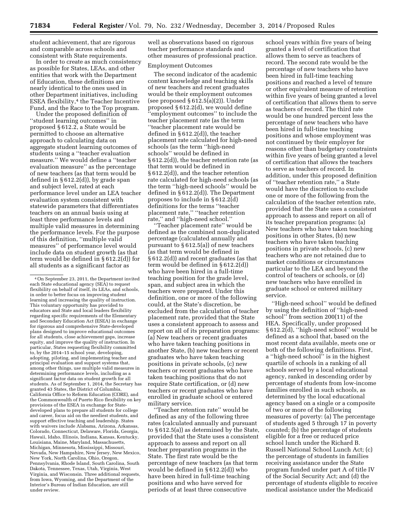student achievement, that are rigorous and comparable across schools and consistent with State requirements.

In order to create as much consistency as possible for States, LEAs, and other entities that work with the Department of Education, these definitions are nearly identical to the ones used in other Department initiatives, including ESEA flexibility,4 the Teacher Incentive Fund, and the Race to the Top program.

Under the proposed definition of ''student learning outcomes'' in proposed § 612.2, a State would be permitted to choose an alternative approach to calculating data on aggregate student learning outcomes of students using a ''teacher evaluation measure.'' We would define a ''teacher evaluation measure'' as the percentage of new teachers (as that term would be defined in § 612.2(d)), by grade span and subject level, rated at each performance level under an LEA teacher evaluation system consistent with statewide parameters that differentiates teachers on an annual basis using at least three performance levels and multiple valid measures in determining the performance levels. For the purpose of this definition, ''multiple valid measures'' of performance level would include data on student growth (as that term would be defined in § 612.2(d)) for all students as a significant factor as

well as observations based on rigorous teacher performance standards and other measures of professional practice.

# Employment Outcomes

The second indicator of the academic content knowledge and teaching skills of new teachers and recent graduates would be their employment outcomes (see proposed § 612.5(a)(2)). Under proposed § 612.2(d), we would define 'employment outcomes" to include the teacher placement rate (as the term ''teacher placement rate would be defined in § 612.2(d)), the teacher placement rate calculated for high-need schools (as the term ''high-need schools'' would be defined in § 612.2(d)), the teacher retention rate (as that term would be defined in § 612.2(d)), and the teacher retention rate calculated for high-need schools (as the term ''high-need schools'' would be defined in § 612.2(d)). The Department proposes to include in § 612.2(d) definitions for the terms ''teacher placement rate,'' ''teacher retention rate,'' and ''high-need school.''

''Teacher placement rate'' would be defined as the combined non-duplicated percentage (calculated annually and pursuant to § 612.5(a)) of new teachers (as that term would be defined in § 612.2(d)) and recent graduates (as that term would be defined in § 612.2(d)) who have been hired in a full-time teaching position for the grade level, span, and subject area in which the teachers were prepared. Under this definition, one or more of the following could, at the State's discretion, be excluded from the calculation of teacher placement rate, provided that the State uses a consistent approach to assess and report on all of its preparation programs: (a) New teachers or recent graduates who have taken teaching positions in another State, (b) new teachers or recent graduates who have taken teaching positions in private schools, (c) new teachers or recent graduates who have taken teaching positions that do not require State certification, or (d) new teachers or recent graduates who have enrolled in graduate school or entered military service.

''Teacher retention rate'' would be defined as any of the following three rates (calculated annually and pursuant to § 612.5(a)) as determined by the State, provided that the State uses a consistent approach to assess and report on all teacher preparation programs in the State. The first rate would be the percentage of new teachers (as that term would be defined in § 612.2(d)) who have been hired in full-time teaching positions and who have served for periods of at least three consecutive

school years within five years of being granted a level of certification that allows them to serve as teachers of record. The second rate would be the percentage of new teachers who have been hired in full-time teaching positions and reached a level of tenure or other equivalent measure of retention within five years of being granted a level of certification that allows them to serve as teachers of record. The third rate would be one hundred percent less the percentage of new teachers who have been hired in full-time teaching positions and whose employment was not continued by their employer for reasons other than budgetary constraints within five years of being granted a level of certification that allows the teachers to serve as teachers of record. In addition, under this proposed definition of ''teacher retention rate,'' a State would have the discretion to exclude one or more of the following from the calculation of the teacher retention rate, provided that the State uses a consistent approach to assess and report on all of its teacher preparation programs: (a) New teachers who have taken teaching positions in other States, (b) new teachers who have taken teaching positions in private schools, (c) new teachers who are not retained due to market conditions or circumstances particular to the LEA and beyond the control of teachers or schools, or (d) new teachers who have enrolled in graduate school or entered military service.

''High-need school'' would be defined by using the definition of ''high-need school'' from section 200(11) of the HEA. Specifically, under proposed § 612.2(d), ''high-need school'' would be defined as a school that, based on the most recent data available, meets one or both of the following definitions. First, a ''high-need school'' is in the highest quartile of schools in a ranking of all schools served by a local educational agency, ranked in descending order by percentage of students from low-income families enrolled in such schools, as determined by the local educational agency based on a single or a composite of two or more of the following measures of poverty: (a) The percentage of students aged 5 through 17 in poverty counted; (b) the percentage of students eligible for a free or reduced price school lunch under the Richard B. Russell National School Lunch Act; (c) the percentage of students in families receiving assistance under the State program funded under part A of title IV of the Social Security Act; and (d) the percentage of students eligible to receive medical assistance under the Medicaid

<sup>4</sup>On September 23, 2011, the Department invited each State educational agency (SEA) to request flexibility on behalf of itself, its LEAs, and schools, in order to better focus on improving student learning and increasing the quality of instruction. This voluntary opportunity has provided to educators and State and local leaders flexibility regarding specific requirements of the Elementary and Secondary Education Act (ESEA) in exchange for rigorous and comprehensive State-developed plans designed to improve educational outcomes for all students, close achievement gaps, increase equity, and improve the quality of instruction. In particular, States requesting flexibility committed to, by the 2014–15 school year, developing, adopting, piloting, and implementing teacher and principal evaluation and support systems that, among other things, use multiple valid measures in determining performance levels, including as a significant factor data on student growth for all students. As of September 1, 2014, the Secretary has granted 43 States, the District of Columbia, California Office to Reform Education (CORE), and the Commonwealth of Puerto Rico flexibility on key provisions of the ESEA in exchange for Statedeveloped plans to prepare all students for college and career, focus aid on the neediest students, and support effective teaching and leadership. States with waivers include Alabama, Arizona, Arkansas, Colorado, Connecticut, Delaware, Florida, Georgia, Hawaii, Idaho, Illinois, Indiana, Kansas, Kentucky, Louisiana, Maine, Maryland, Massachusetts, Michigan, Minnesota, Mississippi, Missouri, Nevada, New Hampshire, New Jersey, New Mexico, New York, North Carolina, Ohio, Oregon, Pennsylvania, Rhode Island, South Carolina, South Dakota, Tennessee, Texas, Utah, Virginia, West Virginia, and Wisconsin. Three additional requests, from Iowa, Wyoming, and the Department of the Interior's Bureau of Indian Education, are still under review.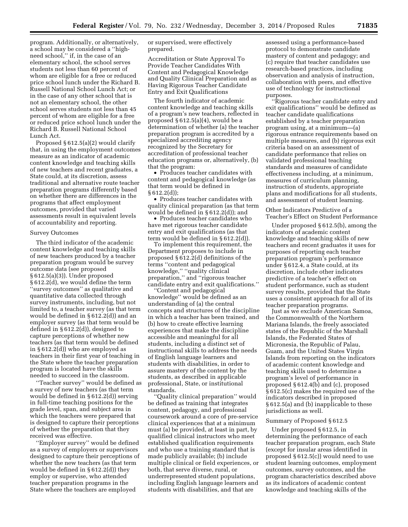program. Additionally, or alternatively, a school may be considered a ''highneed school,'' if, in the case of an elementary school, the school serves students not less than 60 percent of whom are eligible for a free or reduced price school lunch under the Richard B. Russell National School Lunch Act; or in the case of any other school that is not an elementary school, the other school serves students not less than 45 percent of whom are eligible for a free or reduced price school lunch under the Richard B. Russell National School Lunch Act.

Proposed § 612.5(a)(2) would clarify that, in using the employment outcomes measure as an indicator of academic content knowledge and teaching skills of new teachers and recent graduates, a State could, at its discretion, assess traditional and alternative route teacher preparation programs differently based on whether there are differences in the programs that affect employment outcomes, provided that varied assessments result in equivalent levels of accountability and reporting.

#### Survey Outcomes

The third indicator of the academic content knowledge and teaching skills of new teachers produced by a teacher preparation program would be survey outcome data (see proposed § 612.5(a)(3)). Under proposed § 612.2(d), we would define the term ''survey outcomes'' as qualitative and quantitative data collected through survey instruments, including, but not limited to, a teacher survey (as that term would be defined in § 612.2(d)) and an employer survey (as that term would be defined in § 612.2(d)), designed to capture perceptions of whether new teachers (as that term would be defined in § 612.2(d)) who are employed as teachers in their first year of teaching in the State where the teacher preparation program is located have the skills needed to succeed in the classroom.

''Teacher survey'' would be defined as a survey of new teachers (as that term would be defined in § 612.2(d)) serving in full-time teaching positions for the grade level, span, and subject area in which the teachers were prepared that is designed to capture their perceptions of whether the preparation that they received was effective.

''Employer survey'' would be defined as a survey of employers or supervisors designed to capture their perceptions of whether the new teachers (as that term would be defined in § 612.2(d)) they employ or supervise, who attended teacher preparation programs in the State where the teachers are employed

or supervised, were effectively prepared.

Accreditation or State Approval To Provide Teacher Candidates With Content and Pedagogical Knowledge and Quality Clinical Preparation and as Having Rigorous Teacher Candidate Entry and Exit Qualifications

The fourth indicator of academic content knowledge and teaching skills of a program's new teachers, reflected in proposed § 612.5(a)(4), would be a determination of whether (a) the teacher preparation program is accredited by a specialized accrediting agency recognized by the Secretary for accreditation of professional teacher education programs or, alternatively, (b) that the program:

• Produces teacher candidates with content and pedagogical knowledge (as that term would be defined in § 612.2(d));

• Produces teacher candidates with quality clinical preparation (as that term would be defined in § 612.2(d)); and

• Produces teacher candidates who have met rigorous teacher candidate entry and exit qualifications (as that term would be defined in § 612.2(d)).

To implement this requirement, the Department proposes to include in proposed § 612.2(d) definitions of the terms ''content and pedagogical knowledge,'' ''quality clinical preparation,'' and ''rigorous teacher candidate entry and exit qualifications.''

''Content and pedagogical knowledge'' would be defined as an understanding of (a) the central concepts and structures of the discipline in which a teacher has been trained, and (b) how to create effective learning experiences that make the discipline accessible and meaningful for all students, including a distinct set of instructional skills to address the needs of English language learners and students with disabilities, in order to assure mastery of the content by the students, as described in applicable professional, State, or institutional standards.

Quality clinical preparation" would be defined as training that integrates content, pedagogy, and professional coursework around a core of pre-service clinical experiences that at a minimum must (a) be provided, at least in part, by qualified clinical instructors who meet established qualification requirements and who use a training standard that is made publicly available; (b) include multiple clinical or field experiences, or both, that serve diverse, rural, or underrepresented student populations, including English language learners and students with disabilities, and that are

assessed using a performance-based protocol to demonstrate candidate mastery of content and pedagogy; and (c) require that teacher candidates use research-based practices, including observation and analysis of instruction, collaboration with peers, and effective use of technology for instructional purposes.

''Rigorous teacher candidate entry and exit qualifications'' would be defined as teacher candidate qualifications established by a teacher preparation program using, at a minimum—(a) rigorous entrance requirements based on multiple measures, and (b) rigorous exit criteria based on an assessment of candidate performance that relies on validated professional teaching standards and measures of candidate effectiveness including, at a minimum, measures of curriculum planning, instruction of students, appropriate plans and modifications for all students, and assessment of student learning.

Other Indicators Predictive of a Teacher's Effect on Student Performance

Under proposed § 612.5(b), among the indicators of academic content knowledge and teaching skills of new teachers and recent graduates it uses for purposes of reporting each teacher preparation program's performance under § 612.4, a State could, at its discretion, include other indicators predictive of a teacher's effect on student performance, such as student survey results, provided that the State uses a consistent approach for all of its teacher preparation programs.

Just as we exclude American Samoa, the Commonwealth of the Northern Mariana Islands, the freely associated states of the Republic of the Marshall Islands, the Federated States of Micronesia, the Republic of Palau, Guam, and the United States Virgin Islands from reporting on the indicators of academic content knowledge and teaching skills used to determine a program's level of performance in proposed § 612.4(b) and (c), proposed § 612.5(c) makes the required use of the indicators described in proposed § 612.5(a) and (b) inapplicable to these jurisdictions as well.

#### Summary of Proposed § 612.5

Under proposed § 612.5, in determining the performance of each teacher preparation program, each State (except for insular areas identified in proposed § 612.5(c)) would need to use student learning outcomes, employment outcomes, survey outcomes, and the program characteristics described above as its indicators of academic content knowledge and teaching skills of the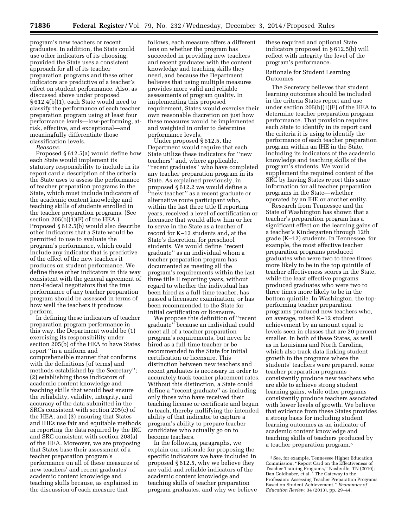program's new teachers or recent graduates. In addition, the State could use other indicators of its choosing, provided the State uses a consistent approach for all of its teacher preparation programs and these other indicators are predictive of a teacher's effect on student performance. Also, as discussed above under proposed § 612.4(b)(1), each State would need to classify the performance of each teacher preparation program using at least four performance levels—low-performing, atrisk, effective, and exceptional—and meaningfully differentiate those classification levels.

*Reasons:* 

Proposed § 612.5(a) would define how each State would implement its statutory responsibility to include in its report card a description of the criteria the State uses to assess the performance of teacher preparation programs in the State, which must include indicators of the academic content knowledge and teaching skills of students enrolled in the teacher preparation programs. (See section  $205(b)(1)(F)$  of the HEA.) Proposed § 612.5(b) would also describe other indicators that a State would be permitted to use to evaluate the program's performance, which could include any indicator that is predictive of the effect of the new teachers it produces on student performance. We define these other indicators in this way consistent with the general agreement of non-Federal negotiators that the true performance of any teacher preparation program should be assessed in terms of how well the teachers it produces perform.

In defining these indicators of teacher preparation program performance in this way, the Department would be (1) exercising its responsibility under section 205(b) of the HEA to have States report ''in a uniform and comprehensible manner that conforms with the definitions [of terms] and methods established by the Secretary''; (2) establishing those indicators of academic content knowledge and teaching skills that would best ensure the reliability, validity, integrity, and accuracy of the data submitted in the SRCs consistent with section 205(c) of the HEA; and (3) ensuring that States and IHEs use fair and equitable methods in reporting the data required by the IRC and SRC consistent with section 208(a) of the HEA. Moreover, we are proposing that States base their assessment of a teacher preparation program's performance on all of these measures of new teachers' and recent graduates' academic content knowledge and teaching skills because, as explained in the discussion of each measure that

follows, each measure offers a different lens on whether the program has succeeded in providing new teachers and recent graduates with the content knowledge and teaching skills they need, and because the Department believes that using multiple measures provides more valid and reliable assessments of program quality. In implementing this proposed requirement, States would exercise their own reasonable discretion on just how these measures would be implemented and weighted in order to determine performance levels.

Under proposed § 612.5, the Department would require that each State utilize these indicators for ''new teachers'' and, where applicable, ''recent graduates'' who have completed any teacher preparation program in its State. As explained previously, in proposed § 612.2 we would define a 'new teacher" as a recent graduate or alternative route participant who, within the last three title II reporting years, received a level of certification or licensure that would allow him or her to serve in the State as a teacher of record for K–12 students and, at the State's discretion, for preschool students. We would define ''recent graduate'' as an individual whom a teacher preparation program has documented as meeting all the program's requirements within the last three title II reporting years, without regard to whether the individual has been hired as a full-time teacher, has passed a licensure examination, or has been recommended to the State for initial certification or licensure.

We propose this definition of ''recent graduate'' because an individual could meet all of a teacher preparation program's requirements, but never be hired as a full-time teacher or be recommended to the State for initial certification or licensure. This distinction between new teachers and recent graduates is necessary in order to accurately track teacher placement rates. Without this distinction, a State could define a ''recent graduate'' as including only those who have received their teaching license or certificate and begun to teach, thereby nullifying the intended ability of that indicator to capture a program's ability to prepare teacher candidates who actually go on to become teachers.

In the following paragraphs, we explain our rationale for proposing the specific indicators we have included in proposed § 612.5, why we believe they are valid and reliable indicators of the academic content knowledge and teaching skills of teacher preparation program graduates, and why we believe

these required and optional State indicators proposed in § 612.5(b) will reflect with integrity the level of the program's performance.

#### Rationale for Student Learning **Outcomes**

The Secretary believes that student learning outcomes should be included in the criteria States report and use under section 205(b)(1)(F) of the HEA to determine teacher preparation program performance. That provision requires each State to identify in its report card the criteria it is using to identify the performance of each teacher preparation program within an IHE in the State, including its indicators of the academic knowledge and teaching skills of the program's students. We would supplement the required content of the SRC by having States report this same information for all teacher preparation programs in the State—whether operated by an IHE or another entity.

Research from Tennessee and the State of Washington has shown that a teacher's preparation program has a significant effect on the learning gains of a teacher's Kindergarten through 12th grade (K–12) students. In Tennessee, for example, the most effective teacher preparation programs produced graduates who were two to three times more likely to be in the top quintile of teacher effectiveness scores in the State, while the least effective programs produced graduates who were two to three times more likely to be in the bottom quintile. In Washington, the topperforming teacher preparation programs produced new teachers who, on average, raised K–12 student achievement by an amount equal to levels seen in classes that are 20 percent smaller. In both of these States, as well as in Louisiana and North Carolina, which also track data linking student growth to the programs where the students' teachers were prepared, some teacher preparation programs consistently produce new teachers who are able to achieve strong student learning gains, while other programs consistently produce teachers associated with lower levels of growth. We believe that evidence from these States provides a strong basis for including student learning outcomes as an indicator of academic content knowledge and teaching skills of teachers produced by a teacher preparation program.5

<sup>5</sup>See, for example, Tennessee Higher Education Commission, ''Report Card on the Effectiveness of Teacher Training Programs,'' Nashville, TN (2010); Dan Goldhaber, et al. ''The Gateway to the Profession: Assessing Teacher Preparation Programs Based on Student Achievement*.'' Economics of Education Review,* 34 (2013), pp. 29–44.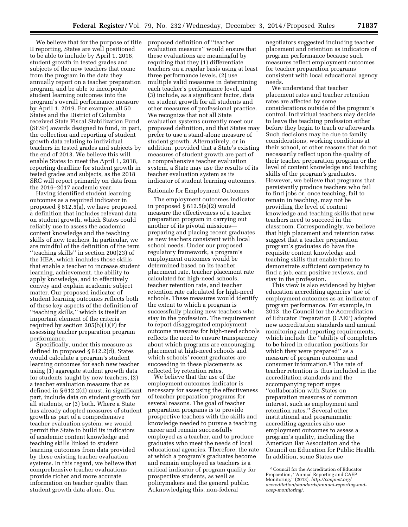We believe that for the purpose of title II reporting, States are well positioned to be able to include by April 1, 2018, student growth in tested grades and subjects of the new teachers that come from the program in the data they annually report on a teacher preparation program, and be able to incorporate student learning outcomes into the program's overall performance measure by April 1, 2019. For example, all 50 States and the District of Columbia received State Fiscal Stabilization Fund (SFSF) awards designed to fund, in part, the collection and reporting of student growth data relating to individual teachers in tested grades and subjects by the end of 2013. We believe this will enable States to meet the April 1, 2018, reporting deadline for student growth in tested grades and subjects, as the 2018 SRC will report primarily on data from the 2016–2017 academic year.

Having identified student learning outcomes as a required indicator in proposed § 612.5(a), we have proposed a definition that includes relevant data on student growth, which States could reliably use to assess the academic content knowledge and the teaching skills of new teachers. In particular, we are mindful of the definition of the term ''teaching skills'' in section 200(23) of the HEA, which includes those skills that enable a teacher to increase student learning, achievement, the ability to apply knowledge, and to effectively convey and explain academic subject matter. Our proposed indicator of student learning outcomes reflects both of these key aspects of the definition of ''teaching skills,'' which is itself an important element of the criteria required by section 205(b)(1)(F) for assessing teacher preparation program performance.

Specifically, under this measure as defined in proposed § 612.2(d), States would calculate a program's student learning outcomes for each new teacher using (1) aggregate student growth data for students taught by new teachers, (2) a teacher evaluation measure that as defined in § 612.2(d) must, in significant part, include data on student growth for all students, or (3) both. Where a State has already adopted measures of student growth as part of a comprehensive teacher evaluation system, we would permit the State to build its indicators of academic content knowledge and teaching skills linked to student learning outcomes from data provided by these existing teacher evaluation systems. In this regard, we believe that comprehensive teacher evaluations provide richer and more accurate information on teacher quality than student growth data alone. Our

proposed definition of ''teacher evaluation measure'' would ensure that these evaluations are meaningful by requiring that they (1) differentiate teachers on a regular basis using at least three performance levels, (2) use multiple valid measures in determining each teacher's performance level, and (3) include, as a significant factor, data on student growth for all students and other measures of professional practice. We recognize that not all State evaluation systems currently meet our proposed definition, and that States may prefer to use a stand-alone measure of student growth. Alternatively, or in addition, provided that a State's existing measures of student growth are part of a comprehensive teacher evaluation system, a State may use the results of its teacher evaluation system as its indicator of student learning outcomes.

#### Rationale for Employment Outcomes

The employment outcomes indicator in proposed § 612.5(a)(2) would measure the effectiveness of a teacher preparation program in carrying out another of its pivotal missions preparing and placing recent graduates as new teachers consistent with local school needs. Under our proposed regulatory framework, a program's employment outcomes would be determined based on its teacher placement rate, teacher placement rate calculated for high-need schools, teacher retention rate, and teacher retention rate calculated for high-need schools. These measures would identify the extent to which a program is successfully placing new teachers who stay in the profession. The requirement to report disaggregated employment outcome measures for high-need schools reflects the need to ensure transparency about which programs are encouraging placement at high-need schools and which schools' recent graduates are succeeding in these placements as reflected by retention rates.

We believe that the use of the employment outcomes indicator is necessary for assessing the effectiveness of teacher preparation programs for several reasons. The goal of teacher preparation programs is to provide prospective teachers with the skills and knowledge needed to pursue a teaching career and remain successfully employed as a teacher, and to produce graduates who meet the needs of local educational agencies. Therefore, the rate at which a program's graduates become and remain employed as teachers is a critical indicator of program quality for prospective students, as well as policymakers and the general public. Acknowledging this, non-federal

negotiators suggested including teacher placement and retention as indicators of program performance because such measures reflect employment outcomes for teacher preparation programs consistent with local educational agency needs.

We understand that teacher placement rates and teacher retention rates are affected by some considerations outside of the program's control. Individual teachers may decide to leave the teaching profession either before they begin to teach or afterwards. Such decisions may be due to family considerations, working conditions at their school, or other reasons that do not necessarily reflect upon the quality of their teacher preparation program or the level of content knowledge and teaching skills of the program's graduates. However, we believe that programs that persistently produce teachers who fail to find jobs or, once teaching, fail to remain in teaching, may not be providing the level of content knowledge and teaching skills that new teachers need to succeed in the classroom. Correspondingly, we believe that high placement and retention rates suggest that a teacher preparation program's graduates do have the requisite content knowledge and teaching skills that enable them to demonstrate sufficient competency to find a job, earn positive reviews, and stay in the profession.

This view is also evidenced by higher education accrediting agencies' use of employment outcomes as an indicator of program performance. For example, in 2013, the Council for the Accreditation of Educator Preparation (CAEP) adopted new accreditation standards and annual monitoring and reporting requirements, which include the ''ability of completers to be hired in education positions for which they were prepared" as a measure of program outcome and consumer information.6 The rate of teacher retention is thus included in the accreditation standards and the accompanying report urges ''collaboration with States on preparation measures of common interest, such as employment and retention rates.'' Several other institutional and programmatic accrediting agencies also use employment outcomes to assess a program's quality, including the American Bar Association and the Council on Education for Public Health. In addition, some States use

<sup>6</sup>Council for the Accreditation of Educator Preparation, ''Annual Reporting and CAEP Monitoring,'' (2013). *[http://caepnet.org/](http://caepnet.org/accreditation/standards/annual-reporting-and-caep-monitoring/) [accreditation/standards/annual-reporting-and](http://caepnet.org/accreditation/standards/annual-reporting-and-caep-monitoring/)[caep-monitoring/.](http://caepnet.org/accreditation/standards/annual-reporting-and-caep-monitoring/)*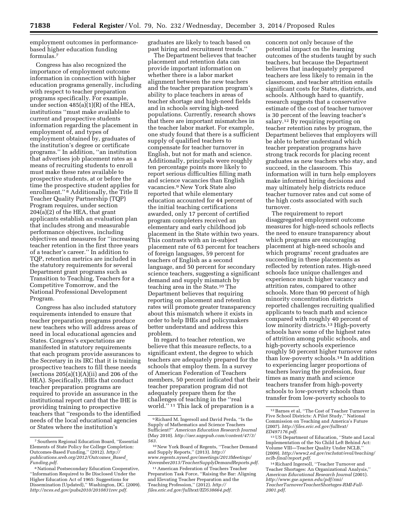employment outcomes in performancebased higher education funding formulas.7

Congress has also recognized the importance of employment outcome information in connection with higher education programs generally, including with respect to teacher preparation programs specifically. For example, under section 485(a)(1)(R) of the HEA, institutions ''must make available to current and prospective students information regarding the placement in employment of, and types of employment obtained by, graduates of the institution's degree or certificate programs.'' In addition, ''an institution that advertises job placement rates as a means of recruiting students to enroll must make these rates available to prospective students, at or before the time the prospective student applies for enrollment."<sup>8</sup> Additionally, the Title II Teacher Quality Partnership (TQP) Program requires, under section 204(a)(2) of the HEA, that grant applicants establish an evaluation plan that includes strong and measurable performance objectives, including objectives and measures for ''increasing teacher retention in the first three years of a teacher's career.'' In addition to TQP, retention metrics are included in the statutory requirements for several Department grant programs such as Transition to Teaching, Teachers for a Competitive Tomorrow, and the National Professional Development Program.

Congress has also included statutory requirements intended to ensure that teacher preparation programs produce new teachers who will address areas of need in local educational agencies and States. Congress's expectations are manifested in statutory requirements that each program provide assurances to the Secretary in its IRC that it is training prospective teachers to fill these needs (sections  $205(a)(1)(A)(ii)$  and  $206$  of the HEA). Specifically, IHEs that conduct teacher preparation programs are required to provide an assurance in the institutional report card that the IHE is providing training to prospective teachers that ''responds to the identified needs of the local educational agencies or States where the institution's

graduates are likely to teach based on past hiring and recruitment trends.''

The Department believes that teacher placement and retention data can provide important information on whether there is a labor market alignment between the new teachers and the teacher preparation program's ability to place teachers in areas of teacher shortage and high-need fields and in schools serving high-need populations. Currently, research shows that there are important mismatches in the teacher labor market. For example, one study found that there is a sufficient supply of qualified teachers to compensate for teacher turnover in English, but not for math and science. Additionally, principals were roughly ten percentage points more likely to report serious difficulties filling math and science vacancies than English vacancies.9 New York State also reported that while elementary education accounted for 44 percent of the initial teaching certifications awarded, only 17 percent of certified program completers received an elementary and early childhood job placement in the State within two years. This contrasts with an in-subject placement rate of 63 percent for teachers of foreign languages, 59 percent for teachers of English as a second language, and 50 percent for secondary science teachers, suggesting a significant demand and supply mismatch by teaching area in the State.10 The Department believes that requiring reporting on placement and retention rates will promote greater transparency about this mismatch where it exists in order to help IHEs and policymakers better understand and address this problem.

In regard to teacher retention, we believe that this measure reflects, to a significant extent, the degree to which teachers are adequately prepared for the schools that employ them. In a survey of American Federation of Teachers members, 50 percent indicated that their teacher preparation program did not adequately prepare them for the challenges of teaching in the ''real world.'' 11 This lack of preparation is a

concern not only because of the potential impact on the learning outcomes of the students taught by such teachers, but because the Department believes that inadequately prepared teachers are less likely to remain in the classroom, and teacher attrition entails significant costs for States, districts, and schools. Although hard to quantify, research suggests that a conservative estimate of the cost of teacher turnover is 30 percent of the leaving teacher's salary.12 By requiring reporting on teacher retention rates by program, the Department believes that employers will be able to better understand which teacher preparation programs have strong track records for placing recent graduates as new teachers who stay, and succeed, in the classroom. This information will in turn help employers make informed hiring decisions and may ultimately help districts reduce teacher turnover rates and cut some of the high costs associated with such turnover.

The requirement to report disaggregated employment outcome measures for high-need schools reflects the need to ensure transparency about which programs are encouraging placement at high-need schools and which programs' recent graduates are succeeding in these placements as reflected by retention rates. High-need schools face unique challenges and experience much higher vacancy and attrition rates, compared to other schools. More than 90 percent of high minority concentration districts reported challenges recruiting qualified applicants to teach math and science compared with roughly 40 percent of low minority districts.<sup>13</sup> High-poverty schools have some of the highest rates of attrition among public schools, and high-poverty schools experience roughly 50 percent higher turnover rates than low-poverty schools.14 In addition to experiencing larger proportions of teachers leaving the profession, four times as many math and science teachers transfer from high-poverty schools to low-poverty schools than transfer from low-poverty schools to

<sup>7</sup>Southern Regional Education Board, ''Essential Elements of State Policy for College Completion: Outcomes-Based Funding,'' (2012). *[http://](http://publications.sreb.org/2012/Outcomes_Based_Funding.pdf) [publications.sreb.org/2012/Outcomes](http://publications.sreb.org/2012/Outcomes_Based_Funding.pdf)*\_*Based*\_ *[Funding.pdf.](http://publications.sreb.org/2012/Outcomes_Based_Funding.pdf)* 

<sup>8</sup>National Postsecondary Education Cooperative, ''Information Required to Be Disclosed Under the Higher Education Act of 1965: Suggestions for Dissemination (Updated),'' Washington, DC. (2009). *[http://nces.ed.gov/pubs2010/2010831rev.pdf.](http://nces.ed.gov/pubs2010/2010831rev.pdf)* 

<sup>9</sup>Richard M. Ingersoll and David Perda, ''Is the Supply of Mathematics and Science Teachers Sufficient?'' *American Education Research Journal*  (May 2010). *[http://aer.sagepub.com/content/47/3/](http://aer.sagepub.com/content/47/3/563) [563](http://aer.sagepub.com/content/47/3/563)*.

<sup>10</sup>New York Board of Regents, ''Teacher Demand and Supply Reports,'' (2013). *[http://](http://www.regents.nysed.gov/meetings/2013Meetings/November2013/TeacherSupplyDemandReports.pdf) [www.regents.nysed.gov/meetings/2013Meetings/](http://www.regents.nysed.gov/meetings/2013Meetings/November2013/TeacherSupplyDemandReports.pdf) [November2013/TeacherSupplyDemandReports.pdf](http://www.regents.nysed.gov/meetings/2013Meetings/November2013/TeacherSupplyDemandReports.pdf)*.

<sup>11</sup>American Federation of Teachers Teacher Preparation Task Force, ''Raising the Bar: Aligning and Elevating Teacher Preparation and the Teaching Profession,'' (2012). *[http://](http://files.eric.ed.gov/fulltext/ED538664.pdf) [files.eric.ed.gov/fulltext/ED538664.pdf](http://files.eric.ed.gov/fulltext/ED538664.pdf)*.

<sup>12</sup>Barnes et al, ''The Cost of Teacher Turnover in Five School Districts: A Pilot Study,'' National Commission on Teaching and America's Future (2007). *[http://files.eric.ed.gov/fulltext/](http://files.eric.ed.gov/fulltext/ED497176.pdf)*

<sup>&</sup>lt;sup>13</sup> US Department of Education, "State and Local Implementation of the No Child Left Behind Act: Volume VIII—Teacher Quality Under NCLB,'' (2009). *[http://www2.ed.gov/rschstat/eval/teaching/](http://www2.ed.gov/rschstat/eval/teaching/nclb-final/report.pdf)*

<sup>&</sup>lt;sup>14</sup> Richard Ingersoll, "Teacher Turnover and Teacher Shortages: An Organizational Analysis,'' *American Educational Research Journal* (2001). *[http://www.gse.upenn.edu/pdf/rmi/](http://www.gse.upenn.edu/pdf/rmi/TeacherTurnoverTeacherShortages-RMI-Fall-2001.pdf) [TeacherTurnoverTeacherShortages-RMI-Fall-](http://www.gse.upenn.edu/pdf/rmi/TeacherTurnoverTeacherShortages-RMI-Fall-2001.pdf)[2001.pdf](http://www.gse.upenn.edu/pdf/rmi/TeacherTurnoverTeacherShortages-RMI-Fall-2001.pdf)*.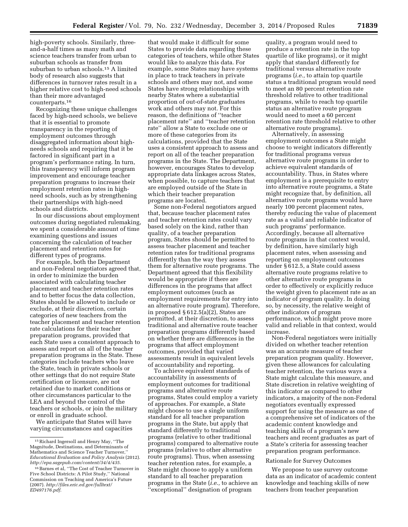high-poverty schools. Similarly, threeand-a-half times as many math and science teachers transfer from urban to suburban schools as transfer from suburban to urban schools.15 A limited body of research also suggests that differences in turnover rates result in a higher relative cost to high-need schools than their more advantaged counterparts.16

Recognizing these unique challenges faced by high-need schools, we believe that it is essential to promote transparency in the reporting of employment outcomes through disaggregated information about highneeds schools and requiring that it be factored in significant part in a program's performance rating. In turn, this transparency will inform program improvement and encourage teacher preparation programs to increase their employment retention rates in highneed schools, such as by strengthening their partnerships with high-need schools and districts.

In our discussions about employment outcomes during negotiated rulemaking, we spent a considerable amount of time examining questions and issues concerning the calculation of teacher placement and retention rates for different types of programs.

For example, both the Department and non-Federal negotiators agreed that, in order to minimize the burden associated with calculating teacher placement and teacher retention rates and to better focus the data collection, States should be allowed to include or exclude, at their discretion, certain categories of new teachers from the teacher placement and teacher retention rate calculations for their teacher preparation programs, provided that each State uses a consistent approach to assess and report on all of the teacher preparation programs in the State. These categories include teachers who leave the State, teach in private schools or other settings that do not require State certification or licensure, are not retained due to market conditions or other circumstances particular to the LEA and beyond the control of the teachers or schools, or join the military or enroll in graduate school.

We anticipate that States will have varying circumstances and capacities

that would make it difficult for some States to provide data regarding these categories of teachers, while other States would like to analyze this data. For example, some States may have systems in place to track teachers in private schools and others may not, and some States have strong relationships with nearby States where a substantial proportion of out-of-state graduates work and others may not. For this reason, the definitions of ''teacher placement rate'' and ''teacher retention rate'' allow a State to exclude one or more of these categories from its calculations, provided that the State uses a consistent approach to assess and report on all of the teacher preparation programs in the State. The Department, however, encourages States to develop appropriate data linkages across States, when possible, to capture teachers that are employed outside of the State in which their teacher preparation programs are located.

Some non-Federal negotiators argued that, because teacher placement rates and teacher retention rates could vary based solely on the kind, rather than quality, of a teacher preparation program, States should be permitted to assess teacher placement and teacher retention rates for traditional programs differently than the way they assess them for alternative route programs. The Department agreed that this flexibility would be appropriate if there are differences in the programs that affect employment outcomes (such as employment requirements for entry into an alternative route program). Therefore, in proposed § 612.5(a)(2), States are permitted, at their discretion, to assess traditional and alternative route teacher preparation programs differently based on whether there are differences in the programs that affect employment outcomes, provided that varied assessments result in equivalent levels of accountability and reporting.

To achieve equivalent standards of accountability in assessments of employment outcomes for traditional programs and alternative route programs, States could employ a variety of approaches. For example, a State might choose to use a single uniform standard for all teacher preparation programs in the State, but apply that standard differently to traditional programs (relative to other traditional programs) compared to alternative route programs (relative to other alternative route programs). Thus, when assessing teacher retention rates, for example, a State might choose to apply a uniform standard to all teacher preparation programs in the State (*i.e.,* to achieve an ''exceptional'' designation of program

quality, a program would need to produce a retention rate in the top quartile of like programs), or it might apply that standard differently for traditional versus alternative route programs (*i.e.,* to attain top quartile status a traditional program would need to meet an 80 percent retention rate threshold relative to other traditional programs, while to reach top quartile status an alternative route program would need to meet a 60 percent retention rate threshold relative to other alternative route programs).

Alternatively, in assessing employment outcomes a State might choose to weight indicators differently for traditional programs versus alternative route programs in order to achieve equivalent standards of accountability. Thus, in States where employment is a prerequisite to entry into alternative route programs, a State might recognize that, by definition, all alternative route programs would have nearly 100 percent placement rates, thereby reducing the value of placement rate as a valid and reliable indicator of such programs' performance. Accordingly, because all alternative route programs in that context would, by definition, have similarly high placement rates, when assessing and reporting on employment outcomes under § 612.5, a State could assess alternative route programs relative to other alternative route programs in order to effectively or explicitly reduce the weight given to placement rate as an indicator of program quality. In doing so, by necessity, the relative weight of other indicators of program performance, which might prove more valid and reliable in that context, would increase.

Non-Federal negotiators were initially divided on whether teacher retention was an accurate measure of teacher preparation program quality. However, given these allowances for calculating teacher retention, the various ways a State might calculate this measure, and State discretion in relative weighting of this indicator as compared to other indicators, a majority of the non-Federal negotiators eventually expressed support for using the measure as one of a comprehensive set of indicators of the academic content knowledge and teaching skills of a program's new teachers and recent graduates as part of a State's criteria for assessing teacher preparation program performance.

#### Rationale for Survey Outcomes

We propose to use survey outcome data as an indicator of academic content knowledge and teaching skills of new teachers from teacher preparation

<sup>15</sup>Richard Ingersoll and Henry May, ''The Magnitude, Destinations, and Determinants of Mathematics and Science Teacher Turnover, *Educational Evaluation and Policy Analysis* (2012). *<http://epa.sagepub.com/content/34/4/435>*.

 $^{16}\rm\,Barnes$  et al, ''The Cost of Teacher Turnover in Five School Districts: A Pilot Study,'' National Commission on Teaching and America's Future (2007). *[http://files.eric.ed.gov/fulltext/](http://files.eric.ed.gov/fulltext/ED497176.pdf) [ED497176.pdf](http://files.eric.ed.gov/fulltext/ED497176.pdf)*.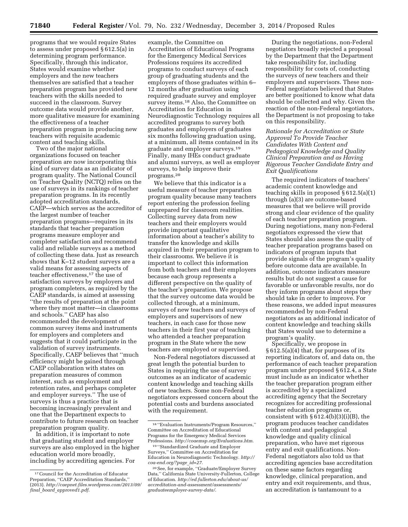programs that we would require States to assess under proposed § 612.5(a) in determining program performance. Specifically, through this indicator, States would examine whether employers and the new teachers themselves are satisfied that a teacher preparation program has provided new teachers with the skills needed to succeed in the classroom. Survey outcome data would provide another, more qualitative measure for examining the effectiveness of a teacher preparation program in producing new teachers with requisite academic content and teaching skills.

Two of the major national organizations focused on teacher preparation are now incorporating this kind of survey data as an indicator of program quality. The National Council on Teacher Quality (NCTQ) relies on the use of surveys in its rankings of teacher preparation programs. In its recently adopted accreditation standards, CAEP—which serves as the accreditor of the largest number of teacher preparation programs—requires in its standards that teacher preparation programs measure employer and completer satisfaction and recommend valid and reliable surveys as a method of collecting these data. Just as research shows that K–12 student surveys are a valid means for assessing aspects of teacher effectiveness,17 the use of satisfaction surveys by employers and program completers, as required by the CAEP standards, is aimed at assessing ''the results of preparation at the point where they most matter—in classrooms and schools.'' CAEP has also recommended the development of common survey items and instruments for employers and completers and suggests that it could participate in the validation of survey instruments. Specifically, CAEP believes that ''much efficiency might be gained through CAEP collaboration with states on preparation measures of common interest, such as employment and retention rates, and perhaps completer and employer surveys.'' The use of surveys is thus a practice that is becoming increasingly prevalent and one that the Department expects to contribute to future research on teacher preparation program quality.

In addition, it is important to note that graduating student and employer surveys are also employed in the higher education world more broadly, including by accrediting agencies. For

example, the Committee on Accreditation of Educational Programs for the Emergency Medical Services Professions requires its accredited programs to conduct surveys of each group of graduating students and the employers of those graduates within 6– 12 months after graduation using required graduate survey and employer survey items.<sup>18</sup> Also, the Committee on Accreditation for Education in Neurodiagnostic Technology requires all accredited programs to survey both graduates and employers of graduates six months following graduation using, at a minimum, all items contained in its graduate and employer surveys.19 Finally, many IHEs conduct graduate and alumni surveys, as well as employer surveys, to help improve their programs.20

We believe that this indicator is a useful measure of teacher preparation program quality because many teachers report entering the profession feeling unprepared for classroom realities. Collecting survey data from new teachers and their employers would provide important qualitative information about a teacher's ability to transfer the knowledge and skills acquired in their preparation program to their classrooms. We believe it is important to collect this information from both teachers and their employers because each group represents a different perspective on the quality of the teacher's preparation. We propose that the survey outcome data would be collected through, at a minimum, surveys of new teachers and surveys of employers and supervisors of new teachers, in each case for those new teachers in their first year of teaching who attended a teacher preparation program in the State where the new teachers are employed or supervised.

Non-Federal negotiators discussed at great length the potential burden to States in requiring the use of survey outcomes as an indicator of academic content knowledge and teaching skills of new teachers. Some non-Federal negotiators expressed concern about the potential costs and burdens associated with the requirement.

During the negotiations, non-Federal negotiators broadly rejected a proposal by the Department that the Department take responsibility for, including responsibility for costs of, conducting the surveys of new teachers and their employers and supervisors. These non-Federal negotiators believed that States are better positioned to know what data should be collected and why. Given the reaction of the non-Federal negotiators, the Department is not proposing to take on this responsibility.

*Rationale for Accreditation or State Approval To Provide Teacher Candidates With Content and Pedagogical Knowledge and Quality Clinical Preparation and as Having Rigorous Teacher Candidate Entry and Exit Qualifications* 

The required indicators of teachers' academic content knowledge and teaching skills in proposed § 612.5(a)(1) through (a)(3) are outcome-based measures that we believe will provide strong and clear evidence of the quality of each teacher preparation program. During negotiations, many non-Federal negotiators expressed the view that States should also assess the quality of teacher preparation programs based on indicators of program inputs that provide signals of the program's quality before outcome data are available. In addition, outcome indicators measure results but do not suggest a cause for favorable or unfavorable results, nor do they inform programs about steps they should take in order to improve. For these reasons, we added input measures recommended by non-Federal negotiators as an additional indicator of content knowledge and teaching skills that States would use to determine a program's quality.

Specifically, we propose in § 612.5(a)(4) that, for purposes of its reporting indicators of, and data on, the performance of each teacher preparation program under proposed § 612.4, a State must include as an indicator whether the teacher preparation program either is accredited by a specialized accrediting agency that the Secretary recognizes for accrediting professional teacher education programs or, consistent with  $§ 612.4(b)(3)(i)(B)$ , the program produces teacher candidates with content and pedagogical knowledge and quality clinical preparation, who have met rigorous entry and exit qualifications. Non-Federal negotiators also told us that accrediting agencies base accreditation on these same factors regarding knowledge, clinical preparation, and entry and exit requirements, and thus, an accreditation is tantamount to a

<sup>17</sup>Council for the Accreditation of Educator Preparation, ''CAEP Accreditation Standards,'' (2013). *[http://caepnet.files.wordpress.com/2013/09/](http://caepnet.files.wordpress.com/2013/09/final_board_approved1.pdf) final*\_*board*\_*[approved1.pdf](http://caepnet.files.wordpress.com/2013/09/final_board_approved1.pdf)*.

<sup>18</sup> ''Evaluation Instruments/Program Resources,'' Committee on Accreditation of Educational Programs for the Emergency Medical Services Professions. *<http://coaemsp.org/Evaluations.htm>*.

<sup>19</sup> ''Standardized Graduate and Employer Surveys,'' Committee on Accreditation for Education in Neurodiagnostic Technology. *[http://](http://coa-end.org/?page_id=27) [coa-end.org/?page](http://coa-end.org/?page_id=27)*\_*id=27*.

<sup>20</sup>See, for example, ''Graduate/Employer Survey Data,'' California State University-Fullerton, College of Education. *[http://ed.fullerton.edu/about-us/](http://ed.fullerton.edu/about-us/accreditation-and-assessment/assessments/graduateemployer-survey-data/) [accreditation-and-assessment/assessments/](http://ed.fullerton.edu/about-us/accreditation-and-assessment/assessments/graduateemployer-survey-data/) [graduateemployer-survey-data/](http://ed.fullerton.edu/about-us/accreditation-and-assessment/assessments/graduateemployer-survey-data/)*.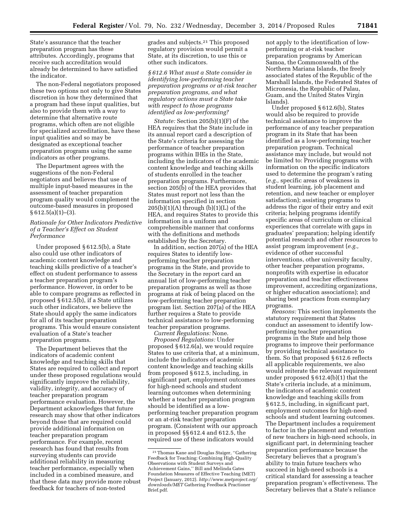State's assurance that the teacher preparation program has these attributes. Accordingly, programs that receive such accreditation would already be determined to have satisfied the indicator.

The non-Federal negotiators proposed these two options not only to give States discretion in how they determined that a program had these input qualities, but also to provide them with a way to determine that alternative route programs, which often are not eligible for specialized accreditation, have these input qualities and so may be designated as exceptional teacher preparation programs using the same indicators as other programs.

The Department agrees with the suggestions of the non-Federal negotiators and believes that use of multiple input-based measures in the assessment of teacher preparation program quality would complement the outcome-based measures in proposed  $§ 612.5(a)(1)–(3).$ 

# *Rationale for Other Indicators Predictive of a Teacher's Effect on Student Performance*

Under proposed § 612.5(b), a State also could use other indicators of academic content knowledge and teaching skills predictive of a teacher's effect on student performance to assess a teacher preparation program's performance. However, in order to be able to compare programs as reflected in proposed § 612.5(b), if a State utilizes such other indicators, we believe the State should apply the same indicators for all of its teacher preparation programs. This would ensure consistent evaluation of a State's teacher preparation programs.

The Department believes that the indicators of academic content knowledge and teaching skills that States are required to collect and report under these proposed regulations would significantly improve the reliability, validity, integrity, and accuracy of teacher preparation program performance evaluation. However, the Department acknowledges that future research may show that other indicators beyond those that are required could provide additional information on teacher preparation program performance. For example, recent research has found that results from surveying students can provide additional reliability in measuring teacher performance, especially when included in a combined measure, and that these data may provide more robust feedback for teachers of non-tested

grades and subjects.21 This proposed regulatory provision would permit a State, at its discretion, to use this or other such indicators.

*§ 612.6 What must a State consider in identifying low-performing teacher preparation programs or at-risk teacher preparation programs, and what regulatory actions must a State take with respect to those programs identified as low-performing?* 

*Statute:* Section 205(b)(1)(F) of the HEA requires that the State include in its annual report card a description of the State's criteria for assessing the performance of teacher preparation programs within IHEs in the State, including the indicators of the academic content knowledge and teaching skills of students enrolled in the teacher preparation programs. Furthermore, section 205(b) of the HEA provides that States must report not less than the information specified in section  $205(b)(1)(A)$  through  $(b)(1)(L)$  of the HEA, and requires States to provide this information in a uniform and comprehensible manner that conforms with the definitions and methods established by the Secretary.

In addition, section 207(a) of the HEA requires States to identify lowperforming teacher preparation programs in the State, and provide to the Secretary in the report card an annual list of low-performing teacher preparation programs as well as those programs at risk of being placed on the low-performing teacher preparation program list. Section 207(a) of the HEA further requires a State to provide technical assistance to low-performing teacher preparation programs.

*Current Regulations:* None. *Proposed Regulations:* Under proposed § 612.6(a), we would require States to use criteria that, at a minimum, include the indicators of academic content knowledge and teaching skills from proposed § 612.5, including, in significant part, employment outcomes for high-need schools and student learning outcomes when determining whether a teacher preparation program should be identified as a lowperforming teacher preparation program or an at-risk teacher preparation program. (Consistent with our approach in proposed §§ 612.4 and 612.5, the required use of these indicators would

not apply to the identification of lowperforming or at-risk teacher preparation programs by American Samoa, the Commonwealth of the Northern Mariana Islands, the freely associated states of the Republic of the Marshall Islands, the Federated States of Micronesia, the Republic of Palau, Guam, and the United States Virgin Islands).

Under proposed § 612.6(b), States would also be required to provide technical assistance to improve the performance of any teacher preparation program in its State that has been identified as a low-performing teacher preparation program. Technical assistance may include, but would not be limited to: Providing programs with information on the specific indicators used to determine the program's rating (*e.g.,* specific areas of weakness in student learning, job placement and retention, and new teacher or employer satisfaction); assisting programs to address the rigor of their entry and exit criteria; helping programs identify specific areas of curriculum or clinical experiences that correlate with gaps in graduates' preparation; helping identify potential research and other resources to assist program improvement (*e.g.,*  evidence of other successful interventions, other university faculty, other teacher preparation programs, nonprofits with expertise in educator preparation and teacher effectiveness improvement, accrediting organizations, or higher education associations); and sharing best practices from exemplary programs.

*Reasons:* This section implements the statutory requirement that States conduct an assessment to identify lowperforming teacher preparation programs in the State and help those programs to improve their performance by providing technical assistance to them. So that proposed § 612.6 reflects all applicable requirements, we also would reiterate the relevant requirement under proposed § 612.4(b)(1) that the State's criteria include, at a minimum, the indicators of academic content knowledge and teaching skills from § 612.5, including, in significant part, employment outcomes for high-need schools and student learning outcomes. The Department includes a requirement to factor in the placement and retention of new teachers in high-need schools, in significant part, in determining teacher preparation performance because the Secretary believes that a program's ability to train future teachers who succeed in high-need schools is a critical standard for assessing a teacher preparation program's effectiveness. The Secretary believes that a State's reliance

<sup>21</sup>Thomas Kane and Douglas Staiger, ''Gathering Feedback for Teaching: Combining High-Quality Observations with Student Surveys and Achievement Gains,'' Bill and Melinda Gates Foundation Measures of Effective Teaching (MET) Project (January, 2012). *[http://www.metproject.org/](http://www.metproject.org/downloads/MET) [downloads/MET](http://www.metproject.org/downloads/MET)* Gathering Feedback Practioner Brief.pdf.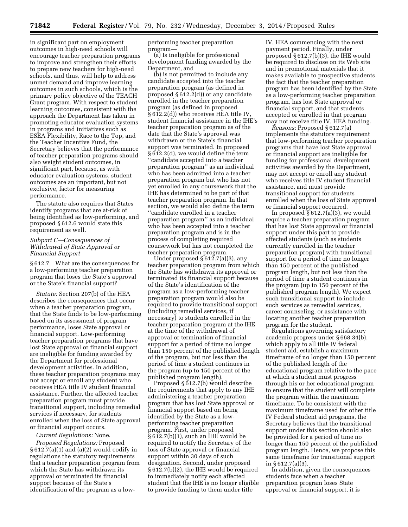in significant part on employment outcomes in high-need schools will encourage teacher preparation programs to improve and strengthen their efforts to prepare new teachers for high-need schools, and thus, will help to address unmet demand and improve learning outcomes in such schools, which is the primary policy objective of the TEACH Grant program. With respect to student learning outcomes, consistent with the approach the Department has taken in promoting educator evaluation systems in programs and initiatives such as ESEA Flexibility, Race to the Top, and the Teacher Incentive Fund, the Secretary believes that the performance of teacher preparation programs should also weight student outcomes, in significant part, because, as with educator evaluation systems, student outcomes are an important, but not exclusive, factor for measuring performance.

The statute also requires that States identify programs that are at-risk of being identified as low-performing, and proposed § 612.6 would state this requirement as well.

# *Subpart C—Consequences of Withdrawal of State Approval or Financial Support*

§ 612.7 What are the consequences for a low-performing teacher preparation program that loses the State's approval or the State's financial support?

*Statute:* Section 207(b) of the HEA describes the consequences that occur when a teacher preparation program, that the State finds to be low-performing based on its assessment of program performance, loses State approval or financial support. Low-performing teacher preparation programs that have lost State approval or financial support are ineligible for funding awarded by the Department for professional development activities. In addition, these teacher preparation programs may not accept or enroll any student who receives HEA title IV student financial assistance. Further, the affected teacher preparation program must provide transitional support, including remedial services if necessary, for students enrolled when the loss of State approval or financial support occurs.

#### *Current Regulations:* None.

*Proposed Regulations:* Proposed  $§ 612.7(a)(1)$  and  $(a)(2)$  would codify in regulations the statutory requirements that a teacher preparation program from which the State has withdrawn its approval or terminated its financial support because of the State's identification of the program as a lowperforming teacher preparation program—

(a) Is ineligible for professional development funding awarded by the Department, and

(b) is not permitted to include any candidate accepted into the teacher preparation program (as defined in proposed § 612.2(d)) or any candidate enrolled in the teacher preparation program (as defined in proposed § 612.2(d)) who receives HEA title IV, student financial assistance in the IHE's teacher preparation program as of the date that the State's approval was withdrawn or the State's financial support was terminated. In proposed § 612.2(d), we would define the term ''candidate accepted into a teacher preparation program'' as an individual who has been admitted into a teacher preparation program but who has not yet enrolled in any coursework that the IHE has determined to be part of that teacher preparation program. In that section, we would also define the term ''candidate enrolled in a teacher preparation program'' as an individual who has been accepted into a teacher preparation program and is in the process of completing required coursework but has not completed the teacher preparation program.

Under proposed  $\S$ 612.7(a)(3), any teacher preparation program from which the State has withdrawn its approval or terminated its financial support because of the State's identification of the program as a low-performing teacher preparation program would also be required to provide transitional support (including remedial services, if necessary) to students enrolled in the teacher preparation program at the IHE at the time of the withdrawal of approval or termination of financial support for a period of time no longer than 150 percent of the published length of the program, but not less than the period of time a student continues in the program (up to 150 percent of the published program length).

Proposed § 612.7(b) would describe the requirements that apply to any IHE administering a teacher preparation program that has lost State approval or financial support based on being identified by the State as a lowperforming teacher preparation program. First, under proposed § 612.7(b)(1), such an IHE would be required to notify the Secretary of the loss of State approval or financial support within 30 days of such designation. Second, under proposed § 612.7(b)(2), the IHE would be required to immediately notify each affected student that the IHE is no longer eligible to provide funding to them under title

IV, HEA commencing with the next payment period. Finally, under proposed § 612.7(b)(3), the IHE would be required to disclose on its Web site and in promotional materials that it makes available to prospective students the fact that the teacher preparation program has been identified by the State as a low-performing teacher preparation program, has lost State approval or financial support, and that students accepted or enrolled in that program may not receive title IV, HEA funding.

*Reasons:* Proposed § 612.7(a) implements the statutory requirement that low-performing teacher preparation programs that have lost State approval or financial support are ineligible for funding for professional development activities awarded by the Department, may not accept or enroll any student who receives title IV student financial assistance, and must provide transitional support for students enrolled when the loss of State approval or financial support occurred.

In proposed § 612.7(a)(3), we would require a teacher preparation program that has lost State approval or financial support under this part to provide affected students (such as students currently enrolled in the teacher preparation program) with transitional support for a period of time no longer than 150 percent of the published program length, but not less than the period of time a student continues in the program (up to 150 percent of the published program length). We expect such transitional support to include such services as remedial services, career counseling, or assistance with locating another teacher preparation program for the student.

Regulations governing satisfactory academic progress under § 668.34(b), which apply to all title IV federal student aid, establish a maximum timeframe of no longer than 150 percent of the published length of the educational program relative to the pace at which a student must progress through his or her educational program to ensure that the student will complete the program within the maximum timeframe. To be consistent with the maximum timeframe used for other title IV Federal student aid programs, the Secretary believes that the transitional support under this section should also be provided for a period of time no longer than 150 percent of the published program length. Hence, we propose this same timeframe for transitional support in  $§ 612.7(a)(3)$ 

In addition, given the consequences students face when a teacher preparation program loses State approval or financial support, it is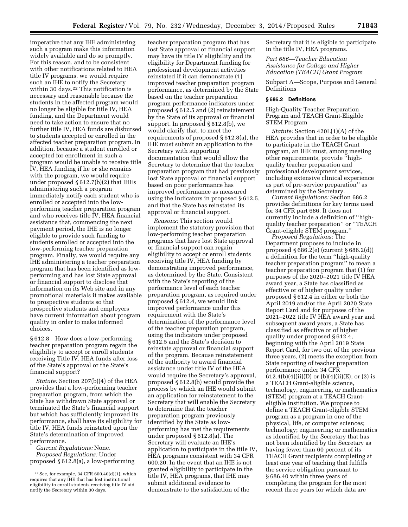imperative that any IHE administering such a program make this information widely available and do so promptly. For this reason, and to be consistent with other notifications related to HEA title IV programs, we would require such an IHE to notify the Secretary within 30 days.<sup>22</sup> This notification is necessary and reasonable because the students in the affected program would no longer be eligible for title IV, HEA funding, and the Department would need to take action to ensure that no further title IV, HEA funds are disbursed to students accepted or enrolled in the affected teacher preparation program. In addition, because a student enrolled or accepted for enrollment in such a program would be unable to receive title IV, HEA funding if he or she remains with the program, we would require under proposed § 612.7(b)(2) that IHEs administering such a program immediately notify each student who is enrolled or accepted into the lowperforming teacher preparation program and who receives title IV, HEA financial assistance that, commencing the next payment period, the IHE is no longer eligible to provide such funding to students enrolled or accepted into the low-performing teacher preparation program. Finally, we would require any IHE administering a teacher preparation program that has been identified as lowperforming and has lost State approval or financial support to disclose that information on its Web site and in any promotional materials it makes available to prospective students so that prospective students and employers have current information about program quality in order to make informed choices.

§ 612.8 How does a low-performing teacher preparation program regain the eligibility to accept or enroll students receiving Title IV, HEA funds after loss of the State's approval or the State's financial support?

*Statute:* Section 207(b)(4) of the HEA provides that a low-performing teacher preparation program, from which the State has withdrawn State approval or terminated the State's financial support but which has sufficiently improved its performance, shall have its eligibility for title IV, HEA funds reinstated upon the State's determination of improved performance.

*Current Regulations:* None. *Proposed Regulations:* Under proposed § 612.8(a), a low-performing

teacher preparation program that has lost State approval or financial support may have its title IV eligibility and its eligibility for Department funding for professional development activities reinstated if it can demonstrate (1) improved teacher preparation program performance, as determined by the State based on the teacher preparation program performance indicators under proposed § 612.5 and (2) reinstatement by the State of its approval or financial support. In proposed § 612.8(b), we would clarify that, to meet the requirements of proposed § 612.8(a), the IHE must submit an application to the Secretary with supporting documentation that would allow the Secretary to determine that the teacher preparation program that had previously lost State approval or financial support based on poor performance has improved performance as measured using the indicators in proposed § 612.5, and that the State has reinstated its approval or financial support.

*Reasons:* This section would implement the statutory provision that low-performing teacher preparation programs that have lost State approval or financial support can regain eligibility to accept or enroll students receiving title IV, HEA funding by demonstrating improved performance, as determined by the State. Consistent with the State's reporting of the performance level of each teacher preparation program, as required under proposed § 612.4, we would link improved performance under this requirement with the State's determination of the performance level of the teacher preparation program, using the indicators under proposed § 612.5 and the State's decision to reinstate approval or financial support of the program. Because reinstatement of the authority to award financial assistance under title IV of the HEA would require the Secretary's approval, proposed § 612.8(b) would provide the process by which an IHE would submit an application for reinstatement to the Secretary that will enable the Secretary to determine that the teacher preparation program previously identified by the State as lowperforming has met the requirements under proposed § 612.8(a). The Secretary will evaluate an IHE's application to participate in the title IV, HEA programs consistent with 34 CFR 600.20. In the event that an IHE is not granted eligibility to participate in the title IV, HEA programs, that IHE may submit additional evidence to demonstrate to the satisfaction of the

Secretary that it is eligible to participate in the title IV, HEA programs.

*Part 686—Teacher Education Assistance for College and Higher Education (TEACH) Grant Program* 

Subpart A—Scope, Purpose and General Definitions

#### **§ 686.2 Definitions**

High-Quality Teacher Preparation Program and TEACH Grant-Eligible STEM Program

*Statute:* Section 420L(1)(A) of the HEA provides that in order to be eligible to participate in the TEACH Grant program, an IHE must, among meeting other requirements, provide ''highquality teacher preparation and professional development services, including extensive clinical experience as part of pre-service preparation'' as determined by the Secretary.

*Current Regulations:* Section 686.2 provides definitions for key terms used for 34 CFR part 686. It does not currently include a definition of ''highquality teacher preparation'' or ''TEACH Grant-eligible STEM program.''

*Proposed Regulations:* The Department proposes to include in proposed § 686.2(e) (current § 686.2(d)) a definition for the term ''high-quality teacher preparation program'' to mean a teacher preparation program that (1) for purposes of the 2020–2021 title IV HEA award year, a State has classified as effective or of higher quality under proposed § 612.4 in either or both the April 2019 and/or the April 2020 State Report Card and for purposes of the 2021–2022 title IV HEA award year and subsequent award years, a State has classified as effective or of higher quality under proposed § 612.4, beginning with the April 2019 State Report Card, for two out of the previous three years, (2) meets the exception from State reporting of teacher preparation performance under 34 CFR 612.4(b)(4)(ii)(D) or (b)(4)(ii)(E), or (3) is a TEACH Grant-eligible science, technology, engineering, or mathematics (STEM) program at a TEACH Granteligible institution. We propose to define a TEACH Grant-eligible STEM program as a program in one of the physical, life, or computer sciences; technology; engineering; or mathematics as identified by the Secretary that has not been identified by the Secretary as having fewer than 60 percent of its TEACH Grant recipients completing at least one year of teaching that fulfills the service obligation pursuant to § 686.40 within three years of completing the program for the most recent three years for which data are

<sup>22</sup>See, for example, 34 CFR 600.40(d)(1), which requires that any IHE that has lost institutional eligibility to enroll students receiving title IV aid notify the Secretary within 30 days.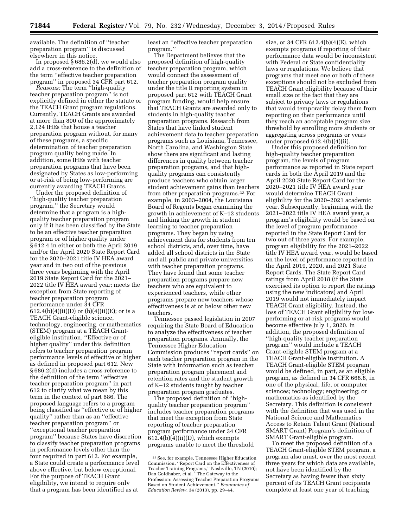available. The definition of ''teacher preparation program'' is discussed elsewhere in this notice.

In proposed § 686.2(d), we would also add a cross-reference to the definition of the term ''effective teacher preparation program'' in proposed 34 CFR part 612.

*Reasons:* The term ''high-quality teacher preparation program'' is not explicitly defined in either the statute or the TEACH Grant program regulations. Currently, TEACH Grants are awarded at more than 800 of the approximately 2,124 IHEs that house a teacher preparation program without, for many of these programs, a specific determination of teacher preparation program quality being made. In addition, some IHEs with teacher preparation programs that have been designated by States as low-performing or at-risk of being low-performing are currently awarding TEACH Grants.

Under the proposed definition of ''high-quality teacher preparation program,'' the Secretary would determine that a program is a highquality teacher preparation program only if it has been classified by the State to be an effective teacher preparation program or of higher quality under § 612.4 in either or both the April 2019 and/or the April 2020 State Report Card for the 2020–2021 title IV HEA award year and in two out of the previous three years beginning with the April 2019 State Report Card for the 2021– 2022 title IV HEA award year; meets the exception from State reporting of teacher preparation program performance under 34 CFR 612.4(b)(4)(ii)(D) or (b)(4)(ii)(E); or is a TEACH Grant-eligible science, technology, engineering, or mathematics (STEM) program at a TEACH Granteligible institution. ''Effective or of higher quality'' under this definition refers to teacher preparation program performance levels of effective or higher as defined in proposed part 612. New § 686.2(d) includes a cross-reference to the definition of the term ''effective teacher preparation program'' in part 612 to clarify what we mean by this term in the context of part 686. The proposed language refers to a program being classified as ''effective or of higher quality'' rather than as an ''effective teacher preparation program'' or ''exceptional teacher preparation program'' because States have discretion to classify teacher preparation programs in performance levels other than the four required in part 612. For example, a State could create a performance level above effective, but below exceptional. For the purpose of TEACH Grant eligibility, we intend to require only that a program has been identified as at

least an ''effective teacher preparation program.''

The Department believes that the proposed definition of high-quality teacher preparation program, which would connect the assessment of teacher preparation program quality under the title II reporting system in proposed part 612 with TEACH Grant program funding, would help ensure that TEACH Grants are awarded only to students in high-quality teacher preparation programs. Research from States that have linked student achievement data to teacher preparation programs such as Louisiana, Tennessee, North Carolina, and Washington State show there are significant and lasting differences in quality between teacher preparation programs, and that highquality programs can consistently produce teachers who obtain larger student achievement gains than teachers from other preparation programs.23 For example, in 2003–2004, the Louisiana Board of Regents began examining the growth in achievement of K–12 students and linking the growth in student learning to teacher preparation programs. They began by using achievement data for students from ten school districts, and, over time, have added all school districts in the State and all public and private universities with teacher preparation programs. They have found that some teacher preparation programs prepare new teachers who are equivalent to experienced teachers, while other programs prepare new teachers whose effectiveness is at or below other new teachers.

Tennessee passed legislation in 2007 requiring the State Board of Education to analyze the effectiveness of teacher preparation programs. Annually, the Tennessee Higher Education Commission produces ''report cards'' on each teacher preparation program in the State with information such as teacher preparation program placement and retention rates and the student growth of K–12 students taught by teacher preparation program graduates.

The proposed definition of ''highquality teacher preparation program'' includes teacher preparation programs that meet the exception from State reporting of teacher preparation program performance under 34 CFR  $612.4(b)(4)(ii)(D)$ , which exempts programs unable to meet the threshold size, or 34 CFR 612.4(b)(4)(E), which exempts programs if reporting of their performance data would be inconsistent with Federal or State confidentiality laws or regulations. We believe that programs that meet one or both of these exceptions should not be excluded from TEACH Grant eligibility because of their small size or the fact that they are subject to privacy laws or regulations that would temporarily delay them from reporting on their performance until they reach an acceptable program size threshold by enrolling more students or aggregating across programs or years under proposed 612.4(b)(4)(ii).

Under this proposed definition for high-quality teacher preparation program, the levels of program performance as reported in State report cards in both the April 2019 and the April 2020 State Report Card for the 2020–2021 title IV HEA award year would determine TEACH Grant eligibility for the 2020–2021 academic year. Subsequently, beginning with the 2021–2022 title IV HEA award year, a program's eligibility would be based on the level of program performance reported in the State Report Card for two out of three years. For example, program eligibility for the 2021–2022 title IV HEA award year, would be based on the level of performance reported in the April 2019, 2020, and 2021 State Report Cards. The State Report Card ratings from April 2018 (if the State exercised its option to report the ratings using the new indicators) and April 2019 would not immediately impact TEACH Grant eligibility. Instead, the loss of TEACH Grant eligibility for lowperforming or at-risk programs would become effective July 1, 2020. In addition, the proposed definition of ''high-quality teacher preparation program'' would include a TEACH Grant-eligible STEM program at a TEACH Grant-eligible institution. A TEACH Grant-eligible STEM program would be defined, in part, as an eligible program, as defined in 34 CFR 668.8, in one of the physical, life, or computer sciences; technology; engineering; or mathematics as identified by the Secretary. This definition is consistent with the definition that was used in the National Science and Mathematics Access to Retain Talent Grant (National SMART Grant) Program's definition of SMART Grant-eligible program.

To meet the proposed definition of a TEACH Grant-eligible STEM program, a program also must, over the most recent three years for which data are available, not have been identified by the Secretary as having fewer than sixty percent of its TEACH Grant recipients complete at least one year of teaching

<sup>23</sup>See, for example, Tennessee Higher Education Commission, ''Report Card on the Effectiveness of Teacher Training Programs,'' Nashville, TN (2010); Dan Goldhaber, et al. ''The Gateway to the Profession: Assessing Teacher Preparation Programs Based on Student Achievement.'' *Economics of Education Review,* 34 (2013), pp. 29–44.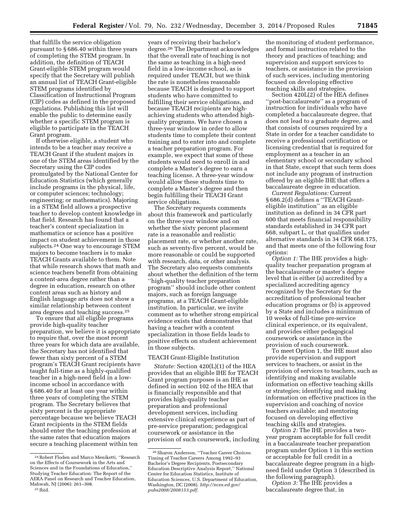that fulfills the service obligation pursuant to § 686.40 within three years of completing the STEM program. In addition, the definition of TEACH Grant-eligible STEM program would specify that the Secretary will publish an annual list of TEACH Grant-eligible STEM programs identified by Classification of Instructional Program (CIP) codes as defined in the proposed regulations. Publishing this list will enable the public to determine easily whether a specific STEM program is eligible to participate in the TEACH Grant program.

If otherwise eligible, a student who intends to be a teacher may receive a TEACH Grant if the student majors in one of the STEM areas identified by the Secretary using the CIP codes promulgated by the National Center for Education Statistics (which generally include programs in the physical, life, or computer sciences; technology; engineering; or mathematics). Majoring in a STEM field allows a prospective teacher to develop content knowledge in that field. Research has found that a teacher's content specialization in mathematics or science has a positive impact on student achievement in those subjects.24 One way to encourage STEM majors to become teachers is to make TEACH Grants available to them. Note that while research shows that math and science teachers benefit from obtaining a content-area degree rather than a degree in education, research on other content areas such as history and English language arts does not show a similar relationship between content area degrees and teaching success.25

To ensure that all eligible programs provide high-quality teacher preparation, we believe it is appropriate to require that, over the most recent three years for which data are available, the Secretary has not identified that fewer than sixty percent of a STEM program's TEACH Grant recipients have taught full-time as a highly-qualified teacher in a high-need field in a lowincome school in accordance with § 686.40 for at least one year within three years of completing the STEM program. The Secretary believes that sixty percent is the appropriate percentage because we believe TEACH Grant recipients in the STEM fields should enter the teaching profession at the same rates that education majors secure a teaching placement within ten

years of receiving their bachelor's degree.26 The Department acknowledges that the overall rate of teaching is not the same as teaching in a high-need field in a low-income school, as is required under TEACH, but we think the rate is nonetheless reasonable because TEACH is designed to support students who have committed to fulfilling their service obligations, and because TEACH recipients are highachieving students who attended highquality programs. We have chosen a three-year window in order to allow students time to complete their content training and to enter into and complete a teacher preparation program. For example, we expect that some of these students would need to enroll in and complete a Master's degree to earn a teaching license. A three-year window would allow these students time to complete a Master's degree and then begin fulfilling their TEACH Grant service obligations.

The Secretary requests comments about this framework and particularly on the three-year window and on whether the sixty percent placement rate is a reasonable and realistic placement rate, or whether another rate, such as seventy-five percent, would be more reasonable or could be supported with research, data, or other analysis. The Secretary also requests comments about whether the definition of the term ''high-quality teacher preparation program'' should include other content majors, such as foreign language programs, at a TEACH Grant-eligible institution. In particular, we invite comment as to whether strong empirical evidence exists that demonstrates that having a teacher with a content specialization in those fields leads to positive effects on student achievement in those subjects.

# TEACH Grant-Eligible Institution

*Statute:* Section 420(L)(1) of the HEA provides that an eligible IHE for TEACH Grant program purposes is an IHE as defined in section 102 of the HEA that is financially responsible and that provides high-quality teacher preparation and professional development services, including extensive clinical experience as part of pre-service preparation; pedagogical coursework or assistance in the provision of such coursework, including

the monitoring of student performance, and formal instruction related to the theory and practices of teaching; and supervision and support services to teachers, or assistance in the provision of such services, including mentoring focused on developing effective teaching skills and strategies.

Section 420L(2) of the HEA defines ''post-baccalaureate'' as a program of instruction for individuals who have completed a baccalaureate degree, that does not lead to a graduate degree, and that consists of courses required by a State in order for a teacher candidate to receive a professional certification or licensing credential that is required for employment as a teacher in an elementary school or secondary school in that State, except that such term does not include any program of instruction offered by an eligible IHE that offers a baccalaureate degree in education.

*Current Regulations:* Current § 686.2(d) defines a ''TEACH Granteligible institution'' as an eligible institution as defined in 34 CFR part 600 that meets financial responsibility standards established in 34 CFR part 668, subpart L, or that qualifies under alternative standards in 34 CFR 668.175, and that meets one of the following four options:

*Option 1:* The IHE provides a highquality teacher preparation program at the baccalaureate or master's degree level that is either (a) accredited by a specialized accrediting agency recognized by the Secretary for the accreditation of professional teacher education programs or (b) is approved by a State and includes a minimum of 10 weeks of full-time pre-service clinical experience, or its equivalent, and provides either pedagogical coursework or assistance in the provision of such coursework.

To meet Option 1, the IHE must also provide supervision and support services to teachers, or assist in the provision of services to teachers, such as identifying and making available information on effective teaching skills or strategies; identifying and making information on effective practices in the supervision and coaching of novice teachers available; and mentoring focused on developing effective teaching skills and strategies.

*Option 2:* The IHE provides a twoyear program acceptable for full credit in a baccalaureate teacher preparation program under Option 1 in this section or acceptable for full credit in a baccalaureate degree program in a highneed field under Option 3 (described in the following paragraph).

*Option 3:* The IHE provides a baccalaureate degree that, in

<sup>24</sup>Robert Floden and Marco Meniketti, ''Research on the Effects of Coursework in the Arts and Sciences and in the Foundations of Education,'' Studying Teacher Education: The Report of the AERA Panel on Research and Teacher Education, Mahwah, NJ (2006): 261–308.

<sup>25</sup> Ibid.

<sup>26</sup>Sharon Anderson, ''Teacher Career Choices: Timing of Teacher Careers Among 1992–93 Bachelor's Degree Recipients, Postsecondary Education Descriptive Analysis Report,'' National Center for Education Statistics, Institute of Education Sciences, U.S. Department of Education, Washington, DC (2008). *[http://nces.ed.gov/](http://nces.ed.gov/pubs2008/2008153.pdf) [pubs2008/2008153.pdf.](http://nces.ed.gov/pubs2008/2008153.pdf)*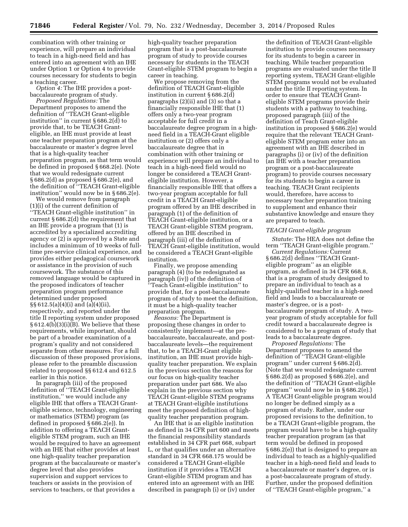combination with other training or experience, will prepare an individual to teach in a high-need field and has entered into an agreement with an IHE under Option 1 or Option 4 to provide courses necessary for students to begin a teaching career.

*Option 4:* The IHE provides a postbaccalaureate program of study.

*Proposed Regulations:* The Department proposes to amend the definition of ''TEACH Grant-eligible institution'' in current § 686.2(d) to provide that, to be TEACH Granteligible, an IHE must provide at least one teacher preparation program at the baccalaureate or master's degree level that is a high-quality teacher preparation program, as that term would be defined in proposed § 668.2(e). (Note that we would redesignate current § 686.2(d) as proposed § 686.2(e), and the definition of ''TEACH Grant-eligible institution'' would now be in § 686.2(e).

We would remove from paragraph (1)(i) of the current definition of ''TEACH Grant-eligible institution'' in current § 686.2(d) the requirement that an IHE provide a program that (1) is accredited by a specialized accrediting agency or (2) is approved by a State and includes a minimum of 10 weeks of fulltime pre-service clinical experience, and provides either pedagogical coursework or assistance in the provision of such coursework. The substance of this removed language would be captured in the proposed indicators of teacher preparation program performance determined under proposed §§ 612.5(a)(4)(i) and (a)(4)(ii), respectively, and reported under the title II reporting system under proposed § 612.4(b)(3)(i)(B). We believe that these requirements, while important, should be part of a broader examination of a program's quality and not considered separate from other measures. For a full discussion of these proposed provisions, please refer to the preamble discussion related to proposed §§ 612.4 and 612.5 earlier in this notice.

In paragraph (iii) of the proposed definition of ''TEACH Grant-eligible institution,'' we would include any eligible IHE that offers a TEACH Granteligible science, technology, engineering or mathematics (STEM) program (as defined in proposed § 686.2(e)). In addition to offering a TEACH Granteligible STEM program, such an IHE would be required to have an agreement with an IHE that either provides at least one high-quality teacher preparation program at the baccalaureate or master's degree level that also provides supervision and support services to teachers or assists in the provision of services to teachers, or that provides a

high-quality teacher preparation program that is a post-baccalaureate program of study to provide courses necessary for students in the TEACH Grant-eligible STEM program to begin a career in teaching.

We propose removing from the definition of TEACH Grant-eligible institution in current § 686.2(d) paragraphs (2)(ii) and (3) so that a financially responsible IHE that (1) offers only a two-year program acceptable for full credit in a baccalaureate degree program in a highneed field in a TEACH-Grant eligible institution or (2) offers only a baccalaureate degree that in combination with other training or experience will prepare an individual to teach in a high-need field would no longer be considered a TEACH Granteligible institution. However, a financially responsible IHE that offers a two-year program acceptable for full credit in a TEACH Grant-eligible program offered by an IHE described in paragraph (1) of the definition of TEACH Grant-eligible institution, or a TEACH Grant-eligible STEM program, offered by an IHE described in paragraph (iii) of the definition of TEACH Grant-eligible institution, would be considered a TEACH Grant-eligible institution.

Finally, we propose amending paragraph (4) (to be redesignated as paragraph (iv)) of the definition of ''Teach Grant-eligible institution'' to provide that, for a post-baccalaureate program of study to meet the definition, it must be a high-quality teacher preparation program.

*Reasons:* The Department is proposing these changes in order to consistently implement—at the prebaccalaureate, baccalaureate, and postbaccalaureate levels—the requirement that, to be a TEACH-Grant eligible institution, an IHE must provide highquality teacher preparation. We explain in the previous section the reasons for our focus on high-quality teacher preparation under part 686. We also explain in the previous section why TEACH Grant-eligible STEM programs at TEACH Grant-eligible institutions meet the proposed definition of highquality teacher preparation program.

An IHE that is an eligible institution as defined in 34 CFR part 600 and meets the financial responsibility standards established in 34 CFR part 668, subpart L, or that qualifies under an alternative standard in 34 CFR 668.175 would be considered a TEACH Grant-eligible institution if it provides a TEACH Grant-eligible STEM program and has entered into an agreement with an IHE described in paragraph (i) or (iv) under

the definition of TEACH Grant-eligible institution to provide courses necessary for its students to begin a career in teaching. While teacher preparation programs are evaluated under the title II reporting system, TEACH Grant-eligible STEM programs would not be evaluated under the title II reporting system. In order to ensure that TEACH Granteligible STEM programs provide their students with a pathway to teaching, proposed paragraph (iii) of the definition of Teach Grant-eligible institution in proposed § 686.2(e) would require that the relevant TEACH Granteligible STEM program enter into an agreement with an IHE described in paragraphs (i) or (iv) of the definition (an IHE with a teacher preparation program or a post-baccalaureate program) to provide courses necessary for its students to begin a career in teaching. TEACH Grant recipients would, therefore, have access to necessary teacher preparation training to supplement and enhance their substantive knowledge and ensure they are prepared to teach.

#### *TEACH Grant-eligible program*

*Statute:* The HEA does not define the term ''TEACH Grant-eligible program.''

*Current Regulations:* Current § 686.2(d) defines ''TEACH Granteligible program'' as an eligible program, as defined in 34 CFR 668.8, that is a program of study designed to prepare an individual to teach as a highly-qualified teacher in a high-need field and leads to a baccalaureate or master's degree, or is a postbaccalaureate program of study. A twoyear program of study acceptable for full credit toward a baccalaureate degree is considered to be a program of study that leads to a baccalaureate degree.

*Proposed Regulations:* The Department proposes to amend the definition of ''TEACH Grant-eligible program'' under current § 686.2(d). (Note that we would redesignate current § 686.2(d) as proposed § 686.2(e), and the definition of ''TEACH Grant-eligible program'' would now be in § 686.2(e).) A TEACH Grant-eligible program would no longer be defined simply as a program of study. Rather, under our proposed revisions to the definition, to be a TEACH Grant-eligible program, the program would have to be a high-quality teacher preparation program (as that term would be defined in proposed § 686.2(e)) that is designed to prepare an individual to teach as a highly-qualified teacher in a high-need field and leads to a baccalaureate or master's degree, or is a post-baccalaureate program of study. Further, under the proposed definition of ''TEACH Grant-eligible program,'' a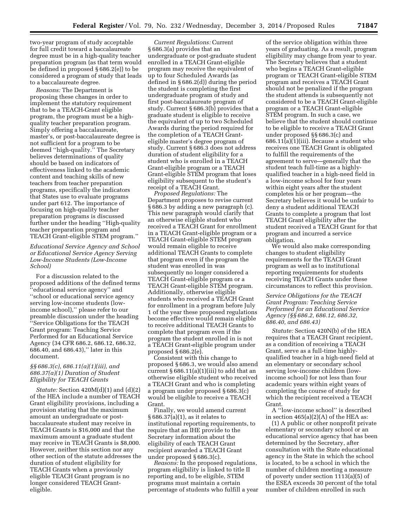two-year program of study acceptable for full credit toward a baccalaureate degree must be in a high-quality teacher preparation program (as that term would be defined in proposed § 686.2(e)) to be considered a program of study that leads to a baccalaureate degree.

*Reasons:* The Department is proposing these changes in order to implement the statutory requirement that to be a TEACH-Grant eligible program, the program must be a highquality teacher preparation program. Simply offering a baccalaureate, master's, or post-baccalaureate degree is not sufficient for a program to be deemed ''high-quality.'' The Secretary believes determinations of quality should be based on indicators of effectiveness linked to the academic content and teaching skills of new teachers from teacher preparation programs, specifically the indicators that States use to evaluate programs under part 612. The importance of focusing on high-quality teacher preparation programs is discussed further under the heading ''High-quality teacher preparation program and TEACH Grant-eligible STEM program.''

# *Educational Service Agency and School or Educational Service Agency Serving Low-Income Students (Low-Income School)*

For a discussion related to the proposed additions of the defined terms ''educational service agency'' and ''school or educational service agency serving low-income students (lowincome school),'' please refer to our preamble discussion under the heading ''Service Obligations for the TEACH Grant program: Teaching Service Performed for an Educational Service Agency (34 CFR 686.2, 686.12, 686.32, 686.40, and 686.43),'' later in this document.

# *§§ 686.3(c), 686.11(a)(1)(iii), and 686.37(a)(1) Duration of Student Eligibility for TEACH Grants*

*Statute:* Section 420M(d)(1) and (d)(2) of the HEA include a number of TEACH Grant eligibility provisions, including a provision stating that the maximum amount an undergraduate or postbaccalaureate student may receive in TEACH Grants is \$16,000 and that the maximum amount a graduate student may receive in TEACH Grants is \$8,000. However, neither this section nor any other section of the statute addresses the duration of student eligibility for TEACH Grants when a previously eligible TEACH Grant program is no longer considered TEACH Granteligible.

*Current Regulations:* Current § 686.3(a) provides that an undergraduate or post-graduate student enrolled in a TEACH Grant-eligible program may receive the equivalent of up to four Scheduled Awards (as defined in § 686.2(d)) during the period the student is completing the first undergraduate program of study and first post-baccalaureate program of study. Current § 686.3(b) provides that a graduate student is eligible to receive the equivalent of up to two Scheduled Awards during the period required for the completion of a TEACH Granteligible master's degree program of study. Current § 686.3 does not address duration of student eligibility for a student who is enrolled in a TEACH Grant-eligible program or a TEACH Grant-eligible STEM program that loses eligibility subsequent to the student's receipt of a TEACH Grant.

*Proposed Regulations:* The Department proposes to revise current § 686.3 by adding a new paragraph (c). This new paragraph would clarify that an otherwise eligible student who received a TEACH Grant for enrollment in a TEACH Grant-eligible program or a TEACH Grant-eligible STEM program would remain eligible to receive additional TEACH Grants to complete that program even if the program the student was enrolled in was subsequently no longer considered a TEACH Grant-eligible program or a TEACH Grant-eligible STEM program. Additionally, otherwise eligible students who received a TEACH Grant for enrollment in a program before July 1 of the year these proposed regulations become effective would remain eligible to receive additional TEACH Grants to complete that program even if the program the student enrolled in is not a TEACH Grant-eligible program under proposed § 686.2(e).

Consistent with this change to proposed § 686.3, we would also amend current  $§ 686.11(a)(1)(iii)$  to add that an otherwise eligible student who received a TEACH Grant and who is completing a program under proposed § 686.3(c) would be eligible to receive a TEACH Grant.

Finally, we would amend current § 686.37(a)(1), as it relates to institutional reporting requirements, to require that an IHE provide to the Secretary information about the eligibility of each TEACH Grant recipient awarded a TEACH Grant under proposed § 686.3(c).

*Reasons:* In the proposed regulations, program eligibility is linked to title II reporting and, to be eligible, STEM programs must maintain a certain percentage of students who fulfill a year of the service obligation within three years of graduating. As a result, program eligibility may change from year to year. The Secretary believes that a student who begins a TEACH Grant-eligible program or TEACH Grant-eligible STEM program and receives a TEACH Grant should not be penalized if the program the student attends is subsequently not considered to be a TEACH Grant-eligible program or a TEACH Grant-eligible STEM program. In such a case, we believe that the student should continue to be eligible to receive a TEACH Grant under proposed §§ 686.3(c) and 686.11(a)(1)(iii). Because a student who receives one TEACH Grant is obligated to fulfill the requirements of the agreement to serve—generally that the student teach full-time as a highlyqualified teacher in a high-need field in a low-income school for four years within eight years after the student completes his or her program—the Secretary believes it would be unfair to deny a student additional TEACH Grants to complete a program that lost TEACH Grant eligibility after the student received a TEACH Grant for that program and incurred a service obligation.

We would also make corresponding changes to student eligibility requirements for the TEACH Grant program as well as to institutional reporting requirements for students receiving TEACH Grants under these circumstances to reflect this provision.

*Service Obligations for the TEACH Grant Program: Teaching Service Performed for an Educational Service Agency (§§ 686.2, 686.12, 686.32, 686.40, and 686.43)* 

*Statute:* Section 420N(b) of the HEA requires that a TEACH Grant recipient, as a condition of receiving a TEACH Grant, serve as a full-time highlyqualified teacher in a high-need field at an elementary or secondary school serving low-income children (lowincome school) for not less than four academic years within eight years of completing the course of study for which the recipient received a TEACH Grant.

A ''low-income school'' is described in section  $465(a)(2)(A)$  of the HEA as:

(1) A public or other nonprofit private elementary or secondary school or an educational service agency that has been determined by the Secretary, after consultation with the State educational agency in the State in which the school is located, to be a school in which the number of children meeting a measure of poverty under section 1113(a)(5) of the ESEA exceeds 30 percent of the total number of children enrolled in such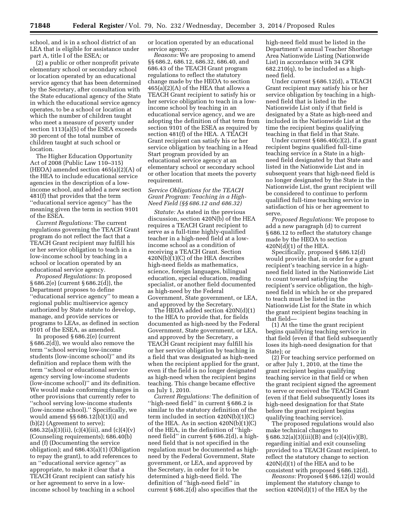school, and is in a school district of an LEA that is eligible for assistance under part A, title I of the ESEA; or

(2) a public or other nonprofit private elementary school or secondary school or location operated by an educational service agency that has been determined by the Secretary, after consultation with the State educational agency of the State in which the educational service agency operates, to be a school or location at which the number of children taught who meet a measure of poverty under section 1113(a)(5) of the ESEA exceeds 30 percent of the total number of children taught at such school or location.

The Higher Education Opportunity Act of 2008 (Public Law 110–315) (HEOA) amended section 465(a)(2)(A) of the HEA to include educational service agencies in the description of a lowincome school, and added a new section 481(f) that provides that the term ''educational service agency'' has the meaning given the term in section 9101 of the ESEA.

*Current Regulations:* The current regulations governing the TEACH Grant program do not reflect the fact that a TEACH Grant recipient may fulfill his or her service obligation to teach in a low-income school by teaching in a school or location operated by an educational service agency.

*Proposed Regulations:* In proposed § 686.2(e) (current § 686.2(d)), the Department proposes to define ''educational service agency'' to mean a regional public multiservice agency authorized by State statute to develop, manage, and provide services or programs to LEAs, as defined in section 9101 of the ESEA, as amended.

In proposed § 686.2(e) (current § 686.2(d)), we would also remove the term ''school serving low-income students (low-income school)'' and its definition and replace them with the term ''school or educational service agency serving low-income students (low-income school)'' and its definition. We would make conforming changes in other provisions that currently refer to ''school serving low-income students (low-income school).'' Specifically, we would amend §§ 686.12(b)(1)(i) and (b)(2) (Agreement to serve); 686.32(a)(3)(ii), (c)(4)(iii), and (c)(4)(v) (Counseling requirements); 686.40(b) and (f) (Documenting the service obligation); and 686.43(a)(1) (Obligation to repay the grant), to add references to an ''educational service agency'' as appropriate, to make it clear that a TEACH Grant recipient can satisfy his or her agreement to serve in a lowincome school by teaching in a school

or location operated by an educational service agency.

*Reasons:* We are proposing to amend §§ 686.2, 686.12, 686.32, 686.40, and 686.43 of the TEACH Grant program regulations to reflect the statutory change made by the HEOA to section 465(a)(2)(A) of the HEA that allows a TEACH Grant recipient to satisfy his or her service obligation to teach in a lowincome school by teaching in an educational service agency, and we are adopting the definition of that term from section 9101 of the ESEA as required by section 481(f) of the HEA. A TEACH Grant recipient can satisfy his or her service obligation by teaching in a Head Start program provided by an educational service agency at an elementary school or secondary school or other location that meets the poverty requirement.

# *Service Obligations for the TEACH Grant Program: Teaching in a High-Need Field (§§ 686.12 and 686.32)*

*Statute:* As stated in the previous discussion, section 420N(b) of the HEA requires a TEACH Grant recipient to serve as a full-time highly-qualified teacher in a high-need field at a lowincome school as a condition of receiving a TEACH Grant. Section 420N(b)(1)(C) of the HEA describes high-need fields as mathematics, science, foreign languages, bilingual education, special education, reading specialist, or another field documented as high-need by the Federal Government, State government, or LEA, and approved by the Secretary.

The HEOA added section 420N(d)(1) to the HEA to provide that, for fields documented as high-need by the Federal Government, State government, or LEA, and approved by the Secretary, a TEACH Grant recipient may fulfill his or her service obligation by teaching in a field that was designated as high-need when the recipient applied for the grant, even if the field is no longer designated as high-need when the recipient begins teaching. This change became effective on July 1, 2010.

*Current Regulations:* The definition of ''high-need field'' in current § 686.2 is similar to the statutory definition of the term included in section 420N(b)(1)(C) of the HEA. As in section 420N(b)(1)(C) of the HEA, in the definition of ''highneed field'' in current § 686.2(d), a highneed field that is not specified in the regulation must be documented as highneed by the Federal Government, State government, or LEA, and approved by the Secretary, in order for it to be determined a high-need field. The definition of ''high-need field'' in current § 686.2(d) also specifies that the

high-need field must be listed in the Department's annual Teacher Shortage Area Nationwide Listing (Nationwide List) in accordance with 34 CFR  $682.210(q)$ , to be included as a highneed field.

Under current § 686.12(d), a TEACH Grant recipient may satisfy his or her service obligation by teaching in a highneed field that is listed in the Nationwide List only if that field is designated by a State as high-need and included in the Nationwide List at the time the recipient begins qualifying teaching in that field in that State.

Under current  $\S 686.40(c)(2)$ , if a grant recipient begins qualified full-time teaching service in a State in a highneed field designated by that State and listed in the Nationwide List and in subsequent years that high-need field is no longer designated by the State in the Nationwide List, the grant recipient will be considered to continue to perform qualified full-time teaching service in satisfaction of his or her agreement to serve.

*Proposed Regulations:* We propose to add a new paragraph (d) to current § 686.12 to reflect the statutory change made by the HEOA to section  $420N(d)(1)$  of the HEA.

Specifically, proposed § 686.12(d) would provide that, in order for a grant recipient's teaching service in a highneed field listed in the Nationwide List to count toward satisfying the recipient's service obligation, the highneed field in which he or she prepared to teach must be listed in the Nationwide List for the State in which the grant recipient begins teaching in that field—

(1) At the time the grant recipient begins qualifying teaching service in that field (even if that field subsequently loses its high-need designation for that State); or

(2) For teaching service performed on or after July 1, 2010, at the time the grant recipient begins qualifying teaching service in that field or when the grant recipient signed the agreement to serve or received the TEACH Grant (even if that field subsequently loses its high-need designation for that State before the grant recipient begins qualifying teaching service).

The proposed regulations would also make technical changes to  $§ 686.32(a)(3)(iii)(B)$  and  $(c)(4)(iv)(B)$ , regarding initial and exit counseling provided to a TEACH Grant recipient, to reflect the statutory change to section 420N(d)(1) of the HEA and to be consistent with proposed § 686.12(d).

*Reasons:* Proposed § 686.12(d) would implement the statutory change to section 420N(d)(1) of the HEA by the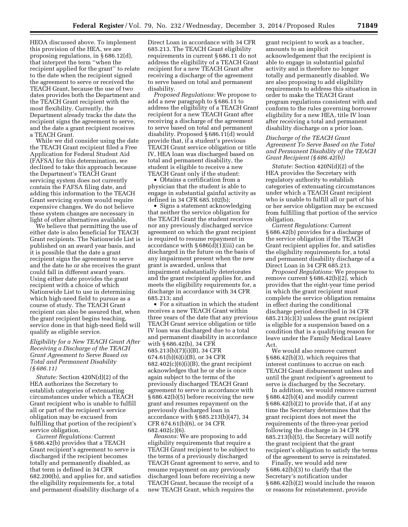HEOA discussed above. To implement this provision of the HEA, we are proposing regulations, in § 686.12(d), that interpret the term ''when the recipient applied for the grant'' to relate to the date when the recipient signed the agreement to serve or received the TEACH Grant, because the use of two dates provides both the Department and the TEACH Grant recipient with the most flexibility. Currently, the Department already tracks the date the recipient signs the agreement to serve, and the date a grant recipient receives a TEACH Grant.

While we did consider using the date the TEACH Grant recipient filed a Free Application for Federal Student Aid (FAFSA) for this determination, we declined to take this approach because the Department's TEACH Grant servicing system does not currently contain the FAFSA filing date, and adding this information to the TEACH Grant servicing system would require expensive changes. We do not believe these system changes are necessary in light of other alternatives available.

We believe that permitting the use of either date is also beneficial for TEACH Grant recipients. The Nationwide List is published on an award year basis, and it is possible that the date a grant recipient signs the agreement to serve and the date he or she receives the grant could fall in different award years. Using either date provides the grant recipient with a choice of which Nationwide List to use in determining which high-need field to pursue as a course of study. The TEACH Grant recipient can also be assured that, when the grant recipient begins teaching, service done in that high-need field will qualify as eligible service.

# *Eligibility for a New TEACH Grant After Receiving a Discharge of the TEACH Grant Agreement to Serve Based on Total and Permanent Disability (§ 686.11)*

*Statute:* Section 420N(d)(2) of the HEA authorizes the Secretary to establish categories of extenuating circumstances under which a TEACH Grant recipient who is unable to fulfill all or part of the recipient's service obligation may be excused from fulfilling that portion of the recipient's service obligation.

*Current Regulations:* Current § 686.42(b) provides that a TEACH Grant recipient's agreement to serve is discharged if the recipient becomes totally and permanently disabled, as that term is defined in 34 CFR 682.200(b), and applies for, and satisfies the eligibility requirements for, a total and permanent disability discharge of a

Direct Loan in accordance with 34 CFR 685.213. The TEACH Grant eligibility requirements in current § 686.11 do not address the eligibility of a TEACH Grant recipient for a new TEACH Grant after receiving a discharge of the agreement to serve based on total and permanent disability.

*Proposed Regulations:* We propose to add a new paragraph to § 686.11 to address the eligibility of a TEACH Grant recipient for a new TEACH Grant after receiving a discharge of the agreement to serve based on total and permanent disability. Proposed § 686.11(d) would provide that, if a student's previous TEACH Grant service obligation or title IV, HEA loan was discharged based on total and permanent disability, the student is eligible to receive a new TEACH Grant only if the student:

• Obtains a certification from a physician that the student is able to engage in substantial gainful activity as defined in 34 CFR 685.102(b);

• Signs a statement acknowledging that neither the service obligation for the TEACH Grant the student receives nor any previously discharged service agreement on which the grant recipient is required to resume repayment in accordance with § 686(d)(1)(iii) can be discharged in the future on the basis of any impairment present when the new grant is awarded, unless that impairment substantially deteriorates and the grant recipient applies for, and meets the eligibility requirements for, a discharge in accordance with 34 CFR 685.213; and

• For a situation in which the student receives a new TEACH Grant within three years of the date that any previous TEACH Grant service obligation or title IV loan was discharged due to a total and permanent disability in accordance with § 686.42(b), 34 CFR 685.213(b)(7)(i)(B), 34 CFR 674.61(b)(6)(i)(B), or 34 CFR  $682.402(c)(6)(i)(B)$ , the grant recipient acknowledges that he or she is once again subject to the terms of the previously discharged TEACH Grant agreement to serve in accordance with § 686.42(b)(5) before receiving the new grant and resumes repayment on the previously discharged loan in accordance with § 685.213(b)(47), 34 CFR 674.61(b)(6), or 34 CFR 682.402(c)(6).

*Reasons:* We are proposing to add eligibility requirements that require a TEACH Grant recipient to be subject to the terms of a previously discharged TEACH Grant agreement to serve, and to resume repayment on any previously discharged loan before receiving a new TEACH Grant, because the receipt of a new TEACH Grant, which requires the

grant recipient to work as a teacher, amounts to an implicit acknowledgement that the recipient is able to engage in substantial gainful activity and is therefore no longer totally and permanently disabled. We are also proposing to add eligibility requirements to address this situation in order to make the TEACH Grant program regulations consistent with and conform to the rules governing borrower eligibility for a new HEA, title IV loan after receiving a total and permanent disability discharge on a prior loan.

### *Discharge of the TEACH Grant Agreement To Serve Based on the Total and Permanent Disability of the TEACH Grant Recipient (§ 686.42(b))*

*Statute:* Section 420N(d)(2) of the HEA provides the Secretary with regulatory authority to establish categories of extenuating circumstances under which a TEACH Grant recipient who is unable to fulfill all or part of his or her service obligation may be excused from fulfilling that portion of the service obligation.

*Current Regulations:* Current § 686.42(b) provides for a discharge of the service obligation if the TEACH Grant recipient applies for, and satisfies the eligibility requirements for, a total and permanent disability discharge of a Direct Loan in 34 CFR 685.213.

*Proposed Regulations:* We propose to remove current § 686.42(b)(2), which provides that the eight-year time period in which the grant recipient must complete the service obligation remains in effect during the conditional discharge period described in 34 CFR 685.213(c)(3) unless the grant recipient is eligible for a suspension based on a condition that is a qualifying reason for leave under the Family Medical Leave Act.

We would also remove current § 686.42(b)(3), which requires that interest continues to accrue on each TEACH Grant disbursement unless and until the grant recipient's agreement to serve is discharged by the Secretary.

In addition, we would remove current § 686.42(b)(4) and modify current § 686.42(b)(2) to provide that, if at any time the Secretary determines that the grant recipient does not meet the requirements of the three-year period following the discharge in 34 CFR 685.213(b)(5), the Secretary will notify the grant recipient that the grant recipient's obligation to satisfy the terms of the agreement to serve is reinstated.

Finally, we would add new § 686.42(b)(3) to clarify that the Secretary's notification under § 686.42(b)(2) would include the reason or reasons for reinstatement, provide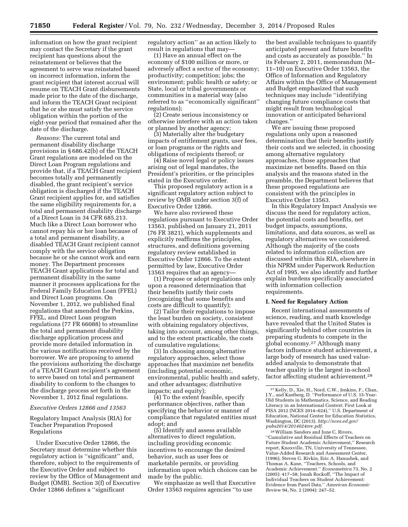information on how the grant recipient may contact the Secretary if the grant recipient has questions about the reinstatement or believes that the agreement to serve was reinstated based on incorrect information, inform the grant recipient that interest accrual will resume on TEACH Grant disbursements made prior to the date of the discharge, and inform the TEACH Grant recipient that he or she must satisfy the service obligation within the portion of the eight-year period that remained after the date of the discharge.

*Reasons:* The current total and permanent disability discharge provisions in § 686.42(b) of the TEACH Grant regulations are modeled on the Direct Loan Program regulations and provide that, if a TEACH Grant recipient becomes totally and permanently disabled, the grant recipient's service obligation is discharged if the TEACH Grant recipient applies for, and satisfies the same eligibility requirements for, a total and permanent disability discharge of a Direct Loan in 34 CFR 685.213. Much like a Direct Loan borrower who cannot repay his or her loan because of a total and permanent disability, a disabled TEACH Grant recipient cannot comply with the service obligation because he or she cannot work and earn money. The Department processes TEACH Grant applications for total and permanent disability in the same manner it processes applications for the Federal Family Education Loan (FFEL) and Direct Loan programs. On November 1, 2012, we published final regulations that amended the Perkins, FFEL, and Direct Loan program regulations (77 FR 66088) to streamline the total and permanent disability discharge application process and provide more detailed information in the various notifications received by the borrower. We are proposing to amend the provisions authorizing the discharge of a TEACH Grant recipient's agreement to serve based on total and permanent disability to conform to the changes to the discharge process set forth in the November 1, 2012 final regulations.

#### *Executive Orders 12866 and 13563*

# Regulatory Impact Analysis (RIA) for Teacher Preparation Proposed Regulations

Under Executive Order 12866, the Secretary must determine whether this regulatory action is ''significant'' and, therefore, subject to the requirements of the Executive Order and subject to review by the Office of Management and Budget (OMB). Section 3(f) of Executive Order 12866 defines a ''significant

regulatory action'' as an action likely to result in regulations that may—

(1) Have an annual effect on the economy of \$100 million or more, or adversely affect a sector of the economy; productivity; competition; jobs; the environment; public health or safety; or State, local or tribal governments or communities in a material way (also referred to as ''economically significant'' regulations);

(2) Create serious inconsistency or otherwise interfere with an action taken or planned by another agency;

(3) Materially alter the budgetary impacts of entitlement grants, user fees, or loan programs or the rights and obligations of recipients thereof; or

(4) Raise novel legal or policy issues arising out of legal mandates, the President's priorities, or the principles stated in the Executive order.

This proposed regulatory action is a significant regulatory action subject to review by OMB under section 3(f) of Executive Order 12866.

We have also reviewed these regulations pursuant to Executive Order 13563, published on January 21, 2011 (76 FR 3821), which supplements and explicitly reaffirms the principles, structures, and definitions governing regulatory review established in Executive Order 12866. To the extent permitted by law, Executive Order 13563 requires that an agency—

(1) Propose or adopt regulations only upon a reasoned determination that their benefits justify their costs (recognizing that some benefits and costs are difficult to quantify);

(2) Tailor their regulations to impose the least burden on society, consistent with obtaining regulatory objectives, taking into account, among other things, and to the extent practicable, the costs of cumulative regulations;

(3) In choosing among alternative regulatory approaches, select those approaches that maximize net benefits (including potential economic, environmental, public health and safety, and other advantages; distributive impacts; and equity);

(4) To the extent feasible, specify performance objectives, rather than specifying the behavior or manner of compliance that regulated entities must adopt; and

(5) Identify and assess available alternatives to direct regulation, including providing economic incentives to encourage the desired behavior, such as user fees or marketable permits, or providing information upon which choices can be made by the public.

We emphasize as well that Executive Order 13563 requires agencies ''to use

the best available techniques to quantify anticipated present and future benefits and costs as accurately as possible.'' In its February 2, 2011, memorandum (M– 11–10) on Executive Order 13563, the Office of Information and Regulatory Affairs within the Office of Management and Budget emphasized that such techniques may include ''identifying changing future compliance costs that might result from technological innovation or anticipated behavioral changes.''

We are issuing these proposed regulations only upon a reasoned determination that their benefits justify their costs and we selected, in choosing among alternative regulatory approaches, those approaches that maximize net benefits. Based on this analysis and the reasons stated in the preamble, the Department believes that these proposed regulations are consistent with the principles in Executive Order 13563.

In this Regulatory Impact Analysis we discuss the need for regulatory action, the potential costs and benefits, net budget impacts, assumptions, limitations, and data sources, as well as regulatory alternatives we considered. Although the majority of the costs related to information collection are discussed within this RIA, elsewhere in this NPRM under Paperwork Reduction Act of 1995, we also identify and further explain burdens specifically associated with information collection requirements.

#### **I. Need for Regulatory Action**

Recent international assessments of science, reading, and math knowledge have revealed that the United States is significantly behind other countries in preparing students to compete in the global economy.27 Although many factors influence student achievement, a large body of research has used valueadded analysis to demonstrate that teacher quality is the largest in-school factor affecting student achievement.28

28William Sanders and June C. Rivers, ''Cumulative and Residual Effects of Teachers on Future Student Academic Achievement,'' Research report, Knoxville, TN, University of Tennessee, Value-Added Research and Assessment Center, (1996); Steven G. Rivkin, Eric A. Hanushek, and Thomas A. Kane, ''Teachers, Schools, and Academic Achievement.'' *Econometrica* 73, No. 2 (2005): 417–58; Jonah Rockoff, ''The Impact of Individual Teachers on Student Achievement: Evidence from Panel Data.'' *American Economic Review* 94, No. 2 (2004): 247–52.

<sup>27</sup> Kelly, D., Xie, H., Nord, C.W., Jenkins, F., Chan, J.Y., and Kastberg, D. ''Performance of U.S. 15-Year-Old Students in Mathematics, Science, and Reading Literacy in an International Context: First Look at PISA 2012 (NCES 2014–024),'' U.S. Department of Education, National Center for Education Statistics, Washington, DC (2013). *[http://nces.ed.gov/](http://nces.ed.gov/pubs2014/2014024rev.pdf) [pubs2014/2014024rev.pdf.](http://nces.ed.gov/pubs2014/2014024rev.pdf)*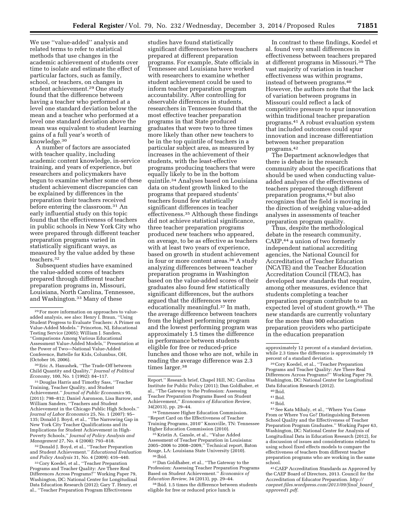We use ''value-added'' analysis and related terms to refer to statistical methods that use changes in the academic achievement of students over time to isolate and estimate the effect of particular factors, such as family, school, or teachers, on changes in student achievement.29 One study found that the difference between having a teacher who performed at a level one standard deviation below the mean and a teacher who performed at a level one standard deviation above the mean was equivalent to student learning gains of a full year's worth of knowledge.30

A number of factors are associated with teacher quality, including academic content knowledge, in-service training, and years of experience, but researchers and policymakers have begun to examine whether some of these student achievement discrepancies can be explained by differences in the preparation their teachers received before entering the classroom.31 An early influential study on this topic found that the effectiveness of teachers in public schools in New York City who were prepared through different teacher preparation programs varied in statistically significant ways, as measured by the value added by these teachers.32

Subsequent studies have examined the value-added scores of teachers prepared through different teacher preparation programs in, Missouri, Louisiana, North Carolina, Tennessee, and Washington.33 Many of these

30Eric A. Hanushek, ''The Trade-Off between Child Quantity and Quality,'' *Journal of Political Economy,* 100, No. 1 (1992): 84–117.

31 Douglas Harris and Timothy Sass, ''Teacher Training, Teacher Quality, and Student Achievement.'' *Journal of Public Economics* 95, (2011): 798–812; Daniel Aaronson, Lisa Barrow, and William Sanders, ''Teachers and Student Achievement in the Chicago Public High Schools.'' *Journal of Labor Economics* 25, No. 1 (2007): 95– 135; Donald J. Boyd, et al., ''The Narrowing Gap in New York City Teacher Qualifications and its Implications for Student Achievement in High-Poverty Schools,'' *Journal of Policy Analysis and Management* 27, No. 4 (2008): 793–818.

32 Donald J. Boyd, et al., ''Teacher Preparation and Student Achievement.'' *Educational Evaluation and Policy Analysis* 31, No. 4 (2009): 416–440.

33Cory Koedel, et al., ''Teacher Preparation Programs and Teacher Quality: Are There Real Differences Across Programs?'' Working Paper 79, Washington, DC: National Center for Longitudinal Data Education Research (2012); Gary T. Henry, et al., ''Teacher Preparation Program Effectiveness

studies have found statistically significant differences between teachers prepared at different preparation programs. For example, State officials in Tennessee and Louisiana have worked with researchers to examine whether student achievement could be used to inform teacher preparation program accountability. After controlling for observable differences in students, researchers in Tennessee found that the most effective teacher preparation programs in that State produced graduates that were two to three times more likely than other new teachers to be in the top quintile of teachers in a particular subject area, as measured by increases in the achievement of their students, with the least-effective programs producing teachers that were equally likely to be in the bottom quintile.34 Analyses based on Louisiana data on student growth linked to the programs that prepared students' teachers found few statistically significant differences in teacher effectiveness.35 Although these findings did not achieve statistical significance, three teacher preparation programs produced new teachers who appeared, on average, to be as effective as teachers with at least two years of experience, based on growth in student achievement in four or more content areas.36 A study analyzing differences between teacher preparation programs in Washington based on the value-added scores of their graduates also found few statistically significant differences, but the authors argued that the differences were educationally meaningful.37 In math, the average difference between teachers from the highest performing program and the lowest performing program was approximately 1.5 times the difference in performance between students eligible for free or reduced-price lunches and those who are not, while in reading the average difference was 2.3 times larger.<sup>38</sup>

34Tennessee Higher Education Commission. ''Report Card on the Effectiveness of Teacher Training Programs, 2010'' Knoxville, TN: Tennessee Higher Education Commission (2010).

35 Kristin A. Gansle, et al., ''Value Added Assessment of Teacher Preparation in Louisiana: 2005–2006 to 2008–2009,'' Technical report, Baton Rouge, LA: Louisiana State University (2010). 36 Ibid.

37 Dan Goldhaber, et al., ''The Gateway to the Profession: Assessing Teacher Preparation Programs Based on Student Achievement.'' *Economics of Education Review,* 34 (2013), pp. 29–44.

38 Ibid. 1.5 times the difference between students eligible for free or reduced price lunch is

In contrast to these findings, Koedel et al. found very small differences in effectiveness between teachers prepared at different programs in Missouri.39 The vast majority of variation in teacher effectiveness was within programs, instead of between programs.40 However, the authors note that the lack of variation between programs in Missouri could reflect a lack of competitive pressure to spur innovation within traditional teacher preparation programs.41 A robust evaluation system that included outcomes could spur innovation and increase differentiation between teacher preparation programs.42

The Department acknowledges that there is debate in the research community about the specifications that should be used when conducting valueadded analyses of the effectiveness of teachers prepared through different preparation programs,43 but also recognizes that the field is moving in the direction of weighing value-added analyses in assessments of teacher preparation program quality.

Thus, despite the methodological debate in the research community, CAEP,44 a union of two formerly independent national accrediting agencies, the National Council for Accreditation of Teacher Education (NCATE) and the Teacher Education Accreditation Council (TEAC), has developed new standards that require, among other measures, evidence that students completing a teacher preparation program contribute to an expected level of student growth.45 The new standards are currently voluntary for the more than 900 education preparation providers who participate in the education preparation

43See Kata Mihaly, et al., ''Where You Come From or Where You Go? Distinguishing Between School Quality and the Effectiveness of Teacher Preparation Program Graduates.'' Working Paper 63, Washington, DC: National Center for Analysis of Longitudinal Data in Education Research (2012), for a discussion of issues and considerations related to using school fixed effects models to compare the effectiveness of teachers from different teacher preparation programs who are working in the same school.

45CAEP Accreditation Standards as Approved by the CAEP Board of Directors, 2013. Council for the Accreditation of Educator Preparation. *[http://](http://caepnet.files.wordpress.com/2013/09/final_board_approved1.pdf) [caepnet.files.wordpress.com/2013/09/final](http://caepnet.files.wordpress.com/2013/09/final_board_approved1.pdf)*\_*board*\_ *[approved1.pdf](http://caepnet.files.wordpress.com/2013/09/final_board_approved1.pdf)*.

<sup>29</sup>For more information on approaches to valueadded analysis, see also: Henry I. Braun, ''Using Student Progress to Evaluate Teachers: A Primer on Value-Added Models.'' Princeton, NJ, Educational Testing Service (2005); William J. Sanders, ''Comparisons Among Various Educational Assessment Value-Added Models,'' Presentation at the Power of Two—National Value-Added Conference, Battelle for Kids, Columbus, OH, (October 16, 2006).

Report.'' Research brief, Chapel Hill, NC: Carolina Institute for Public Policy (2011); Dan Goldhaber, et al., ''The Gateway to the Profession: Assessing Teacher Preparation Programs Based on Student Achievement,'' *Economics of Education Review,*  34(2013), pp. 29–44.

approximately 12 percent of a standard deviation, while 2.3 times the difference is approximately 19 percent of a standard deviation.

<sup>39</sup>Cory Koedel, et al., ''Teacher Preparation Programs and Teacher Quality: Are There Real Differences Across Programs?'' Working Paper 79, Washington, DC: National Center for Longitudinal Data Education Research (2012).

 $\rm ^{40}$  Ibid.

<sup>41</sup> Ibid.

<sup>42</sup> Ibid.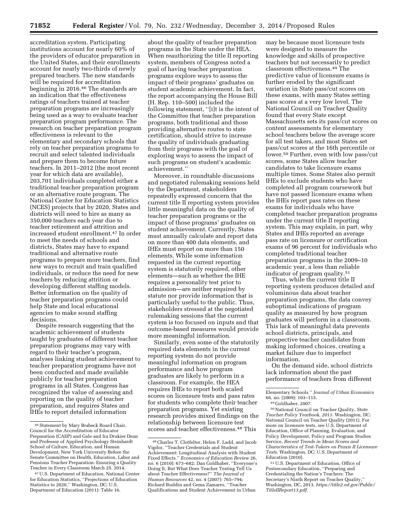accreditation system. Participating institutions account for nearly 60% of the providers of educator preparation in the United States, and their enrollments account for nearly two-thirds of newly prepared teachers. The new standards will be required for accreditation beginning in 2016.46 The standards are an indication that the effectiveness ratings of teachers trained at teacher preparation programs are increasingly being used as a way to evaluate teacher preparation program performance. The research on teacher preparation program effectiveness is relevant to the elementary and secondary schools that rely on teacher preparation programs to recruit and select talented individuals and prepare them to become future teachers. In 2011–2012 (the most recent year for which data are available), 203,701 individuals completed either a traditional teacher preparation program or an alternative route program. The National Center for Education Statistics (NCES) projects that by 2020, States and districts will need to hire as many as 350,000 teachers each year due to teacher retirement and attrition and increased student enrollment.47 In order to meet the needs of schools and districts, States may have to expand traditional and alternative route programs to prepare more teachers, find new ways to recruit and train qualified individuals, or reduce the need for new teachers by reducing attrition or developing different staffing models. Better information on the quality of teacher preparation programs could help State and local educational agencies to make sound staffing decisions.

Despite research suggesting that the academic achievement of students taught by graduates of different teacher preparation programs may vary with regard to their teacher's program, analyses linking student achievement to teacher preparation programs have not been conducted and made available publicly for teacher preparation programs in all States. Congress has recognized the value of assessing and reporting on the quality of teacher preparation, and requires States and IHEs to report detailed information

about the quality of teacher preparation programs in the State under the HEA. When reauthorizing the title II reporting system, members of Congress noted a goal of having teacher preparation programs explore ways to assess the impact of their programs' graduates on student academic achievement. In fact, the report accompanying the House Bill (H. Rep. 110–500) included the following statement, ''[i]t is the intent of the Committee that teacher preparation programs, both traditional and those providing alternative routes to state certification, should strive to increase the quality of individuals graduating from their programs with the goal of exploring ways to assess the impact of such programs on student's academic achievement.''

Moreover, in roundtable discussions and negotiated rulemaking sessions held by the Department, stakeholders repeatedly expressed concern that the current title II reporting system provides little meaningful data on the quality of teacher preparation programs or the impact of those programs' graduates on student achievement. Currently, States must annually calculate and report data on more than 400 data elements, and IHEs must report on more than 150 elements. While some information requested in the current reporting system is statutorily required, other elements—such as whether the IHE requires a personality test prior to admission—are neither required by statute nor provide information that is particularly useful to the public. Thus, stakeholders stressed at the negotiated rulemaking sessions that the current system is too focused on inputs and that outcome-based measures would provide more meaningful information.

Similarly, even some of the statutorily required data elements in the current reporting system do not provide meaningful information on program performance and how program graduates are likely to perform in a classroom. For example, the HEA requires IHEs to report both scaled scores on licensure tests and pass rates for students who complete their teacher preparation programs. Yet existing research provides mixed findings on the relationship between licensure test scores and teacher effectiveness.48 This

may be because most licensure tests were designed to measure the knowledge and skills of prospective teachers but not necessarily to predict classroom effectiveness.49 The predictive value of licensure exams is further eroded by the significant variation in State pass/cut scores on these exams, with many States setting pass scores at a very low level. The National Council on Teacher Quality found that every State except Massachusetts sets its pass/cut scores on content assessments for elementary school teachers below the average score for all test takers, and most States set pass/cut scores at the 16th percentile or lower.50 Further, even with low pass/cut scores, some States allow teacher candidates to take licensure exams multiple times. Some States also permit IHEs to exclude students who have completed all program coursework but have not passed licensure exams when the IHEs report pass rates on these exams for individuals who have completed teacher preparation programs under the current title II reporting system. This may explain, in part, why States and IHEs reported an average pass rate on licensure or certification exams of 96 percent for individuals who completed traditional teacher preparation programs in the 2009–10 academic year, a less than reliable indicator of program quality.51

Thus, while the current title II reporting system produces detailed and voluminous data about teacher preparation programs, the data convey suboptimal indications of program quality as measured by how program graduates will perform in a classroom. This lack of meaningful data prevents school districts, principals, and prospective teacher candidates from making informed choices, creating a market failure due to imperfect information.

On the demand side, school districts lack information about the past performance of teachers from different

50National Council on Teacher Quality, *State Teacher Policy Yearbook, 2011.* Washington, DC: National Council on Teacher Quality (2011). For more on licensure tests, see U.S. Department of Education, Office of Planning, Evaluation, and Policy Development, Policy and Program Studies Service, *Recent Trends in Mean Scores and Characteristics of Test-Takers on Praxis II Licensure Tests.* Washington, DC: U.S. Department of Education (2010).

51U.S. Department of Education, Office of Postsecondary Education, ''Preparing and Credentialing the Nation's Teachers: The Secretary's Ninth Report on Teacher Quality,'' Washington, DC, 2013. *[https://title2.ed.gov/Public/](https://title2.ed.gov/Public/TitleIIReport13.pdf) [TitleIIReport13.pdf](https://title2.ed.gov/Public/TitleIIReport13.pdf)*.

<sup>46</sup>Statement by Mary Brabeck Board Chair, Council for the Accreditation of Educator Preparation (CAEP) and Gale and Ira Drukier Dean and Professor of Applied Psychology Steinhardt School of Culture, Education, and Human Development, New York University Before the Senate Committee on Health, Education, Labor and Pensions Teacher Preparation: Ensuring a Quality Teacher in Every Classroom March 25, 2014.

<sup>47</sup>U.S. Department of Education, National Center for Education Statistics, ''Projections of Education Statistics to 2020,'' Washington, DC: U.S. Department of Education (2011): Table 16.

<sup>48</sup>Charles T. Clotfelter, Helen F. Ladd, and Jacob Vigdor, ''Teacher Credentials and Student Achievement: Longitudinal Analysis with Student Fixed Effects.'' *Economics of Education Review* 26, no. 6 (2010): 673–682; Dan Goldhaber, ''Everyone's Doing It, But What Does Teacher Testing Tell Us about Teacher Effectiveness?'' *The Journal of Human Resources* 42, no. 4 (2007): 765–794; Richard Buddin and Gema Zamarro, ''Teacher Qualifications and Student Achievement in Urban

Elementary Schools.'' *Journal of Urban Economics*  66, no. (2009): 103–115.

<sup>49</sup> Goldhaber, 2007.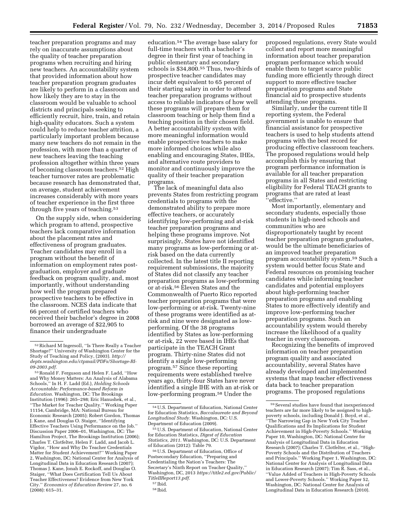teacher preparation programs and may rely on inaccurate assumptions about the quality of teacher preparation programs when recruiting and hiring new teachers. An accountability system that provided information about how teacher preparation program graduates are likely to perform in a classroom and how likely they are to stay in the classroom would be valuable to school districts and principals seeking to efficiently recruit, hire, train, and retain high-quality educators. Such a system could help to reduce teacher attrition, a particularly important problem because many new teachers do not remain in the profession, with more than a quarter of new teachers leaving the teaching profession altogether within three years of becoming classroom teachers.52 High teacher turnover rates are problematic because research has demonstrated that, on average, student achievement increases considerably with more years of teacher experience in the first three through five years of teaching.<sup>53</sup>

On the supply side, when considering which program to attend, prospective teachers lack comparative information about the placement rates and effectiveness of program graduates. Teacher candidates may enroll in a program without the benefit of information on employment rates postgraduation, employer and graduate feedback on program quality, and, most importantly, without understanding how well the program prepared prospective teachers to be effective in the classroom. NCES data indicate that 66 percent of certified teachers who received their bachelor's degree in 2008 borrowed an average of \$22,905 to finance their undergraduate

education.54 The average base salary for full-time teachers with a bachelor's degree in their first year of teaching in public elementary and secondary schools is \$34,800.55 Thus, two-thirds of prospective teacher candidates may incur debt equivalent to 65 percent of their starting salary in order to attend teacher preparation programs without access to reliable indicators of how well these programs will prepare them for classroom teaching or help them find a teaching position in their chosen field. A better accountability system with more meaningful information would enable prospective teachers to make more informed choices while also enabling and encouraging States, IHEs, and alternative route providers to monitor and continuously improve the quality of their teacher preparation programs.

The lack of meaningful data also prevents States from restricting program credentials to programs with the demonstrated ability to prepare more effective teachers, or accurately identifying low-performing and at-risk teacher preparation programs and helping these programs improve. Not surprisingly, States have not identified many programs as low-performing or atrisk based on the data currently collected. In the latest title II reporting requirement submissions, the majority of States did not classify any teacher preparation programs as low-performing or at-risk.56 Eleven States and the Commonwealth of Puerto Rico reported teacher preparation programs that were low-performing or at-risk. Twenty-nine of these programs were identified as atrisk and nine were designated as lowperforming. Of the 38 programs identified by States as low-performing or at-risk, 22 were based in IHEs that participate in the TEACH Grant program. Thirty-nine States did not identify a single low-performing program.57 Since these reporting requirements were established twelve years ago, thirty-four States have never identified a single IHE with an at-risk or low-performing program.58 Under the

proposed regulations, every State would collect and report more meaningful information about teacher preparation program performance which would enable them to target scarce public funding more efficiently through direct support to more effective teacher preparation programs and State financial aid to prospective students attending those programs.

Similarly, under the current title II reporting system, the Federal government is unable to ensure that financial assistance for prospective teachers is used to help students attend programs with the best record for producing effective classroom teachers. The proposed regulations would help accomplish this by ensuring that program performance information is available for all teacher preparation programs in all States and restricting eligibility for Federal TEACH grants to programs that are rated at least 'effective.'

Most importantly, elementary and secondary students, especially those students in high-need schools and communities who are disproportionately taught by recent teacher preparation program graduates, would be the ultimate beneficiaries of an improved teacher preparation program accountability system.59 Such a system would better focus State and Federal resources on promising teacher candidates while informing teacher candidates and potential employers about high-performing teacher preparation programs and enabling States to more effectively identify and improve low-performing teacher preparation programs. Such an accountability system would thereby increase the likelihood of a quality teacher in every classroom.

Recognizing the benefits of improved information on teacher preparation program quality and associated accountability, several States have already developed and implemented systems that map teacher effectiveness data back to teacher preparation programs. The proposed regulations

<sup>52</sup>Richard M Ingersoll, ''Is There Really a Teacher Shortage?'' University of Washington Center for the Study of Teaching and Policy, (2003). *[http://](http://depts.washington.edu/ctpmail/PDFs/Shortage-RI-09-2003.pdf) [depts.washington.edu/ctpmail/PDFs/Shortage-RI-](http://depts.washington.edu/ctpmail/PDFs/Shortage-RI-09-2003.pdf)[09-2003.pdf](http://depts.washington.edu/ctpmail/PDFs/Shortage-RI-09-2003.pdf)*.

<sup>53</sup>Ronald F. Ferguson and Helen F. Ladd, ''How and Why Money Matters: An Analysis of Alabama Schools,'' In H. F. Ladd (Ed.), *Holding Schools Accountable: Performance-based Reform in Education.* Washington, DC: The Brookings Institution (1996): 265–298; Eric Hanushek, et al., ''The Market for Teacher Quality.'' Working Paper 11154, Cambridge, MA: National Bureau for Economic Research (2005); Robert Gordon, Thomas J. Kane, and Douglas O. Staiger, ''Identifying Effective Teachers Using Performance on the Job.'' Discussion Paper 2006–01, Washington, DC: The Hamilton Project, The Brookings Institution (2006); Charles T. Clotfelter, Helen F. Ladd, and Jacob L. Vigdor, ''How and Why Do Teacher Credentials Matter for Student Achievement?'' Working Paper 2, Washington, DC: National Center for Analysis of Longitudinal Data in Education Research (2007); Thomas J. Kane, Jonah E. Rockoff, and Douglas O. Staiger, ''What Does Certification Tell Us About Teacher Effectiveness? Evidence from New York City.'' *Economics of Education Review* 27, no. 6 (2008): 615–31.

<sup>54</sup>U.S. Department of Education, National Center for Education Statistics, *Baccalaureate and Beyond Longitudinal Study.* Washington, DC: U.S. Department of Education (2009).

<sup>55</sup>U.S. Department of Education, National Center for Education Statistics, *Digest of Education Statistics, 2011.* Washington, DC: U.S. Department of Education (2012): Table 79.

<sup>56</sup>U.S. Department of Education, Office of Postsecondary Education, ''Preparing and Credentialing the Nation's Teachers: The Secretary's Ninth Report on Teacher Quality,'' Washington, DC, 2013 *[https://title2.ed.gov/Public/](https://title2.ed.gov/Public/TitleIIReport13.pdf) [TitleIIReport13.pdf](https://title2.ed.gov/Public/TitleIIReport13.pdf)*.

<sup>57</sup> Ibid.

<sup>58</sup> Ibid.

 $^{\rm 59}$  Several studies have found that in<br>experienced teachers are far more likely to be assigned to highpoverty schools, including Donald J. Boyd, et al., ''The Narrowing Gap in New York City Teacher Qualifications and Its Implications for Student Achievement in High-Poverty Schools.'' Working Paper 10, Washington, DC: National Center for Analysis of Longitudinal Data in Education Research (2007); Charles T. Clotfelter, et al., ''High-Poverty Schools and the Distribution of Teachers and Principals.'' Working Paper 1, Washington, DC: National Center for Analysis of Longitudinal Data in Education Research (2007); Tim R. Sass, et al., ''Value Added of Teachers in High-Poverty Schools and Lower-Poverty Schools.'' Working Paper 52, Washington, DC: National Center for Analysis of Longitudinal Data in Education Research (2010).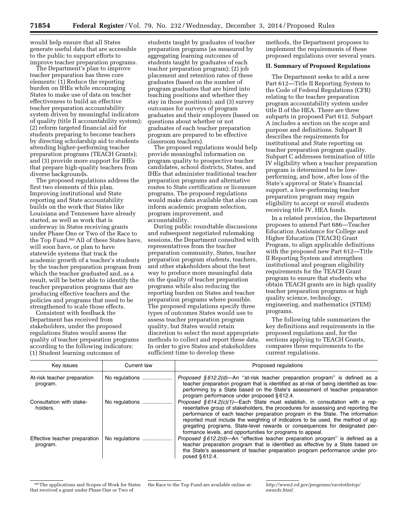would help ensure that all States generate useful data that are accessible to the public to support efforts to improve teacher preparation programs.

The Department's plan to improve teacher preparation has three core elements: (1) Reduce the reporting burden on IHEs while encouraging States to make use of data on teacher effectiveness to build an effective teacher preparation accountability system driven by meaningful indicators of quality (title II accountability system); (2) reform targeted financial aid for students preparing to become teachers by directing scholarship aid to students attending higher-performing teacher preparation programs (TEACH Grants); and (3) provide more support for IHEs that prepare high-quality teachers from diverse backgrounds.

The proposed regulations address the first two elements of this plan. Improving institutional and State reporting and State accountability builds on the work that States like Louisiana and Tennessee have already started, as well as work that is underway in States receiving grants under Phase One or Two of the Race to the Top Fund.60 All of these States have, will soon have, or plan to have statewide systems that track the academic growth of a teacher's students by the teacher preparation program from which the teacher graduated and, as a result, will be better able to identify the teacher preparation programs that are producing effective teachers and the policies and programs that need to be strengthened to scale those effects.

Consistent with feedback the Department has received from stakeholders, under the proposed regulations States would assess the quality of teacher preparation programs according to the following indicators: (1) Student learning outcomes of

students taught by graduates of teacher preparation programs (as measured by aggregating learning outcomes of students taught by graduates of each teacher preparation program); (2) job placement and retention rates of these graduates (based on the number of program graduates that are hired into teaching positions and whether they stay in those positions); and (3) survey outcomes for surveys of program graduates and their employers (based on questions about whether or not graduates of each teacher preparation program are prepared to be effective classroom teachers).

The proposed regulations would help provide meaningful information on program quality to prospective teacher candidates, school districts, States, and IHEs that administer traditional teacher preparation programs and alternative routes to State certification or licensure programs. The proposed regulations would make data available that also can inform academic program selection, program improvement, and accountability.

During public roundtable discussions and subsequent negotiated rulemaking sessions, the Department consulted with representatives from the teacher preparation community, States, teacher preparation program students, teachers, and other stakeholders about the best way to produce more meaningful data on the quality of teacher preparation programs while also reducing the reporting burden on States and teacher preparation programs where possible. The proposed regulations specify three types of outcomes States would use to assess teacher preparation program quality, but States would retain discretion to select the most appropriate methods to collect and report these data. In order to give States and stakeholders sufficient time to develop these

methods, the Department proposes to implement the requirements of these proposed regulations over several years.

#### **II. Summary of Proposed Regulations**

The Department seeks to add a new Part 612—Title II Reporting System to the Code of Federal Regulations (CFR) relating to the teacher preparation program accountability system under title II of the HEA. There are three subparts in proposed Part 612. Subpart A includes a section on the scope and purpose and definitions. Subpart B describes the requirements for institutional and State reporting on teacher preparation program quality. Subpart C addresses termination of title IV eligibility when a teacher preparation program is determined to be lowperforming, and how, after loss of the State's approval or State's financial support, a low-performing teacher preparation program may regain eligibility to accept or enroll students receiving title IV, HEA funds.

In a related provision, the Department proposes to amend Part 686—Teacher Education Assistance for College and Higher Education (TEACH) Grant Program, to align applicable definitions with the proposed new Part 612—Title II Reporting System and strengthen institutional and program eligibility requirements for the TEACH Grant program to ensure that students who obtain TEACH grants are in high quality teacher preparation programs or high quality science, technology, engineering, and mathematics (STEM) programs.

The following table summarizes the key definitions and requirements in the proposed regulations and, for the sections applying to TEACH Grants, compares these requirements to the current regulations.

| Key issues                                | Current law    | Proposed regulations                                                                                                                                                                                                                                                                                                                                                                                                         |
|-------------------------------------------|----------------|------------------------------------------------------------------------------------------------------------------------------------------------------------------------------------------------------------------------------------------------------------------------------------------------------------------------------------------------------------------------------------------------------------------------------|
| At-risk teacher preparation<br>program.   | No regulations | <i>Proposed §612.2(d)</i> —An "at-risk teacher preparation program" is defined as a<br>teacher preparation program that is identified as at-risk of being identified as low-<br>performing by a State based on the State's assessment of teacher preparation<br>program performance under proposed §612.4.                                                                                                                   |
| Consultation with stake-<br>holders.      | No regulations | <i>Proposed §614.2(c)(1)</i> —Each State must establish, in consultation with a rep-<br>resentative group of stakeholders, the procedures for assessing and reporting the<br>performance of each teacher preparation program in the State. The information<br>reported must include the weighting of indicators to be used, the method of ag-<br>gregating programs, State-level rewards or consequences for designated per- |
| Effective teacher preparation<br>program. | No regulations | formance levels, and opportunities for programs to appeal.<br>Proposed $§612.2$ (d)—An "effective teacher preparation program" is defined as a<br>teacher preparation program that is identified as effective by a State based on<br>the State's assessment of teacher preparation program performance under pro-<br>posed §612.4.                                                                                           |

<sup>60</sup>The applications and Scopes of Work for States that received a grant under Phase One or Two of

the Race to the Top Fund are available online at: *[http://www2.ed.gov/programs/racetothetop/](http://www2.ed.gov/programs/racetothetop/awards.html) [awards.html](http://www2.ed.gov/programs/racetothetop/awards.html)*.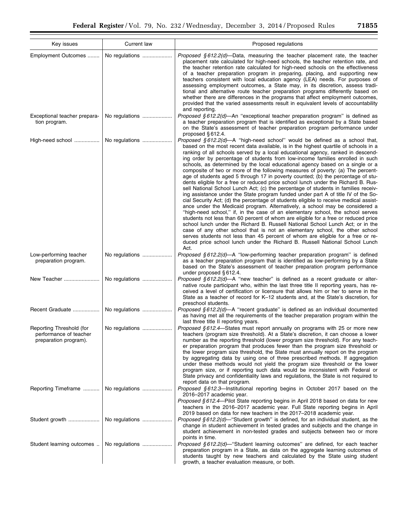| Key issues                                                                  | Current law    | Proposed regulations                                                                                                                                                                                                                                                                                                                                                                                                                                                                                                                                                                                                                                                                                                                                                                                                                                                                                                                                                                                                                                                                                                                                                                                                                                                                                                                                                                                                                                                                                                                                              |
|-----------------------------------------------------------------------------|----------------|-------------------------------------------------------------------------------------------------------------------------------------------------------------------------------------------------------------------------------------------------------------------------------------------------------------------------------------------------------------------------------------------------------------------------------------------------------------------------------------------------------------------------------------------------------------------------------------------------------------------------------------------------------------------------------------------------------------------------------------------------------------------------------------------------------------------------------------------------------------------------------------------------------------------------------------------------------------------------------------------------------------------------------------------------------------------------------------------------------------------------------------------------------------------------------------------------------------------------------------------------------------------------------------------------------------------------------------------------------------------------------------------------------------------------------------------------------------------------------------------------------------------------------------------------------------------|
| Employment Outcomes                                                         | No regulations | <i>Proposed §612.2(d)</i> —Data, measuring the teacher placement rate, the teacher<br>placement rate calculated for high-need schools, the teacher retention rate, and<br>the teacher retention rate calculated for high-need schools on the effectiveness<br>of a teacher preparation program in preparing, placing, and supporting new<br>teachers consistent with local education agency (LEA) needs. For purposes of<br>assessing employment outcomes, a State may, in its discretion, assess tradi-<br>tional and alternative route teacher preparation programs differently based on<br>whether there are differences in the programs that affect employment outcomes,<br>provided that the varied assessments result in equivalent levels of accountability<br>and reporting.                                                                                                                                                                                                                                                                                                                                                                                                                                                                                                                                                                                                                                                                                                                                                                              |
| Exceptional teacher prepara-<br>tion program.                               | No regulations | <i>Proposed §612.2(d)—An</i> "exceptional teacher preparation program" is defined as<br>a teacher preparation program that is identified as exceptional by a State based<br>on the State's assessment of teacher preparation program performance under<br>proposed §612.4.                                                                                                                                                                                                                                                                                                                                                                                                                                                                                                                                                                                                                                                                                                                                                                                                                                                                                                                                                                                                                                                                                                                                                                                                                                                                                        |
| High-need school                                                            | No regulations | <i>Proposed § 612.2(d)—A</i> "high-need school" would be defined as a school that,<br>based on the most recent data available, is in the highest quartile of schools in a<br>ranking of all schools served by a local educational agency, ranked in descend-<br>ing order by percentage of students from low-income families enrolled in such<br>schools, as determined by the local educational agency based on a single or a<br>composite of two or more of the following measures of poverty: (a) The percent-<br>age of students aged 5 through 17 in poverty counted; (b) the percentage of stu-<br>dents eligible for a free or reduced price school lunch under the Richard B. Rus-<br>sell National School Lunch Act; (c) the percentage of students in families receiv-<br>ing assistance under the State program funded under part A of title IV of the So-<br>cial Security Act; (d) the percentage of students eligible to receive medical assist-<br>ance under the Medicaid program. Alternatively, a school may be considered a<br>"high-need school," if, in the case of an elementary school, the school serves<br>students not less than 60 percent of whom are eligible for a free or reduced price<br>school lunch under the Richard B. Russell National School Lunch Act; or in the<br>case of any other school that is not an elementary school, the other school<br>serves students not less than 45 percent of whom are eligible for a free or re-<br>duced price school lunch under the Richard B. Russell National School Lunch<br>Act. |
| Low-performing teacher<br>preparation program.                              | No regulations | <i>Proposed §612.2(d)—A</i> "low-performing teacher preparation program" is defined<br>as a teacher preparation program that is identified as low-performing by a State<br>based on the State's assessment of teacher preparation program performance<br>under proposed $§ 612.4$ .                                                                                                                                                                                                                                                                                                                                                                                                                                                                                                                                                                                                                                                                                                                                                                                                                                                                                                                                                                                                                                                                                                                                                                                                                                                                               |
| New Teacher                                                                 | No regulations | <i>Proposed § 612.2(d)—A</i> "new teacher" is defined as a recent graduate or alter-<br>native route participant who, within the last three title II reporting years, has re-<br>ceived a level of certification or licensure that allows him or her to serve in the<br>State as a teacher of record for K–12 students and, at the State's discretion, for<br>preschool students.                                                                                                                                                                                                                                                                                                                                                                                                                                                                                                                                                                                                                                                                                                                                                                                                                                                                                                                                                                                                                                                                                                                                                                                 |
| Recent Graduate                                                             | No regulations | <i>Proposed § 612.2(d)—A</i> "recent graduate" is defined as an individual documented<br>as having met all the requirements of the teacher preparation program within the<br>last three title II reporting years.                                                                                                                                                                                                                                                                                                                                                                                                                                                                                                                                                                                                                                                                                                                                                                                                                                                                                                                                                                                                                                                                                                                                                                                                                                                                                                                                                 |
| Reporting Threshold (for<br>performance of teacher<br>preparation program). | No regulations | <i>Proposed § 612.4</i> —States must report annually on programs with 25 or more new<br>teachers (program size threshold). At a State's discretion, it can choose a lower<br>number as the reporting threshold (lower program size threshold). For any teach-<br>er preparation program that produces fewer than the program size threshold or<br>the lower program size threshold, the State must annually report on the program<br>by aggregating data by using one of three prescribed methods. If aggregation<br>under these methods would not yield the program size threshold or the lower<br>program size, or if reporting such data would be inconsistent with Federal or<br>State privacy and confidentiality laws and regulations, the State is not required to<br>report data on that program.                                                                                                                                                                                                                                                                                                                                                                                                                                                                                                                                                                                                                                                                                                                                                         |
| Reporting Timeframe                                                         | No regulations | <i>Proposed §612.3</i> —Institutional reporting begins in October 2017 based on the<br>2016-2017 academic year.<br><i>Proposed §612.4</i> —Pilot State reporting begins in April 2018 based on data for new<br>teachers in the 2016-2017 academic year. Full State reporting begins in April                                                                                                                                                                                                                                                                                                                                                                                                                                                                                                                                                                                                                                                                                                                                                                                                                                                                                                                                                                                                                                                                                                                                                                                                                                                                      |
| Student growth                                                              | No regulations | 2019 based on data for new teachers in the 2017-2018 academic year.<br>Proposed $§ 612.2(d)$ -"Student growth" is defined, for an individual student, as the<br>change in student achievement in tested grades and subjects and the change in<br>student achievement in non-tested grades and subjects between two or more<br>points in time.                                                                                                                                                                                                                                                                                                                                                                                                                                                                                                                                                                                                                                                                                                                                                                                                                                                                                                                                                                                                                                                                                                                                                                                                                     |
| Student learning outcomes                                                   | No regulations | Proposed §612.2(d)-"Student learning outcomes" are defined, for each teacher<br>preparation program in a State, as data on the aggregate learning outcomes of<br>students taught by new teachers and calculated by the State using student<br>growth, a teacher evaluation measure, or both.                                                                                                                                                                                                                                                                                                                                                                                                                                                                                                                                                                                                                                                                                                                                                                                                                                                                                                                                                                                                                                                                                                                                                                                                                                                                      |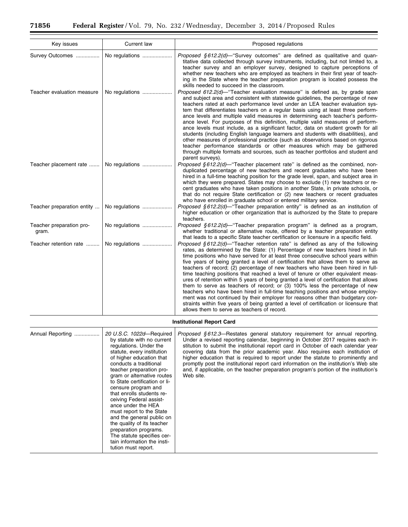۰

| Key issues                                    | Current law                                                                                                                                                                                                                                                                                                                                                                                                                                                                                                                                                              | Proposed regulations                                                                                                                                                                                                                                                                                                                                                                                                                                                                                                                                                                                                                                                                                                                                                                                                                                                                                                                                                                                         |
|-----------------------------------------------|--------------------------------------------------------------------------------------------------------------------------------------------------------------------------------------------------------------------------------------------------------------------------------------------------------------------------------------------------------------------------------------------------------------------------------------------------------------------------------------------------------------------------------------------------------------------------|--------------------------------------------------------------------------------------------------------------------------------------------------------------------------------------------------------------------------------------------------------------------------------------------------------------------------------------------------------------------------------------------------------------------------------------------------------------------------------------------------------------------------------------------------------------------------------------------------------------------------------------------------------------------------------------------------------------------------------------------------------------------------------------------------------------------------------------------------------------------------------------------------------------------------------------------------------------------------------------------------------------|
| Survey Outcomes<br>Teacher evaluation measure | No regulations<br>No regulations                                                                                                                                                                                                                                                                                                                                                                                                                                                                                                                                         | Proposed §612.2(d)-"Survey outcomes" are defined as qualitative and quan-<br>titative data collected through survey instruments, including, but not limited to, a<br>teacher survey and an employer survey, designed to capture perceptions of<br>whether new teachers who are employed as teachers in their first year of teach-<br>ing in the State where the teacher preparation program is located possess the<br>skills needed to succeed in the classroom.<br>Proposed 612.2(d)—"Teacher evaluation measure" is defined as, by grade span                                                                                                                                                                                                                                                                                                                                                                                                                                                              |
|                                               |                                                                                                                                                                                                                                                                                                                                                                                                                                                                                                                                                                          | and subject area and consistent with statewide guidelines, the percentage of new<br>teachers rated at each performance level under an LEA teacher evaluation sys-<br>tem that differentiates teachers on a regular basis using at least three perform-<br>ance levels and multiple valid measures in determining each teacher's perform-<br>ance level. For purposes of this definition, multiple valid measures of perform-<br>ance levels must include, as a significant factor, data on student growth for all<br>students (including English language learners and students with disabilities), and<br>other measures of professional practice (such as observations based on rigorous<br>teacher performance standards or other measures which may be gathered<br>through multiple formats and sources, such as teacher portfolios and student and<br>parent surveys).                                                                                                                                  |
| Teacher placement rate                        | No regulations                                                                                                                                                                                                                                                                                                                                                                                                                                                                                                                                                           | <i>Proposed § 612.2(d)</i> —"Teacher placement rate" is defined as the combined, non-<br>duplicated percentage of new teachers and recent graduates who have been<br>hired in a full-time teaching position for the grade level, span, and subject area in<br>which they were prepared. States may choose to exclude (1) new teachers or re-<br>cent graduates who have taken positions in another State, in private schools, or<br>that do not require State certification or (2) new teachers or recent graduates<br>who have enrolled in graduate school or entered military service.                                                                                                                                                                                                                                                                                                                                                                                                                     |
| Teacher preparation entity                    | No regulations                                                                                                                                                                                                                                                                                                                                                                                                                                                                                                                                                           | Proposed §612.2(d)-"Teacher preparation entity" is defined as an institution of<br>higher education or other organization that is authorized by the State to prepare<br>teachers.                                                                                                                                                                                                                                                                                                                                                                                                                                                                                                                                                                                                                                                                                                                                                                                                                            |
| Teacher preparation pro-<br>gram.             | No regulations                                                                                                                                                                                                                                                                                                                                                                                                                                                                                                                                                           | <i>Proposed § 612.2(d)</i> —"Teacher preparation program" is defined as a program,<br>whether traditional or alternative route, offered by a teacher preparation entity<br>that leads to a specific State teacher certification or licensure in a specific field.                                                                                                                                                                                                                                                                                                                                                                                                                                                                                                                                                                                                                                                                                                                                            |
| Teacher retention rate                        | No regulations                                                                                                                                                                                                                                                                                                                                                                                                                                                                                                                                                           | Proposed $§612.2(d)$ —"Teacher retention rate" is defined as any of the following<br>rates, as determined by the State: (1) Percentage of new teachers hired in full-<br>time positions who have served for at least three consecutive school years within<br>five years of being granted a level of certification that allows them to serve as<br>teachers of record; (2) percentage of new teachers who have been hired in full-<br>time teaching positions that reached a level of tenure or other equivalent meas-<br>ures of retention within 5 years of being granted a level of certification that allows<br>them to serve as teachers of record; or (3) 100% less the percentage of new<br>teachers who have been hired in full-time teaching positions and whose employ-<br>ment was not continued by their employer for reasons other than budgetary con-<br>straints within five years of being granted a level of certification or licensure that<br>allows them to serve as teachers of record. |
|                                               |                                                                                                                                                                                                                                                                                                                                                                                                                                                                                                                                                                          | <b>Institutional Report Card</b>                                                                                                                                                                                                                                                                                                                                                                                                                                                                                                                                                                                                                                                                                                                                                                                                                                                                                                                                                                             |
| Annual Reporting                              | 20 U.S.C. 1022d-Required<br>by statute with no current<br>regulations. Under the<br>statute, every institution<br>of higher education that<br>conducts a traditional<br>teacher preparation pro-<br>gram or alternative routes<br>to State certification or li-<br>censure program and<br>that enrolls students re-<br>ceiving Federal assist-<br>ance under the HEA<br>must report to the State<br>and the general public on<br>the quality of its teacher<br>preparation programs.<br>The statute specifies cer-<br>tain information the insti-<br>tution must report. | <i>Proposed §612.3</i> —Restates general statutory requirement for annual reporting.<br>Under a revised reporting calendar, beginning in October 2017 requires each in-<br>stitution to submit the institutional report card in October of each calendar year<br>covering data from the prior academic year. Also requires each institution of<br>higher education that is required to report under the statute to prominently and<br>promptly post the institutional report card information on the institution's Web site<br>and, if applicable, on the teacher preparation program's portion of the institution's<br>Web site.                                                                                                                                                                                                                                                                                                                                                                            |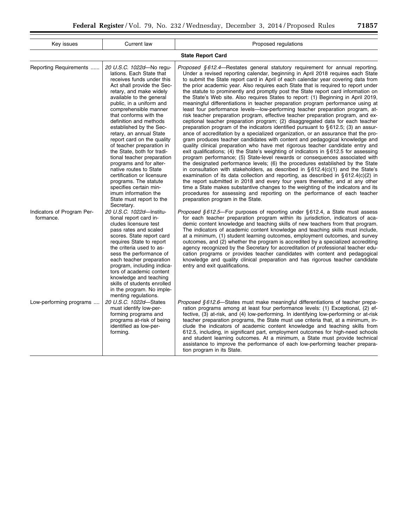| Key issues                              | Current law                                                                                                                                                                                                                                                                                                                                                                                                                                                                                                                                                                                                                                                          | Proposed regulations                                                                                                                                                                                                                                                                                                                                                                                                                                                                                                                                                                                                                                                                                                                                                                                                                                                                                                                                                                                                                                                                                                                                                                                                                                                                                                                                                                                                                                                                                                                                                                                                                                                                                                                                                                                                                                                                                                                                |
|-----------------------------------------|----------------------------------------------------------------------------------------------------------------------------------------------------------------------------------------------------------------------------------------------------------------------------------------------------------------------------------------------------------------------------------------------------------------------------------------------------------------------------------------------------------------------------------------------------------------------------------------------------------------------------------------------------------------------|-----------------------------------------------------------------------------------------------------------------------------------------------------------------------------------------------------------------------------------------------------------------------------------------------------------------------------------------------------------------------------------------------------------------------------------------------------------------------------------------------------------------------------------------------------------------------------------------------------------------------------------------------------------------------------------------------------------------------------------------------------------------------------------------------------------------------------------------------------------------------------------------------------------------------------------------------------------------------------------------------------------------------------------------------------------------------------------------------------------------------------------------------------------------------------------------------------------------------------------------------------------------------------------------------------------------------------------------------------------------------------------------------------------------------------------------------------------------------------------------------------------------------------------------------------------------------------------------------------------------------------------------------------------------------------------------------------------------------------------------------------------------------------------------------------------------------------------------------------------------------------------------------------------------------------------------------------|
|                                         |                                                                                                                                                                                                                                                                                                                                                                                                                                                                                                                                                                                                                                                                      | <b>State Report Card</b>                                                                                                                                                                                                                                                                                                                                                                                                                                                                                                                                                                                                                                                                                                                                                                                                                                                                                                                                                                                                                                                                                                                                                                                                                                                                                                                                                                                                                                                                                                                                                                                                                                                                                                                                                                                                                                                                                                                            |
| Reporting Requirements                  | 20 U.S.C. 1022d-No regu-<br>lations. Each State that<br>receives funds under this<br>Act shall provide the Sec-<br>retary, and make widely<br>available to the general<br>public, in a uniform and<br>comprehensible manner<br>that conforms with the<br>definition and methods<br>established by the Sec-<br>retary, an annual State<br>report card on the quality<br>of teacher preparation in<br>the State, both for tradi-<br>tional teacher preparation<br>programs and for alter-<br>native routes to State<br>certification or licensure<br>programs. The statute<br>specifies certain min-<br>imum information the<br>State must report to the<br>Secretary. | <i>Proposed §612.4</i> —Restates general statutory requirement for annual reporting.<br>Under a revised reporting calendar, beginning in April 2018 requires each State<br>to submit the State report card in April of each calendar year covering data from<br>the prior academic year. Also requires each State that is required to report under<br>the statute to prominently and promptly post the State report card information on<br>the State's Web site. Also requires States to report: (1) Beginning in April 2019,<br>meaningful differentiations in teacher preparation program performance using at<br>least four performance levels-low-performing teacher preparation program, at-<br>risk teacher preparation program, effective teacher preparation program, and ex-<br>ceptional teacher preparation program; (2) disaggregated data for each teacher<br>preparation program of the indicators identified pursuant to §612.5; (3) an assur-<br>ance of accreditation by a specialized organization, or an assurance that the pro-<br>gram produces teacher candidates with content and pedagogical knowledge and<br>quality clinical preparation who have met rigorous teacher candidate entry and<br>exit qualifications; (4) the State's weighting of indicators in §612.5 for assessing<br>program performance; (5) State-level rewards or consequences associated with<br>the designated performance levels; (6) the procedures established by the State<br>in consultation with stakeholders, as described in $\S 612.4(c)(1)$ and the State's<br>examination of its data collection and reporting, as described in §612.4(c)(2) in<br>the report submitted in 2018 and every four years thereafter, and at any other<br>time a State makes substantive changes to the weighting of the indicators and its<br>procedures for assessing and reporting on the performance of each teacher<br>preparation program in the State. |
| Indicators of Program Per-<br>formance. | 20 U.S.C. 1022d-Institu-<br>tional report card in-<br>cludes licensure test<br>pass rates and scaled<br>scores. State report card<br>requires State to report<br>the criteria used to as-<br>sess the performance of<br>each teacher preparation<br>program, including indica-<br>tors of academic content<br>knowledge and teaching<br>skills of students enrolled<br>in the program. No imple-                                                                                                                                                                                                                                                                     | <i>Proposed §612.5</i> —For purposes of reporting under §612.4, a State must assess<br>for each teacher preparation program within its jurisdiction, indicators of aca-<br>demic content knowledge and teaching skills of new teachers from that program.<br>The indicators of academic content knowledge and teaching skills must include,<br>at a minimum, (1) student learning outcomes, employment outcomes, and survey<br>outcomes, and (2) whether the program is accredited by a specialized accrediting<br>agency recognized by the Secretary for accreditation of professional teacher edu-<br>cation programs or provides teacher candidates with content and pedagogical<br>knowledge and quality clinical preparation and has rigorous teacher candidate<br>entry and exit qualifications.                                                                                                                                                                                                                                                                                                                                                                                                                                                                                                                                                                                                                                                                                                                                                                                                                                                                                                                                                                                                                                                                                                                                              |
| Low-performing programs                 | menting regulations.<br>20 U.S.C. 1022d-States<br>must identify low-per-<br>forming programs and<br>programs at-risk of being<br>identified as low-per-<br>forming.                                                                                                                                                                                                                                                                                                                                                                                                                                                                                                  | <i>Proposed §612.6</i> —States must make meaningful differentiations of teacher prepa-<br>ration programs among at least four performance levels: (1) Exceptional, (2) ef-<br>fective, (3) at-risk, and (4) low-performing. In identifying low-performing or at-risk<br>teacher preparation programs, the State must use criteria that, at a minimum, in-<br>clude the indicators of academic content knowledge and teaching skills from<br>612.5, including, in significant part, employment outcomes for high-need schools<br>and student learning outcomes. At a minimum, a State must provide technical<br>assistance to improve the performance of each low-performing teacher prepara-<br>tion program in its State.                                                                                                                                                                                                                                                                                                                                                                                                                                                                                                                                                                                                                                                                                                                                                                                                                                                                                                                                                                                                                                                                                                                                                                                                                          |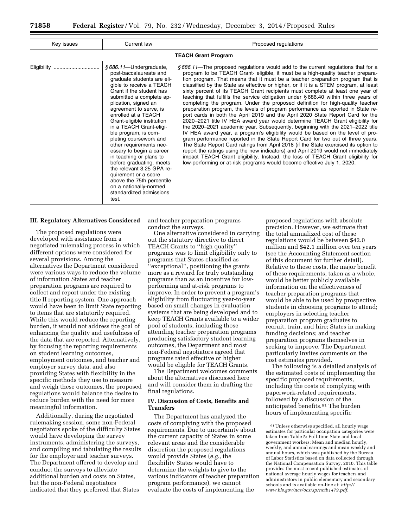| Key issues  | Current law                                                                                                                                                                                                                                                                                                                                                                                                                                                                                                                                                                                                          | Proposed regulations                                                                                                                                                                                                                                                                                                                                                                                                                                                                                                                                                                                                                                                                                                                                                                                                                                                                                                                                                                                                                                                                                                                                                                                                                                                                                                                                                                                                                                          |
|-------------|----------------------------------------------------------------------------------------------------------------------------------------------------------------------------------------------------------------------------------------------------------------------------------------------------------------------------------------------------------------------------------------------------------------------------------------------------------------------------------------------------------------------------------------------------------------------------------------------------------------------|---------------------------------------------------------------------------------------------------------------------------------------------------------------------------------------------------------------------------------------------------------------------------------------------------------------------------------------------------------------------------------------------------------------------------------------------------------------------------------------------------------------------------------------------------------------------------------------------------------------------------------------------------------------------------------------------------------------------------------------------------------------------------------------------------------------------------------------------------------------------------------------------------------------------------------------------------------------------------------------------------------------------------------------------------------------------------------------------------------------------------------------------------------------------------------------------------------------------------------------------------------------------------------------------------------------------------------------------------------------------------------------------------------------------------------------------------------------|
|             |                                                                                                                                                                                                                                                                                                                                                                                                                                                                                                                                                                                                                      | <b>TEACH Grant Program</b>                                                                                                                                                                                                                                                                                                                                                                                                                                                                                                                                                                                                                                                                                                                                                                                                                                                                                                                                                                                                                                                                                                                                                                                                                                                                                                                                                                                                                                    |
| Eligibility | §686.11-Undergraduate,<br>post-baccalaureate and<br>graduate students are eli-<br>gible to receive a TEACH<br>Grant if the student has<br>submitted a complete ap-<br>plication, signed an<br>agreement to serve, is<br>enrolled at a TEACH<br>Grant-eligible institution<br>in a TEACH Grant-eligi-<br>ble program, is com-<br>pleting coursework and<br>other requirements nec-<br>essary to begin a career<br>in teaching or plans to<br>before graduating, meets<br>the relevant 3.25 GPA re-<br>quirement or a score<br>above the 75th percentile<br>on a nationally-normed<br>standardized admissions<br>test. | \$686.11—The proposed regulations would add to the current regulations that for a<br>program to be TEACH Grant- eligible, it must be a high-quality teacher prepara-<br>tion program. That means that it must be a teacher preparation program that is<br>classified by the State as effective or higher, or if it is a STEM program, at least<br>sixty percent of its TEACH Grant recipients must complete at least one year of<br>teaching that fulfills the service obligation under §686.40 within three years of<br>completing the program. Under the proposed definition for high-quality teacher<br>preparation program, the levels of program performance as reported in State re-<br>port cards in both the April 2019 and the April 2020 State Report Card for the<br>2020-2021 title IV HEA award year would determine TEACH Grant eligibility for<br>the 2020–2021 academic year. Subsequently, beginning with the 2021–2022 title<br>IV HEA award year, a program's eligibility would be based on the level of pro-<br>gram performance reported in the State Report Card for two out of three years.<br>The State Report Card ratings from April 2018 (if the State exercised its option to<br>report the ratings using the new indicators) and April 2019 would not immediately<br>impact TEACH Grant eligibility. Instead, the loss of TEACH Grant eligibility for<br>low-performing or at-risk programs would become effective July 1, 2020. |

#### **III. Regulatory Alternatives Considered**

The proposed regulations were developed with assistance from a negotiated rulemaking process in which different options were considered for several provisions. Among the alternatives the Department considered were various ways to reduce the volume of information States and teacher preparation programs are required to collect and report under the existing title II reporting system. One approach would have been to limit State reporting to items that are statutorily required. While this would reduce the reporting burden, it would not address the goal of enhancing the quality and usefulness of the data that are reported. Alternatively, by focusing the reporting requirements on student learning outcomes, employment outcomes, and teacher and employer survey data, and also providing States with flexibility in the specific methods they use to measure and weigh these outcomes, the proposed regulations would balance the desire to reduce burden with the need for more meaningful information.

Additionally, during the negotiated rulemaking session, some non-Federal negotiators spoke of the difficulty States would have developing the survey instruments, administering the surveys, and compiling and tabulating the results for the employer and teacher surveys. The Department offered to develop and conduct the surveys to alleviate additional burden and costs on States, but the non-Federal negotiators indicated that they preferred that States

and teacher preparation programs conduct the surveys.

One alternative considered in carrying out the statutory directive to direct TEACH Grants to ''high quality'' programs was to limit eligibility only to programs that States classified as ''exceptional'', positioning the grants more as a reward for truly outstanding programs than as an incentive for lowperforming and at-risk programs to improve. In order to prevent a program's eligibility from fluctuating year-to-year based on small changes in evaluation systems that are being developed and to keep TEACH Grants available to a wider pool of students, including those attending teacher preparation programs producing satisfactory student learning outcomes, the Department and most non-Federal negotiators agreed that programs rated effective or higher would be eligible for TEACH Grants.

The Department welcomes comments about the alternatives discussed here and will consider them in drafting the final regulations.

# **IV. Discussion of Costs, Benefits and Transfers**

The Department has analyzed the costs of complying with the proposed requirements. Due to uncertainty about the current capacity of States in some relevant areas and the considerable discretion the proposed regulations would provide States (*e.g.,* the flexibility States would have to determine the weights to give to the various indicators of teacher preparation program performance), we cannot evaluate the costs of implementing the

proposed regulations with absolute precision. However, we estimate that the total annualized cost of these regulations would be between \$42.0 million and \$42.1 million over ten years (see the Accounting Statement section of this document for further detail). Relative to these costs, the major benefit of these requirements, taken as a whole, would be better publicly available information on the effectiveness of teacher preparation programs that would be able to be used by prospective students in choosing programs to attend; employers in selecting teacher preparation program graduates to recruit, train, and hire; States in making funding decisions; and teacher preparation programs themselves in seeking to improve. The Department particularly invites comments on the cost estimates provided.

The following is a detailed analysis of the estimated costs of implementing the specific proposed requirements, including the costs of complying with paperwork-related requirements, followed by a discussion of the anticipated benefits.61 The burden hours of implementing specific

<sup>61</sup>Unless otherwise specified, all hourly wage estimates for particular occupation categories were taken from Table 5: Full-time State and local government workers: Mean and median hourly, weekly, and annual earnings and mean weekly and annual hours, which was published by the Bureau of Labor Statistics based on data collected through the National Compensation Survey, 2010. This table provides the most recent published estimates of national average hourly wages for teachers and administrators in public elementary and secondary schools and is available on-line at: *[http://](http://www.bls.gov/ncs/ocs/sp/nctb1479.pdf) [www.bls.gov/ncs/ocs/sp/nctb1479.pdf](http://www.bls.gov/ncs/ocs/sp/nctb1479.pdf)*.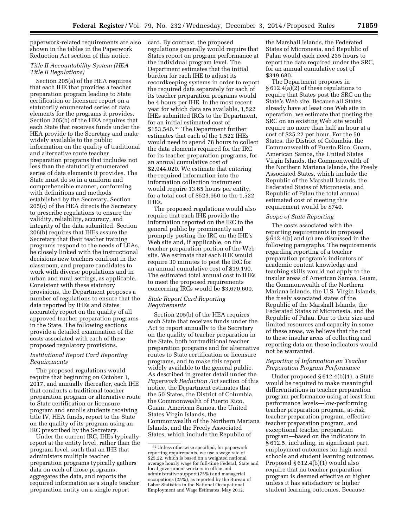paperwork-related requirements are also shown in the tables in the Paperwork Reduction Act section of this notice.

# *Title II Accountability System (HEA Title II Regulations)*

Section 205(a) of the HEA requires that each IHE that provides a teacher preparation program leading to State certification or licensure report on a statutorily enumerated series of data elements for the programs it provides. Section 205(b) of the HEA requires that each State that receives funds under the HEA provide to the Secretary and make widely available to the public information on the quality of traditional and alternative route teacher preparation programs that includes not less than the statutorily enumerated series of data elements it provides. The State must do so in a uniform and comprehensible manner, conforming with definitions and methods established by the Secretary. Section 205(c) of the HEA directs the Secretary to prescribe regulations to ensure the validity, reliability, accuracy, and integrity of the data submitted. Section 206(b) requires that IHEs assure the Secretary that their teacher training programs respond to the needs of LEAs, be closely linked with the instructional decisions new teachers confront in the classroom, and prepare candidates to work with diverse populations and in urban and rural settings, as applicable. Consistent with these statutory provisions, the Department proposes a number of regulations to ensure that the data reported by IHEs and States accurately report on the quality of all approved teacher preparation programs in the State. The following sections provide a detailed examination of the costs associated with each of these proposed regulatory provisions.

# *Institutional Report Card Reporting Requirements*

The proposed regulations would require that beginning on October 1, 2017, and annually thereafter, each IHE that conducts a traditional teacher preparation program or alternative route to State certification or licensure program and enrolls students receiving title IV, HEA funds, report to the State on the quality of its program using an IRC prescribed by the Secretary.

Under the current IRC, IHEs typically report at the entity level, rather than the program level, such that an IHE that administers multiple teacher preparation programs typically gathers data on each of those programs, aggregates the data, and reports the required information as a single teacher preparation entity on a single report

card. By contrast, the proposed regulations generally would require that States report on program performance at the individual program level. The Department estimates that the initial burden for each IHE to adjust its recordkeeping systems in order to report the required data separately for each of its teacher preparation programs would be 4 hours per IHE. In the most recent year for which data are available, 1,522 IHEs submitted IRCs to the Department, for an initial estimated cost of \$153,540.62 The Department further estimates that each of the 1,522 IHEs would need to spend 78 hours to collect the data elements required for the IRC for its teacher preparation programs, for an annual cumulative cost of \$2,944,020. We estimate that entering the required information into the information collection instrument would require 13.65 hours per entity, for a total cost of \$523,950 to the 1,522 IHEs.

The proposed regulations would also require that each IHE provide the information reported on the IRC to the general public by prominently and promptly posting the IRC on the IHE's Web site and, if applicable, on the teacher preparation portion of the Web site. We estimate that each IHE would require 30 minutes to post the IRC for an annual cumulative cost of \$19,190. The estimated total annual cost to IHEs to meet the proposed requirements concerning IRCs would be \$3,670,600.

## *State Report Card Reporting Requirements*

Section 205(b) of the HEA requires each State that receives funds under the Act to report annually to the Secretary on the quality of teacher preparation in the State, both for traditional teacher preparation programs and for alternative routes to State certification or licensure programs, and to make this report widely available to the general public. As described in greater detail under the *Paperwork Reduction Act* section of this notice, the Department estimates that the 50 States, the District of Columbia, the Commonwealth of Puerto Rico, Guam, American Samoa, the United States Virgin Islands, the Commonwealth of the Northern Mariana Islands, and the Freely Associated States, which include the Republic of

the Marshall Islands, the Federated States of Micronesia, and Republic of Palau would each need 235 hours to report the data required under the SRC, for an annual cumulative cost of \$349,680.

The Department proposes in § 612.4(a)(2) of these regulations to require that States post the SRC on the State's Web site. Because all States already have at least one Web site in operation, we estimate that posting the SRC on an existing Web site would require no more than half an hour at a cost of \$25.22 per hour. For the 50 States, the District of Columbia, the Commonwealth of Puerto Rico, Guam, American Samoa, the United States Virgin Islands, the Commonwealth of the Northern Mariana Islands, the Freely Associated States, which include the Republic of the Marshall Islands, the Federated States of Micronesia, and Republic of Palau the total annual estimated cost of meeting this requirement would be \$740.

#### *Scope of State Reporting*

The costs associated with the reporting requirements in proposed § 612.4(b) and (c) are discussed in the following paragraphs. The requirements regarding reporting of a teacher preparation program's indicators of academic content knowledge and teaching skills would not apply to the insular areas of American Samoa, Guam, the Commonwealth of the Northern Mariana Islands, the U.S. Virgin Islands, the freely associated states of the Republic of the Marshall Islands, the Federated States of Micronesia, and the Republic of Palau. Due to their size and limited resources and capacity in some of these areas, we believe that the cost to these insular areas of collecting and reporting data on these indicators would not be warranted.

# *Reporting of Information on Teacher Preparation Program Performance*

Under proposed § 612.4(b)(1), a State would be required to make meaningful differentiations in teacher preparation program performance using at least four performance levels—low-performing teacher preparation program, at-risk teacher preparation program, effective teacher preparation program, and exceptional teacher preparation program—based on the indicators in § 612.5, including, in significant part, employment outcomes for high-need schools and student learning outcomes. Proposed § 612.4(b)(1) would also require that no teacher preparation program is deemed effective or higher unless it has satisfactory or higher student learning outcomes. Because

<sup>62</sup>Unless otherwise specified, for paperwork reporting requirements, we use a wage rate of \$25.22, which is based on a weighted national average hourly wage for full-time Federal, State and local government workers in office and administrative support (75%) and managerial occupations (25%), as reported by the Bureau of Labor Statistics in the National Occupational Employment and Wage Estimates, May 2012.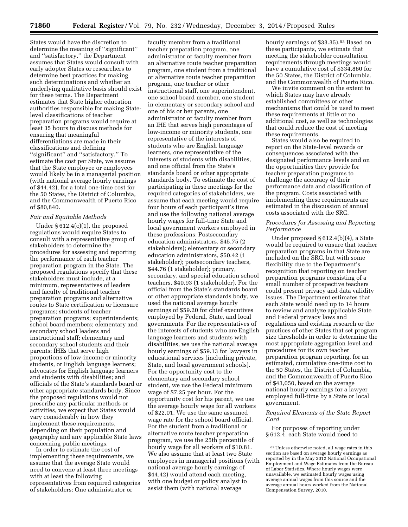States would have the discretion to determine the meaning of ''significant'' and ''satisfactory,'' the Department assumes that States would consult with early adopter States or researchers to determine best practices for making such determinations and whether an underlying qualitative basis should exist for these terms. The Department estimates that State higher education authorities responsible for making Statelevel classifications of teacher preparation programs would require at least 35 hours to discuss methods for ensuring that meaningful differentiations are made in their classifications and defining ''significant'' and ''satisfactory.'' To estimate the cost per State, we assume that the State employee or employees would likely be in a managerial position (with national average hourly earnings of \$44.42), for a total one-time cost for the 50 States, the District of Columbia, and the Commonwealth of Puerto Rico of \$80,840.

#### *Fair and Equitable Methods*

Under § 612.4(c)(1), the proposed regulations would require States to consult with a representative group of stakeholders to determine the procedures for assessing and reporting the performance of each teacher preparation program in the State. The proposed regulations specify that these stakeholders must include, at a minimum, representatives of leaders and faculty of traditional teacher preparation programs and alternative routes to State certification or licensure programs; students of teacher preparation programs; superintendents; school board members; elementary and secondary school leaders and instructional staff; elementary and secondary school students and their parents; IHEs that serve high proportions of low-income or minority students, or English language learners; advocates for English language learners and students with disabilities; and officials of the State's standards board or other appropriate standards body. Since the proposed regulations would not prescribe any particular methods or activities, we expect that States would vary considerably in how they implement these requirements, depending on their population and geography and any applicable State laws concerning public meetings.

In order to estimate the cost of implementing these requirements, we assume that the average State would need to convene at least three meetings with at least the following representatives from required categories of stakeholders: One administrator or

faculty member from a traditional teacher preparation program, one administrator or faculty member from an alternative route teacher preparation program, one student from a traditional or alternative route teacher preparation program, one teacher or other instructional staff, one superintendent, one school board member, one student in elementary or secondary school and one of his or her parents, one administrator or faculty member from an IHE that serves high percentages of low-income or minority students, one representative of the interests of students who are English language learners, one representative of the interests of students with disabilities, and one official from the State's standards board or other appropriate standards body. To estimate the cost of participating in these meetings for the required categories of stakeholders, we assume that each meeting would require four hours of each participant's time and use the following national average hourly wages for full-time State and local government workers employed in these professions: Postsecondary education administrators, \$45.75 (2 stakeholders); elementary or secondary education administrators, \$50.42 (1 stakeholder); postsecondary teachers, \$44.76 (1 stakeholder); primary, secondary, and special education school teachers, \$40.93 (1 stakeholder). For the official from the State's standards board or other appropriate standards body, we used the national average hourly earnings of \$59.20 for chief executives employed by Federal, State, and local governments. For the representatives of the interests of students who are English language learners and students with disabilities, we use the national average hourly earnings of \$59.13 for lawyers in educational services (including private, State, and local government schools). For the opportunity cost to the elementary and secondary school student, we use the Federal minimum wage of \$7.25 per hour. For the opportunity cost for his parent, we use the average hourly wage for all workers of \$22.01. We use the same assumed wage rate for the school board official. For the student from a traditional or alternative route teacher preparation program, we use the 25th percentile of hourly wage for all workers of \$10.81. We also assume that at least two State employees in managerial positions (with national average hourly earnings of \$44.42) would attend each meeting, with one budget or policy analyst to assist them (with national average

hourly earnings of \$33.35).<sup>63</sup> Based on these participants, we estimate that meeting the stakeholder consultation requirements through meetings would have a cumulative cost of \$334,860 for the 50 States, the District of Columbia, and the Commonwealth of Puerto Rico.

We invite comment on the extent to which States may have already established committees or other mechanisms that could be used to meet these requirements at little or no additional cost, as well as technologies that could reduce the cost of meeting these requirements.

States would also be required to report on the State-level rewards or consequences associated with the designated performance levels and on the opportunities they provide for teacher preparation programs to challenge the accuracy of their performance data and classification of the program. Costs associated with implementing these requirements are estimated in the discussion of annual costs associated with the SRC.

# *Procedures for Assessing and Reporting Performance*

Under proposed § 612.4(b)(4), a State would be required to ensure that teacher preparation programs in that State are included on the SRC, but with some flexibility due to the Department's recognition that reporting on teacher preparation programs consisting of a small number of prospective teachers could present privacy and data validity issues. The Department estimates that each State would need up to 14 hours to review and analyze applicable State and Federal privacy laws and regulations and existing research or the practices of other States that set program size thresholds in order to determine the most appropriate aggregation level and procedures for its own teacher preparation program reporting, for an estimated, cumulative one-time cost to the 50 States, the District of Columbia, and the Commonwealth of Puerto Rico of \$43,050, based on the average national hourly earnings for a lawyer employed full-time by a State or local government.

*Required Elements of the State Report Card* 

For purposes of reporting under § 612.4, each State would need to

<sup>63</sup>Unless otherwise noted, all wage rates in this section are based on average hourly earnings as reported by in the May 2012 National Occupational Employment and Wage Estimates from the Bureau of Labor Statistics. Where hourly wages were unavailable, we estimated hourly wages using average annual wages from this source and the average annual hours worked from the National Compensation Survey, 2010.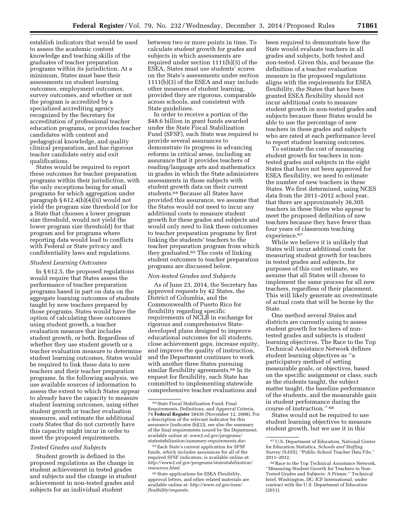establish indicators that would be used to assess the academic content knowledge and teaching skills of the graduates of teacher preparation programs within its jurisdiction. At a minimum, States must base their assessments on student learning outcomes, employment outcomes, survey outcomes, and whether or not the program is accredited by a specialized accrediting agency recognized by the Secretary for accreditation of professional teacher education programs, or provides teacher candidates with content and pedagogical knowledge, and quality clinical preparation, and has rigorous teacher candidate entry and exit qualifications.

States would be required to report these outcomes for teacher preparation programs within their jurisdiction, with the only exceptions being for small programs for which aggregation under paragraph  $§ 612.4(b)(4)(ii)$  would not yield the program size threshold (or for a State that chooses a lower program size threshold, would not yield the lower program size threshold) for that program and for programs where reporting data would lead to conflicts with Federal or State privacy and confidentiality laws and regulations.

## *Student Learning Outcomes*

In § 612.5, the proposed regulations would require that States assess the performance of teacher preparation programs based in part on data on the aggregate learning outcomes of students taught by new teachers prepared by those programs. States would have the option of calculating these outcomes using student growth, a teacher evaluation measure that includes student growth, or both. Regardless of whether they use student growth or a teacher evaluation measure to determine student learning outcomes, States would be required to link these data to new teachers and their teacher preparation programs. In the following analysis, we use available sources of information to assess the extent to which States appear to already have the capacity to measure student learning outcomes, using either student growth or teacher evaluation measures, and estimate the additional costs States that do not currently have this capacity might incur in order to meet the proposed requirements.

#### *Tested Grades and Subjects*

Student growth is defined in the proposed regulations as the change in student achievement in tested grades and subjects and the change in student achievement in non-tested grades and subjects for an individual student

between two or more points in time. To calculate student growth for grades and subjects in which assessments are required under section 1111(b)(3) of the ESEA, States must use students' scores on the State's assessments under section 1111(b)(3) of the ESEA and may include other measures of student learning, provided they are rigorous, comparable across schools, and consistent with State guidelines.

In order to receive a portion of the \$48.6 billion in grant funds awarded under the State Fiscal Stabilization Fund (SFSF), each State was required to provide several assurances to demonstrate its progress in advancing reforms in critical areas, including an assurance that it provides teachers of reading/language arts and mathematics in grades in which the State administers assessments in those subjects with student growth data on their current students.64 Because all States have provided this assurance, we assume that the States would not need to incur any additional costs to measure student growth for these grades and subjects and would only need to link these outcomes to teacher preparation programs by first linking the students' teachers to the teacher preparation program from which they graduated.65 The costs of linking student outcomes to teacher preparation programs are discussed below.

#### *Non-tested Grades and Subjects*

As of June 23, 2014, the Secretary has approved requests by 42 States, the District of Columbia, and the Commonwealth of Puerto Rico for flexibility regarding specific requirements of NCLB in exchange for rigorous and comprehensive Statedeveloped plans designed to improve educational outcomes for all students, close achievement gaps, increase equity, and improve the quality of instruction, and the Department continues to work with another three States pursuing similar flexibility agreements.<sup>66</sup> In its request for flexibility, each State has committed to implementing statewide comprehensive teacher evaluations and

been required to demonstrate how the State would evaluate teachers in all grades and subjects, both tested and non-tested. Given this, and because the definition of a teacher evaluation measure in the proposed regulations aligns with the requirements for ESEA flexibility, the States that have been granted ESEA flexibility should not incur additional costs to measure student growth in non-tested grades and subjects because these States would be able to use the percentage of new teachers in these grades and subjects who are rated at each performance level to report student learning outcomes.

To estimate the cost of measuring student growth for teachers in nontested grades and subjects in the eight States that have not been approved for ESEA flexibility, we need to estimate the number of new teachers in these States. We first determined, using NCES data from the 2011–2012 school year, that there are approximately 36,305 teachers in these States who appear to meet the proposed definition of new teachers because they have fewer than four years of classroom teaching experience.67

While we believe it is unlikely that States will incur additional costs for measuring student growth for teachers in tested grades and subjects, for purposes of this cost estimate, we assume that all States will choose to implement the same process for all new teachers, regardless of their placement. This will likely generate an overestimate of actual costs that will be borne by the State.

One method several States and districts are currently using to assess student growth for teachers of nontested grades and subjects is student learning objectives. The Race to the Top Technical Assistance Network defines student learning objectives as ''a participatory method of setting measurable goals, or objectives, based on the specific assignment or class, such as the students taught, the subject matter taught, the baseline performance of the students, and the measurable gain in student performance during the course of instruction.'' 68

States would not be required to use student learning objectives to measure student growth, but we use it in this

<sup>64</sup>State Fiscal Stabilization Fund; Final Requirements, Definitions, and Approval Criteria. 74 **Federal Register** 58436 (November 12, 2008). For a description of the relevant indicator for this assurance (indicator (b)(2)), see also the summary of the final requirements issued by the Department, available online at: *[www2.ed.gov/programs/](http://www2.ed.gov/programs/statestabilization/summary-requirements.doc) [statestabilization/summary-requirements.doc](http://www2.ed.gov/programs/statestabilization/summary-requirements.doc)*.

<sup>65</sup>Each State's current application for SFSF funds, which includes assurances for all of the required SFSF indicators, is available online at: *[http://www2.ed.gov/programs/statestabilization/](http://www2.ed.gov/programs/statestabilization/resources.html) [resources.html](http://www2.ed.gov/programs/statestabilization/resources.html)*.

<sup>66</sup>State applications for ESEA Flexibility, approval letters, and other related materials are available online at: *[http://www.ed.gov/esea/](http://www.ed.gov/esea/flexibility/requests) [flexibility/requests](http://www.ed.gov/esea/flexibility/requests)*.

<sup>67</sup>U.S. Department of Education, National Center for Education Statistics, *Schools and Staffing Survey (SASS),* ''Public School Teacher Data File,'' 2011–2012.

<sup>68</sup>Race to the Top Technical Assistance Network. ''Measuring Student Growth for Teachers in Non-Tested Grades and Subjects: A Primer.'' Technical brief, Washington, DC: ICF International, under contract with the U.S. Department of Education (2011).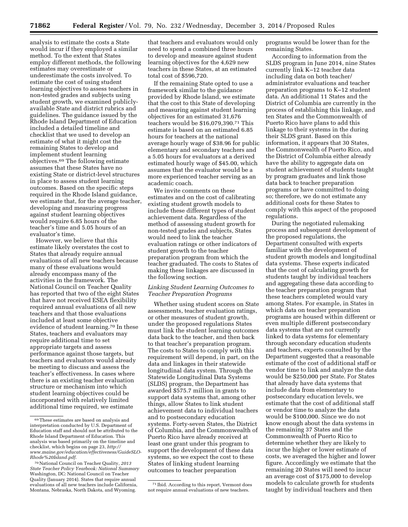analysis to estimate the costs a State would incur if they employed a similar method. To the extent that States employ different methods, the following estimates may overestimate or underestimate the costs involved. To estimate the cost of using student learning objectives to assess teachers in non-tested grades and subjects using student growth, we examined publiclyavailable State and district rubrics and guidelines. The guidance issued by the Rhode Island Department of Education included a detailed timeline and checklist that we used to develop an estimate of what it might cost the remaining States to develop and implement student learning objectives.69 The following estimate assumes that these States have no existing State or district-level structures in place to assess student learning outcomes. Based on the specific steps required in the Rhode Island guidance, we estimate that, for the average teacher, developing and measuring progress against student learning objectives would require 6.85 hours of the teacher's time and 5.05 hours of an evaluator's time.

However, we believe that this estimate likely overstates the cost to States that already require annual evaluations of all new teachers because many of these evaluations would already encompass many of the activities in the framework. The National Council on Teacher Quality has reported that two of the eight States that have not received ESEA flexibility required annual evaluations of all new teachers and that those evaluations included at least some objective evidence of student learning.70 In these States, teachers and evaluators may require additional time to set appropriate targets and assess performance against those targets, but teachers and evaluators would already be meeting to discuss and assess the teacher's effectiveness. In cases where there is an existing teacher evaluation structure or mechanism into which student learning objectives could be incorporated with relatively limited additional time required, we estimate

that teachers and evaluators would only need to spend a combined three hours to develop and measure against student learning objectives for the 4,629 new teachers in these States, at an estimated total cost of \$596,720.

If the remaining State opted to use a framework similar to the guidance provided by Rhode Island, we estimate that the cost to this State of developing and measuring against student learning objectives for an estimated 31,676 teachers would be \$16,079,390.71 This estimate is based on an estimated 6.85 hours for teachers at the national average hourly wage of \$38.96 for public elementary and secondary teachers and a 5.05 hours for evaluators at a derived estimated hourly wage of \$45.00, which assumes that the evaluator would be a more experienced teacher serving as an academic coach.

We invite comments on these estimates and on the cost of calibrating existing student growth models to include these different types of student achievement data. Regardless of the method of assessing student growth for non-tested grades and subjects, States would need to link the teacher evaluation ratings or other indicators of student growth to the teacher preparation program from which the teacher graduated. The costs to States of making these linkages are discussed in the following section.

#### *Linking Student Learning Outcomes to Teacher Preparation Programs*

Whether using student scores on State assessments, teacher evaluation ratings, or other measures of student growth, under the proposed regulations States must link the student learning outcomes data back to the teacher, and then back to that teacher's preparation program. The costs to States to comply with this requirement will depend, in part, on the data and linkages in their statewide longitudinal data system. Through the Statewide Longitudinal Data Systems (SLDS) program, the Department has awarded \$575.7 million in grants to support data systems that, among other things, allow States to link student achievement data to individual teachers and to postsecondary education systems. Forty-seven States, the District of Columbia, and the Commonwealth of Puerto Rico have already received at least one grant under this program to support the development of these data systems, so we expect the cost to these States of linking student learning outcomes to teacher preparation

71 Ibid. According to this report, Vermont does not require annual evaluations of new teachers.

programs would be lower than for the remaining States.

According to information from the SLDS program in June 2014, nine States currently link K–12 teacher data including data on both teacher/ administrator evaluations and teacher preparation programs to K–12 student data. An additional 11 States and the District of Columbia are currently in the process of establishing this linkage, and ten States and the Commonwealth of Puerto Rico have plans to add this linkage to their systems in the during their SLDS grant. Based on this information, it appears that 30 States, the Commonwealth of Puerto Rico, and the District of Columbia either already have the ability to aggregate data on student achievement of students taught by program graduates and link those data back to teacher preparation programs or have committed to doing so; therefore, we do not estimate any additional costs for these States to comply with this aspect of the proposed regulations.

During the negotiated rulemaking process and subsequent development of the proposed regulations, the Department consulted with experts familiar with the development of student growth models and longitudinal data systems. These experts indicated that the cost of calculating growth for students taught by individual teachers and aggregating these data according to the teacher preparation program that these teachers completed would vary among States. For example, in States in which data on teacher preparation programs are housed within different or even multiple different postsecondary data systems that are not currently linked to data systems for elementary through secondary education students and teachers, experts consulted by the Department suggested that a reasonable estimate of the cost of additional staff or vendor time to link and analyze the data would be \$250,000 per State. For States that already have data systems that include data from elementary to postsecondary education levels, we estimate that the cost of additional staff or vendor time to analyze the data would be \$100,000. Since we do not know enough about the data systems in the remaining 37 States and the Commonwealth of Puerto Rico to determine whether they are likely to incur the higher or lower estimate of costs, we averaged the higher and lower figure. Accordingly we estimate that the remaining 20 States will need to incur an average cost of \$175,000 to develop models to calculate growth for students taught by individual teachers and then

<sup>69</sup>These estimates are based on analysis and interpretation conducted by U.S. Department of Education staff and should not be attributed to the Rhode Island Department of Education. This analysis was based primarily on the timeline and checklist, which begins on page 23, *[http://](http://www.maine.gov/education/effectiveness/GuideSLO-Rhode%20Island.pdf) [www.maine.gov/education/effectiveness/GuideSLO-](http://www.maine.gov/education/effectiveness/GuideSLO-Rhode%20Island.pdf)[Rhode%20Island.pdf](http://www.maine.gov/education/effectiveness/GuideSLO-Rhode%20Island.pdf)*.

<sup>70</sup>National Council on Teacher Quality, *2013 State Teacher Policy Yearbook: National Summary*  Washington, DC: National Council on Teacher Quality (January 2014). States that require annual evaluations of all new teachers include California, Montana, Nebraska, North Dakota, and Wyoming.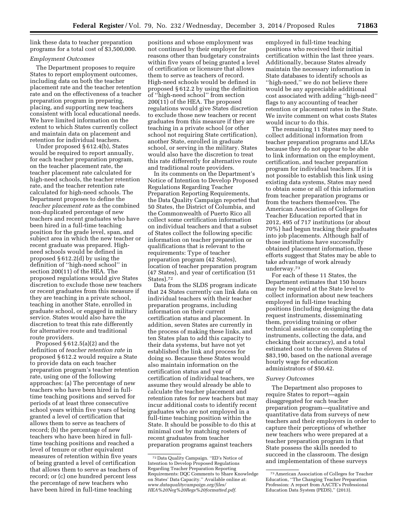link these data to teacher preparation programs for a total cost of \$3,500,000.

# *Employment Outcomes*

The Department proposes to require States to report employment outcomes, including data on both the teacher placement rate and the teacher retention rate and on the effectiveness of a teacher preparation program in preparing, placing, and supporting new teachers consistent with local educational needs. We have limited information on the extent to which States currently collect and maintain data on placement and retention for individual teachers.

Under proposed § 612.4(b), States would be required to report annually, for each teacher preparation program, on the teacher placement rate, the teacher placement rate calculated for high-need schools, the teacher retention rate, and the teacher retention rate calculated for high-need schools. The Department proposes to define the *teacher placement rate* as the combined non-duplicated percentage of new teachers and recent graduates who have been hired in a full-time teaching position for the grade level, span, and subject area in which the new teacher or recent graduate was prepared. Highneed schools would be defined in proposed § 612.2(d) by using the definition of ''high-need school'' in section 200(11) of the HEA. The proposed regulations would give States discretion to exclude those new teachers or recent graduates from this measure if they are teaching in a private school, teaching in another State, enrolled in graduate school, or engaged in military service. States would also have the discretion to treat this rate differently for alternative route and traditional route providers.

Proposed § 612.5(a)(2) and the definition of *teacher retention rate* in proposed § 612.2 would require a State to provide data on each teacher preparation program's teacher retention rate, using one of the following approaches: (a) The percentage of new teachers who have been hired in fulltime teaching positions and served for periods of at least three consecutive school years within five years of being granted a level of certification that allows them to serve as teachers of record; (b) the percentage of new teachers who have been hired in fulltime teaching positions and reached a level of tenure or other equivalent measures of retention within five years of being granted a level of certification that allows them to serve as teachers of record; or (c) one hundred percent less the percentage of new teachers who have been hired in full-time teaching

positions and whose employment was not continued by their employer for reasons other than budgetary constraints within five years of being granted a level of certification or licensure that allows them to serve as teachers of record. High-need schools would be defined in proposed § 612.2 by using the definition of ''high-need school'' from section 200(11) of the HEA. The proposed regulations would give States discretion to exclude those new teachers or recent graduates from this measure if they are teaching in a private school (or other school not requiring State certification), another State, enrolled in graduate school, or serving in the military. States would also have the discretion to treat this rate differently for alternative route and traditional route providers.

In its comments on the Department's Notice of Intention to Develop Proposed Regulations Regarding Teacher Preparation Reporting Requirements, the Data Quality Campaign reported that 50 States, the District of Columbia, and the Commonwealth of Puerto Rico all collect some certification information on individual teachers and that a subset of States collect the following specific information on teacher preparation or qualifications that is relevant to the requirements: Type of teacher preparation program (42 States), location of teacher preparation program (47 States), and year of certification (51 States).72

Data from the SLDS program indicate that 24 States currently can link data on individual teachers with their teacher preparation programs, including information on their current certification status and placement. In addition, seven States are currently in the process of making these links, and ten States plan to add this capacity to their data systems, but have not yet established the link and process for doing so. Because these States would also maintain information on the certification status and year of certification of individual teachers, we assume they would already be able to calculate the teacher placement and retention rates for new teachers but may incur additional costs to identify recent graduates who are not employed in a full-time teaching position within the State. It should be possible to do this at minimal cost by matching rosters of recent graduates from teacher preparation programs against teachers

employed in full-time teaching positions who received their initial certification within the last three years. Additionally, because States already maintain the necessary information in State databases to identify schools as ''high-need,'' we do not believe there would be any appreciable additional cost associated with adding ''high-need'' flags to any accounting of teacher retention or placement rates in the State. We invite comment on what costs States would incur to do this.

The remaining 11 States may need to collect additional information from teacher preparation programs and LEAs because they do not appear to be able to link information on the employment, certification, and teacher preparation program for individual teachers. If it is not possible to establish this link using existing data systems, States may need to obtain some or all of this information from teacher preparation programs or from the teachers themselves. The American Association of Colleges for Teacher Education reported that in 2012, 495 of 717 institutions (or about 70%) had begun tracking their graduates into job placements. Although half of those institutions have successfully obtained placement information, these efforts suggest that States may be able to take advantage of work already underway.73

For each of these 11 States, the Department estimates that 150 hours may be required at the State level to collect information about new teachers employed in full-time teaching positions (including designing the data request instruments, disseminating them, providing training or other technical assistance on completing the instruments, collecting the data, and checking their accuracy), and a total estimated cost to the eleven States of \$83,190, based on the national average hourly wage for education administrators of \$50.42.

#### *Survey Outcomes*

The Department also proposes to require States to report—again disaggregated for each teacher preparation program—qualitative and quantitative data from surveys of new teachers and their employers in order to capture their perceptions of whether new teachers who were prepared at a teacher preparation program in that State possess the skills needed to succeed in the classroom. The design and implementation of these surveys

<sup>72</sup> Data Quality Campaign. ''ED's Notice of Intention to Develop Proposed Regulations Regarding Teacher Preparation Reporting Requirements: DQC Comments to Share Knowledge on States' Data Capacity.'' Available online at: *[www.dataqualitycampaign.org/files/](http://www.dataqualitycampaign.org/files/HEA%20Neg%20Regs%20formatted.pdf) [HEA%20Neg%20Regs%20formatted.pdf](http://www.dataqualitycampaign.org/files/HEA%20Neg%20Regs%20formatted.pdf)*.

<sup>73</sup>American Association of Colleges for Teacher Education, ''The Changing Teacher Preparation Profession: A report from AACTE's Professional Education Data System (PEDS),'' (2013).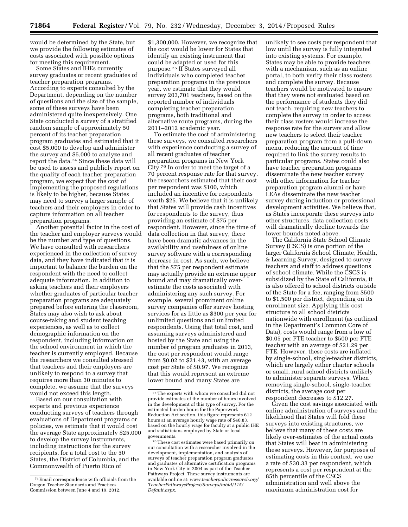would be determined by the State, but we provide the following estimates of costs associated with possible options for meeting this requirement.

Some States and IHEs currently survey graduates or recent graduates of teacher preparation programs. According to experts consulted by the Department, depending on the number of questions and the size of the sample, some of these surveys have been administered quite inexpensively. One State conducted a survey of a stratified random sample of approximately 50 percent of its teacher preparation program graduates and estimated that it cost \$5,000 to develop and administer the survey and \$5,000 to analyze and report the data.74 Since these data will be used to assess and publicly report on the quality of each teacher preparation program, we expect that the cost of implementing the proposed regulations is likely to be higher, because States may need to survey a larger sample of teachers and their employers in order to capture information on all teacher preparation programs.

Another potential factor in the cost of the teacher and employer surveys would be the number and type of questions. We have consulted with researchers experienced in the collection of survey data, and they have indicated that it is important to balance the burden on the respondent with the need to collect adequate information. In addition to asking teachers and their employers whether graduates of particular teacher preparation programs are adequately prepared before entering the classroom, States may also wish to ask about course-taking and student teaching experiences, as well as to collect demographic information on the respondent, including information on the school environment in which the teacher is currently employed. Because the researchers we consulted stressed that teachers and their employers are unlikely to respond to a survey that requires more than 30 minutes to complete, we assume that the surveys would not exceed this length.

Based on our consultation with experts and previous experience conducting surveys of teachers through evaluations of Department programs or policies, we estimate that it would cost the average State approximately \$25,000 to develop the survey instruments, including instructions for the survey recipients, for a total cost to the 50 States, the District of Columbia, and the Commonwealth of Puerto Rico of

\$1,300,000. However, we recognize that the cost would be lower for States that identify an existing instrument that could be adapted or used for this purpose.75 If States surveyed all individuals who completed teacher preparation programs in the previous year, we estimate that they would survey 203,701 teachers, based on the reported number of individuals completing teacher preparation programs, both traditional and alternative route programs, during the 2011–2012 academic year.

To estimate the cost of administering these surveys, we consulted researchers with experience conducting a survey of all recent graduates of teacher preparation programs in New York City.76 In order to meet the target of a 70 percent response rate for that survey, the researchers estimated that their cost per respondent was \$100, which included an incentive for respondents worth \$25. We believe that it is unlikely that States will provide cash incentives for respondents to the survey, thus providing an estimate of \$75 per respondent. However, since the time of data collection in that survey, there have been dramatic advances in the availability and usefulness of online survey software with a corresponding decrease in cost. As such, we believe that the \$75 per respondent estimate may actually provide an extreme upper bound and may dramatically overestimate the costs associated with administering any such survey. For example, several prominent online survey companies offer survey hosting services for as little as \$300 per year for unlimited questions and unlimited respondents. Using that total cost, and assuming surveys administered and hosted by the State and using the number of program graduates in 2013, the cost per respondent would range from \$0.02 to \$21.43, with an average cost per State of \$0.97. We recognize that this would represent an extreme lower bound and many States are

76These cost estimates were based primarily on our consultation with a researcher involved in the development, implementation, and analysis of surveys of teacher preparation program graduates and graduates of alternative certification programs in New York City in 2004 as part of the Teacher Pathways Project. These survey instruments are available online at: *[www.teacherpolicyresearch.org/](http://www.teacherpolicyresearch.org/TeacherPathwaysProject/Surveys/tabid/115/Default.aspx) [TeacherPathwaysProject/Surveys/tabid/115/](http://www.teacherpolicyresearch.org/TeacherPathwaysProject/Surveys/tabid/115/Default.aspx) [Default.aspx](http://www.teacherpolicyresearch.org/TeacherPathwaysProject/Surveys/tabid/115/Default.aspx)*.

unlikely to see costs per respondent that low until the survey is fully integrated into existing systems. For example, States may be able to provide teachers with a mechanism, such as an online portal, to both verify their class rosters and complete the survey. Because teachers would be motivated to ensure that they were not evaluated based on the performance of students they did not teach, requiring new teachers to complete the survey in order to access their class rosters would increase the response rate for the survey and allow new teachers to select their teacher preparation program from a pull-down menu, reducing the amount of time required to link the survey results to particular programs. States could also have teacher preparation programs disseminate the new teacher survey with other information for teacher preparation program alumni or have LEAs disseminate the new teacher survey during induction or professional development activities. We believe that, as States incorporate these surveys into other structures, data collection costs will dramatically decline towards the lower bounds noted above.

The California State School Climate Survey (CSCS) is one portion of the larger California School Climate, Health, & Learning Survey, designed to survey teachers and staff to address questions of school climate. While the CSCS is subsidized by the State of California, it is also offered to school districts outside of the State for a fee, ranging from \$500 to \$1,500 per district, depending on its enrollment size. Applying this cost structure to all school districts nationwide with enrollment (as outlined in the Department's Common Core of Data), costs would range from a low of \$0.05 per FTE teacher to \$500 per FTE teacher with an average of \$21.29 per FTE. However, these costs are inflated by single-school, single-teacher districts, which are largely either charter schools or small, rural school districts unlikely to administer separate surveys. When removing single-school, single-teacher districts, the average cost per respondent decreases to \$12.27.

Given the cost savings associated with online administration of surveys and the likelihood that States will fold these surveys into existing structures, we believe that many of these costs are likely over-estimates of the actual costs that States will bear in administering these surveys. However, for purposes of estimating costs in this context, we use a rate of \$30.33 per respondent, which represents a cost per respondent at the 85th percentile of the CSCS administration and well above the maximum administration cost for

<sup>74</sup>Email correspondence with officials from the Oregon Teacher Standards and Practices Commission between June 4 and 19, 2012.

<sup>75</sup>The experts with whom we consulted did not provide estimates of the number of hours involved in the development of this type of survey. For the estimated burden hours for the Paperwork Reduction Act section, this figure represents 612 hours at an average hourly wage rate of \$40.83, based on the hourly wage for faculty at a public IHE and statisticians employed by State or local governments.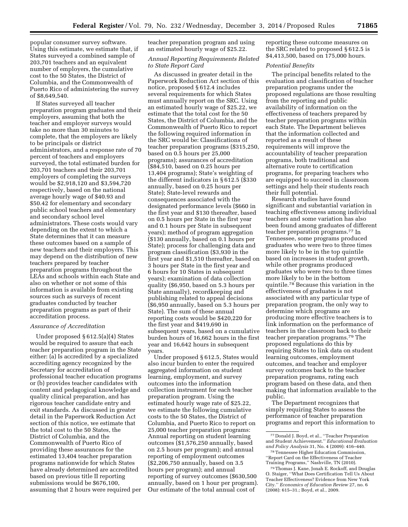popular consumer survey software. Using this estimate, we estimate that, if States surveyed a combined sample of 203,701 teachers and an equivalent number of employers, the cumulative cost to the 50 States, the District of Columbia, and the Commonwealth of Puerto Rico of administering the survey of \$8,649,540.

If States surveyed all teacher preparation program graduates and their employers, assuming that both the teacher and employer surveys would take no more than 30 minutes to complete, that the employers are likely to be principals or district administrators, and a response rate of 70 percent of teachers and employers surveyed, the total estimated burden for 203,701 teachers and their 203,701 employers of completing the surveys would be \$2,918,120 and \$3,594,720 respectively, based on the national average hourly wage of \$40.93 and \$50.42 for elementary and secondary public school teachers and elementary and secondary school level administrators. These costs would vary depending on the extent to which a State determines that it can measure these outcomes based on a sample of new teachers and their employers. This may depend on the distribution of new teachers prepared by teacher preparation programs throughout the LEAs and schools within each State and also on whether or not some of this information is available from existing sources such as surveys of recent graduates conducted by teacher preparation programs as part of their accreditation process.

## *Assurance of Accreditation*

Under proposed § 612.5(a)(4) States would be required to assure that each teacher preparation program in the State either: (a) Is accredited by a specialized accrediting agency recognized by the Secretary for accreditation of professional teacher education programs or (b) provides teacher candidates with content and pedagogical knowledge and quality clinical preparation, and has rigorous teacher candidate entry and exit standards. As discussed in greater detail in the Paperwork Reduction Act section of this notice, we estimate that the total cost to the 50 States, the District of Columbia, and the Commonwealth of Puerto Rico of providing these assurances for the estimated 13,404 teacher preparation programs nationwide for which States have already determined are accredited based on previous title II reporting submissions would be \$676,100, assuming that 2 hours were required per

teacher preparation program and using an estimated hourly wage of \$25.22.

# *Annual Reporting Requirements Related to State Report Card*

As discussed in greater detail in the Paperwork Reduction Act section of this notice, proposed § 612.4 includes several requirements for which States must annually report on the SRC. Using an estimated hourly wage of \$25.22, we estimate that the total cost for the 50 States, the District of Columbia, and the Commonwealth of Puerto Rico to report the following required information in the SRC would be: Classifications of teacher preparation programs (\$315,250, based on 0.5 hours per 25,000 programs); assurances of accreditation (\$84,510, based on 0.25 hours per 13,404 programs); State's weighting of the different indicators in § 612.5 (\$330 annually, based on 0.25 hours per State); State-level rewards and consequences associated with the designated performance levels (\$660 in the first year and \$130 thereafter, based on 0.5 hours per State in the first year and 0.1 hours per State in subsequent years); method of program aggregation (\$130 annually, based on 0.1 hours per State); process for challenging data and program classification (\$3,930 in the first year and \$1,510 thereafter, based on 3 hours per State in the first year and 6 hours for 10 States in subsequent years); examination of data collection quality (\$6,950, based on 5.3 hours per State annually), recordkeeping and publishing related to appeal decisions (\$6,950 annually, based on 5.3 hours per State). The sum of these annual reporting costs would be \$420,220 for the first year and \$419,690 in subsequent years, based on a cumulative burden hours of 16,662 hours in the first year and 16,642 hours in subsequent years.

Under proposed § 612.5, States would also incur burden to enter the required aggregated information on student learning, employment, and survey outcomes into the information collection instrument for each teacher preparation program. Using the estimated hourly wage rate of \$25.22, we estimate the following cumulative costs to the 50 States, the District of Columbia, and Puerto Rico to report on 25,000 teacher preparation programs: Annual reporting on student learning outcomes (\$1,576,250 annually, based on 2.5 hours per program); and annual reporting of employment outcomes (\$2,206,750 annually, based on 3.5 hours per program); and annual reporting of survey outcomes (\$630,500 annually, based on 1 hour per program). Our estimate of the total annual cost of

reporting these outcome measures on the SRC related to proposed § 612.5 is \$4,413,500, based on 175,000 hours.

# *Potential Benefits*

The principal benefits related to the evaluation and classification of teacher preparation programs under the proposed regulations are those resulting from the reporting and public availability of information on the effectiveness of teachers prepared by teacher preparation programs within each State. The Department believes that the information collected and reported as a result of these requirements will improve the accountability of teacher preparation programs, both traditional and alternative route to certification programs, for preparing teachers who are equipped to succeed in classroom settings and help their students reach their full potential.

Research studies have found significant and substantial variation in teaching effectiveness among individual teachers and some variation has also been found among graduates of different teacher preparation programs.77 In Tennessee, some programs produced graduates who were two to three times more likely to be in the top quintile based on increases in student growth, while other programs produced graduates who were two to three times more likely to be in the bottom quintile.78 Because this variation in the effectiveness of graduates is not associated with any particular type of preparation program, the only way to determine which programs are producing more effective teachers is to link information on the performance of teachers in the classroom back to their teacher preparation programs.79 The proposed regulations do this by requiring States to link data on student learning outcomes, employment outcomes, and teacher and employer survey outcomes back to the teacher preparation programs, rating each program based on these data, and then making that information available to the public.

The Department recognizes that simply requiring States to assess the performance of teacher preparation programs and report this information to

<sup>77</sup> Donald J. Boyd, et al., ''Teacher Preparation and Student Achievement.'' *Educational Evaluation and Policy Analysis* 31, No. 4 (2009): 416–440.

<sup>78</sup>Tennessee Higher Education Commission, ''Report Card on the Effectiveness of Teacher Training Programs,'' Nashville, TN (2010).

<sup>79</sup>Thomas J. Kane, Jonah E. Rockoff, and Douglas O. Staiger, ''What Does Certification Tell Us About Teacher Effectiveness? Evidence from New York City.'' *Economics of Education Review* 27, no. 6 (2008): 615–31.; Boyd, et al., 2009.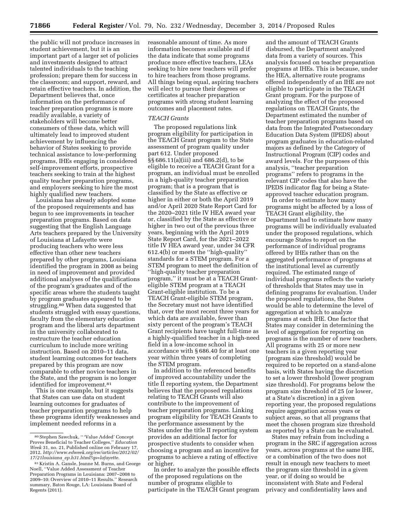the public will not produce increases in student achievement, but it is an important part of a larger set of policies and investments designed to attract talented individuals to the teaching profession; prepare them for success in the classroom; and support, reward, and retain effective teachers. In addition, the Department believes that, once information on the performance of teacher preparation programs is more readily available, a variety of stakeholders will become better consumers of these data, which will ultimately lead to improved student achievement by influencing the behavior of States seeking to provide technical assistance to low-performing programs, IHEs engaging in considered self-improvement efforts, prospective teachers seeking to train at the highest quality teacher preparation programs, and employers seeking to hire the most highly qualified new teachers.

Louisiana has already adopted some of the proposed requirements and has begun to see improvements in teacher preparation programs. Based on data suggesting that the English Language Arts teachers prepared by the University of Louisiana at Lafayette were producing teachers who were less effective than other new teachers prepared by other programs, Louisiana identified the program in 2008 as being in need of improvement and provided additional analyses of the qualifications of the program's graduates and of the specific areas where the students taught by program graduates appeared to be struggling.80 When data suggested that students struggled with essay questions, faculty from the elementary education program and the liberal arts department in the university collaborated to restructure the teacher education curriculum to include more writing instruction. Based on 2010–11 data, student learning outcomes for teachers prepared by this program are now comparable to other novice teachers in the State, and the program is no longer identified for improvement.<sup>81</sup>

This is one example, but it suggests that States can use data on student learning outcomes for graduates of teacher preparation programs to help these programs identify weaknesses and implement needed reforms in a

reasonable amount of time. As more information becomes available and if the data indicate that some programs produce more effective teachers, LEAs seeking to hire new teachers will prefer to hire teachers from those programs. All things being equal, aspiring teachers will elect to pursue their degrees or certificates at teacher preparation programs with strong student learning outcomes and placement rates.

## *TEACH Grants*

The proposed regulations link program eligibility for participation in the TEACH Grant program to the State assessment of program quality under part 612. Under proposed §§ 686.11(a)(iii) and 686.2(d), to be eligible to receive a TEACH Grant for a program, an individual must be enrolled in a high-quality teacher preparation program; that is a program that is classified by the State as effective or higher in either or both the April 2019 and/or April 2020 State Report Card for the 2020–2021 title IV HEA award year or, classified by the State as effective or higher in two out of the previous three years, beginning with the April 2019 State Report Card, for the 2021–2022 title IV HEA award year, under 34 CFR 612.4(b) or meets the ''high-quality'' standards for a STEM program. For a STEM program to meet the definition of ''high-quality teacher preparation program,'' it must be at a TEACH Granteligible STEM program at a TEACH Grant-eligible institution. To be a TEACH Grant-eligible STEM program, the Secretary must not have identified that, over the most recent three years for which data are available, fewer than sixty percent of the program's TEACH Grant recipients have taught full-time as a highly-qualified teacher in a high-need field in a low-income school in accordance with § 686.40 for at least one year within three years of completing the STEM program.

In addition to the referenced benefits of improved accountability under the title II reporting system, the Department believes that the proposed regulations relating to TEACH Grants will also contribute to the improvement of teacher preparation programs. Linking program eligibility for TEACH Grants to the performance assessment by the States under the title II reporting system provides an additional factor for prospective students to consider when choosing a program and an incentive for programs to achieve a rating of effective or higher.

In order to analyze the possible effects of the proposed regulations on the number of programs eligible to participate in the TEACH Grant program and the amount of TEACH Grants disbursed, the Department analyzed data from a variety of sources. This analysis focused on teacher preparation programs at IHEs. This is because, under the HEA, alternative route programs offered independently of an IHE are not eligible to participate in the TEACH Grant program. For the purpose of analyzing the effect of the proposed regulations on TEACH Grants, the Department estimated the number of teacher preparation programs based on data from the Integrated Postsecondary Education Data System (IPEDS) about program graduates in education-related majors as defined by the Category of Instructional Program (CIP) codes and award levels. For the purposes of this analysis, ''teacher preparation programs'' refers to programs in the relevant CIP codes that also have the IPEDS indicator flag for being a Stateapproved teacher education program.

In order to estimate how many programs might be affected by a loss of TEACH Grant eligibility, the Department had to estimate how many programs will be individually evaluated under the proposed regulations, which encourage States to report on the performance of individual programs offered by IHEs rather than on the aggregated performance of programs at the institutional level as currently required. The estimated range of individual programs reflects the variety of thresholds that States may use in defining programs for evaluation. Under the proposed regulations, the States would be able to determine the level of aggregation at which to analyze programs at each IHE. One factor that States may consider in determining the level of aggregation for reporting on programs is the number of new teachers. All programs with 25 or more new teachers in a given reporting year (program size threshold) would be required to be reported on a stand-alone basis, with States having the discretion to set a lower threshold (lower program size threshold). For programs below the program size threshold of 25 (or lower, at a State's discretion) in a given reporting year, the proposed regulations require aggregation across years or subject areas, so that all programs that meet the chosen program size threshold as reported by a State can be evaluated.

States may refrain from including a program in the SRC if aggregation across years, across programs at the same IHE, or a combination of the two does not result in enough new teachers to meet the program size threshold in a given year, or if doing so would be inconsistent with State and Federal privacy and confidentiality laws and

<sup>80</sup>Stephen Sawchuk, '' 'Value Added' Concept Proves Beneficial to Teacher Colleges,'' *Education Week* 31, no. 21, Published online on February 17, 2012. *[http://www.edweek.org/ew/articles/2012/02/](http://www.edweek.org/ew/articles/2012/02/17/21louisiana_ep.h31.html?qs=lafayette) 17/21louisiana*\_*[ep.h31.html?qs=lafayette](http://www.edweek.org/ew/articles/2012/02/17/21louisiana_ep.h31.html?qs=lafayette)*.

<sup>81</sup> Kristin A. Gansle, Jeanne M. Burns, and George Noell, ''Value Added Assessment of Teacher Preparation Programs in Louisiana: 2007–2008 to 2009–10: Overview of 2010–11 Results.'' Research summary, Baton Rouge, LA: Louisiana Board of Regents (2011).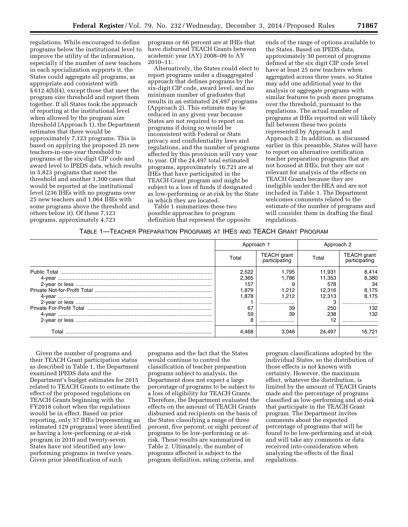regulations. While encouraged to define programs below the institutional level to improve the utility of the information, especially if the number of new teachers in each specialization supports it, the States could aggregate all programs, as appropriate and consistent with § 612.4(b)(4), except those that meet the program size threshold and report them together. If all States took the approach of reporting at the institutional level when allowed by the program size threshold (Approach 1), the Department estimates that there would be approximately 7,123 programs. This is based on applying the proposed 25 new teachers-in-one-year threshold to programs at the six-digit CIP code and award level to IPEDS data, which results in 5,823 programs that meet the threshold and another 1,300 cases that would be reported at the institutional level (236 IHEs with no programs over 25 new teachers and 1,064 IHEs with some programs above the threshold and others below it). Of these 7,123 programs, approximately 4,723

programs or 66 percent are at IHEs that have disbursed TEACH Grants between academic year (AY) 2008–09 to AY 2010–11.

Alternatively, the States could elect to report programs under a disaggregated approach that defines programs by the six-digit CIP code, award level, and no minimum number of graduates that results in an estimated 24,497 programs (Approach 2). This estimate may be reduced in any given year because States are not required to report on programs if doing so would be inconsistent with Federal or State privacy and confidentiality laws and regulations, and the number of programs affected by this provision will vary year to year. Of the 24,497 total estimated programs, approximately 16,721 are at IHEs that have participated in the TEACH Grant program and might be subject to a loss of funds if designated as low-performing or at-risk by the State in which they are located.

Table 1 summarizes these two possible approaches to program definition that represent the opposite

ends of the range of options available to the States. Based on IPEDS data, approximately 30 percent of programs defined at the six digit CIP code level have at least 25 new teachers when aggregated across three years, so States may add one additional year to the analysis or aggregate programs with similar features to push more programs over the threshold, pursuant to the regulations. The actual number of programs at IHEs reported on will likely fall between these two points represented by Approach 1 and Approach 2. In addition, as discussed earlier in this preamble, States will have to report on alternative certification teacher preparation programs that are not housed at IHEs, but they are not relevant for analysis of the effects on TEACH Grants because they are ineligible under the HEA and are not included in Table 1. The Department welcomes comments related to the estimate of the number of programs and will consider them in drafting the final regulations.

# TABLE 1—TEACHER PREPARATION PROGRAMS AT IHES AND TEACH GRANT PROGRAM

|       | Approach 1 |                                     | Approach 2 |                                     |
|-------|------------|-------------------------------------|------------|-------------------------------------|
|       | Total      | <b>TEACH</b> grant<br>participating | Total      | <b>TEACH</b> grant<br>participating |
|       | 2.522      | 1.795                               | 11.931     | 8.414                               |
|       | 2.365      | 1.786                               | 11.353     | 8.380                               |
|       | 157        |                                     | 578        | 34                                  |
|       | 1.879      | 1.212                               | 12.316     | 8.175                               |
|       | 1.878      | 1.212                               | 12.313     | 8,175                               |
|       |            |                                     |            |                                     |
|       | 67         | 39                                  | 250        | 132                                 |
|       | 59         | 39                                  | 238        | 132                                 |
|       | 8          |                                     | 12         |                                     |
| Total | 4.468      | 3.046                               | 24.497     | 16.721                              |

Given the number of programs and their TEACH Grant participation status as described in Table 1, the Department examined IPEDS data and the Department's budget estimates for 2015 related to TEACH Grants to estimate the effect of the proposed regulations on TEACH Grants beginning with the FY2018 cohort when the regulations would be in effect. Based on prior reporting, only 37 IHEs (representing an estimated 129 programs) were identified as having a low-performing or at-risk program in 2010 and twenty-seven States have not identified any lowperforming programs in twelve years. Given prior identification of such

programs and the fact that the States would continue to control the classification of teacher preparation programs subject to analysis, the Department does not expect a large percentage of programs to be subject to a loss of eligibility for TEACH Grants. Therefore, the Department evaluated the effects on the amount of TEACH Grants disbursed and recipients on the basis of the States classifying a range of three percent, five percent, or eight percent of programs to be low-performing or atrisk. These results are summarized in Table 2. Ultimately, the number of programs affected is subject to the program definition, rating criteria, and

program classifications adopted by the individual States, so the distribution of those effects is not known with certainty. However, the maximum effect, whatever the distribution, is limited by the amount of TEACH Grants made and the percentage of programs classified as low-performing and at-risk that participate in the TEACH Grant program. The Department invites comments about the expected percentage of programs that will be found to be low-performing and at-risk and will take any comments or data received into consideration when analyzing the effects of the final regulations.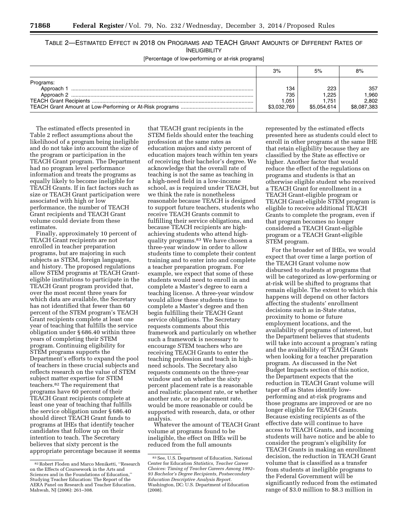# TABLE 2—ESTIMATED EFFECT IN 2018 ON PROGRAMS AND TEACH GRANT AMOUNTS OF DIFFERENT RATES OF INELIGIBILITY

[Percentage of low-performing or at-risk programs]

|                                       | 3%                                | 5%                                   | 8%                                  |
|---------------------------------------|-----------------------------------|--------------------------------------|-------------------------------------|
| Programs:<br>Approach 1<br>Approach 2 | 134<br>735<br>.051<br>\$3.032.769 | 223<br>1.225<br>1.751<br>\$5.054.614 | 357<br>.960<br>2.802<br>\$8,087,383 |

The estimated effects presented in Table 2 reflect assumptions about the likelihood of a program being ineligible and do not take into account the size of the program or participation in the TEACH Grant program. The Department had no program level performance information and treats the programs as equally likely to become ineligible for TEACH Grants. If in fact factors such as size or TEACH Grant participation were associated with high or low performance, the number of TEACH Grant recipients and TEACH Grant volume could deviate from these estimates.

Finally, approximately 10 percent of TEACH Grant recipients are not enrolled in teacher preparation programs, but are majoring in such subjects as STEM, foreign languages, and history. The proposed regulations allow STEM programs at TEACH Granteligible institutions to participate in the TEACH Grant program provided that, over the most recent three years for which data are available, the Secretary has not identified that fewer than 60 percent of the STEM program's TEACH Grant recipients complete at least one year of teaching that fulfills the service obligation under § 686.40 within three years of completing their STEM program. Continuing eligibility for STEM programs supports the Department's efforts to expand the pool of teachers in these crucial subjects and reflects research on the value of STEM subject matter expertise for STEM teachers.82 The requirement that programs have 60 percent of their TEACH Grant recipients complete at least one year of teaching that fulfills the service obligation under § 686.40 should direct TEACH Grant funds to programs at IHEs that identify teacher candidates that follow up on their intention to teach. The Secretary believes that sixty percent is the appropriate percentage because it seems

that TEACH grant recipients in the STEM fields should enter the teaching profession at the same rates as education majors and sixty percent of education majors teach within ten years of receiving their bachelor's degree. We acknowledge that the overall rate of teaching is not the same as teaching in a high-need field in a low-income school, as is required under TEACH, but we think the rate is nonetheless reasonable because TEACH is designed to support future teachers, students who receive TEACH Grants commit to fulfilling their service obligations, and because TEACH recipients are highachieving students who attend highquality programs.83 We have chosen a three-year window in order to allow students time to complete their content training and to enter into and complete a teacher preparation program. For example, we expect that some of these students would need to enroll in and complete a Master's degree to earn a teaching license. A three-year window would allow these students time to complete a Master's degree and then begin fulfilling their TEACH Grant service obligations. The Secretary requests comments about this framework and particularly on whether such a framework is necessary to encourage STEM teachers who are receiving TEACH Grants to enter the teaching profession and teach in highneed schools. The Secretary also requests comments on the three-year window and on whether the sixty percent placement rate is a reasonable and realistic placement rate, or whether another rate, or no placement rate, would be more reasonable or could be supported with research, data, or other analysis.

Whatever the amount of TEACH Grant volume at programs found to be ineligible, the effect on IHEs will be reduced from the full amounts

represented by the estimated effects presented here as students could elect to enroll in other programs at the same IHE that retain eligibility because they are classified by the State as effective or higher. Another factor that would reduce the effect of the regulations on programs and students is that an otherwise eligible student who received a TEACH Grant for enrollment in a TEACH Grant-eligible program or TEACH Grant-eligible STEM program is eligible to receive additional TEACH Grants to complete the program, even if that program becomes no longer considered a TEACH Grant-eligible program or a TEACH Grant-eligible STEM program.

For the broader set of IHEs, we would expect that over time a large portion of the TEACH Grant volume now disbursed to students at programs that will be categorized as low-performing or at-risk will be shifted to programs that remain eligible. The extent to which this happens will depend on other factors affecting the students' enrollment decisions such as in-State status, proximity to home or future employment locations, and the availability of programs of interest, but the Department believes that students will take into account a program's rating and the availability of TEACH Grants when looking for a teacher preparation program. As discussed in the Net Budget Impacts section of this notice, the Department expects that the reduction in TEACH Grant volume will taper off as States identify lowperforming and at-risk programs and those programs are improved or are no longer eligible for TEACH Grants. Because existing recipients as of the effective date will continue to have access to TEACH Grants, and incoming students will have notice and be able to consider the program's eligibility for TEACH Grants in making an enrollment decision, the reduction in TEACH Grant volume that is classified as a transfer from students at ineligible programs to the Federal Government will be significantly reduced from the estimated range of \$3.0 million to \$8.3 million in

<sup>82</sup>Robert Floden and Marco Meniketti, ''Research on the Effects of Coursework in the Arts and Sciences and in the Foundations of Education,'' Studying Teacher Education: The Report of the AERA Panel on Research and Teacher Education, Mahwah, NJ (2006): 261–308.

<sup>83</sup>See, U.S. Department of Education, National Center for Education *Statistics, Teacher Career Choices: Timing of Teacher Careers Among 1992– 93 Bachelor's Degree Recipients, Postsecondary Education Descriptive Analysis Report.*  Washington, DC: U.S. Department of Education (2008).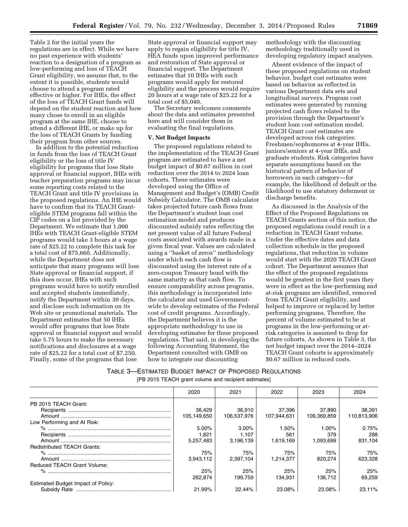Table 2 for the initial years the regulations are in effect. While we have no past experience with students' reaction to a designation of a program as low-performing and loss of TEACH Grant eligibility, we assume that, to the extent it is possible, students would choose to attend a program rated effective or higher. For IHEs, the effect of the loss of TEACH Grant funds will depend on the student reaction and how many chose to enroll in an eligible program at the same IHE, choose to attend a different IHE, or make up for the loss of TEACH Grants by funding their program from other sources.

In addition to the potential reduction in funds from the loss of TEACH Grant eligibility or the loss of title IV eligibility for programs that lose State approval or financial support, IHEs with teacher preparation programs may incur some reporting costs related to the TEACH Grant and title IV provisions in the proposed regulations. An IHE would have to confirm that its TEACH Granteligible STEM programs fall within the CIP codes on a list provided by the Department. We estimate that 1,000 IHEs with TEACH Grant-eligible STEM programs would take 3 hours at a wage rate of \$25.22 to complete this task for a total cost of \$75,660. Additionally, while the Department does not anticipate that many programs will lose State approval or financial support, if this does occur, IHEs with such programs would have to notify enrolled and accepted students immediately, notify the Department within 30 days, and disclose such information on its Web site or promotional materials. The Department estimates that 50 IHEs would offer programs that lose State approval or financial support and would take 5.75 hours to make the necessary notifications and disclosures at a wage rate of \$25.22 for a total cost of \$7,250. Finally, some of the programs that lose

State approval or financial support may apply to regain eligibility for title IV, HEA funds upon improved performance and restoration of State approval or financial support. The Department estimates that 10 IHEs with such programs would apply for restored eligibility and the process would require 20 hours at a wage rate of \$25.22 for a total cost of \$5,040.

The Secretary welcomes comments about the data and estimates presented here and will consider them in evaluating the final regulations.

## **V. Net Budget Impacts**

The proposed regulations related to the implementation of the TEACH Grant program are estimated to have a net budget impact of \$0.67 million in cost reduction over the 2014 to 2024 loan cohorts. These estimates were developed using the Office of Management and Budget's (OMB) Credit Subsidy Calculator. The OMB calculator takes projected future cash flows from the Department's student loan cost estimation model and produces discounted subsidy rates reflecting the net present value of all future Federal costs associated with awards made in a given fiscal year. Values are calculated using a ''basket of zeros'' methodology under which each cash flow is discounted using the interest rate of a zero-coupon Treasury bond with the same maturity as that cash flow. To ensure comparability across programs, this methodology is incorporated into the calculator and used Governmentwide to develop estimates of the Federal cost of credit programs. Accordingly, the Department believes it is the appropriate methodology to use in developing estimates for these proposed regulations. That said, in developing the following Accounting Statement, the Department consulted with OMB on how to integrate our discounting

methodology with the discounting methodology traditionally used in developing regulatory impact analyses.

Absent evidence of the impact of these proposed regulations on student behavior, budget cost estimates were based on behavior as reflected in various Department data sets and longitudinal surveys. Program cost estimates were generated by running projected cash flows related to the provision through the Department's student loan cost estimation model. TEACH Grant cost estimates are developed across risk categories: Freshmen/sophomores at 4-year IHEs, juniors/seniors at 4-year IHEs, and graduate students. Risk categories have separate assumptions based on the historical pattern of behavior of borrowers in each category—for example, the likelihood of default or the likelihood to use statutory deferment or discharge benefits.

As discussed in the Analysis of the Effect of the Proposed Regulations on TEACH Grants section of this notice, the proposed regulations could result in a reduction in TEACH Grant volume. Under the effective dates and data collection schedule in the proposed regulations, that reduction in volume would start with the 2020 TEACH Grant cohort. The Department assumes that the effect of the proposed regulations would be greatest in the first years they were in effect as the low-performing and at-risk programs are identified, removed from TEACH Grant eligibility, and helped to improve or replaced by better performing programs. Therefore, the percent of volume estimated to be at programs in the low-performing or atrisk categories is assumed to drop for future cohorts. As shown in Table 3, the net budget impact over the 2014–2024 TEACH Grant cohorts is approximately \$0.67 million in reduced costs.

# TABLE 3—ESTIMATED BUDGET IMPACT OF PROPOSED REGULATIONS

[PB 2015 TEACH grant volume and recipient estimates]

|                                    | 2020        | 2021        | 2022        | 2023        | 2024        |
|------------------------------------|-------------|-------------|-------------|-------------|-------------|
| PB 2015 TEACH Grant:               |             |             |             |             |             |
|                                    | 36,429      | 36.910      | 37.396      | 37.890      | 38.391      |
|                                    | 105,149,650 | 106.537.976 | 107,944,631 | 109.369.859 | 110,813,906 |
| Low Performing and At Risk:        |             |             |             |             |             |
|                                    | $5.00\%$    | $3.00\%$    | 1.50%       | 1.00%       | 0.75%       |
|                                    | 1.821       | 1.107       | 561         | 379         | 288         |
|                                    | 5.257.483   | 3,196,139   | 1.619.169   | 1.093.699   | 831.104     |
| <b>Redistributed TEACH Grants:</b> |             |             |             |             |             |
|                                    | 75%         | 75%         | 75%         | 75%         | 75%         |
|                                    | 3,943,112   | 2.397.104   | 1.214.377   | 820.274     | 623,328     |
| <b>Reduced TEACH Grant Volume:</b> |             |             |             |             |             |
|                                    | 25%         | 25%         | 25%         | 25%         | 25%         |
|                                    | 262.874     | 199.759     | 134.931     | 136.712     | 69.259      |
| Estimated Budget Impact of Policy: |             |             |             |             |             |
|                                    | 21.99%      | 22.44%      | 23.08%      | 23.08%      | 23.11%      |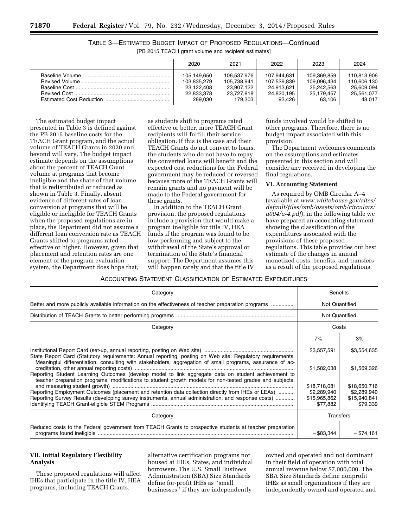| 2020                                                              | 2021                                                              | 2022                                                             | 2023                                                             | 2024                                                             |
|-------------------------------------------------------------------|-------------------------------------------------------------------|------------------------------------------------------------------|------------------------------------------------------------------|------------------------------------------------------------------|
| 105.149.650<br>103.835.279<br>23.122.408<br>22,833,378<br>289.030 | 106,537,976<br>105.738.941<br>23,907,122<br>23.727.818<br>179.303 | 107.944.631<br>107.539.839<br>24.913.621<br>24,820,195<br>93.426 | 109.369.859<br>109.096.434<br>25.242.563<br>25,179,457<br>63.106 | 110.813.906<br>110.606.130<br>25.609.094<br>25,561,077<br>48.017 |

TABLE 3—ESTIMATED BUDGET IMPACT OF PROPOSED REGULATIONS—Continued [PB 2015 TEACH grant volume and recipient estimates]

The estimated budget impact presented in Table 3 is defined against the PB 2015 baseline costs for the TEACH Grant program, and the actual volume of TEACH Grants in 2020 and beyond will vary. The budget impact estimate depends on the assumptions about the percent of TEACH Grant volume at programs that become ineligible and the share of that volume that is redistributed or reduced as shown in Table 3. Finally, absent evidence of different rates of loan conversion at programs that will be eligible or ineligible for TEACH Grants when the proposed regulations are in place, the Department did not assume a different loan conversion rate as TEACH Grants shifted to programs rated effective or higher. However, given that placement and retention rates are one element of the program evaluation system, the Department does hope that,

as students shift to programs rated effective or better, more TEACH Grant recipients will fulfill their service obligation. If this is the case and their TEACH Grants do not convert to loans, the students who do not have to repay the converted loans will benefit and the expected cost reductions for the Federal government may be reduced or reversed because more of the TEACH Grants will remain grants and no payment will be made to the Federal government for these grants.

In addition to the TEACH Grant provision, the proposed regulations include a provision that would make a program ineligible for title IV, HEA funds if the program was found to be low-performing and subject to the withdrawal of the State's approval or termination of the State's financial support. The Department assumes this will happen rarely and that the title IV

funds involved would be shifted to other programs. Therefore, there is no budget impact associated with this provision.

The Department welcomes comments on the assumptions and estimates presented in this section and will consider any received in developing the final regulations.

#### **VI. Accounting Statement**

As required by OMB Circular A–4 (available at *[www.whitehouse.gov/sites/](http://www.whitehouse.gov/sites/default/files/omb/assets/omb/circulars/a004/a-4.pdf)  [default/files/omb/assets/omb/circulars/](http://www.whitehouse.gov/sites/default/files/omb/assets/omb/circulars/a004/a-4.pdf) [a004/a-4.pdf](http://www.whitehouse.gov/sites/default/files/omb/assets/omb/circulars/a004/a-4.pdf)*), in the following table we have prepared an accounting statement showing the classification of the expenditures associated with the provisions of these proposed regulations. This table provides our best estimate of the changes in annual monetized costs, benefits, and transfers as a result of the proposed regulations.

#### ACCOUNTING STATEMENT CLASSIFICATION OF ESTIMATED EXPENDITURES

| Category                                                                                                                                                                                                                |                                                | <b>Benefits</b>             |  |
|-------------------------------------------------------------------------------------------------------------------------------------------------------------------------------------------------------------------------|------------------------------------------------|-----------------------------|--|
| Better and more publicly available information on the effectiveness of teacher preparation programs                                                                                                                     | <b>Not Quantified</b><br><b>Not Quantified</b> |                             |  |
|                                                                                                                                                                                                                         |                                                |                             |  |
| Category                                                                                                                                                                                                                | Costs                                          |                             |  |
|                                                                                                                                                                                                                         | 7%                                             | 3%                          |  |
| State Report Card (Statutory requirements: Annual reporting, posting on Web site; Regulatory requirements:<br>Meaningful differentiation, consulting with stakeholders, aggregation of small programs, assurance of ac- | \$3,557,591                                    | \$3,554,635                 |  |
| Reporting Student Learning Outcomes (develop model to link aggregate data on student achievement to<br>teacher preparation programs, modifications to student growth models for non-tested grades and subjects,         | \$1,582,038                                    | \$1,569,326                 |  |
| Reporting Employment Outcomes (placement and retention data collection directly from IHEs or LEAs)                                                                                                                      | \$18,718,081                                   | \$18,650,716<br>\$2,289,940 |  |
| Reporting Survey Results (developing survey instruments, annual administration, and response costs)                                                                                                                     | \$2,289,940<br>\$15,965,862<br>\$77,882        | \$15,940,841<br>\$79,339    |  |
| Category                                                                                                                                                                                                                | <b>Transfers</b>                               |                             |  |
| Reduced costs to the Federal government from TEACH Grants to prospective students at teacher preparation                                                                                                                | $-$ \$83,344                                   | $-$ \$74.161                |  |

# **VII. Initial Regulatory Flexibility Analysis**

These proposed regulations will affect IHEs that participate in the title IV, HEA programs, including TEACH Grants,

alternative certification programs not housed at IHEs, States, and individual borrowers. The U.S. Small Business Administration (SBA) Size Standards define for-profit IHEs as ''small businesses'' if they are independently

owned and operated and not dominant in their field of operation with total annual revenue below \$7,000,000. The SBA Size Standards define nonprofit IHEs as small organizations if they are independently owned and operated and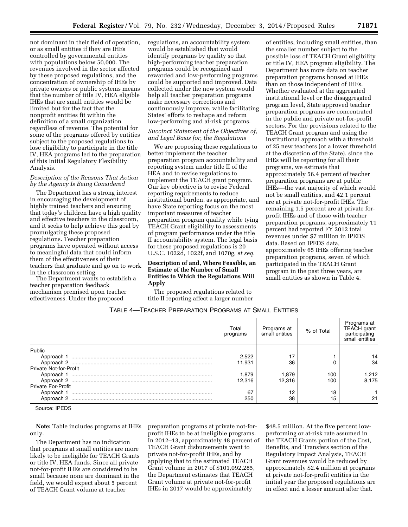not dominant in their field of operation, or as small entities if they are IHEs controlled by governmental entities with populations below 50,000. The revenues involved in the sector affected by these proposed regulations, and the concentration of ownership of IHEs by private owners or public systems means that the number of title IV, HEA eligible IHEs that are small entities would be limited but for the fact that the nonprofit entities fit within the definition of a small organization regardless of revenue. The potential for some of the programs offered by entities subject to the proposed regulations to lose eligibility to participate in the title IV, HEA programs led to the preparation of this Initial Regulatory Flexibility Analysis.

# *Description of the Reasons That Action by the Agency Is Being Considered*

The Department has a strong interest in encouraging the development of highly trained teachers and ensuring that today's children have a high quality and effective teachers in the classroom, and it seeks to help achieve this goal by promulgating these proposed regulations. Teacher preparation programs have operated without access to meaningful data that could inform them of the effectiveness of their teachers that graduate and go on to work in the classroom setting.

The Department wants to establish a teacher preparation feedback mechanism premised upon teacher effectiveness. Under the proposed

regulations, an accountability system would be established that would identify programs by quality so that high-performing teacher preparation programs could be recognized and rewarded and low-performing programs could be supported and improved. Data collected under the new system would help all teacher preparation programs make necessary corrections and continuously improve, while facilitating States' efforts to reshape and reform low-performing and at-risk programs.

# *Succinct Statement of the Objectives of, and Legal Basis for, the Regulations*

We are proposing these regulations to better implement the teacher preparation program accountability and reporting system under title II of the HEA and to revise regulations to implement the TEACH grant program. Our key objective is to revise Federal reporting requirements to reduce institutional burden, as appropriate, and have State reporting focus on the most important measures of teacher preparation program quality while tying TEACH Grant eligibility to assessments of program performance under the title II accountability system. The legal basis for these proposed regulations is 20 U.S.C. 1022d, 1022f, and 1070g, *et seq.* 

# **Description of and, Where Feasible, an Estimate of the Number of Small Entities to Which the Regulations Will Apply**

The proposed regulations related to title II reporting affect a larger number

of entities, including small entities, than the smaller number subject to the possible loss of TEACH Grant eligibility or title IV, HEA program eligibility. The Department has more data on teacher preparation programs housed at IHEs than on those independent of IHEs. Whether evaluated at the aggregated institutional level or the disaggregated program level, State approved teacher preparation programs are concentrated in the public and private not-for-profit sectors. For the provisions related to the TEACH Grant program and using the institutional approach with a threshold of 25 new teachers (or a lower threshold at the discretion of the State), since the IHEs will be reporting for all their programs, we estimate that approximately 56.4 percent of teacher preparation programs are at public IHEs—the vast majority of which would not be small entities, and 42.1 percent are at private not-for-profit IHEs. The remaining 1.5 percent are at private forprofit IHEs and of those with teacher preparation programs, approximately 11 percent had reported FY 2012 total revenues under \$7 million in IPEDS data. Based on IPEDS data, approximately 65 IHEs offering teacher preparation programs, seven of which participated in the TEACH Grant program in the past three years, are small entities as shown in Table 4.

| Table 4—Teacher Preparation Programs at Small Entities |
|--------------------------------------------------------|
|--------------------------------------------------------|

|                           | Total<br>programs | Programs at<br>small entities | % of Total | Programs at<br><b>TEACH</b> grant<br>participating<br>small entities |
|---------------------------|-------------------|-------------------------------|------------|----------------------------------------------------------------------|
| Public                    |                   |                               |            |                                                                      |
|                           | 2.522             | 17                            |            |                                                                      |
|                           | 11.931            | 36                            |            | 34                                                                   |
| Private Not-for-Profit    |                   |                               |            |                                                                      |
|                           | 1,879             | 1.879                         | 100        | 1.212                                                                |
|                           | 12.316            | 12.316                        | 100        | 8.175                                                                |
| <b>Private For-Profit</b> |                   |                               |            |                                                                      |
|                           | 67                | 12                            | 18         |                                                                      |
| Approach 2                | 250               | 38                            | 15         | 21                                                                   |

Source: IPEDS

**Note:** Table includes programs at IHEs only.

The Department has no indication that programs at small entities are more likely to be ineligible for TEACH Grants or title IV, HEA funds. Since all private not-for-profit IHEs are considered to be small because none are dominant in the field, we would expect about 5 percent of TEACH Grant volume at teacher

preparation programs at private not-forprofit IHEs to be at ineligible programs. In 2012–13, approximately 48 percent of TEACH Grant disbursements went to private not-for-profit IHEs, and by applying that to the estimated TEACH Grant volume in 2017 of \$101,092,285, the Department estimates that TEACH Grant volume at private not-for-profit IHEs in 2017 would be approximately

\$48.5 million. At the five percent lowperforming or at-risk rate assumed in the TEACH Grants portion of the Cost, Benefits, and Transfers section of the Regulatory Impact Analysis, TEACH Grant revenues would be reduced by approximately \$2.4 million at programs at private not-for-profit entities in the initial year the proposed regulations are in effect and a lesser amount after that.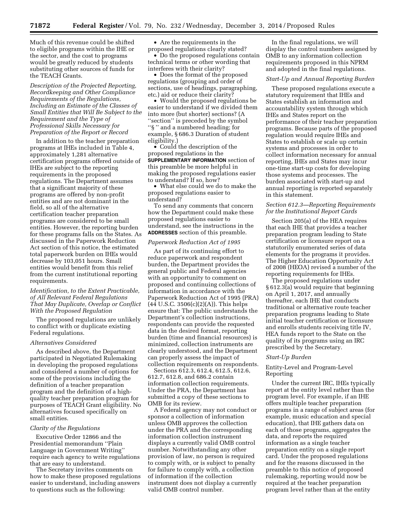Much of this revenue could be shifted to eligible programs within the IHE or the sector, and the cost to programs would be greatly reduced by students substituting other sources of funds for the TEACH Grants.

*Description of the Projected Reporting, Recordkeeping and Other Compliance Requirements of the Regulations, Including an Estimate of the Classes of Small Entities that Will Be Subject to the Requirement and the Type of Professional Skills Necessary for Preparation of the Report or Record* 

In addition to the teacher preparation programs at IHEs included in Table 4, approximately 1,281 alternative certification programs offered outside of IHEs are subject to the reporting requirements in the proposed regulations. The Department assumes that a significant majority of these programs are offered by non-profit entities and are not dominant in the field, so all of the alternative certification teacher preparation programs are considered to be small entities. However, the reporting burden for these programs falls on the States. As discussed in the Paperwork Reduction Act section of this notice, the estimated total paperwork burden on IHEs would decrease by 103,051 hours. Small entities would benefit from this relief from the current institutional reporting requirements.

# *Identification, to the Extent Practicable, of All Relevant Federal Regulations That May Duplicate, Overlap or Conflict With the Proposed Regulation*

The proposed regulations are unlikely to conflict with or duplicate existing Federal regulations.

## *Alternatives Considered*

As described above, the Department participated in Negotiated Rulemaking in developing the proposed regulations and considered a number of options for some of the provisions including the definition of a teacher preparation program and the definition of a highquality teacher preparation program for purposes of TEACH Grant eligibility. No alternatives focused specifically on small entities.

#### *Clarity of the Regulations*

Executive Order 12866 and the Presidential memorandum ''Plain Language in Government Writing'' require each agency to write regulations that are easy to understand.

The Secretary invites comments on how to make these proposed regulations easier to understand, including answers to questions such as the following:

• Are the requirements in the

proposed regulations clearly stated? • Do the proposed regulations contain technical terms or other wording that interferes with their clarity?

• Does the format of the proposed regulations (grouping and order of sections, use of headings, paragraphing, etc.) aid or reduce their clarity?

• Would the proposed regulations be easier to understand if we divided them into more (but shorter) sections? (A ''section'' is preceded by the symbol ''§ '' and a numbered heading; for example, § 686.3 Duration of student eligibility.)

• Could the description of the proposed regulations in the **SUPPLEMENTARY INFORMATION** section of this preamble be more helpful in making the proposed regulations easier to understand? If so, how?

• What else could we do to make the proposed regulations easier to understand?

To send any comments that concern how the Department could make these proposed regulations easier to understand, see the instructions in the **ADDRESSES** section of this preamble.

#### *Paperwork Reduction Act of 1995*

As part of its continuing effort to reduce paperwork and respondent burden, the Department provides the general public and Federal agencies with an opportunity to comment on proposed and continuing collections of information in accordance with the Paperwork Reduction Act of 1995 (PRA)  $(44 \text{ U.S.C. } 3506(c)(2)(A))$ . This helps ensure that: The public understands the Department's collection instructions, respondents can provide the requested data in the desired format, reporting burden (time and financial resources) is minimized, collection instruments are clearly understood, and the Department can properly assess the impact of collection requirements on respondents.

Sections 612.3, 612.4, 612.5, 612.6, 612.7, 612.8, and 686.2 contain information collection requirements. Under the PRA, the Department has submitted a copy of these sections to OMB for its review.

A Federal agency may not conduct or sponsor a collection of information unless OMB approves the collection under the PRA and the corresponding information collection instrument displays a currently valid OMB control number. Notwithstanding any other provision of law, no person is required to comply with, or is subject to penalty for failure to comply with, a collection of information if the collection instrument does not display a currently valid OMB control number.

In the final regulations, we will display the control numbers assigned by OMB to any information collection requirements proposed in this NPRM and adopted in the final regulations.

# *Start-Up and Annual Reporting Burden*

These proposed regulations execute a statutory requirement that IHEs and States establish an information and accountability system through which IHEs and States report on the performance of their teacher preparation programs. Because parts of the proposed regulation would require IHEs and States to establish or scale up certain systems and processes in order to collect information necessary for annual reporting, IHEs and States may incur one-time start-up costs for developing those systems and processes. The burden associated with start-up and annual reporting is reported separately in this statement.

# *Section 612.3—Reporting Requirements for the Institutional Report Cards*

Section 205(a) of the HEA requires that each IHE that provides a teacher preparation program leading to State certification or licensure report on a statutorily enumerated series of data elements for the programs it provides. The Higher Education Opportunity Act of 2008 (HEOA) revised a number of the reporting requirements for IHEs.

The proposed regulations under § 612.3(a) would require that beginning on April 1, 2017, and annually thereafter, each IHE that conducts traditional or alternative route teacher preparation programs leading to State initial teacher certification or licensure and enrolls students receiving title IV, HEA funds report to the State on the quality of its programs using an IRC prescribed by the Secretary.

## *Start-Up Burden*

## Entity-Level and Program-Level Reporting

Under the current IRC, IHEs typically report at the entity level rather than the program level. For example, if an IHE offers multiple teacher preparation programs in a range of subject areas (for example, music education and special education), that IHE gathers data on each of those programs, aggregates the data, and reports the required information as a single teacher preparation entity on a single report card. Under the proposed regulations and for the reasons discussed in the preamble to this notice of proposed rulemaking, reporting would now be required at the teacher preparation program level rather than at the entity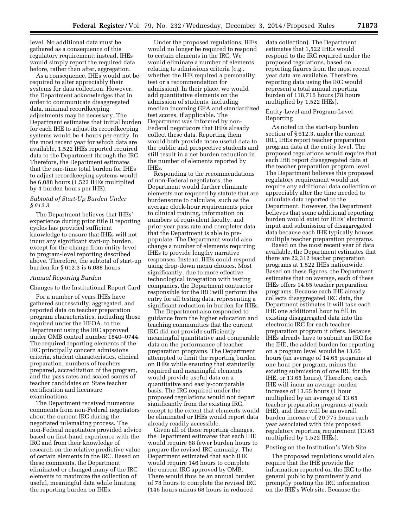level. No additional data must be gathered as a consequence of this regulatory requirement; instead, IHEs would simply report the required data before, rather than after, aggregation.

As a consequence, IHEs would not be required to alter appreciably their systems for data collection. However, the Department acknowledges that in order to communicate disaggregated data, minimal recordkeeping adjustments may be necessary. The Department estimates that initial burden for each IHE to adjust its recordkeeping systems would be 4 hours per entity. In the most recent year for which data are available, 1,522 IHEs reported required data to the Department through the IRC. Therefore, the Department estimates that the one-time total burden for IHEs to adjust recordkeeping systems would be 6,088 hours (1,522 IHEs multiplied by 4 burden hours per IHE).

# *Subtotal of Start-Up Burden Under § 612.3*

The Department believes that IHEs' experience during prior title II reporting cycles has provided sufficient knowledge to ensure that IHEs will not incur any significant start-up burden, except for the change from entity-level to program-level reporting described above. Therefore, the subtotal of start-up burden for § 612.3 is 6,088 hours.

#### *Annual Reporting Burden*

Changes to the Institutional Report Card

For a number of years IHEs have gathered successfully, aggregated, and reported data on teacher preparation program characteristics, including those required under the HEOA, to the Department using the IRC approved under OMB control number 1840–0744. The required reporting elements of the IRC principally concern admissions criteria, student characteristics, clinical preparation, numbers of teachers prepared, accreditation of the program, and the pass rates and scaled scores of teacher candidates on State teacher certification and licensure examinations.

The Department received numerous comments from non-Federal negotiators about the current IRC during the negotiated rulemaking process. The non-Federal negotiators provided advice based on first-hand experience with the IRC and from their knowledge of research on the relative predictive value of certain elements in the IRC. Based on these comments, the Department eliminated or changed many of the IRC elements to maximize the collection of useful, meaningful data while limiting the reporting burden on IHEs.

Under the proposed regulations, IHEs would no longer be required to respond to certain elements in the IRC. We would eliminate a number of elements relating to admissions criteria (*e.g.,*  whether the IHE required a personality test or a recommendation for admission). In their place, we would add quantitative elements on the admission of students, including median incoming GPA and standardized test scores, if applicable. The Department was informed by non-Federal negotiators that IHEs already collect these data. Reporting them would both provide more useful data to the public and prospective students and still result in a net burden reduction in the number of elements reported by IHEs.

Responding to the recommendations of non-Federal negotiators, the Department would further eliminate elements not required by statute that are burdensome to calculate, such as the average clock-hour requirements prior to clinical training, information on numbers of equivalent faculty, and prior-year pass rate and completer data that the Department is able to prepopulate. The Department would also change a number of elements requiring IHEs to provide lengthy narrative responses. Instead, IHEs could respond using drop-down menu choices. Most significantly, due to more effective technological integration with testing companies, the Department contractor responsible for the IRC will perform the entry for all testing data, representing a significant reduction in burden for IHEs.

The Department also responded to guidance from the higher education and teaching communities that the current IRC did not provide sufficiently meaningful quantitative and comparable data on the performance of teacher preparation programs. The Department attempted to limit the reporting burden on IHEs while ensuring that statutorily required and meaningful elements would provide useful data on a quantitative and easily-comparable basis. The IRC required under the proposed regulations would not depart significantly from the existing IRC, except to the extent that elements would be eliminated or IHEs would report data already readily accessible.

Given all of these reporting changes, the Department estimates that each IHE would require 68 fewer burden hours to prepare the revised IRC annually. The Department estimated that each IHE would require 146 hours to complete the current IRC approved by OMB. There would thus be an annual burden of 78 hours to complete the revised IRC (146 hours minus 68 hours in reduced

data collection). The Department estimates that 1,522 IHEs would respond to the IRC required under the proposed regulations, based on reporting figures from the most recent year data are available. Therefore, reporting data using the IRC would represent a total annual reporting burden of 118,716 hours (78 hours multiplied by 1,522 IHEs).

#### Entity-Level and Program-Level Reporting

As noted in the start-up burden section of § 612.3, under the current IRC, IHEs report teacher preparation program data at the entity level. The proposed regulations would require that each IHE report disaggregated data at the teacher preparation program level. The Department believes this proposed regulatory requirement would not require any additional data collection or appreciably alter the time needed to calculate data reported to the Department. However, the Department believes that some additional reporting burden would exist for IHEs' electronic input and submission of disaggregated data because each IHE typically houses multiple teacher preparation programs.

Based on the most recent year of data available, the Department estimates that there are 22,312 teacher preparation programs at 1,522 IHEs nationwide. Based on these figures, the Department estimates that on average, each of these IHEs offers 14.65 teacher preparation programs. Because each IHE already collects disaggregated IRC data, the Department estimates it will take each IHE one additional hour to fill in existing disaggregated data into the electronic IRC for each teacher preparation program it offers. Because IHEs already have to submit an IRC for the IHE, the added burden for reporting on a program level would be 13.65 hours (an average of 14.65 programs at one hour per program, minus the existing submission of one IRC for the IHE, or 13.65 hours). Therefore, each IHE will incur an average burden increase of 13.65 hours (1 hour multiplied by an average of 13.65 teacher preparation programs at each IHE), and there will be an overall burden increase of 20,775 hours each year associated with this proposed regulatory reporting requirement (13.65 multiplied by 1,522 IHEs).

## Posting on the Institution's Web Site

The proposed regulations would also require that the IHE provide the information reported on the IRC to the general public by prominently and promptly posting the IRC information on the IHE's Web site. Because the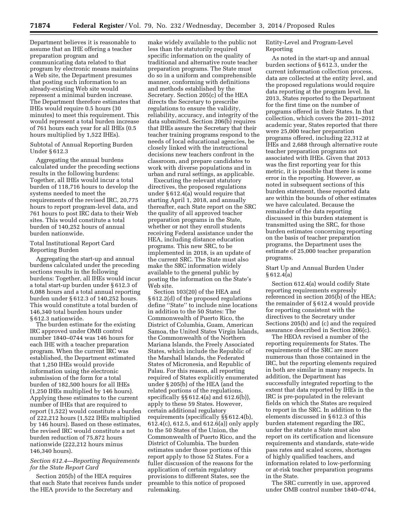Department believes it is reasonable to assume that an IHE offering a teacher preparation program and communicating data related to that program by electronic means maintains a Web site, the Department presumes that posting such information to an already-existing Web site would represent a minimal burden increase. The Department therefore estimates that IHEs would require 0.5 hours (30 minutes) to meet this requirement. This would represent a total burden increase of 761 hours each year for all IHEs (0.5 hours multiplied by 1,522 IHEs).

Subtotal of Annual Reporting Burden Under § 612.3

Aggregating the annual burdens calculated under the preceding sections results in the following burdens: Together, all IHEs would incur a total burden of 118,716 hours to develop the systems needed to meet the requirements of the revised IRC, 20,775 hours to report program-level data, and 761 hours to post IRC data to their Web sites. This would constitute a total burden of 140,252 hours of annual burden nationwide.

# Total Institutional Report Card Reporting Burden

Aggregating the start-up and annual burdens calculated under the preceding sections results in the following burdens: Together, all IHEs would incur a total start-up burden under § 612.3 of 6,088 hours and a total annual reporting burden under § 612.3 of 140,252 hours. This would constitute a total burden of 146,340 total burden hours under § 612.3 nationwide.

The burden estimate for the existing IRC approved under OMB control number 1840–0744 was 146 hours for each IHE with a teacher preparation program. When the current IRC was established, the Department estimated that 1,250 IHEs would provide information using the electronic submission of the form for a total burden of 182,500 hours for all IHEs (1,250 IHEs multiplied by 146 hours). Applying these estimates to the current number of IHEs that are required to report (1,522) would constitute a burden of 222,212 hours (1,522 IHEs multiplied by 146 hours). Based on these estimates, the revised IRC would constitute a net burden reduction of 75,872 hours nationwide (222,212 hours minus 146,340 hours).

# *Section 612.4—Reporting Requirements for the State Report Card*

Section 205(b) of the HEA requires that each State that receives funds under the HEA provide to the Secretary and

make widely available to the public not less than the statutorily required specific information on the quality of traditional and alternative route teacher preparation programs. The State must do so in a uniform and comprehensible manner, conforming with definitions and methods established by the Secretary. Section 205(c) of the HEA directs the Secretary to prescribe regulations to ensure the validity, reliability, accuracy, and integrity of the data submitted. Section 206(b) requires that IHEs assure the Secretary that their teacher training programs respond to the needs of local educational agencies, be closely linked with the instructional decisions new teachers confront in the classroom, and prepare candidates to work with diverse populations and in urban and rural settings, as applicable.

Executing the relevant statutory directives, the proposed regulations under § 612.4(a) would require that starting April 1, 2018, and annually thereafter, each State report on the SRC the quality of all approved teacher preparation programs in the State, whether or not they enroll students receiving Federal assistance under the HEA, including distance education programs. This new SRC, to be implemented in 2018, is an update of the current SRC. The State must also make the SRC information widely available to the general public by posting the information on the State's Web site.

Section 103(20) of the HEA and § 612.2(d) of the proposed regulations define ''State'' to include nine locations in addition to the 50 States: The Commonwealth of Puerto Rico, the District of Columbia, Guam, American Samoa, the United States Virgin Islands, the Commonwealth of the Northern Mariana Islands, the Freely Associated States, which include the Republic of the Marshall Islands, the Federated States of Micronesia, and Republic of Palau. For this reason, all reporting required of States explicitly enumerated under § 205(b) of the HEA (and the related portions of the regulations, specifically §§ 612.4(a) and 612.6(b)), apply to these 59 States. However, certain additional regulatory requirements (specifically §§ 612.4(b), 612.4(c), 612.5, and 612.6(a)) only apply to the 50 States of the Union, the Commonwealth of Puerto Rico, and the District of Columbia. The burden estimates under those portions of this report apply to those 52 States. For a fuller discussion of the reasons for the application of certain regulatory provisions to different States, see the preamble to this notice of proposed rulemaking.

Entity-Level and Program-Level Reporting

As noted in the start-up and annual burden sections of § 612.3, under the current information collection process, data are collected at the entity level, and the proposed regulations would require data reporting at the program level. In 2013, States reported to the Department for the first time on the number of programs offered in their States. In that collection, which covers the 2011–2012 academic year, States reported that there were 25,000 teacher preparation programs offered, including 22,312 at IHEs and 2,688 through alternative route teacher preparation programs not associated with IHEs. Given that 2013 was the first reporting year for this metric, it is possible that there is some error in the reporting. However, as noted in subsequent sections of this burden statement, these reported data are within the bounds of other estimates we have calculated. Because the remainder of the data reporting discussed in this burden statement is transmitted using the SRC, for those burden estimates concerning reporting on the basis of teacher preparation programs, the Department uses the estimate of 25,000 teacher preparation programs.

## Start Up and Annual Burden Under § 612.4(a)

Section 612.4(a) would codify State reporting requirements expressly referenced in section 205(b) of the HEA; the remainder of § 612.4 would provide for reporting consistent with the directives to the Secretary under Sections 205(b) and (c) and the required assurance described in Section 206(c).

The HEOA revised a number of the reporting requirements for States. The requirements of the SRC are more numerous than those contained in the IRC, but the reporting elements required in both are similar in many respects. In addition, the Department has successfully integrated reporting to the extent that data reported by IHEs in the IRC is pre-populated in the relevant fields on which the States are required to report in the SRC. In addition to the elements discussed in § 612.3 of this burden statement regarding the IRC, under the statute a State must also report on its certification and licensure requirements and standards, state-wide pass rates and scaled scores, shortages of highly qualified teachers, and information related to low-performing or at-risk teacher preparation programs in the State.

The SRC currently in use, approved under OMB control number 1840–0744,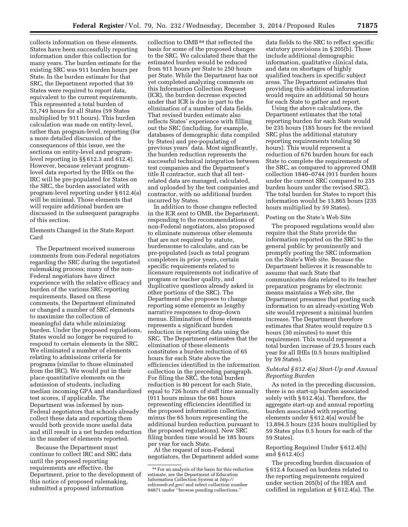collects information on these elements. States have been successfully reporting information under this collection for many years. The burden estimate for the existing SRC was 911 burden hours per State. In the burden estimate for that SRC, the Department reported that 59 States were required to report data, equivalent to the current requirements. This represented a total burden of 53,749 hours for all States (59 States multiplied by 911 hours). This burden calculation was made on entity-level, rather than program-level, reporting (for a more detailed discussion of the consequences of this issue, see the sections on entity-level and programlevel reporting in §§ 612.3 and 612.4). However, because relevant programlevel data reported by the IHEs on the IRC will be pre-populated for States on the SRC, the burden associated with program-level reporting under § 612.4(a)

will be minimal. Those elements that will require additional burden are discussed in the subsequent paragraphs of this section.

Elements Changed in the State Report Card

The Department received numerous comments from non-Federal negotiators regarding the SRC during the negotiated rulemaking process; many of the non-Federal negotiators have direct experience with the relative efficacy and burden of the various SRC reporting requirements. Based on these comments, the Department eliminated or changed a number of SRC elements to maximize the collection of meaningful data while minimizing burden. Under the proposed regulations, States would no longer be required to respond to certain elements in the SRC. We eliminated a number of elements relating to admissions criteria for programs (similar to those eliminated from the IRC). We would put in their place quantitative elements on the admission of students, including median incoming GPA and standardized test scores, if applicable. The Department was informed by non-Federal negotiators that schools already collect these data and reporting them would both provide more useful data and still result in a net burden reduction in the number of elements reported.

Because the Department must continue to collect IRC and SRC data until the proposed reporting requirements are effective, the Department, prior to the development of this notice of proposed rulemaking, submitted a proposed information

collection to OMB<sup>84</sup> that reflected the basis for some of the proposed changes to the SRC. We calculated there that the estimated burden would be reduced from 911 hours per State to 250 hours per State. While the Department has not yet completed analyzing comments on this Information Collection Request (ICR), the burden decrease expected under that ICR is due in part to the elimination of a number of data fields. That revised burden estimate also reflects States' experience with filling out the SRC (including, for example, databases of demographic data compiled by States) and pre-populating of previous years' data. Most significantly, the burden reduction represents the successful technical integration between test companies and the Department's title II contractor, such that all testrelated data are managed, calculated, and uploaded by the test companies and contractor, with no additional burden incurred by States.

In addition to those changes reflected in the ICR sent to OMB, the Department, responding to the recommendations of non-Federal negotiators, also proposed to eliminate numerous other elements that are not required by statute, burdensome to calculate, and can be pre-populated (such as total program completers in prior years, certain specific requirements related to licensure requirements not indicative of program or teacher quality, and duplicative questions already asked in other portions of the SRC). The Department also proposes to change reporting some elements as lengthy narrative responses to drop-down menus. Elimination of these elements represents a significant burden reduction in reporting data using the SRC. The Department estimates that the elimination of these elements constitutes a burden reduction of 65 hours for each State above the efficiencies identified in the information collection in the preceding paragraph. For filing the SRC, the total burden reduction is 80 percent for each State, equal to 726 hours of staff time annually (911 hours minus the 661 hours representing efficiencies identified in the proposed information collection, minus the 65 hours representing the additional burden reduction pursuant to the proposed regulations). New SRC filing burden time would be 185 hours per year for each State.

At the request of non-Federal negotiators, the Department added some

data fields to the SRC to reflect specific statutory provisions in § 205(b). These include additional demographic information, qualitative clinical data, and data on shortages of highly qualified teachers in specific subject areas. The Department estimates that providing this additional information would require an additional 50 hours for each State to gather and report.

Using the above calculations, the Department estimates that the total reporting burden for each State would be 235 hours (185 hours for the revised SRC plus the additional statutory reporting requirements totaling 50 hours). This would represent a reduction of 676 burden hours for each State to complete the requirements of the SRC, as compared to approved OMB collection 1840–0744 (911 burden hours under the current SRC compared to 235 burden hours under the revised SRC). The total burden for States to report this information would be 13,865 hours (235 hours multiplied by 59 States).

#### Posting on the State's Web Site

The proposed regulations would also require that the State provide the information reported on the SRC to the general public by prominently and promptly posting the SRC information on the State's Web site. Because the Department believes it is reasonable to assume that each State that communicates data related to its teacher preparation programs by electronic means maintains a Web site, the Department presumes that posting such information to an already-existing Web site would represent a minimal burden increase. The Department therefore estimates that States would require 0.5 hours (30 minutes) to meet this requirement. This would represent a total burden increase of 29.5 hours each year for all IHEs (0.5 hours multiplied by 59 States).

# *Subtotal § 612.4(a) Start-Up and Annual Reporting Burden*

As noted in the preceding discussion, there is no start-up burden associated solely with § 612.4(a). Therefore, the aggregate start-up and annual reporting burden associated with reporting elements under § 612.4(a) would be 13,894.5 hours (235 hours multiplied by 59 States plus 0.5 hours for each of the 59 States).

# Reporting Required Under § 612.4(b) and § 612.4(c)

The preceding burden discussion of § 612.4 focused on burdens related to the reporting requirements required under section 205(b) of the HEA and codified in regulation at § 612.4(a). The

<sup>84</sup>For an analysis of the basis for this reduction estimate, see the Department of Education Information Collection System at *[http://](http://edicsweb.ed.gov/) [edicsweb.ed.gov/](http://edicsweb.ed.gov/)* and select collection number 04871 under ''browse pending collections.''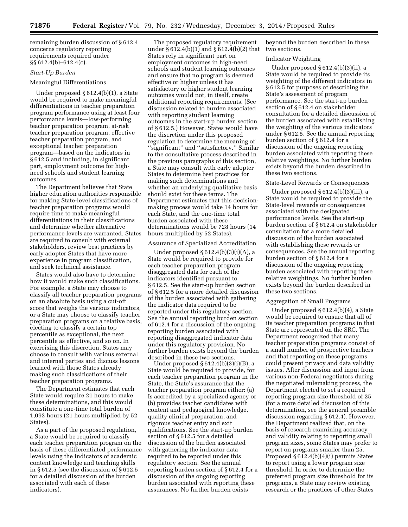remaining burden discussion of § 612.4 concerns regulatory reporting requirements required under §§ 612.4(b)–612.4(c).

# *Start-Up Burden*

## Meaningful Differentiations

Under proposed § 612.4(b)(1), a State would be required to make meaningful differentiations in teacher preparation program performance using at least four performance levels—low-performing teacher preparation program, at-risk teacher preparation program, effective teacher preparation program, and exceptional teacher preparation program—based on the indicators in § 612.5 and including, in significant part, employment outcome for highneed schools and student learning outcomes.

The Department believes that State higher education authorities responsible for making State-level classifications of teacher preparation programs would require time to make meaningful differentiations in their classifications and determine whether alternative performance levels are warranted. States are required to consult with external stakeholders, review best practices by early adopter States that have more experience in program classification, and seek technical assistance.

States would also have to determine how it would make such classifications. For example, a State may choose to classify all teacher preparation programs on an absolute basis using a cut-off score that weighs the various indicators, or a State may choose to classify teacher preparation programs on a relative basis, electing to classify a certain top percentile as exceptional, the next percentile as effective, and so on. In exercising this discretion, States may choose to consult with various external and internal parties and discuss lessons learned with those States already making such classifications of their teacher preparation programs.

The Department estimates that each State would require 21 hours to make these determinations, and this would constitute a one-time total burden of 1,092 hours (21 hours multiplied by 52 States).

As a part of the proposed regulation, a State would be required to classify each teacher preparation program on the basis of these differentiated performance levels using the indicators of academic content knowledge and teaching skills in § 612.5 (see the discussion of § 612.5 for a detailed discussion of the burden associated with each of these indicators).

The proposed regulatory requirement under § 612.4(b)(1) and § 612.4(b)(2) that States rely in significant part on employment outcomes in high-need schools and student learning outcomes and ensure that no program is deemed effective or higher unless it has satisfactory or higher student learning outcomes would not, in itself, create additional reporting requirements. (See discussion related to burden associated with reporting student learning outcomes in the start-up burden section of § 612.5.) However, States would have the discretion under this proposed regulation to determine the meaning of ''significant'' and ''satisfactory.'' Similar to the consultative process described in the previous paragraphs of this section, a State may consult with early adopter States to determine best practices for making such determinations and whether an underlying qualitative basis should exist for these terms. The Department estimates that this decisionmaking process would take 14 hours for each State, and the one-time total burden associated with these determinations would be 728 hours (14 hours multiplied by 52 States).

#### Assurance of Specialized Accreditation

Under proposed  $§ 612.4(b)(3)(i)(A)$ , a State would be required to provide for each teacher preparation program disaggregated data for each of the indicators identified pursuant to § 612.5. See the start-up burden section of § 612.5 for a more detailed discussion of the burden associated with gathering the indicator data required to be reported under this regulatory section. See the annual reporting burden section of 612.4 for a discussion of the ongoing reporting burden associated with reporting disaggregated indicator data under this regulatory provision. No further burden exists beyond the burden described in these two sections.

Under proposed  $§ 612.4(b)(3)(i)(B)$ , a State would be required to provide, for each teacher preparation program in the State, the State's assurance that the teacher preparation program either: (a) Is accredited by a specialized agency or (b) provides teacher candidates with content and pedagogical knowledge, quality clinical preparation, and rigorous teacher entry and exit qualifications. See the start-up burden section of § 612.5 for a detailed discussion of the burden associated with gathering the indicator data required to be reported under this regulatory section. See the annual reporting burden section of § 612.4 for a discussion of the ongoing reporting burden associated with reporting these assurances. No further burden exists

beyond the burden described in these two sections.

## Indicator Weighting

Under proposed  $§ 612.4(b)(3)(ii)$ , a State would be required to provide its weighting of the different indicators in § 612.5 for purposes of describing the State's assessment of program performance. See the start-up burden section of § 612.4 on stakeholder consultation for a detailed discussion of the burden associated with establishing the weighting of the various indicators under § 612.5. See the annual reporting burden section of § 612.4 for a discussion of the ongoing reporting burden associated with reporting these relative weightings. No further burden exists beyond the burden described in these two sections.

#### State-Level Rewards or Consequences

Under proposed § 612.4(b)(3)(iii), a State would be required to provide the State-level rewards or consequences associated with the designated performance levels. See the start-up burden section of § 612.4 on stakeholder consultation for a more detailed discussion of the burden associated with establishing these rewards or consequences. See the annual reporting burden section of § 612.4 for a discussion of the ongoing reporting burden associated with reporting these relative weightings. No further burden exists beyond the burden described in these two sections.

#### Aggregation of Small Programs

Under proposed § 612.4(b)(4), a State would be required to ensure that all of its teacher preparation programs in that State are represented on the SRC. The Department recognized that many teacher preparation programs consist of a small number of prospective teachers and that reporting on these programs could present privacy and data validity issues. After discussion and input from various non-Federal negotiators during the negotiated rulemaking process, the Department elected to set a required reporting program size threshold of 25 (for a more detailed discussion of this determination, see the general preamble discussion regarding § 612.4). However, the Department realized that, on the basis of research examining accuracy and validity relating to reporting small program sizes, some States may prefer to report on programs smaller than 25. Proposed § 612.4(b)(4)(i) permits States to report using a lower program size threshold. In order to determine the preferred program size threshold for its programs, a State may review existing research or the practices of other States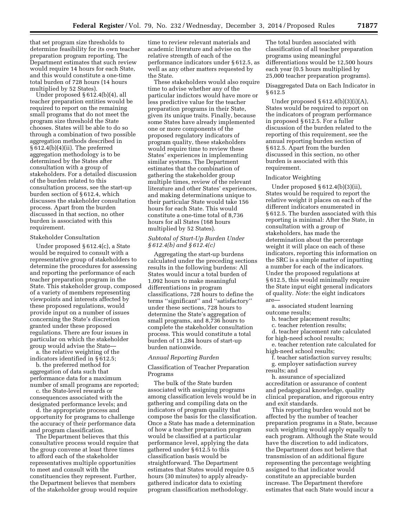that set program size thresholds to determine feasibility for its own teacher preparation program reporting. The Department estimates that such review would require 14 hours for each State, and this would constitute a one-time total burden of 728 hours (14 hours multiplied by 52 States).

Under proposed § 612.4(b)(4), all teacher preparation entities would be required to report on the remaining small programs that do not meet the program size threshold the State chooses. States will be able to do so through a combination of two possible aggregation methods described in § 612.4(b)(4)(ii). The preferred aggregation methodology is to be determined by the States after consultation with a group of stakeholders. For a detailed discussion of the burden related to this consultation process, see the start-up burden section of § 612.4, which discusses the stakeholder consultation process. Apart from the burden discussed in that section, no other burden is associated with this requirement.

#### Stakeholder Consultation

Under proposed § 612.4(c), a State would be required to consult with a representative group of stakeholders to determine the procedures for assessing and reporting the performance of each teacher preparation program in the State. This stakeholder group, composed of a variety of members representing viewpoints and interests affected by these proposed regulations, would provide input on a number of issues concerning the State's discretion granted under these proposed regulations. There are four issues in particular on which the stakeholder group would advise the State a. the relative weighting of the

indicators identified in § 612.5;

b. the preferred method for aggregation of data such that performance data for a maximum number of small programs are reported;

c. the State-level rewards or consequences associated with the designated performance levels; and

d. the appropriate process and opportunity for programs to challenge the accuracy of their performance data and program classification.

The Department believes that this consultative process would require that the group convene at least three times to afford each of the stakeholder representatives multiple opportunities to meet and consult with the constituencies they represent. Further, the Department believes that members of the stakeholder group would require

time to review relevant materials and academic literature and advise on the relative strength of each of the performance indicators under § 612.5, as well as any other matters requested by the State.

These stakeholders would also require time to advise whether any of the particular indictors would have more or less predictive value for the teacher preparation programs in their State, given its unique traits. Finally, because some States have already implemented one or more components of the proposed regulatory indicators of program quality, these stakeholders would require time to review these States' experiences in implementing similar systems. The Department estimates that the combination of gathering the stakeholder group multiple times, review of the relevant literature and other States' experiences, and making determinations unique to their particular State would take 156 hours for each State. This would constitute a one-time total of 8,736 hours for all States (168 hours multiplied by 52 States).

# *Subtotal of Start-Up Burden Under § 612.4(b) and § 612.4(c)*

Aggregating the start-up burdens calculated under the preceding sections results in the following burdens: All States would incur a total burden of 1,092 hours to make meaningful differentiations in program classifications, 728 hours to define the terms ''significant'' and ''satisfactory'' under these sections, 728 hours to determine the State's aggregation of small programs, and 8,736 hours to complete the stakeholder consultation process. This would constitute a total burden of 11,284 hours of start-up burden nationwide.

#### *Annual Reporting Burden*

Classification of Teacher Preparation Programs

The bulk of the State burden associated with assigning programs among classification levels would be in gathering and compiling data on the indicators of program quality that compose the basis for the classification. Once a State has made a determination of how a teacher preparation program would be classified at a particular performance level, applying the data gathered under § 612.5 to this classification basis would be straightforward. The Department estimates that States would require 0.5 hours (30 minutes) to apply alreadygathered indicator data to existing program classification methodology.

The total burden associated with classification of all teacher preparation programs using meaningful differentiations would be 12,500 hours each year (0.5 hours multiplied by 25,000 teacher preparation programs).

# Disaggregated Data on Each Indicator in § 612.5

Under proposed  $§ 612.4(b)(3)(i)(A),$ States would be required to report on the indicators of program performance in proposed § 612.5. For a fuller discussion of the burden related to the reporting of this requirement, see the annual reporting burden section of § 612.5. Apart from the burden discussed in this section, no other burden is associated with this requirement.

## Indicator Weighting

Under proposed § 612.4(b)(3)(ii), States would be required to report the relative weight it places on each of the different indicators enumerated in § 612.5. The burden associated with this reporting is minimal: After the State, in consultation with a group of stakeholders, has made the determination about the percentage weight it will place on each of these indicators, reporting this information on the SRC is a simple matter of inputting a number for each of the indicators. Under the proposed regulations at § 612.5, this would minimally require the State input eight general indicators of quality. *Note:* the eight indicators are—

a. associated student learning outcome results;

b. teacher placement results;

c. teacher retention results;

d. teacher placement rate calculated

for high-need school results; e. teacher retention rate calculated for

high-need school results;

f. teacher satisfaction survey results; g. employer satisfaction survey results; and

h. assurance of specialized accreditation or assurance of content and pedagogical knowledge, quality clinical preparation, and rigorous entry and exit standards.

This reporting burden would not be affected by the number of teacher preparation programs in a State, because such weighting would apply equally to each program. Although the State would have the discretion to add indicators, the Department does not believe that transmission of an additional figure representing the percentage weighting assigned to that indicator would constitute an appreciable burden increase. The Department therefore estimates that each State would incur a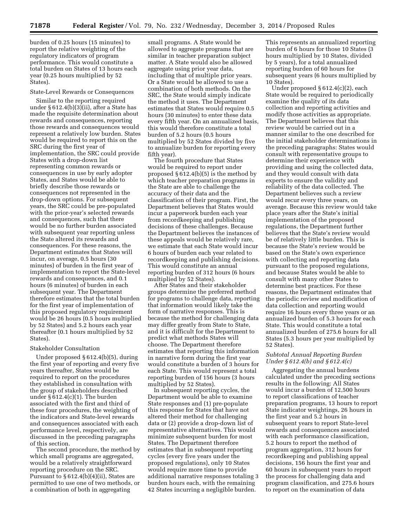burden of 0.25 hours (15 minutes) to report the relative weighting of the regulatory indicators of program performance. This would constitute a total burden on States of 13 hours each year (0.25 hours multiplied by 52 States).

#### State-Level Rewards or Consequences

Similar to the reporting required under § 612.4(b)(3)(ii), after a State has made the requisite determination about rewards and consequences, reporting those rewards and consequences would represent a relatively low burden. States would be required to report this on the SRC during the first year of implementation, the SRC could provide States with a drop-down list representing common rewards or consequences in use by early adopter States, and States would be able to briefly describe those rewards or consequences not represented in the drop-down options. For subsequent years, the SRC could be pre-populated with the prior-year's selected rewards and consequences, such that there would be no further burden associated with subsequent year reporting unless the State altered its rewards and consequences. For these reasons, the Department estimates that States will incur, on average, 0.5 hours (30 minutes) of burden in the first year of implementation to report the State-level rewards and consequences, and 0.1 hours (6 minutes) of burden in each subsequent year. The Department therefore estimates that the total burden for the first year of implementation of this proposed regulatory requirement would be 26 hours (0.5 hours multiplied by 52 States) and 5.2 hours each year thereafter (0.1 hours multiplied by 52 States).

## Stakeholder Consultation

Under proposed § 612.4(b)(5), during the first year of reporting and every five years thereafter, States would be required to report on the procedures they established in consultation with the group of stakeholders described under § 612.4(c)(1). The burden associated with the first and third of these four procedures, the weighting of the indicators and State-level rewards and consequences associated with each performance level, respectively, are discussed in the preceding paragraphs of this section.

The second procedure, the method by which small programs are aggregated, would be a relatively straightforward reporting procedure on the SRC. Pursuant to  $\S 612.4(b)(4)(ii)$ , States are permitted to use one of two methods, or a combination of both in aggregating

small programs. A State would be allowed to aggregate programs that are similar in teacher preparation subject matter. A State would also be allowed aggregate using prior year data, including that of multiple prior years. Or a State would be allowed to use a combination of both methods. On the SRC, the State would simply indicate the method it uses. The Department estimates that States would require 0.5 hours (30 minutes) to enter these data every fifth year. On an annualized basis, this would therefore constitute a total burden of 5.2 hours (0.5 hours multiplied by 52 States divided by five to annualize burden for reporting every fifth year).

The fourth procedure that States would be required to report under proposed § 612.4(b)(5) is the method by which teacher preparation programs in the State are able to challenge the accuracy of their data and the classification of their program. First, the Department believes that States would incur a paperwork burden each year from recordkeeping and publishing decisions of these challenges. Because the Department believes the instances of these appeals would be relatively rare, we estimate that each State would incur 6 hours of burden each year related to recordkeeping and publishing decisions. This would constitute an annual reporting burden of 312 hours (6 hours multiplied by 52 States).

After States and their stakeholder groups determine the preferred method for programs to challenge data, reporting that information would likely take the form of narrative responses. This is because the method for challenging data may differ greatly from State to State, and it is difficult for the Department to predict what methods States will choose. The Department therefore estimates that reporting this information in narrative form during the first year would constitute a burden of 3 hours for each State. This would represent a total reporting burden of 156 hours (3 hours multiplied by 52 States).

In subsequent reporting cycles, the Department would be able to examine State responses and (1) pre-populate this response for States that have not altered their method for challenging data or (2) provide a drop-down list of representative alternatives. This would minimize subsequent burden for most States. The Department therefore estimates that in subsequent reporting cycles (every five years under the proposed regulations), only 10 States would require more time to provide additional narrative responses totaling 3 burden hours each, with the remaining 42 States incurring a negligible burden.

This represents an annualized reporting burden of 6 hours for those 10 States (3 hours multiplied by 10 States, divided by 5 years), for a total annualized reporting burden of 60 hours for subsequent years (6 hours multiplied by 10 States).

Under proposed § 612.4(c)(2), each State would be required to periodically examine the quality of its data collection and reporting activities and modify those activities as appropriate. The Department believes that this review would be carried out in a manner similar to the one described for the initial stakeholder determinations in the preceding paragraphs: States would consult with representative groups to determine their experience with providing and using the collected data, and they would consult with data experts to ensure the validity and reliability of the data collected. The Department believes such a review would recur every three years, on average. Because this review would take place years after the State's initial implementation of the proposed regulations, the Department further believes that the State's review would be of relatively little burden. This is because the State's review would be based on the State's own experience with collecting and reporting data pursuant to the proposed regulations, and because States would be able to consult with many other States to determine best practices. For these reasons, the Department estimates that the periodic review and modification of data collection and reporting would require 16 hours every three years or an annualized burden of 5.3 hours for each State. This would constitute a total annualized burden of 275.6 hours for all States (5.3 hours per year multiplied by 52 States).

## *Subtotal Annual Reporting Burden Under § 612.4(b) and § 612.4(c)*

Aggregating the annual burdens calculated under the preceding sections results in the following: All States would incur a burden of 12,500 hours to report classifications of teacher preparation programs, 13 hours to report State indicator weightings, 26 hours in the first year and 5.2 hours in subsequent years to report State-level rewards and consequences associated with each performance classification, 5.2 hours to report the method of program aggregation, 312 hours for recordkeeping and publishing appeal decisions, 156 hours the first year and 60 hours in subsequent years to report the process for challenging data and program classification, and 275.6 hours to report on the examination of data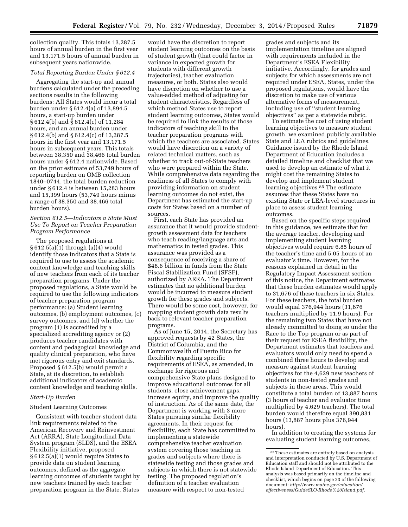collection quality. This totals 13,287.5 hours of annual burden in the first year and 13,171.5 hours of annual burden in subsequent years nationwide.

# *Total Reporting Burden Under § 612.4*

Aggregating the start-up and annual burdens calculated under the preceding sections results in the following burdens: All States would incur a total burden under § 612.4(a) of 13,894.5 hours, a start-up burden under § 612.4(b) and § 612.4(c) of 11,284 hours, and an annual burden under § 612.4(b) and § 612.4(c) of 13,287.5 hours in the first year and 13,171.5 hours in subsequent years. This totals between 38,350 and 38,466 total burden hours under § 612.4 nationwide. Based on the prior estimate of 53,749 hours of reporting burden on OMB collection 1840–0744, the total burden reduction under § 612.4 is between 15,283 hours and 15,399 hours (53,749 hours minus a range of 38,350 and 38,466 total burden hours).

# *Section 612.5—Indicators a State Must Use To Report on Teacher Preparation Program Performance*

The proposed regulations at § 612.5(a)(1) through (a)(4) would identify those indicators that a State is required to use to assess the academic content knowledge and teaching skills of new teachers from each of its teacher preparation programs. Under the proposed regulations, a State would be required to use the following indicators of teacher preparation program performance: (a) Student learning outcomes, (b) employment outcomes, (c) survey outcomes, and (d) whether the program (1) is accredited by a specialized accrediting agency or (2) produces teacher candidates with content and pedagogical knowledge and quality clinical preparation, who have met rigorous entry and exit standards. Proposed § 612.5(b) would permit a State, at its discretion, to establish additional indicators of academic content knowledge and teaching skills.

# *Start-Up Burden*

## Student Learning Outcomes

Consistent with teacher-student data link requirements related to the American Recovery and Reinvestment Act (ARRA), State Longitudinal Data System program (SLDS), and the ESEA Flexibility initiative, proposed § 612.5(a)(1) would require States to provide data on student learning outcomes, defined as the aggregate learning outcomes of students taught by new teachers trained by each teacher preparation program in the State. States

would have the discretion to report student learning outcomes on the basis of student growth (that could factor in variance in expected growth for students with different growth trajectories), teacher evaluation measures, or both. States also would have discretion on whether to use a value-added method of adjusting for student characteristics. Regardless of which method States use to report student learning outcomes, States would be required to link the results of those indicators of teaching skill to the teacher preparation programs with which the teachers are associated. States would have discretion on a variety of related technical matters, such as whether to track out-of-State teachers who were prepared within the State. While comprehensive data regarding the readiness of all States to comply with providing information on student learning outcomes do not exist, the Department has estimated the start-up costs for States based on a number of sources.

First, each State has provided an assurance that it would provide studentgrowth assessment data for teachers who teach reading/language arts and mathematics in tested grades. This assurance was provided as a consequence of receiving a share of \$48.6 billion in funds from the State Fiscal Stabilization Fund (SFSF), authorized by ARRA. The Department estimates that no additional burden would be incurred to measure student growth for these grades and subjects. There would be some cost, however, for mapping student growth data results back to relevant teacher preparation programs.

As of June 15, 2014, the Secretary has approved requests by 42 States, the District of Columbia, and the Commonwealth of Puerto Rico for flexibility regarding specific requirements of ESEA, as amended, in exchange for rigorous and comprehensive State plans designed to improve educational outcomes for all students, close achievement gaps, increase equity, and improve the quality of instruction. As of the same date, the Department is working with 3 more States pursuing similar flexibility agreements. In their request for flexibility, each State has committed to implementing a statewide comprehensive teacher evaluation system covering those teaching in grades and subjects where there is statewide testing and those grades and subjects in which there is not statewide testing. The proposed regulation's definition of a teacher evaluation measure with respect to non-tested

grades and subjects and its implementation timeline are aligned with requirements included in the Department's ESEA Flexibility initiative. Accordingly, for grades and subjects for which assessments are not required under ESEA, States, under the proposed regulations, would have the discretion to make use of various alternative forms of measurement, including use of ''student learning objectives'' as per a statewide rubric.

To estimate the cost of using student learning objectives to measure student growth, we examined publicly available State and LEA rubrics and guidelines. Guidance issued by the Rhode Island Department of Education includes a detailed timeline and checklist that we used to develop an estimate of what it might cost the remaining States to develop and implement student learning objectives.85 The estimate assumes that these States have no existing State or LEA-level structures in place to assess student learning outcomes.

Based on the specific steps required in this guidance, we estimate that for the average teacher, developing and implementing student learning objectives would require 6.85 hours of the teacher's time and 5.05 hours of an evaluator's time. However, for the reasons explained in detail in the Regulatory Impact Assessment section of this notice, the Department estimates that these burden estimates would apply to 31,676 of these teachers in six States. For these teachers, the total burden would equal 376,944 hours (31,676 teachers multiplied by 11.9 hours). For the remaining two States that have not already committed to doing so under the Race to the Top program or as part of their request for ESEA flexibility, the Department estimates that teachers and evaluators would only need to spend a combined three hours to develop and measure against student learning objectives for the 4,629 new teachers of students in non-tested grades and subjects in these areas. This would constitute a total burden of 13,887 hours (3 hours of teacher and evaluator time multiplied by 4,629 teachers). The total burden would therefore equal 390,831 hours (13,887 hours plus 376,944 hours).

In addition to creating the systems for evaluating student learning outcomes,

 $^{\rm 85}$  These estimates are entirely based on analysis and interpretation conducted by U.S. Department of Education staff and should not be attributed to the Rhode Island Department of Education. This analysis was based primarily on the timeline and checklist, which begins on page 23 of the following document: *[http://www.maine.gov/education/](http://www.maine.gov/education/effectiveness/GuideSLO-Rhode%20Island.pdf) [effectiveness/GuideSLO-Rhode%20Island.pdf](http://www.maine.gov/education/effectiveness/GuideSLO-Rhode%20Island.pdf)*.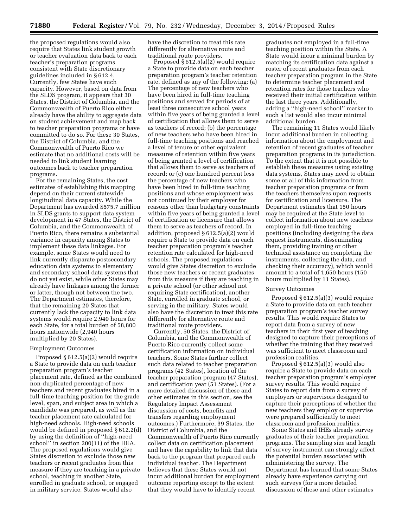the proposed regulations would also require that States link student growth or teacher evaluation data back to each teacher's preparation programs consistent with State discretionary guidelines included in § 612.4. Currently, few States have such capacity. However, based on data from the SLDS program, it appears that 30 States, the District of Columbia, and the Commonwealth of Puerto Rico either already have the ability to aggregate data on student achievement and map back to teacher preparation programs or have committed to do so. For these 30 States, the District of Columbia, and the Commonwealth of Puerto Rico we estimate that no additional costs will be needed to link student learning outcomes back to teacher preparation programs.

For the remaining States, the cost estimates of establishing this mapping depend on their current statewide longitudinal data capacity. While the Department has awarded \$575.7 million in SLDS grants to support data system development in 47 States, the District of Columbia, and the Commonwealth of Puerto Rico, there remains a substantial variance in capacity among States to implement these data linkages. For example, some States would need to link currently disparate postsecondary education data systems to elementary and secondary school data systems that do not yet exist, while other States may already have linkages among the former or latter, though not between the two. The Department estimates, therefore, that the remaining 20 States that currently lack the capacity to link data systems would require 2,940 hours for each State, for a total burden of 58,800 hours nationwide (2,940 hours multiplied by 20 States).

#### Employment Outcomes

Proposed § 612.5(a)(2) would require a State to provide data on each teacher preparation program's teacher placement rate, defined as the combined non-duplicated percentage of new teachers and recent graduates hired in a full-time teaching position for the grade level, span, and subject area in which a candidate was prepared, as well as the teacher placement rate calculated for high-need schools. High-need schools would be defined in proposed § 612.2(d) by using the definition of ''high-need school'' in section 200(11) of the HEA. The proposed regulations would give States discretion to exclude those new teachers or recent graduates from this measure if they are teaching in a private school, teaching in another State, enrolled in graduate school, or engaged in military service. States would also

have the discretion to treat this rate differently for alternative route and traditional route providers.

Proposed § 612.5(a)(2) would require a State to provide data on each teacher preparation program's teacher retention rate, defined as any of the following: (a) The percentage of new teachers who have been hired in full-time teaching positions and served for periods of at least three consecutive school years within five years of being granted a level of certification that allows them to serve as teachers of record; (b) the percentage of new teachers who have been hired in full-time teaching positions and reached a level of tenure or other equivalent measures of retention within five years of being granted a level of certification that allows them to serve as teachers of record; or (c) one hundred percent less the percentage of new teachers who have been hired in full-time teaching positions and whose employment was not continued by their employer for reasons other than budgetary constraints within five years of being granted a level of certification or licensure that allows them to serve as teachers of record. In addition, proposed § 612.5(a)(2) would require a State to provide data on each teacher preparation program's teacher retention rate calculated for high-need schools. The proposed regulations would give States discretion to exclude those new teachers or recent graduates from this measure if they are teaching in a private school (or other school not requiring State certification), another State, enrolled in graduate school, or serving in the military. States would also have the discretion to treat this rate differently for alternative route and traditional route providers.

Currently, 50 States, the District of Columbia, and the Commonwealth of Puerto Rico currently collect some certification information on individual teachers. Some States further collect such data related to teacher preparation programs (42 States), location of the teacher preparation program (47 States), and certification year (51 States). (For a more detailed discussion of these and other estimates in this section, see the Regulatory Impact Assessment discussion of costs, benefits and transfers regarding employment outcomes.) Furthermore, 39 States, the District of Columbia, and the Commonwealth of Puerto Rico currently collect data on certification placement and have the capability to link that data back to the program that prepared each individual teacher. The Department believes that these States would not incur additional burden for employment outcome reporting except to the extent that they would have to identify recent

graduates not employed in a full-time teaching position within the State. A State would incur a minimal burden by matching its certification data against a roster of recent graduates from each teacher preparation program in the State to determine teacher placement and retention rates for those teachers who received their initial certification within the last three years. Additionally, adding a ''high-need school'' marker to such a list would also incur minimal additional burden.

The remaining 11 States would likely incur additional burden in collecting information about the employment and retention of recent graduates of teacher preparation programs in its jurisdiction. To the extent that it is not possible to establish these measures using existing data systems, States may need to obtain some or all of this information from teacher preparation programs or from the teachers themselves upon requests for certification and licensure. The Department estimates that 150 hours may be required at the State level to collect information about new teachers employed in full-time teaching positions (including designing the data request instruments, disseminating them, providing training or other technical assistance on completing the instruments, collecting the data, and checking their accuracy), which would amount to a total of 1,650 hours (150 hours multiplied by 11 States).

#### Survey Outcomes

Proposed § 612.5(a)(3) would require a State to provide data on each teacher preparation program's teacher survey results. This would require States to report data from a survey of new teachers in their first year of teaching designed to capture their perceptions of whether the training that they received was sufficient to meet classroom and profession realities.

Proposed § 612.5(a)(3) would also require a State to provide data on each teacher preparation program's employer survey results. This would require States to report data from a survey of employers or supervisors designed to capture their perceptions of whether the new teachers they employ or supervise were prepared sufficiently to meet classroom and profession realities.

Some States and IHEs already survey graduates of their teacher preparation programs. The sampling size and length of survey instrument can strongly affect the potential burden associated with administering the survey. The Department has learned that some States already have experience carrying out such surveys (for a more detailed discussion of these and other estimates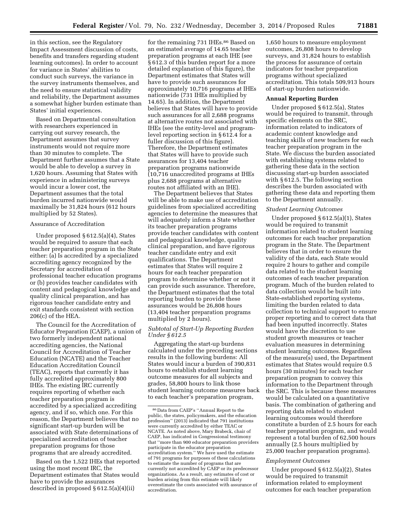in this section, see the Regulatory Impact Assessment discussion of costs, benefits and transfers regarding student learning outcomes). In order to account for variance in States' abilities to conduct such surveys, the variance in the survey instruments themselves, and the need to ensure statistical validity and reliability, the Department assumes a somewhat higher burden estimate than States' initial experiences.

Based on Departmental consultation with researchers experienced in carrying out survey research, the Department assumes that survey instruments would not require more than 30 minutes to complete. The Department further assumes that a State would be able to develop a survey in 1,620 hours. Assuming that States with experience in administering surveys would incur a lower cost, the Department assumes that the total burden incurred nationwide would maximally be 31,824 hours (612 hours multiplied by 52 States).

## Assurance of Accreditation

Under proposed § 612.5(a)(4), States would be required to assure that each teacher preparation program in the State either: (a) Is accredited by a specialized accrediting agency recognized by the Secretary for accreditation of professional teacher education programs or (b) provides teacher candidates with content and pedagogical knowledge and quality clinical preparation, and has rigorous teacher candidate entry and exit standards consistent with section 206(c) of the HEA.

The Council for the Accreditation of Educator Preparation (CAEP), a union of two formerly independent national accrediting agencies, the National Council for Accreditation of Teacher Education (NCATE) and the Teacher Education Accreditation Council (TEAC), reports that currently it has fully accredited approximately 800 IHEs. The existing IRC currently requires reporting of whether each teacher preparation program is accredited by a specialized accrediting agency, and if so, which one. For this reason, the Department believes that no significant start-up burden will be associated with State determinations of specialized accreditation of teacher preparation programs for those programs that are already accredited.

Based on the 1,522 IHEs that reported using the most recent IRC, the Department estimates that States would have to provide the assurances described in proposed § 612.5(a)(4)(ii)

for the remaining 731 IHEs.<sup>86</sup> Based on an estimated average of 14.65 teacher preparation programs at each IHE (see § 612.3 of this burden report for a more detailed explanation of this figure), the Department estimates that States will have to provide such assurances for approximately 10,716 programs at IHEs nationwide (731 IHEs multiplied by 14.65). In addition, the Department believes that States will have to provide such assurances for all 2,688 programs at alternative routes not associated with IHEs (see the entity-level and programlevel reporting section in § 612.4 for a fuller discussion of this figure). Therefore, the Department estimates that States will have to provide such assurances for 13,404 teacher preparation programs nationwide (10,716 unaccredited programs at IHEs plus 2,688 programs at alternative routes not affiliated with an IHE).

The Department believes that States will be able to make use of accreditation guidelines from specialized accrediting agencies to determine the measures that will adequately inform a State whether its teacher preparation programs provide teacher candidates with content and pedagogical knowledge, quality clinical preparation, and have rigorous teacher candidate entry and exit qualifications. The Department estimates that States will require 2 hours for each teacher preparation program to determine whether or not it can provide such assurance. Therefore, the Department estimates that the total reporting burden to provide these assurances would be 26,808 hours (13,404 teacher preparation programs multiplied by 2 hours).

# *Subtotal of Start-Up Reporting Burden Under § 612.5*

Aggregating the start-up burdens calculated under the preceding sections results in the following burdens: All States would incur a burden of 390,831 hours to establish student learning outcome measures for all subjects and grades, 58,800 hours to link those student learning outcome measures back to each teacher's preparation program,

1,650 hours to measure employment outcomes, 26,808 hours to develop surveys, and 31,824 hours to establish the process for assurance of certain indicators for teacher preparation programs without specialized accreditation. This totals 509,913 hours of start-up burden nationwide.

### **Annual Reporting Burden**

Under proposed § 612.5(a), States would be required to transmit, through specific elements on the SRC, information related to indicators of academic content knowledge and teaching skills of new teachers for each teacher preparation program in the State. We discuss the burden associated with establishing systems related to gathering these data in the section discussing start-up burden associated with § 612.5. The following section describes the burden associated with gathering these data and reporting them to the Department annually.

#### *Student Learning Outcomes*

Under proposed § 612.5(a)(1), States would be required to transmit information related to student learning outcomes for each teacher preparation program in the State. The Department believes that in order to ensure the validity of the data, each State would require 2 hours to gather and compile data related to the student learning outcomes of each teacher preparation program. Much of the burden related to data collection would be built into State-established reporting systems, limiting the burden related to data collection to technical support to ensure proper reporting and to correct data that had been inputted incorrectly. States would have the discretion to use student growth measures or teacher evaluation measures in determining student learning outcomes. Regardless of the measure(s) used, the Department estimates that States would require 0.5 hours (30 minutes) for each teacher preparation program to convey this information to the Department through the SRC. This is because these measures would be calculated on a quantitative basis. The combination of gathering and reporting data related to student learning outcomes would therefore constitute a burden of 2.5 hours for each teacher preparation program, and would represent a total burden of 62,500 hours annually (2.5 hours multiplied by 25,000 teacher preparation programs).

#### *Employment Outcomes*

Under proposed § 612.5(a)(2), States would be required to transmit information related to employment outcomes for each teacher preparation

<sup>86</sup> Data from CAEP's ''Annual Report to the public, the states, policymakers, and the education profession'' (2013) indicated that 791 institutions were currently accredited by either TEAC or NCATE. As noted above, Mary Brabeck, chair of CAEP, has indicated in Congressional testimony that ''more than 900 educator preparation providers participate in the educator preparation accreditation system.'' We have used the estimate of 791 programs for purposes of these calculations to estimate the number of programs that are currently not accredited by CAEP or its predecessor organizations. As a result, any estimates of cost or burden arising from this estimate will likely overestimate the costs associated with assurance of accreditation.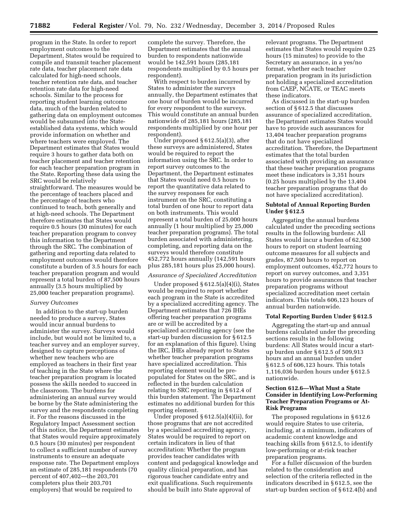program in the State. In order to report employment outcomes to the Department, States would be required to compile and transmit teacher placement rate data, teacher placement rate data calculated for high-need schools, teacher retention rate data, and teacher retention rate data for high-need schools. Similar to the process for reporting student learning outcome data, much of the burden related to gathering data on employment outcomes would be subsumed into the Stateestablished data systems, which would provide information on whether and where teachers were employed. The Department estimates that States would require 3 hours to gather data both on teacher placement and teacher retention for each teacher preparation program in the State. Reporting these data using the SRC would be relatively straightforward. The measures would be the percentage of teachers placed and the percentage of teachers who continued to teach, both generally and at high-need schools. The Department therefore estimates that States would require 0.5 hours (30 minutes) for each teacher preparation program to convey this information to the Department through the SRC. The combination of gathering and reporting data related to employment outcomes would therefore constitute a burden of 3.5 hours for each teacher preparation program and would represent a total burden of 87,500 hours annually (3.5 hours multiplied by 25,000 teacher preparation programs).

#### *Survey Outcomes*

In addition to the start-up burden needed to produce a survey, States would incur annual burdens to administer the survey. Surveys would include, but would not be limited to, a teacher survey and an employer survey, designed to capture perceptions of whether new teachers who are employed as teachers in their first year of teaching in the State where the teacher preparation program is located possess the skills needed to succeed in the classroom. The burdens for administering an annual survey would be borne by the State administering the survey and the respondents completing it. For the reasons discussed in the Regulatory Impact Assessment section of this notice, the Department estimates that States would require approximately 0.5 hours (30 minutes) per respondent to collect a sufficient number of survey instruments to ensure an adequate response rate. The Department employs an estimate of 285,181 respondents (70 percent of 407,402—the 203,701 completers plus their 203,701 employers) that would be required to

complete the survey. Therefore, the Department estimates that the annual burden to respondents nationwide would be 142,591 hours (285,181 respondents multiplied by 0.5 hours per respondent).

With respect to burden incurred by States to administer the surveys annually, the Department estimates that one hour of burden would be incurred for every respondent to the surveys. This would constitute an annual burden nationwide of 285,181 hours (285,181 respondents multiplied by one hour per respondent).

Under proposed  $§ 612.5(a)(3)$ , after these surveys are administered, States would be required to report the information using the SRC. In order to report survey outcomes to the Department, the Department estimates that States would need 0.5 hours to report the quantitative data related to the survey responses for each instrument on the SRC, constituting a total burden of one hour to report data on both instruments. This would represent a total burden of 25,000 hours annually (1 hour multiplied by 25,000 teacher preparation programs). The total burden associated with administering, completing, and reporting data on the surveys would therefore constitute 452,772 hours annually (142,591 hours plus 285,181 hours plus 25,000 hours).

## *Assurance of Specialized Accreditation*

Under proposed § 612.5(a)(4)(i), States would be required to report whether each program in the State is accredited by a specialized accrediting agency. The Department estimates that 726 IHEs offering teacher preparation programs are or will be accredited by a specialized accrediting agency (see the start-up burden discussion for § 612.5 for an explanation of this figure). Using the IRC, IHEs already report to States whether teacher preparation programs have specialized accreditation. This reporting element would be prepopulated for States on the SRC, and is reflected in the burden calculation relating to SRC reporting in § 612.4 of this burden statement. The Department estimates no additional burden for this reporting element.

Under proposed § 612.5(a)(4)(ii), for those programs that are not accredited by a specialized accrediting agency, States would be required to report on certain indicators in lieu of that accreditation: Whether the program provides teacher candidates with content and pedagogical knowledge and quality clinical preparation, and has rigorous teacher candidate entry and exit qualifications. Such requirements should be built into State approval of

relevant programs. The Department estimates that States would require 0.25 hours (15 minutes) to provide to the Secretary an assurance, in a yes/no format, whether each teacher preparation program in its jurisdiction not holding a specialized accreditation from CAEP, NCATE, or TEAC meets these indicators.

As discussed in the start-up burden section of § 612.5 that discusses assurance of specialized accreditation, the Department estimates States would have to provide such assurances for 13,404 teacher preparation programs that do not have specialized accreditation. Therefore, the Department estimates that the total burden associated with providing an assurance that these teacher preparation programs meet these indicators is 3,351 hours (0.25 hours multiplied by the 13,404 teacher preparation programs that do not have specialized accreditation).

## **Subtotal of Annual Reporting Burden Under § 612.5**

Aggregating the annual burdens calculated under the preceding sections results in the following burdens: All States would incur a burden of 62,500 hours to report on student learning outcome measures for all subjects and grades, 87,500 hours to report on employment outcomes, 452,772 hours to report on survey outcomes, and 3,351 hours to provide assurances that teacher preparation programs without specialized accreditation meet certain indicators. This totals 606,123 hours of annual burden nationwide.

#### **Total Reporting Burden Under § 612.5**

Aggregating the start-up and annual burdens calculated under the preceding sections results in the following burdens: All States would incur a startup burden under § 612.5 of 509,913 hours and an annual burden under § 612.5 of 606,123 hours. This totals 1,116,036 burden hours under § 612.5 nationwide.

# **Section 612.6—What Must a State Consider in Identifying Low-Performing Teacher Preparation Programs or At-Risk Programs**

The proposed regulations in § 612.6 would require States to use criteria, including, at a minimum, indicators of academic content knowledge and teaching skills from § 612.5, to identify low-performing or at-risk teacher preparation programs.

For a fuller discussion of the burden related to the consideration and selection of the criteria reflected in the indicators described in § 612.5, see the start-up burden section of § 612.4(b) and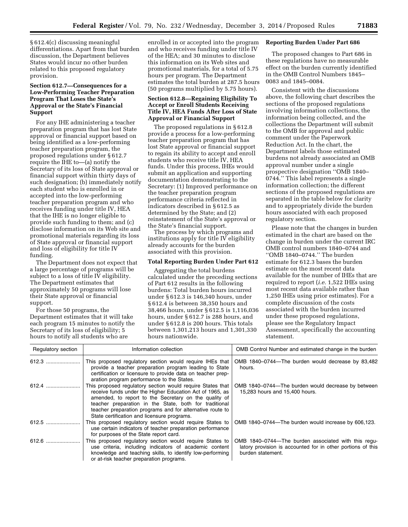§ 612.4(c) discussing meaningful differentiations. Apart from that burden discussion, the Department believes States would incur no other burden related to this proposed regulatory provision.

# **Section 612.7—Consequences for a Low-Performing Teacher Preparation Program That Loses the State's Approval or the State's Financial Support**

For any IHE administering a teacher preparation program that has lost State approval or financial support based on being identified as a low-performing teacher preparation program, the proposed regulations under § 612.7 require the IHE to—(a) notify the Secretary of its loss of State approval or financial support within thirty days of such designation; (b) immediately notify each student who is enrolled in or accepted into the low-performing teacher preparation program and who receives funding under title IV, HEA that the IHE is no longer eligible to provide such funding to them; and (c) disclose information on its Web site and promotional materials regarding its loss of State approval or financial support and loss of eligibility for title IV funding.

The Department does not expect that a large percentage of programs will be subject to a loss of title IV eligibility. The Department estimates that approximately 50 programs will lose their State approval or financial support.

For those 50 programs, the Department estimates that it will take each program 15 minutes to notify the Secretary of its loss of eligibility; 5 hours to notify all students who are

enrolled in or accepted into the program and who receives funding under title IV of the HEA; and 30 minutes to disclose this information on its Web sites and promotional materials, for a total of 5.75 hours per program. The Department estimates the total burden at 287.5 hours (50 programs multiplied by 5.75 hours).

# **Section 612.8—Regaining Eligibility To Accept or Enroll Students Receiving Title IV, HEA Funds After Loss of State Approval or Financial Support**

The proposed regulations in § 612.8 provide a process for a low-performing teacher preparation program that has lost State approval or financial support to regain its ability to accept and enroll students who receive title IV, HEA funds. Under this process, IHEs would submit an application and supporting documentation demonstrating to the Secretary: (1) Improved performance on the teacher preparation program performance criteria reflected in indicators described in § 612.5 as determined by the State; and (2) reinstatement of the State's approval or the State's financial support.

The process by which programs and institutions apply for title IV eligibility already accounts for the burden associated with this provision.

# **Total Reporting Burden Under Part 612**

Aggregating the total burdens calculated under the preceding sections of Part 612 results in the following burdens: Total burden hours incurred under § 612.3 is 146,340 hours, under § 612.4 is between 38,350 hours and 38,466 hours, under § 612.5 is 1,116,036 hours, under § 612.7 is 288 hours, and under § 612.8 is 200 hours. This totals between 1,301,213 hours and 1,301,330 hours nationwide.

# **Reporting Burden Under Part 686**

The proposed changes to Part 686 in these regulations have no measurable effect on the burden currently identified in the OMB Control Numbers 1845– 0083 and 1845–0084.

Consistent with the discussions above, the following chart describes the sections of the proposed regulations involving information collections, the information being collected, and the collections the Department will submit to the OMB for approval and public comment under the Paperwork Reduction Act. In the chart, the Department labels those estimated burdens not already associated an OMB approval number under a single prospective designation ''OMB 1840– 0744.'' This label represents a single information collection; the different sections of the proposed regulations are separated in the table below for clarity and to appropriately divide the burden hours associated with each proposed regulatory section.

Please note that the changes in burden estimated in the chart are based on the change in burden under the current IRC OMB control numbers 1840–0744 and ''OMB 1840–0744.'' The burden estimate for 612.3 bases the burden estimate on the most recent data available for the number of IHEs that are required to report (*i.e.* 1,522 IHEs using most recent data available rather than 1,250 IHEs using prior estimates). For a complete discussion of the costs associated with the burden incurred under these proposed regulations, please see the Regulatory Impact Assessment, specifically the accounting statement.

| Regulatory section | Information collection                                                                                                                                                                                                                                                                                                                                | OMB Control Number and estimated change in the burden                                                                                   |
|--------------------|-------------------------------------------------------------------------------------------------------------------------------------------------------------------------------------------------------------------------------------------------------------------------------------------------------------------------------------------------------|-----------------------------------------------------------------------------------------------------------------------------------------|
| 612.3              | This proposed regulatory section would require IHEs that<br>provide a teacher preparation program leading to State<br>certification or licensure to provide data on teacher prep-<br>aration program performance to the States.                                                                                                                       | OMB 1840-0744-The burden would decrease by 83,482<br>hours.                                                                             |
| 612.4              | This proposed regulatory section would require States that<br>receive funds under the Higher Education Act of 1965, as<br>amended, to report to the Secretary on the quality of<br>teacher preparation in the State, both for traditional<br>teacher preparation programs and for alternative route to<br>State certification and licensure programs. | OMB 1840-0744-The burden would decrease by between<br>15,283 hours and 15,400 hours.                                                    |
| 612.5              | This proposed regulatory section would require States to<br>use certain indicators of teacher preparation performance<br>for purposes of the State report card.                                                                                                                                                                                       | OMB 1840-0744-The burden would increase by 606,123.                                                                                     |
| 612.6              | This proposed regulatory section would require States to<br>use criteria, including indicators of academic content<br>knowledge and teaching skills, to identify low-performing<br>or at-risk teacher preparation programs.                                                                                                                           | OMB 1840-0744-The burden associated with this regu-<br>latory provision is accounted for in other portions of this<br>burden statement. |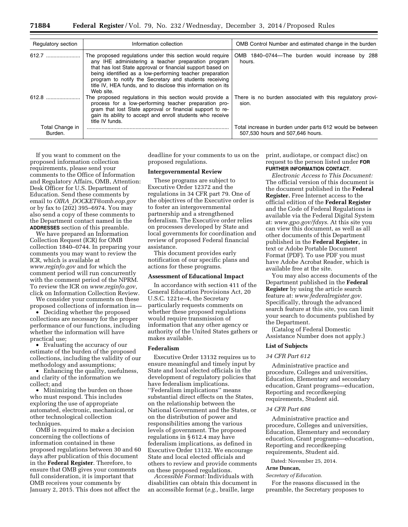| Regulatory section         | Information collection                                                                                                                                                                                                                                                                                                                                                            | OMB Control Number and estimated change in the burden                                         |
|----------------------------|-----------------------------------------------------------------------------------------------------------------------------------------------------------------------------------------------------------------------------------------------------------------------------------------------------------------------------------------------------------------------------------|-----------------------------------------------------------------------------------------------|
| 612.7                      | The proposed regulations under this section would require<br>any IHE administering a teacher preparation program<br>that has lost State approval or financial support based on<br>being identified as a low-performing teacher preparation<br>program to notify the Secretary and students receiving<br>title IV, HEA funds, and to disclose this information on its<br>Web site. | OMB 1840-0744-The burden would increase by 288<br>hours.                                      |
|                            | The proposed regulations in this section would provide a<br>process for a low-performing teacher preparation pro-<br>gram that lost State approval or financial support to re-<br>gain its ability to accept and enroll students who receive<br>title IV funds.                                                                                                                   | There is no burden associated with this regulatory provi-<br>sion.                            |
| Total Change in<br>Burden. |                                                                                                                                                                                                                                                                                                                                                                                   | Total increase in burden under parts 612 would be between<br>507.530 hours and 507.646 hours. |

If you want to comment on the proposed information collection requirements, please send your comments to the Office of Information and Regulatory Affairs, OMB, Attention: Desk Officer for U.S. Department of Education. Send these comments by email to *OIRA*\_*[DOCKET@omb.eop.gov](mailto:OIRA_DOCKET@omb.eop.gov)*  or by fax to (202) 395–6974. You may also send a copy of these comments to the Department contact named in the **ADDRESSES** section of this preamble.

We have prepared an Information Collection Request (ICR) for OMB collection 1840–0744. In preparing your comments you may want to review the ICR, which is available at *[www.reginfo.gov](http://www.reginfo.gov)* and for which the comment period will run concurrently with the comment period of the NPRM. To review the ICR on *[www.reginfo.gov](http://www.reginfo.gov)*, click on Information Collection Review.

We consider your comments on these proposed collections of information in—

• Deciding whether the proposed collections are necessary for the proper performance of our functions, including whether the information will have practical use;

• Evaluating the accuracy of our estimate of the burden of the proposed collections, including the validity of our methodology and assumptions;

• Enhancing the quality, usefulness, and clarity of the information we collect; and

• Minimizing the burden on those who must respond. This includes exploring the use of appropriate automated, electronic, mechanical, or other technological collection techniques.

OMB is required to make a decision concerning the collections of information contained in these proposed regulations between 30 and 60 days after publication of this document in the **Federal Register**. Therefore, to ensure that OMB gives your comments full consideration, it is important that OMB receives your comments by January 2, 2015. This does not affect the

deadline for your comments to us on the proposed regulations.

## **Intergovernmental Review**

These programs are subject to Executive Order 12372 and the regulations in 34 CFR part 79. One of the objectives of the Executive order is to foster an intergovernmental partnership and a strengthened federalism. The Executive order relies on processes developed by State and local governments for coordination and review of proposed Federal financial assistance.

This document provides early notification of our specific plans and actions for these programs.

#### **Assessment of Educational Impact**

In accordance with section 411 of the General Education Provisions Act, 20 U.S.C. 1221e–4, the Secretary particularly requests comments on whether these proposed regulations would require transmission of information that any other agency or authority of the United States gathers or makes available.

# **Federalism**

Executive Order 13132 requires us to ensure meaningful and timely input by State and local elected officials in the development of regulatory policies that have federalism implications. ''Federalism implications'' means substantial direct effects on the States, on the relationship between the National Government and the States, or on the distribution of power and responsibilities among the various levels of government. The proposed regulations in § 612.4 may have federalism implications, as defined in Executive Order 13132. We encourage State and local elected officials and others to review and provide comments on these proposed regulations.

*Accessible Format:* Individuals with disabilities can obtain this document in an accessible format (*e.g.,* braille, large

print, audiotape, or compact disc) on request to the person listed under **FOR FURTHER INFORMATION CONTACT**.

*Electronic Access to This Document:*  The official version of this document is the document published in the **Federal Register.** Free Internet access to the official edition of the **Federal Register**  and the Code of Federal Regulations is available via the Federal Digital System at: *[www.gpo.gov/fdsys](http://www.gpo.gov/fdsys)*. At this site you can view this document, as well as all other documents of this Department published in the **Federal Register,** in text or Adobe Portable Document Format (PDF). To use PDF you must have Adobe Acrobat Reader, which is available free at the site.

You may also access documents of the Department published in the **Federal Register** by using the article search feature at: *[www.federalregister.gov](http://www.federalregister.gov)*. Specifically, through the advanced search feature at this site, you can limit your search to documents published by the Department.

(Catalog of Federal Domestic Assistance Number does not apply.)

#### **List of Subjects**

## *34 CFR Part 612*

Administrative practice and procedure, Colleges and universities, Education, Elementary and secondary education, Grant programs—education, Reporting and recordkeeping requirements, Student aid.

## *34 CFR Part 686*

Administrative practice and procedure, Colleges and universities, Education, Elementary and secondary education, Grant programs—education, Reporting and recordkeeping requirements, Student aid.

Dated: November 25, 2014.

#### **Arne Duncan,**

#### *Secretary of Education.*

For the reasons discussed in the preamble, the Secretary proposes to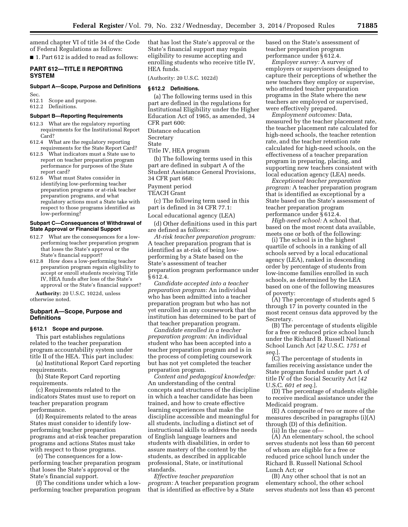amend chapter VI of title 34 of the Code of Federal Regulations as follows:

■ 1. Part 612 is added to read as follows:

# **PART 612—TITLE II REPORTING SYSTEM**

# **Subpart A—Scope, Purpose and Definitions**

Sec.

# 612.1 Scope and purpose.

612.2 Definitions.

# **Subpart B—Reporting Requirements**

- 612.3 What are the regulatory reporting requirements for the Institutional Report Card?
- 612.4 What are the regulatory reporting requirements for the State Report Card?
- 612.5 What indicators must a State use to report on teacher preparation program performance for purposes of the State report card?
- 612.6 What must States consider in identifying low-performing teacher preparation programs or at-risk teacher preparation programs, and what regulatory actions must a State take with respect to those programs identified as low-performing?

## **Subpart C—Consequences of Withdrawal of State Approval or Financial Support**

- 612.7 What are the consequences for a lowperforming teacher preparation program that loses the State's approval or the State's financial support?
- 612.8 How does a low-performing teacher preparation program regain eligibility to accept or enroll students receiving Title IV, HEA funds after loss of the State's approval or the State's financial support?

**Authority:** 20 U.S.C. 1022d, unless otherwise noted.

## **Subpart A—Scope, Purpose and Definitions**

# **§ 612.1 Scope and purpose.**

This part establishes regulations related to the teacher preparation program accountability system under title II of the HEA. This part includes:

(a) Institutional Report Card reporting requirements.

(b) State Report Card reporting requirements.

(c) Requirements related to the indicators States must use to report on teacher preparation program performance.

(d) Requirements related to the areas States must consider to identify lowperforming teacher preparation programs and at-risk teacher preparation programs and actions States must take with respect to those programs.

(e) The consequences for a lowperforming teacher preparation program that loses the State's approval or the State's financial support.

(f) The conditions under which a lowperforming teacher preparation program that has lost the State's approval or the State's financial support may regain eligibility to resume accepting and enrolling students who receive title IV, HEA funds.

(Authority: 20 U.S.C. 1022d)

#### **§ 612.2 Definitions.**

(a) The following terms used in this part are defined in the regulations for Institutional Eligibility under the Higher Education Act of 1965, as amended, 34 CFR part 600:

Distance education

Secretary

State

Title IV, HEA program

(b) The following terms used in this part are defined in subpart A of the Student Assistance General Provisions, 34 CFR part 668:

## Payment period

TEACH Grant

(c) The following term used in this part is defined in 34 CFR 77.1:

Local educational agency (LEA)

(d) Other definitions used in this part are defined as follows:

*At-risk teacher preparation program:*  A teacher preparation program that is identified as at-risk of being lowperforming by a State based on the State's assessment of teacher preparation program performance under § 612.4.

*Candidate accepted into a teacher preparation program:* An individual who has been admitted into a teacher preparation program but who has not yet enrolled in any coursework that the institution has determined to be part of that teacher preparation program.

*Candidate enrolled in a teacher preparation program:* An individual student who has been accepted into a teacher preparation program and is in the process of completing coursework but has not yet completed the teacher preparation program.

*Content and pedagogical knowledge:*  An understanding of the central concepts and structures of the discipline in which a teacher candidate has been trained, and how to create effective learning experiences that make the discipline accessible and meaningful for all students, including a distinct set of instructional skills to address the needs of English language learners and students with disabilities, in order to assure mastery of the content by the students, as described in applicable professional, State, or institutional standards.

*Effective teacher preparation program:* A teacher preparation program that is identified as effective by a State

based on the State's assessment of teacher preparation program performance under § 612.4.

*Employer survey:* A survey of employers or supervisors designed to capture their perceptions of whether the new teachers they employ or supervise, who attended teacher preparation programs in the State where the new teachers are employed or supervised, were effectively prepared.

*Employment outcomes:* Data, measured by the teacher placement rate, the teacher placement rate calculated for high-need schools, the teacher retention rate, and the teacher retention rate calculated for high-need schools, on the effectiveness of a teacher preparation program in preparing, placing, and supporting new teachers consistent with local education agency (LEA) needs.

*Exceptional teacher preparation program:* A teacher preparation program that is identified as exceptional by a State based on the State's assessment of teacher preparation program performance under § 612.4.

*High-need school:* A school that, based on the most recent data available, meets one or both of the following:

(i) The school is in the highest quartile of schools in a ranking of all schools served by a local educational agency (LEA), ranked in descending order by percentage of students from low-income families enrolled in such schools, as determined by the LEA based on one of the following measures of poverty:

(A) The percentage of students aged 5 through 17 in poverty counted in the most recent census data approved by the Secretary.

(B) The percentage of students eligible for a free or reduced price school lunch under the Richard B. Russell National School Lunch Act [*42* U.S.C. *1751 et seq.*].

(C) The percentage of students in families receiving assistance under the State program funded under part A of title IV of the Social Security Act [*42*  U.S.C. *601 et seq.*].

(D) The percentage of students eligible to receive medical assistance under the Medicaid program.

(E) A composite of two or more of the measures described in paragraphs (i)(A) through (D) of this definition.

(ii) In the case of—

(A) An elementary school, the school serves students not less than 60 percent of whom are eligible for a free or reduced price school lunch under the Richard B. Russell National School Lunch Act; or

(B) Any other school that is not an elementary school, the other school serves students not less than 45 percent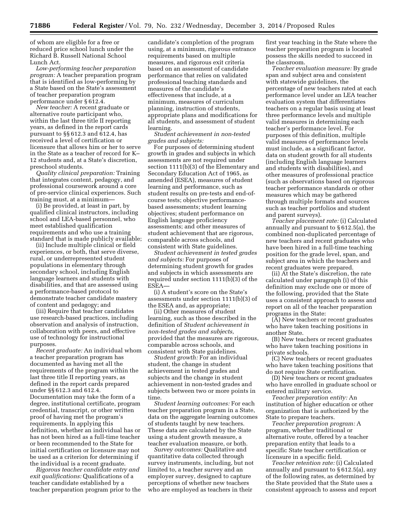of whom are eligible for a free or reduced price school lunch under the Richard B. Russell National School Lunch Act.

*Low-performing teacher preparation program:* A teacher preparation program that is identified as low-performing by a State based on the State's assessment of teacher preparation program performance under § 612.4.

*New teacher:* A recent graduate or alternative route participant who, within the last three title II reporting years, as defined in the report cards pursuant to §§ 612.3 and 612.4, has received a level of certification or licensure that allows him or her to serve in the State as a teacher of record for K– 12 students and, at a State's discretion, preschool students.

*Quality clinical preparation:* Training that integrates content, pedagogy, and professional coursework around a core of pre-service clinical experiences. Such training must, at a minimum—

(i) Be provided, at least in part, by qualified clinical instructors, including school and LEA-based personnel, who meet established qualification requirements and who use a training standard that is made publicly available;

(ii) Include multiple clinical or field experiences, or both, that serve diverse, rural, or underrepresented student populations in elementary through secondary school, including English language learners and students with disabilities, and that are assessed using a performance-based protocol to demonstrate teacher candidate mastery of content and pedagogy; and

(iii) Require that teacher candidates use research-based practices, including observation and analysis of instruction, collaboration with peers, and effective use of technology for instructional purposes.

*Recent graduate:* An individual whom a teacher preparation program has documented as having met all the requirements of the program within the last three title II reporting years, as defined in the report cards prepared under §§ 612.3 and 612.4. Documentation may take the form of a degree, institutional certificate, program credential, transcript, or other written proof of having met the program's requirements. In applying this definition, whether an individual has or has not been hired as a full-time teacher or been recommended to the State for initial certification or licensure may not be used as a criterion for determining if the individual is a recent graduate.

*Rigorous teacher candidate entry and exit qualifications:* Qualifications of a teacher candidate established by a teacher preparation program prior to the

candidate's completion of the program using, at a minimum, rigorous entrance requirements based on multiple measures, and rigorous exit criteria based on an assessment of candidate performance that relies on validated professional teaching standards and measures of the candidate's effectiveness that include, at a minimum, measures of curriculum planning, instruction of students, appropriate plans and modifications for all students, and assessment of student learning.

*Student achievement in non-tested grades and subjects:* 

For purposes of determining student growth in grades and subjects in which assessments are not required under section 1111(b)(3) of the Elementary and Secondary Education Act of 1965, as amended (ESEA), measures of student learning and performance, such as student results on pre-tests and end-ofcourse tests; objective performancebased assessments; student learning objectives; student performance on English language proficiency assessments; and other measures of student achievement that are rigorous, comparable across schools, and consistent with State guidelines.

*Student achievement in tested grades and subjects:* For purposes of determining student growth for grades and subjects in which assessments are required under section 1111(b)(3) of the ESEA—

(i) A student's score on the State's assessments under section 1111(b)(3) of the ESEA and, as appropriate;

(ii) Other measures of student learning, such as those described in the definition of *Student achievement in non-tested grades and subjects,*  provided that the measures are rigorous, comparable across schools, and consistent with State guidelines.

*Student growth:* For an individual student, the change in student achievement in tested grades and subjects and the change in student achievement in non-tested grades and subjects between two or more points in time.

*Student learning outcomes:* For each teacher preparation program in a State, data on the aggregate learning outcomes of students taught by new teachers. These data are calculated by the State using a student growth measure, a teacher evaluation measure, or both.

*Survey outcomes:* Qualitative and quantitative data collected through survey instruments, including, but not limited to, a teacher survey and an employer survey, designed to capture perceptions of whether new teachers who are employed as teachers in their

first year teaching in the State where the teacher preparation program is located possess the skills needed to succeed in the classroom.

*Teacher evaluation measure:* By grade span and subject area and consistent with statewide guidelines, the percentage of new teachers rated at each performance level under an LEA teacher evaluation system that differentiates teachers on a regular basis using at least three performance levels and multiple valid measures in determining each teacher's performance level. For purposes of this definition, multiple valid measures of performance levels must include, as a significant factor, data on student growth for all students (including English language learners and students with disabilities), and other measures of professional practice (such as observations based on rigorous teacher performance standards or other measures which may be gathered through multiple formats and sources such as teacher portfolios and student and parent surveys).

*Teacher placement rate:* (i) Calculated annually and pursuant to § 612.5(a), the combined non-duplicated percentage of new teachers and recent graduates who have been hired in a full-time teaching position for the grade level, span, and subject area in which the teachers and recent graduates were prepared.

(ii) At the State's discretion, the rate calculated under paragraph (i) of this definition may exclude one or more of the following, provided that the State uses a consistent approach to assess and report on all of the teacher preparation programs in the State:

(A) New teachers or recent graduates who have taken teaching positions in another State.

(B) New teachers or recent graduates who have taken teaching positions in private schools.

(C) New teachers or recent graduates who have taken teaching positions that do not require State certification.

(D) New teachers or recent graduates who have enrolled in graduate school or entered military service.

*Teacher preparation entity:* An institution of higher education or other organization that is authorized by the State to prepare teachers.

*Teacher preparation program:* A program, whether traditional or alternative route, offered by a teacher preparation entity that leads to a specific State teacher certification or licensure in a specific field.

*Teacher retention rate:* (i) Calculated annually and pursuant to § 612.5(a), any of the following rates, as determined by the State provided that the State uses a consistent approach to assess and report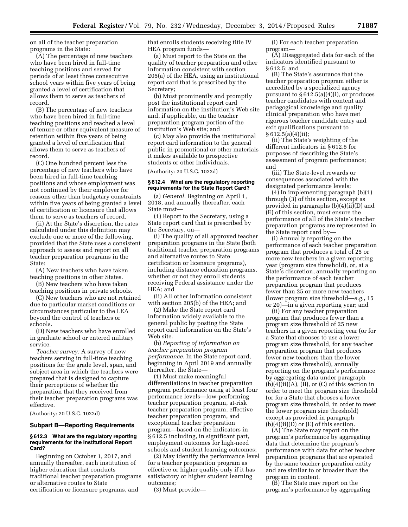on all of the teacher preparation programs in the State:

(A) The percentage of new teachers who have been hired in full-time teaching positions and served for periods of at least three consecutive school years within five years of being granted a level of certification that allows them to serve as teachers of record.

(B) The percentage of new teachers who have been hired in full-time teaching positions and reached a level of tenure or other equivalent measure of retention within five years of being granted a level of certification that allows them to serve as teachers of record.

(C) One hundred percent less the percentage of new teachers who have been hired in full-time teaching positions and whose employment was not continued by their employer for reasons other than budgetary constraints within five years of being granted a level of certification or licensure that allows them to serve as teachers of record.

(ii) At the State's discretion, the rates calculated under this definition may exclude one or more of the following, provided that the State uses a consistent approach to assess and report on all teacher preparation programs in the State:

(A) New teachers who have taken teaching positions in other States.

(B) New teachers who have taken teaching positions in private schools.

(C) New teachers who are not retained due to particular market conditions or circumstances particular to the LEA beyond the control of teachers or schools.

(D) New teachers who have enrolled in graduate school or entered military service.

*Teacher survey:* A survey of new teachers serving in full-time teaching positions for the grade level, span, and subject area in which the teachers were prepared that is designed to capture their perceptions of whether the preparation that they received from their teacher preparation programs was effective.

(Authority: 20 U.S.C. 1022d)

#### **Subpart B—Reporting Requirements**

#### **§ 612.3 What are the regulatory reporting requirements for the Institutional Report Card?**

Beginning on October 1, 2017, and annually thereafter, each institution of higher education that conducts traditional teacher preparation programs or alternative routes to State certification or licensure programs, and

that enrolls students receiving title IV HEA program funds—

(a) Must report to the State on the quality of teacher preparation and other information consistent with section 205(a) of the HEA, using an institutional report card that is prescribed by the Secretary;

(b) Must prominently and promptly post the institutional report card information on the institution's Web site and, if applicable, on the teacher preparation program portion of the institution's Web site; and

(c) May also provide the institutional report card information to the general public in promotional or other materials it makes available to prospective students or other individuals.

(Authority: 20 U.S.C. 1022d)

#### **§ 612.4 What are the regulatory reporting requirements for the State Report Card?**

(a) *General.* Beginning on April 1, 2018, and annually thereafter, each State must—

(1) Report to the Secretary, using a State report card that is prescribed by the Secretary, on—

(i) The quality of all approved teacher preparation programs in the State (both traditional teacher preparation programs and alternative routes to State certification or licensure programs), including distance education programs, whether or not they enroll students receiving Federal assistance under the HEA; and

(ii) All other information consistent with section 205(b) of the HEA; and

(2) Make the State report card information widely available to the general public by posting the State report card information on the State's Web site.

(b) *Reporting of information on teacher preparation program performance.* In the State report card, beginning in April 2019 and annually thereafter, the State—

(1) Must make meaningful differentiations in teacher preparation program performance using at least four performance levels—low-performing teacher preparation program, at-risk teacher preparation program, effective teacher preparation program, and exceptional teacher preparation program—based on the indicators in § 612.5 including, in significant part, employment outcomes for high-need schools and student learning outcomes;

(2) May identify the performance level for a teacher preparation program as effective or higher quality only if it has satisfactory or higher student learning outcomes;

(3) Must provide—

(i) For each teacher preparation program—

(A) Disaggregated data for each of the indicators identified pursuant to § 612.5; and

(B) The State's assurance that the teacher preparation program either is accredited by a specialized agency pursuant to  $\S 612.5(a)(4)(i)$ , or produces teacher candidates with content and pedagogical knowledge and quality clinical preparation who have met rigorous teacher candidate entry and exit qualifications pursuant to § 612.5(a)(4)(ii);

(ii) The State's weighting of the different indicators in § 612.5 for purposes of describing the State's assessment of program performance; and

(iii) The State-level rewards or consequences associated with the designated performance levels;

(4) In implementing paragraph (b)(1) through (3) of this section, except as provided in paragraphs (b)(4)(ii)(D) and (E) of this section, must ensure the performance of all of the State's teacher preparation programs are represented in the State report card by—

(i) Annually reporting on the performance of each teacher preparation program that produces a total of 25 or more new teachers in a given reporting year (program size threshold), or, at a State's discretion, annually reporting on the performance of each teacher preparation program that produces fewer than 25 or more new teachers (lower program size threshold—*e.g.*, 15 or 20)—in a given reporting year; and

(ii) For any teacher preparation program that produces fewer than a program size threshold of 25 new teachers in a given reporting year (or for a State that chooses to use a lower program size threshold, for any teacher preparation program that produces fewer new teachers than the lower program size threshold), annually reporting on the program's performance by aggregating data under paragraph  $(b)(4)(ii)(A)$ ,  $(B)$ , or  $(C)$  of this section in order to meet the program size threshold (or for a State that chooses a lower program size threshold, in order to meet the lower program size threshold) except as provided in paragraph  $(b)(4)(ii)(D)$  or  $(E)$  of this section.

(A) The State may report on the program's performance by aggregating data that determine the program's performance with data for other teacher preparation programs that are operated by the same teacher preparation entity and are similar to or broader than the program in content.

(B) The State may report on the program's performance by aggregating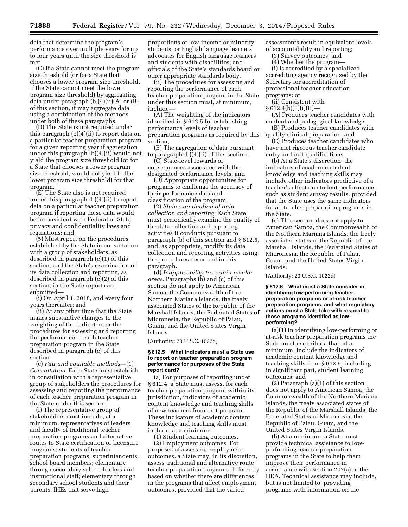data that determine the program's performance over multiple years for up to four years until the size threshold is met

(C) If a State cannot meet the program size threshold (or for a State that chooses a lower program size threshold, if the State cannot meet the lower program size threshold) by aggregating data under paragraph (b)(4)(ii)(A) or (B) of this section, it may aggregate data using a combination of the methods under both of these paragraphs.

(D) The State is not required under this paragraph (b)(4)(ii) to report data on a particular teacher preparation program for a given reporting year if aggregation under this paragraph (b)(4)(ii) would not yield the program size threshold (or for a State that chooses a lower program size threshold, would not yield to the lower program size threshold) for that program.

(E) The State also is not required under this paragraph (b)(4)(ii) to report data on a particular teacher preparation program if reporting these data would be inconsistent with Federal or State privacy and confidentiality laws and regulations; and

(5) Must report on the procedures established by the State in consultation with a group of stakeholders, as described in paragraph (c)(1) of this section, and the State's examination of its data collection and reporting, as described in paragraph (c)(2) of this section, in the State report card submitted—

(i) On April 1, 2018, and every four years thereafter; and

(ii) At any other time that the State makes substantive changes to the weighting of the indicators or the procedures for assessing and reporting the performance of each teacher preparation program in the State described in paragraph (c) of this section.

(c) *Fair and equitable methods*—(1) *Consultation.* Each State must establish in consultation with a representative group of stakeholders the procedures for assessing and reporting the performance of each teacher preparation program in the State under this section.

(i) The representative group of stakeholders must include, at a minimum, representatives of leaders and faculty of traditional teacher preparation programs and alternative routes to State certification or licensure programs; students of teacher preparation programs; superintendents; school board members; elementary through secondary school leaders and instructional staff; elementary through secondary school students and their parents; IHEs that serve high

proportions of low-income or minority students, or English language learners; advocates for English language learners and students with disabilities; and officials of the State's standards board or other appropriate standards body.

(ii) The procedures for assessing and reporting the performance of each teacher preparation program in the State under this section must, at minimum, include—

(A) The weighting of the indicators identified in § 612.5 for establishing performance levels of teacher preparation programs as required by this section;

(B) The aggregation of data pursuant to paragraph (b)(4)(ii) of this section;

(C) State-level rewards or consequences associated with the designated performance levels; and

(D) Appropriate opportunities for programs to challenge the accuracy of their performance data and classification of the program.

(2) *State examination of data collection and reporting.* Each State must periodically examine the quality of the data collection and reporting activities it conducts pursuant to paragraph (b) of this section and § 612.5, and, as appropriate, modify its data collection and reporting activities using the procedures described in this paragraph.

(d) *Inapplicability to certain insular areas.* Paragraphs (b) and (c) of this section do not apply to American Samoa, the Commonwealth of the Northern Mariana Islands, the freely associated States of the Republic of the Marshall Islands, the Federated States of Micronesia, the Republic of Palau, Guam, and the United States Virgin Islands.

(Authority: 20 U.S.C. 1022d)

#### **§ 612.5 What indicators must a State use to report on teacher preparation program performance for purposes of the State report card?**

(a) For purposes of reporting under § 612.4, a State must assess, for each teacher preparation program within its jurisdiction, indicators of academic content knowledge and teaching skills of new teachers from that program. These indicators of academic content knowledge and teaching skills must include, at a minimum—

(1) Student learning outcomes.

(2) Employment outcomes. For purposes of assessing employment outcomes, a State may, in its discretion, assess traditional and alternative route teacher preparation programs differently based on whether there are differences in the programs that affect employment outcomes, provided that the varied

assessments result in equivalent levels of accountability and reporting;

(3) Survey outcomes; and

(4) Whether the program—

(i) Is accredited by a specialized accrediting agency recognized by the Secretary for accreditation of professional teacher education programs; or

(ii) Consistent with

§ 612.4(b)(3)(i)(B)—

(A) Produces teacher candidates with content and pedagogical knowledge;

(B) Produces teacher candidates with quality clinical preparation; and

(C) Produces teacher candidates who have met rigorous teacher candidate entry and exit qualifications.

(b) At a State's discretion, the indicators of academic content knowledge and teaching skills may include other indicators predictive of a teacher's effect on student performance, such as student survey results, provided that the State uses the same indicators for all teacher preparation programs in the State.

(c) This section does not apply to American Samoa, the Commonwealth of the Northern Mariana Islands, the freely associated states of the Republic of the Marshall Islands, the Federated States of Micronesia, the Republic of Palau, Guam, and the United States Virgin Islands.

(Authority: 20 U.S.C. 1022d)

**§ 612.6 What must a State consider in identifying low-performing teacher preparation programs or at-risk teacher preparation programs, and what regulatory actions must a State take with respect to those programs identified as lowperforming?** 

(a)(1) In identifying low-performing or at-risk teacher preparation programs the State must use criteria that, at a minimum, include the indicators of academic content knowledge and teaching skills from § 612.5, including in significant part, student learning outcomes; and

(2) Paragraph (a)(1) of this section does not apply to American Samoa, the Commonwealth of the Northern Mariana Islands, the freely associated states of the Republic of the Marshall Islands, the Federated States of Micronesia, the Republic of Palau, Guam, and the United States Virgin Islands.

(b) At a minimum, a State must provide technical assistance to lowperforming teacher preparation programs in the State to help them improve their performance in accordance with section 207(a) of the HEA. Technical assistance may include, but is not limited to: providing programs with information on the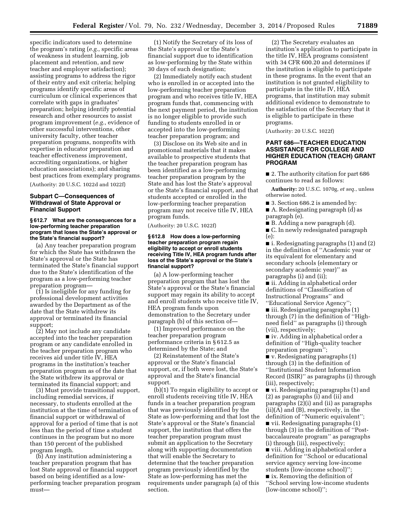specific indicators used to determine the program's rating (*e.g.*, specific areas of weakness in student learning, job placement and retention, and new teacher and employer satisfaction); assisting programs to address the rigor of their entry and exit criteria; helping programs identify specific areas of curriculum or clinical experiences that correlate with gaps in graduates' preparation; helping identify potential research and other resources to assist program improvement (*e.g.*, evidence of other successful interventions, other university faculty, other teacher preparation programs, nonprofits with expertise in educator preparation and teacher effectiveness improvement, accrediting organizations, or higher education associations); and sharing best practices from exemplary programs. (Authority: 20 U.S.C. 1022d and 1022f)

# **Subpart C—Consequences of Withdrawal of State Approval or Financial Support**

## **§ 612.7 What are the consequences for a low-performing teacher preparation program that loses the State's approval or the State's financial support?**

(a) Any teacher preparation program for which the State has withdrawn the State's approval or the State has terminated the State's financial support due to the State's identification of the program as a low-performing teacher preparation program—

(1) Is ineligible for any funding for professional development activities awarded by the Department as of the date that the State withdrew its approval or terminated its financial support;

(2) May not include any candidate accepted into the teacher preparation program or any candidate enrolled in the teacher preparation program who receives aid under title IV, HEA programs in the institution's teacher preparation program as of the date that the State withdrew its approval or terminated its financial support; and

(3) Must provide transitional support, including remedial services, if necessary, to students enrolled at the institution at the time of termination of financial support or withdrawal of approval for a period of time that is not less than the period of time a student continues in the program but no more than 150 percent of the published program length.

(b) Any institution administering a teacher preparation program that has lost State approval or financial support based on being identified as a lowperforming teacher preparation program must—

(1) Notify the Secretary of its loss of the State's approval or the State's financial support due to identification as low-performing by the State within 30 days of such designation;

(2) Immediately notify each student who is enrolled in or accepted into the low-performing teacher preparation program and who receives title IV, HEA program funds that, commencing with the next payment period, the institution is no longer eligible to provide such funding to students enrolled in or accepted into the low-performing teacher preparation program; and

(3) Disclose on its Web site and in promotional materials that it makes available to prospective students that the teacher preparation program has been identified as a low-performing teacher preparation program by the State and has lost the State's approval or the State's financial support, and that students accepted or enrolled in the low-performing teacher preparation program may not receive title IV, HEA program funds.

(Authority: 20 U.S.C. 1022f)

#### **§ 612.8 How does a low-performing teacher preparation program regain eligibility to accept or enroll students receiving Title IV, HEA program funds after loss of the State's approval or the State's financial support?**

(a) A low-performing teacher preparation program that has lost the State's approval or the State's financial support may regain its ability to accept and enroll students who receive title IV, HEA program funds upon demonstration to the Secretary under paragraph (b) of this section of—

(1) Improved performance on the teacher preparation program performance criteria in § 612.5 as determined by the State; and

(2) Reinstatement of the State's approval or the State's financial support, or, if both were lost, the State's approval and the State's financial support.

(b)(1) To regain eligibility to accept or enroll students receiving title IV, HEA funds in a teacher preparation program that was previously identified by the State as low-performing and that lost the State's approval or the State's financial support, the institution that offers the teacher preparation program must submit an application to the Secretary along with supporting documentation that will enable the Secretary to determine that the teacher preparation program previously identified by the State as low-performing has met the requirements under paragraph (a) of this section.

(2) The Secretary evaluates an institution's application to participate in the title IV, HEA programs consistent with 34 CFR 600.20 and determines if the institution is eligible to participate in these programs. In the event that an institution is not granted eligibility to participate in the title IV, HEA programs, that institution may submit additional evidence to demonstrate to the satisfaction of the Secretary that it is eligible to participate in these programs.

(Authority: 20 U.S.C. 1022f)

# **PART 686—TEACHER EDUCATION ASSISTANCE FOR COLLEGE AND HIGHER EDUCATION (TEACH) GRANT PROGRAM**

■ 2. The authority citation for part 686 continues to read as follows:

**Authority:** 20 U.S.C. 1070g, *et seq.*, unless otherwise noted.

■ 3. Section 686.2 is amended by:

■ A. Redesignating paragraph (d) as paragraph (e).

■ B. Adding a new paragraph (d).

■ C. In newly redesignated paragraph (e):

■ i. Redesignating paragraphs (1) and (2) in the definition of ''Academic year or its equivalent for elementary and secondary schools (elementary or secondary academic year)'' as paragraphs (i) and (ii);

■ ii. Adding in alphabetical order definitions of ''Classification of Instructional Programs'' and ''Educational Service Agency'';

■ iii. Redesignating paragraphs (1) through (7) in the definition of ''Highneed field'' as paragraphs (i) through (vii), respectively;

■ iv. Adding in alphabetical order a definition of ''High-quality teacher preparation program'';

■ v. Redesignating paragraphs (1) through (3) in the definition of ''Institutional Student Information Record (ISIR)'' as paragraphs (i) through (iii), respectively;

■ vi. Redesignating paragraphs (1) and (2) as paragraphs (i) and (ii) and paragraphs (2)(i) and (ii) as paragraphs (ii)(A) and (B), respectively, in the definition of ''Numeric equivalent''; ■ vii. Redesignating paragraphs (1) through (3) in the definition of ''Post-

baccalaureate program'' as paragraphs (i) through (iii), respectively; ■ viii. Adding in alphabetical order a

definition for ''School or educational service agency serving low-income students (low-income school)'';

■ ix. Removing the definition of ''School serving low-income students (low-income school)'';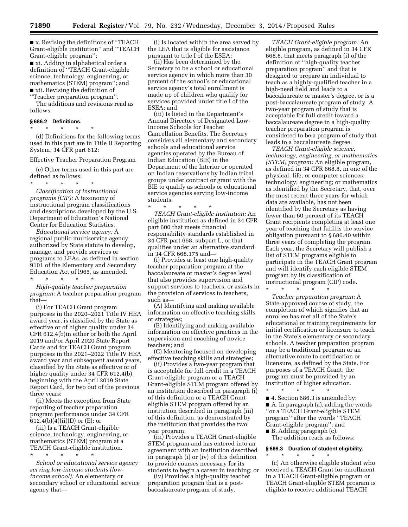**71890 Federal Register** / Vol. 79, No. 232 / Wednesday, December 3, 2014 / Proposed Rules

■ x. Revising the definitions of "TEACH Grant-eligible institution'' and ''TEACH Grant-eligible program'';

■ xi. Adding in alphabetical order a definition of ''TEACH Grant-eligible science, technology, engineering, or mathematics (STEM) program''; and ■ xii. Revising the definition of

''Teacher preparation program''.

The additions and revisions read as follows:

#### **§ 686.2 Definitions.**

\* \* \* \* \*

(d) Definitions for the following terms used in this part are in Title II Reporting System, 34 CFR part 612:

Effective Teacher Preparation Program

(e) Other terms used in this part are defined as follows:

\* \* \* \* \* *Classification of instructional programs (CIP):* A taxonomy of instructional program classifications and descriptions developed by the U.S. Department of Education's National Center for Education Statistics.

*Educational service agency:* A regional public multiservice agency authorized by State statute to develop, manage, and provide services or programs to LEAs, as defined in section 9101 of the Elementary and Secondary Education Act of l965, as amended.

\* \* \* \* \* *High-quality teacher preparation* 

*program:* A teacher preparation program that—

(i) For TEACH Grant program purposes in the 2020–2021 Title IV HEA award year, is classified by the State as effective or of higher quality under 34 CFR 612.4(b)in either or both the April 2019 and/or April 2020 State Report Cards and for TEACH Grant program purposes in the 2021–2022 Title IV HEA award year and subsequent award years, classified by the State as effective or of higher quality under 34 CFR 612.4(b), beginning with the April 2019 State Report Card, for two out of the previous three years;

(ii) Meets the exception from State reporting of teacher preparation program performance under 34 CFR 612.4(b)(4)(ii)(D) or (E); or

(iii) Is a TEACH Grant-eligible science, technology, engineering, or mathematics (STEM) program at a TEACH Grant-eligible institution.

\* \* \* \* \*

*School or educational service agency serving low-income students (lowincome school):* An elementary or secondary school or educational service agency that—

(i) Is located within the area served by the LEA that is eligible for assistance pursuant to title I of the ESEA;

(ii) Has been determined by the Secretary to be a school or educational service agency in which more than 30 percent of the school's or educational service agency's total enrollment is made up of children who qualify for services provided under title I of the ESEA; and

(iii) Is listed in the Department's Annual Directory of Designated Low-Income Schools for Teacher Cancellation Benefits. The Secretary considers all elementary and secondary schools and educational service agencies operated by the Bureau of Indian Education (BIE) in the Department of the Interior or operated on Indian reservations by Indian tribal groups under contract or grant with the BIE to qualify as schools or educational service agencies serving low-income students.

\* \* \* \* \* *TEACH Grant-eligible institution:* An eligible institution as defined in 34 CFR part 600 that meets financial responsibility standards established in 34 CFR part 668, subpart L, or that qualifies under an alternative standard in 34 CFR 668.175 and—

(i) Provides at least one high-quality teacher preparation program at the baccalaureate or master's degree level that also provides supervision and support services to teachers, or assists in the provision of services to teachers, such as—

(A) Identifying and making available information on effective teaching skills or strategies;

(B) Identifying and making available information on effective practices in the supervision and coaching of novice teachers; and

(C) Mentoring focused on developing effective teaching skills and strategies;

(ii) Provides a two-year program that is acceptable for full credit in a TEACH Grant-eligible program or a TEACH Grant-eligible STEM program offered by an institution described in paragraph (i) of this definition or a TEACH Granteligible STEM program offered by an institution described in paragraph (iii) of this definition, as demonstrated by the institution that provides the two year program;

(iii) Provides a TEACH Grant-eligible STEM program and has entered into an agreement with an institution described in paragraph (i) or (iv) of this definition to provide courses necessary for its students to begin a career in teaching; or

(iv) Provides a high-quality teacher preparation program that is a postbaccalaureate program of study.

*TEACH Grant-eligible program:* An eligible program, as defined in 34 CFR 668.8, that meets paragraph (i) of the definition of ''high-quality teacher preparation program'' and that is designed to prepare an individual to teach as a highly-qualified teacher in a high-need field and leads to a baccalaureate or master's degree, or is a post-baccalaureate program of study. A two-year program of study that is acceptable for full credit toward a baccalaureate degree in a high-quality teacher preparation program is considered to be a program of study that leads to a baccalaureate degree.

*TEACH Grant-eligible science, technology, engineering, or mathematics (STEM) program:* An eligible program, as defined in 34 CFR 668.8, in one of the physical, life, or computer sciences; technology; engineering; or mathematics as identified by the Secretary, that, over the most recent three years for which data are available, has not been identified by the Secretary as having fewer than 60 percent of its TEACH Grant recipients completing at least one year of teaching that fulfills the service obligation pursuant to § 686.40 within three years of completing the program. Each year, the Secretary will publish a list of STEM programs eligible to participate in the TEACH Grant program and will identify each eligible STEM program by its classification of instructional program (CIP) code.

\* \* \* \* \* *Teacher preparation program:* A State-approved course of study, the completion of which signifies that an enrollee has met all of the State's educational or training requirements for initial certification or licensure to teach in the State's elementary or secondary schools. A teacher preparation program may be a traditional program or an alternative route to certification or licensure, as defined by the State. For purposes of a TEACH Grant, the program must be provided by an institution of higher education.

\* \* \* \* \* ■ 4. Section 686.3 is amended by: ■ A. In paragraph (a), adding the words ''or a TEACH Grant-eligible STEM program'' after the words ''TEACH Grant-eligible program''; and

■ B. Adding paragraph (c). The addition reads as follows:

\* \* \* \* \*

# **§ 686.3 Duration of student eligibility.**

(c) An otherwise eligible student who received a TEACH Grant for enrollment in a TEACH Grant-eligible program or TEACH Grant-eligible STEM program is eligible to receive additional TEACH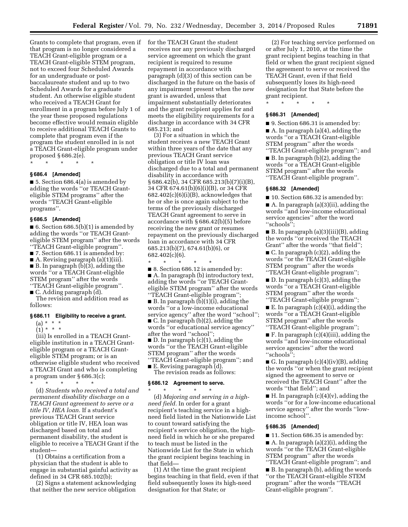Grants to complete that program, even if that program is no longer considered a TEACH Grant-eligible program or a TEACH Grant-eligible STEM program, not to exceed four Scheduled Awards for an undergraduate or postbaccalaureate student and up to two Scheduled Awards for a graduate student. An otherwise eligible student who received a TEACH Grant for enrollment in a program before July 1 of the year these proposed regulations become effective would remain eligible to receive additional TEACH Grants to complete that program even if the program the student enrolled in is not a TEACH Grant-eligible program under proposed § 686.2(e).

\* \* \* \* \*

## **§ 686.4 [Amended]**

■ 5. Section 686.4(a) is amended by adding the words ''or TEACH Granteligible STEM programs'' after the words ''TEACH Grant-eligible programs''.

#### **§ 686.5 [Amended]**

■ 6. Section 686.5(b)(1) is amended by adding the words ''or TEACH Granteligible STEM program'' after the words ''TEACH Grant-eligible program''.

■ 7. Section 686.11 is amended by:

■ A. Revising paragraph (a)(1)(iii). ■ B. In paragraph (b)(3), adding the

words ''or a TEACH Grant-eligible STEM program'' after the words ''TEACH Grant-eligible program''.

■ C. Adding paragraph (d).

The revision and addition read as follows:

#### **§ 686.11 Eligibility to receive a grant.**

(a) \* \* \*

 $(1) * * * *$ 

(iii) Is enrolled in a TEACH Granteligible institution in a TEACH Granteligible program or a TEACH Granteligible STEM program; or is an otherwise eligible student who received a TEACH Grant and who is completing a program under § 686.3(c);

\* \* \* \* \*

(d) *Students who received a total and permanent disability discharge on a TEACH Grant agreement to serve or a title IV, HEA loan.* If a student's previous TEACH Grant service obligation or title IV, HEA loan was discharged based on total and permanent disability, the student is eligible to receive a TEACH Grant if the student—

(1) Obtains a certification from a physician that the student is able to engage in substantial gainful activity as defined in 34 CFR 685.102(b);

(2) Signs a statement acknowledging that neither the new service obligation for the TEACH Grant the student receives nor any previously discharged service agreement on which the grant recipient is required to resume repayment in accordance with paragraph (d)(3) of this section can be discharged in the future on the basis of any impairment present when the new grant is awarded, unless that impairment substantially deteriorates and the grant recipient applies for and meets the eligibility requirements for a discharge in accordance with 34 CFR 685.213; and

(3) For a situation in which the student receives a new TEACH Grant within three years of the date that any previous TEACH Grant service obligation or title IV loan was discharged due to a total and permanent disability in accordance with § 686.42(b), 34 CFR 685.213(b)(7)(i)(B), 34 CFR 674.61(b)(6)(i)(B), or 34 CFR  $682.402(c)(6)(i)(B)$ , acknowledges that he or she is once again subject to the terms of the previously discharged TEACH Grant agreement to serve in accordance with § 686.42(b)(5) before receiving the new grant or resumes repayment on the previously discharged loan in accordance with 34 CFR 685.213(b)(7), 674.61(b)(6), or 682.402(c)(6).

\* \* \* \* \* ■ 8. Section 686.12 is amended by: ■ A. In paragraph (b) introductory text, adding the words ''or TEACH Granteligible STEM program'' after the words ''TEACH Grant-eligible program''; ■ B. In paragraph (b)(1)(i), adding the words ''or a low-income educational service agency'' after the word ''school''; ■ C. In paragraph (b)(2), adding the words ''or educational service agency'' after the word ''school''; ■ D. In paragraph (c)(1), adding the words ''or the TEACH Grant-eligible STEM program'' after the words ''TEACH Grant-eligible program''; and ■ E. Revising paragraph (d).

The revision reads as follows:

## **§ 686.12 Agreement to serve.**

\* \* \* \* \* (d) *Majoring and serving in a highneed field.* In order for a grant recipient's teaching service in a highneed field listed in the Nationwide List to count toward satisfying the recipient's service obligation, the highneed field in which he or she prepared to teach must be listed in the Nationwide List for the State in which the grant recipient begins teaching in that field—

(1) At the time the grant recipient begins teaching in that field, even if that field subsequently loses its high-need designation for that State; or

(2) For teaching service performed on or after July 1, 2010, at the time the grant recipient begins teaching in that field or when the grant recipient signed the agreement to serve or received the TEACH Grant, even if that field subsequently loses its high-need designation for that State before the grant recipient.

\* \* \* \* \*

## **§ 686.31 [Amended]**

■ 9. Section 686.31 is amended by: ■ A. In paragraph (a)(4), adding the words ''or a TEACH Grant-eligible STEM program'' after the words ''TEACH Grant-eligible program''; and

■ B. In paragraph (b)(2), adding the words ''or a TEACH Grant-eligible STEM program'' after the words ''TEACH Grant-eligible program''.

#### **§ 686.32 [Amended]**

■ 10. Section 686.32 is amended by:

■ A. In paragraph (a)(3)(ii), adding the words ''and low-income educational service agencies'' after the word ''schools'';

■ B. In paragraph (a)(3)(iii)(B), adding the words ''or received the TEACH Grant'' after the words ''that field'';

 $\blacksquare$  C. In paragraph (c)(2), adding the words ''or the TEACH Grant-eligible STEM program'' after the words ''TEACH Grant-eligible program'';

■ D. In paragraph (c)(3), adding the words ''or a TEACH Grant-eligible STEM program'' after the words ''TEACH Grant-eligible program'';

 $\blacksquare$  E. In paragraph (c)(4)(i), adding the words ''or a TEACH Grant-eligible STEM program'' after the words ''TEACH Grant-eligible program'';

■ F. In paragraph (c)(4)(iii), adding the words ''and low-income educational service agencies'' after the word ''schools'';

G. In paragraph  $(c)(4)(iv)(B)$ , adding the words ''or when the grant recipient signed the agreement to serve or received the TEACH Grant'' after the words ''that field''; and

 $\blacksquare$  H. In paragraph (c)(4)(v), adding the words ''or for a low-income educational service agency'' after the words ''lowincome school''.

### **§ 686.35 [Amended]**

■ 11. Section 686.35 is amended by: ■ A. In paragraph (a)(2)(i), adding the words ''or the TEACH Grant-eligible STEM program'' after the words

''TEACH Grant-eligible program''; and ■ B. In paragraph (b), adding the words ''or the TEACH Grant-eligible STEM program'' after the words ''TEACH Grant-eligible program''.